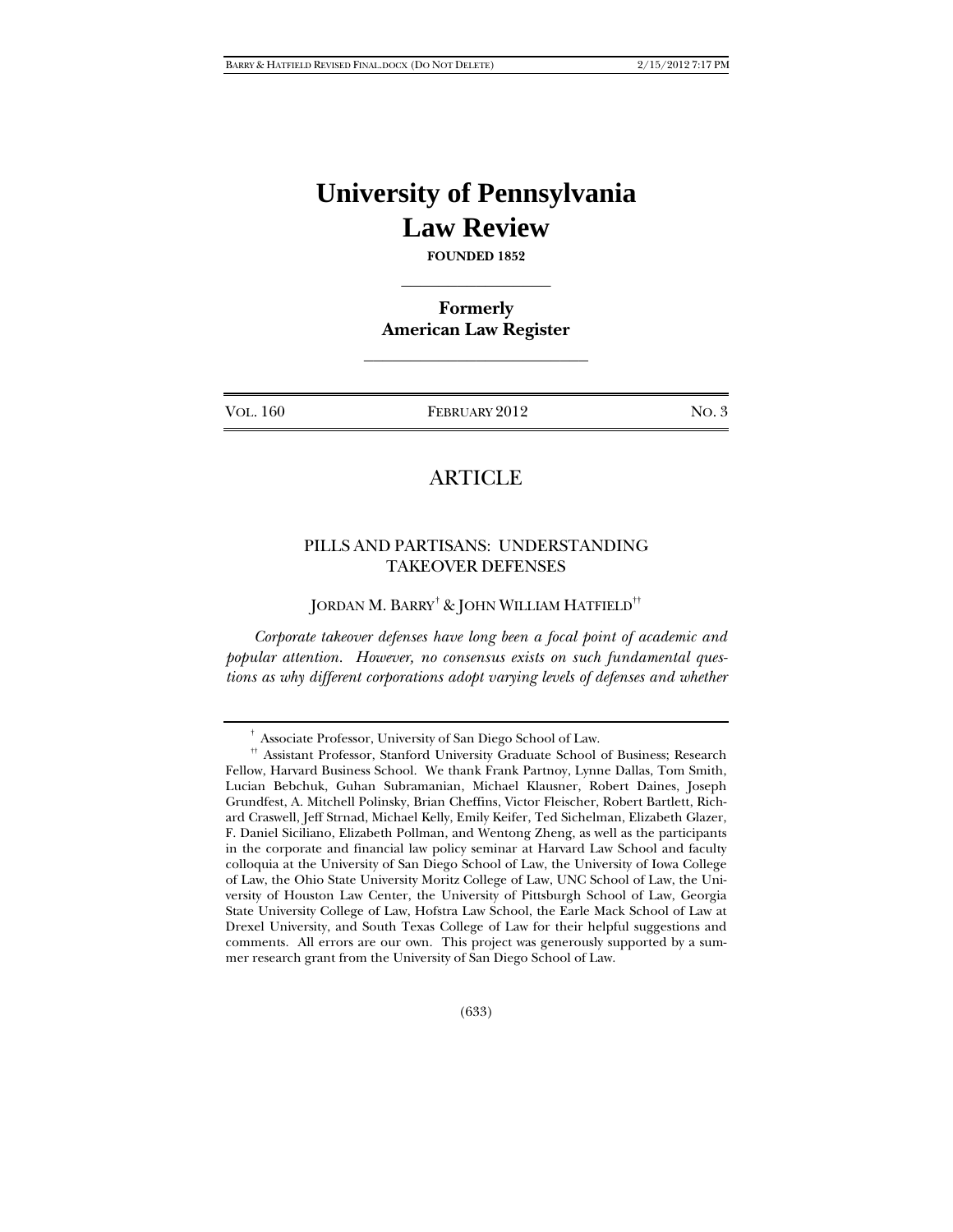# **University of Pennsylvania Law Review**

**FOUNDED 1852**   $\frac{1}{2}$ 

**Formerly American Law Register** 

 $\mathcal{L}_\text{max}$  , where  $\mathcal{L}_\text{max}$  , we have the set of  $\mathcal{L}_\text{max}$ 

VOL. 160 **FEBRUARY 2012** NO. 3

## **ARTICLE**

## PILLS AND PARTISANS: UNDERSTANDING TAKEOVER DEFENSES

JORDAN M. BARRY $^\dagger$  & JOHN WILLIAM HATFIELD $^{\dagger\dagger}$ 

*Corporate takeover defenses have long been a focal point of academic and popular attention. However, no consensus exists on such fundamental questions as why different corporations adopt varying levels of defenses and whether* 

<sup>&</sup>lt;sup>†</sup> Associate Professor, University of San Diego School of Law.

<sup>&</sup>lt;sup>††</sup> Assistant Professor, Stanford University Graduate School of Business; Research Fellow, Harvard Business School. We thank Frank Partnoy, Lynne Dallas, Tom Smith, Lucian Bebchuk, Guhan Subramanian, Michael Klausner, Robert Daines, Joseph Grundfest, A. Mitchell Polinsky, Brian Cheffins, Victor Fleischer, Robert Bartlett, Richard Craswell, Jeff Strnad, Michael Kelly, Emily Keifer, Ted Sichelman, Elizabeth Glazer, F. Daniel Siciliano, Elizabeth Pollman, and Wentong Zheng, as well as the participants in the corporate and financial law policy seminar at Harvard Law School and faculty colloquia at the University of San Diego School of Law, the University of Iowa College of Law, the Ohio State University Moritz College of Law, UNC School of Law, the University of Houston Law Center, the University of Pittsburgh School of Law, Georgia State University College of Law, Hofstra Law School, the Earle Mack School of Law at Drexel University, and South Texas College of Law for their helpful suggestions and comments. All errors are our own. This project was generously supported by a summer research grant from the University of San Diego School of Law.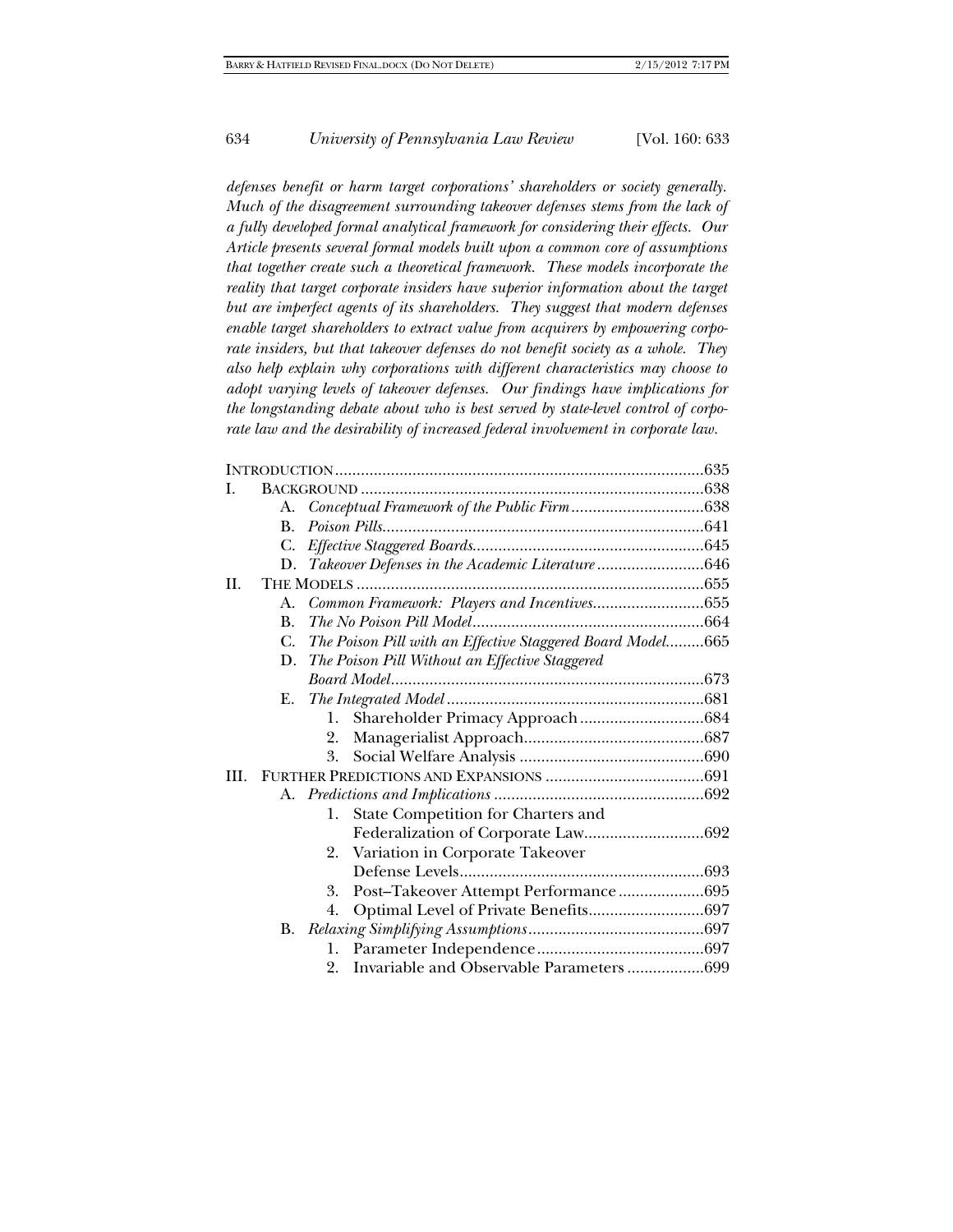*defenses benefit or harm target corporations' shareholders or society generally. Much of the disagreement surrounding takeover defenses stems from the lack of a fully developed formal analytical framework for considering their effects. Our Article presents several formal models built upon a common core of assumptions that together create such a theoretical framework. These models incorporate the*  reality that target corporate insiders have superior information about the target *but are imperfect agents of its shareholders. They suggest that modern defenses enable target shareholders to extract value from acquirers by empowering corporate insiders, but that takeover defenses do not benefit society as a whole. They also help explain why corporations with different characteristics may choose to adopt varying levels of takeover defenses. Our findings have implications for the longstanding debate about who is best served by state-level control of corporate law and the desirability of increased federal involvement in corporate law.* 

|      | А.             |                                                            |  |  |
|------|----------------|------------------------------------------------------------|--|--|
|      | $\mathbf{B}$ . |                                                            |  |  |
|      | C.             |                                                            |  |  |
|      | D.             | Takeover Defenses in the Academic Literature 646           |  |  |
| II.  |                |                                                            |  |  |
|      | A.             |                                                            |  |  |
|      | $\bf{B}$ .     |                                                            |  |  |
|      | C.             | The Poison Pill with an Effective Staggered Board Model665 |  |  |
|      | D.             | The Poison Pill Without an Effective Staggered             |  |  |
|      |                |                                                            |  |  |
|      | E.             |                                                            |  |  |
|      |                | 1.                                                         |  |  |
|      |                | 2.                                                         |  |  |
|      |                | 3.                                                         |  |  |
| III. |                |                                                            |  |  |
|      |                |                                                            |  |  |
|      |                | State Competition for Charters and<br>1.                   |  |  |
|      |                |                                                            |  |  |
|      |                | Variation in Corporate Takeover<br>2.                      |  |  |
|      |                |                                                            |  |  |
|      |                | Post-Takeover Attempt Performance695<br>3.                 |  |  |
|      |                | 4.                                                         |  |  |
|      |                |                                                            |  |  |
|      |                | 1.                                                         |  |  |
|      |                | Invariable and Observable Parameters699<br>2.              |  |  |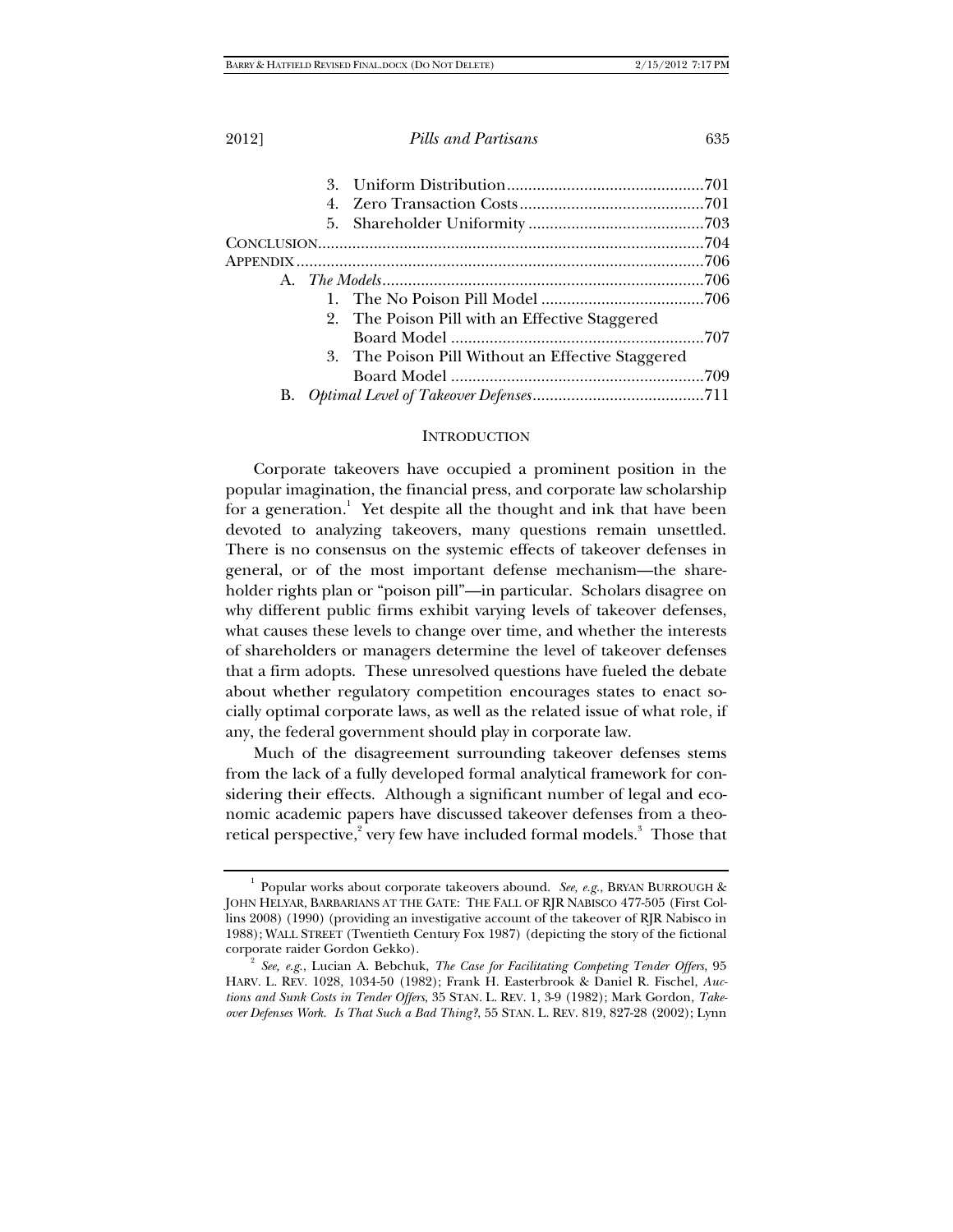|  | 2. The Poison Pill with an Effective Staggered    |  |
|--|---------------------------------------------------|--|
|  |                                                   |  |
|  | 3. The Poison Pill Without an Effective Staggered |  |
|  |                                                   |  |
|  |                                                   |  |

## **INTRODUCTION**

Corporate takeovers have occupied a prominent position in the popular imagination, the financial press, and corporate law scholarship for a generation.<sup>1</sup> Yet despite all the thought and ink that have been devoted to analyzing takeovers, many questions remain unsettled. There is no consensus on the systemic effects of takeover defenses in general, or of the most important defense mechanism—the shareholder rights plan or "poison pill"—in particular. Scholars disagree on why different public firms exhibit varying levels of takeover defenses, what causes these levels to change over time, and whether the interests of shareholders or managers determine the level of takeover defenses that a firm adopts. These unresolved questions have fueled the debate about whether regulatory competition encourages states to enact socially optimal corporate laws, as well as the related issue of what role, if any, the federal government should play in corporate law.

Much of the disagreement surrounding takeover defenses stems from the lack of a fully developed formal analytical framework for considering their effects. Although a significant number of legal and economic academic papers have discussed takeover defenses from a theoretical perspective,<sup>2</sup> very few have included formal models.<sup>3</sup> Those that

<sup>1</sup> Popular works about corporate takeovers abound. *See, e.g.*, BRYAN BURROUGH & JOHN HELYAR, BARBARIANS AT THE GATE: THE FALL OF RJR NABISCO 477-505 (First Collins 2008) (1990) (providing an investigative account of the takeover of RJR Nabisco in 1988); WALL STREET (Twentieth Century Fox 1987) (depicting the story of the fictional corporate raider Gordon Gekko). 2

*See, e.g.*, Lucian A. Bebchuk, *The Case for Facilitating Competing Tender Offers*, 95 HARV. L. REV. 1028, 1034-50 (1982); Frank H. Easterbrook & Daniel R. Fischel, *Auctions and Sunk Costs in Tender Offers*, 35 STAN. L. REV. 1, 3-9 (1982); Mark Gordon, *Takeover Defenses Work. Is That Such a Bad Thing?*, 55 STAN. L. REV. 819, 827-28 (2002); Lynn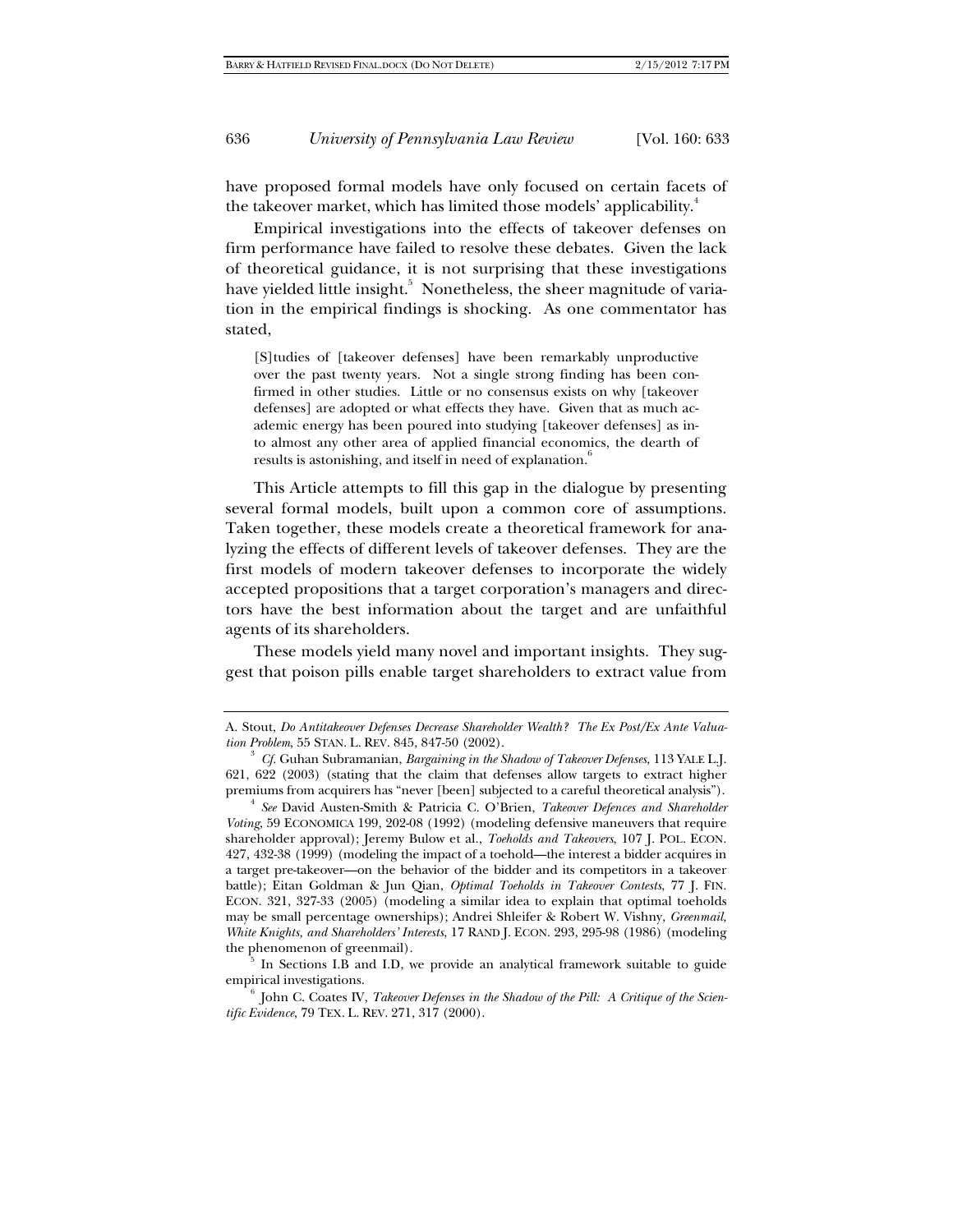have proposed formal models have only focused on certain facets of the takeover market, which has limited those models' applicability.<sup>4</sup>

Empirical investigations into the effects of takeover defenses on firm performance have failed to resolve these debates. Given the lack of theoretical guidance, it is not surprising that these investigations have yielded little insight. $^5\,$  Nonetheless, the sheer magnitude of variation in the empirical findings is shocking. As one commentator has stated,

[S]tudies of [takeover defenses] have been remarkably unproductive over the past twenty years. Not a single strong finding has been confirmed in other studies. Little or no consensus exists on why [takeover defenses] are adopted or what effects they have. Given that as much academic energy has been poured into studying [takeover defenses] as into almost any other area of applied financial economics, the dearth of results is astonishing, and itself in need of explanation.<sup>6</sup>

This Article attempts to fill this gap in the dialogue by presenting several formal models, built upon a common core of assumptions. Taken together, these models create a theoretical framework for analyzing the effects of different levels of takeover defenses. They are the first models of modern takeover defenses to incorporate the widely accepted propositions that a target corporation's managers and directors have the best information about the target and are unfaithful agents of its shareholders.

These models yield many novel and important insights. They suggest that poison pills enable target shareholders to extract value from

empirical investigations.<br><sup>6</sup> John C. Coates IV, *Takeover Defenses in the Shadow of the Pill: A Critique of the Scien-*

*tific Evidence*, 79 TEX. L. REV. 271, 317 (2000).

A. Stout, *Do Antitakeover Defenses Decrease Shareholder Wealth? The Ex Post/Ex Ante Valua*tion Problem, 55 STAN. L. REV. 845, 847-50 (2002).

*Cf.* Guhan Subramanian, *Bargaining in the Shadow of Takeover Defenses*, 113 YALE L.J. 621, 622 (2003) (stating that the claim that defenses allow targets to extract higher premiums from acquirers has "never [been] subjected to a careful theoretical analysis").

<sup>&</sup>lt;sup>4</sup> See David Austen-Smith & Patricia C. O'Brien, *Takeover Defences and Shareholder Voting*, 59 ECONOMICA 199, 202-08 (1992) (modeling defensive maneuvers that require shareholder approval); Jeremy Bulow et al., *Toeholds and Takeovers*, 107 J. POL. ECON. 427, 432-38 (1999) (modeling the impact of a toehold—the interest a bidder acquires in a target pre-takeover—on the behavior of the bidder and its competitors in a takeover battle); Eitan Goldman & Jun Qian, *Optimal Toeholds in Takeover Contests*, 77 J. FIN. ECON. 321, 327-33 (2005) (modeling a similar idea to explain that optimal toeholds may be small percentage ownerships); Andrei Shleifer & Robert W. Vishny, *Greenmail, White Knights, and Shareholders' Interests*, 17 RAND J. ECON. 293, 295-98 (1986) (modeling the phenomenon of greenmail).  $\frac{5}{5}$  In Sections I.B and I.D, we provide an analytical framework suitable to guide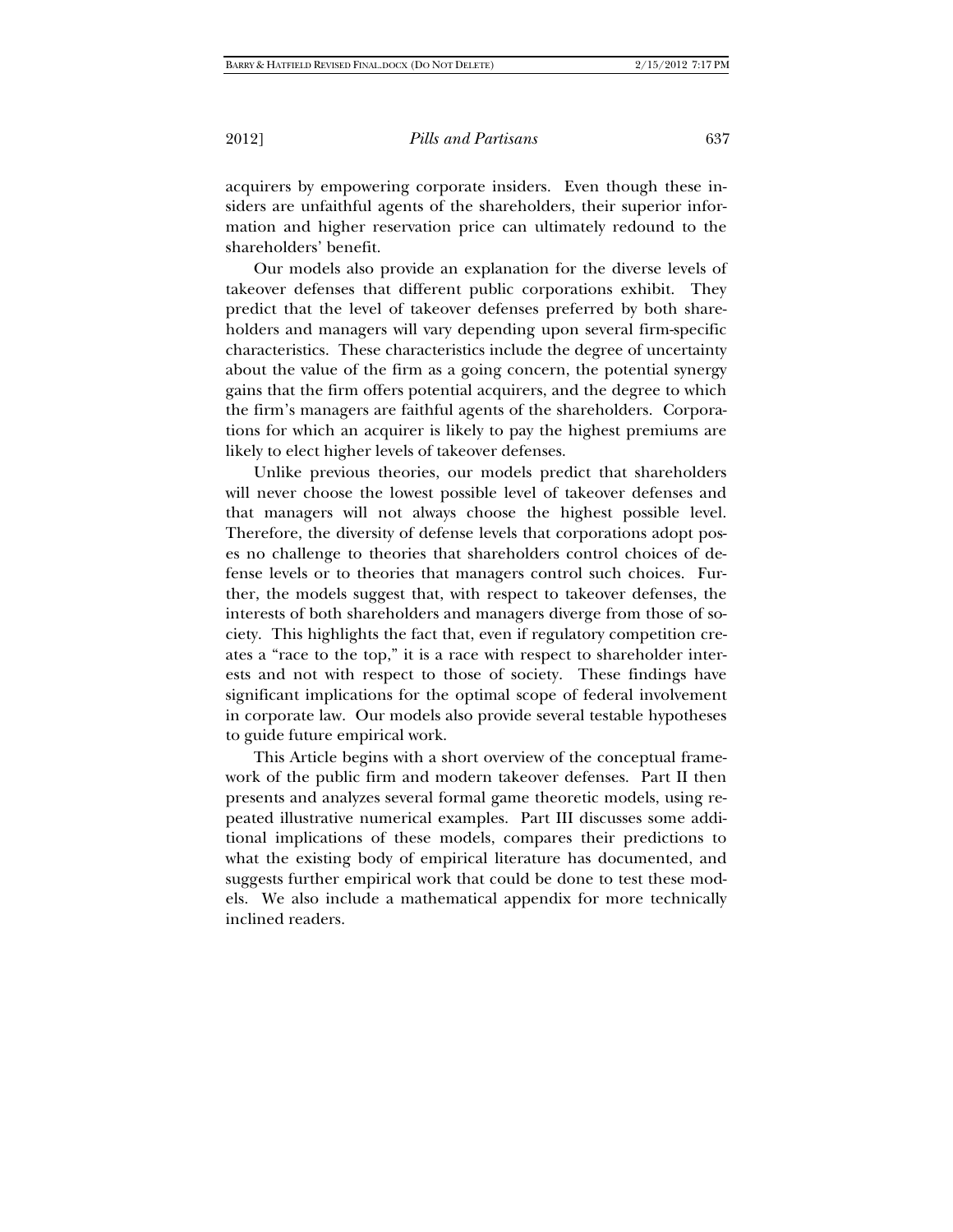acquirers by empowering corporate insiders. Even though these insiders are unfaithful agents of the shareholders, their superior information and higher reservation price can ultimately redound to the shareholders' benefit.

Our models also provide an explanation for the diverse levels of takeover defenses that different public corporations exhibit. They predict that the level of takeover defenses preferred by both shareholders and managers will vary depending upon several firm-specific characteristics. These characteristics include the degree of uncertainty about the value of the firm as a going concern, the potential synergy gains that the firm offers potential acquirers, and the degree to which the firm's managers are faithful agents of the shareholders. Corporations for which an acquirer is likely to pay the highest premiums are likely to elect higher levels of takeover defenses.

Unlike previous theories, our models predict that shareholders will never choose the lowest possible level of takeover defenses and that managers will not always choose the highest possible level. Therefore, the diversity of defense levels that corporations adopt poses no challenge to theories that shareholders control choices of defense levels or to theories that managers control such choices. Further, the models suggest that, with respect to takeover defenses, the interests of both shareholders and managers diverge from those of society. This highlights the fact that, even if regulatory competition creates a "race to the top," it is a race with respect to shareholder interests and not with respect to those of society. These findings have significant implications for the optimal scope of federal involvement in corporate law. Our models also provide several testable hypotheses to guide future empirical work.

This Article begins with a short overview of the conceptual framework of the public firm and modern takeover defenses. Part II then presents and analyzes several formal game theoretic models, using repeated illustrative numerical examples. Part III discusses some additional implications of these models, compares their predictions to what the existing body of empirical literature has documented, and suggests further empirical work that could be done to test these models. We also include a mathematical appendix for more technically inclined readers.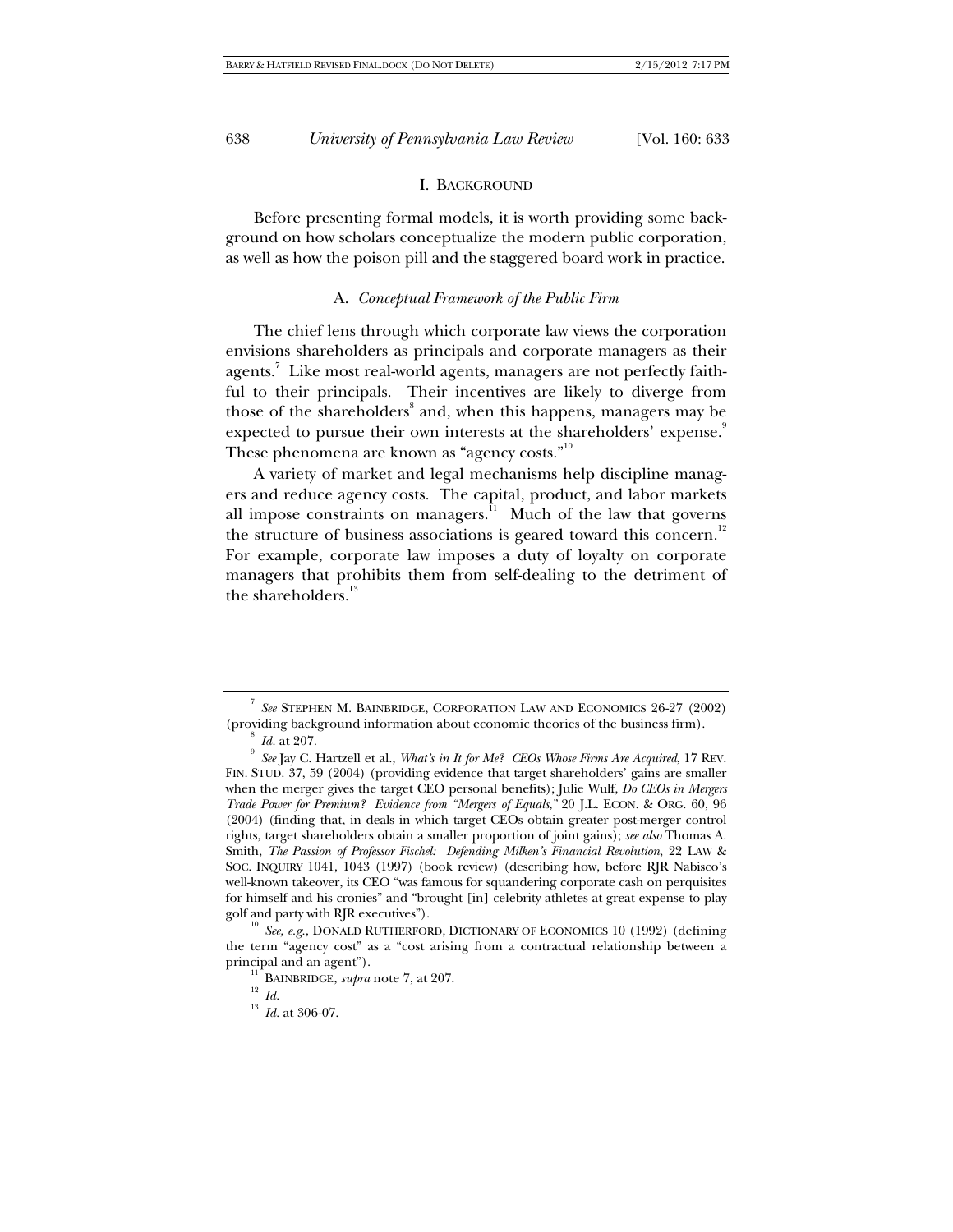## I. BACKGROUND

Before presenting formal models, it is worth providing some background on how scholars conceptualize the modern public corporation, as well as how the poison pill and the staggered board work in practice.

## A. *Conceptual Framework of the Public Firm*

The chief lens through which corporate law views the corporation envisions shareholders as principals and corporate managers as their agents. $^7$  Like most real-world agents, managers are not perfectly faithful to their principals. Their incentives are likely to diverge from those of the shareholders<sup>8</sup> and, when this happens, managers may be expected to pursue their own interests at the shareholders' expense.<sup>9</sup> These phenomena are known as "agency costs."<sup>10</sup>

A variety of market and legal mechanisms help discipline managers and reduce agency costs. The capital, product, and labor markets all impose constraints on managers. $11$  Much of the law that governs the structure of business associations is geared toward this concern.<sup>12</sup> For example, corporate law imposes a duty of loyalty on corporate managers that prohibits them from self-dealing to the detriment of the shareholders.<sup>13</sup>

<sup>7</sup> *See* STEPHEN M. BAINBRIDGE, CORPORATION LAW AND ECONOMICS 26-27 (2002) (providing background information about economic theories of the business firm).  $8$  Id. at 207.

 $^9$  *Id.* at 207.<br><sup>9</sup> See Jay C. Hartzell et al., *What's in It for Me? CEOs Whose Firms Are Acquired, 17 REV.* FIN. STUD. 37, 59 (2004) (providing evidence that target shareholders' gains are smaller when the merger gives the target CEO personal benefits); Julie Wulf, *Do CEOs in Mergers Trade Power for Premium? Evidence from "Mergers of Equals*,*"* 20 J.L. ECON. & ORG. 60, 96 (2004) (finding that, in deals in which target CEOs obtain greater post-merger control rights, target shareholders obtain a smaller proportion of joint gains); *see also* Thomas A. Smith, *The Passion of Professor Fischel: Defending Milken's Financial Revolution*, 22 LAW & SOC. INQUIRY 1041, 1043 (1997) (book review) (describing how, before RJR Nabisco's well-known takeover, its CEO "was famous for squandering corporate cash on perquisites for himself and his cronies" and "brought [in] celebrity athletes at great expense to play golf and party with RJR executives").<br><sup>10</sup> *See, e.g.*, DONALD RUTHERFORD, DICTIONARY OF ECONOMICS 10 (1992) (defining

the term "agency cost" as a "cost arising from a contractual relationship between a principal and an agent").<br>
<sup>11</sup> BAINBRIDGE, *supra* note 7, at 207.<br>
<sup>13</sup> *Id.* at 306-07.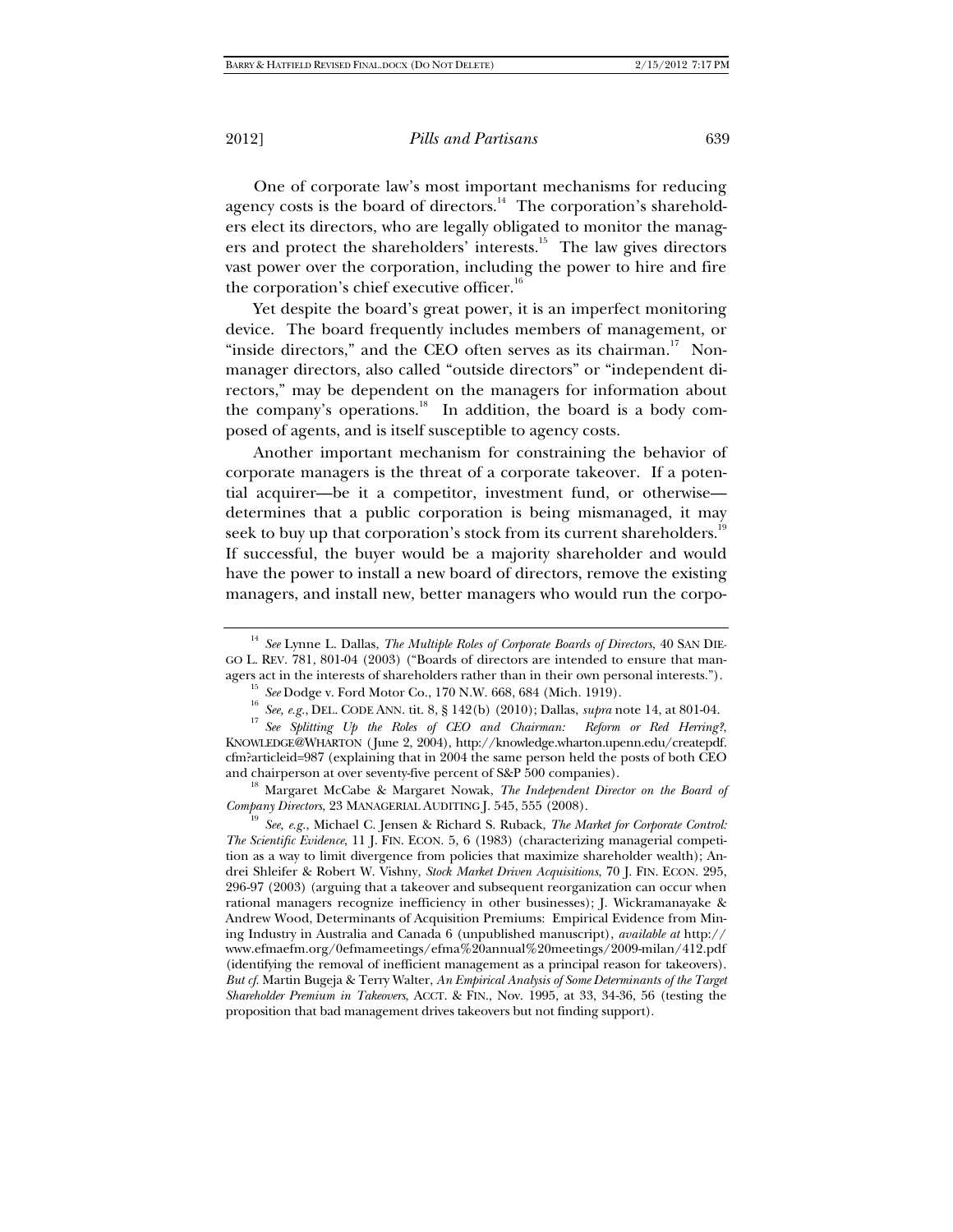One of corporate law's most important mechanisms for reducing agency costs is the board of directors.<sup>14</sup> The corporation's shareholders elect its directors, who are legally obligated to monitor the managers and protect the shareholders' interests.<sup>15</sup> The law gives directors vast power over the corporation, including the power to hire and fire the corporation's chief executive officer.<sup>16</sup>

Yet despite the board's great power, it is an imperfect monitoring device. The board frequently includes members of management, or "inside directors," and the CEO often serves as its chairman.<sup>17</sup> Nonmanager directors, also called "outside directors" or "independent directors," may be dependent on the managers for information about the company's operations. $18$  In addition, the board is a body composed of agents, and is itself susceptible to agency costs.

Another important mechanism for constraining the behavior of corporate managers is the threat of a corporate takeover. If a potential acquirer—be it a competitor, investment fund, or otherwise determines that a public corporation is being mismanaged, it may seek to buy up that corporation's stock from its current shareholders. $^{19}$ If successful, the buyer would be a majority shareholder and would have the power to install a new board of directors, remove the existing managers, and install new, better managers who would run the corpo-

and chairperson at over seventy-five percent of S&P 500 companies).<br><sup>18</sup> Margaret McCabe & Margaret Nowak, *The Independent Director on the Board of Company Directors*, 23 MANAGERIAL AUDITING J. 545, 555 (2008).

<sup>19</sup> See, e.g., Michael C. Jensen & Richard S. Ruback, *The Market for Corporate Control: The Scientific Evidence*, 11 J. FIN. ECON. 5, 6 (1983) (characterizing managerial competition as a way to limit divergence from policies that maximize shareholder wealth); Andrei Shleifer & Robert W. Vishny, *Stock Market Driven Acquisitions*, 70 J. FIN. ECON. 295, 296-97 (2003) (arguing that a takeover and subsequent reorganization can occur when rational managers recognize inefficiency in other businesses); J. Wickramanayake & Andrew Wood, Determinants of Acquisition Premiums: Empirical Evidence from Mining Industry in Australia and Canada 6 (unpublished manuscript), *available at* http:// www.efmaefm.org/0efmameetings/efma%20annual%20meetings/2009-milan/412.pdf (identifying the removal of inefficient management as a principal reason for takeovers). *But cf.* Martin Bugeja & Terry Walter, *An Empirical Analysis of Some Determinants of the Target Shareholder Premium in Takeovers*, ACCT. & FIN., Nov. 1995, at 33, 34-36, 56 (testing the proposition that bad management drives takeovers but not finding support).

<sup>14</sup> *See* Lynne L. Dallas, *The Multiple Roles of Corporate Boards of Directors*, 40 SAN DIE-GO L. REV. 781, 801-04 (2003) ("Boards of directors are intended to ensure that man-

agers act in the interests of shareholders rather than in their own personal interests.").<br>
<sup>15</sup> See Dodge v. Ford Motor Co., 170 N.W. 668, 684 (Mich. 1919).<br>
<sup>16</sup> See, e.g., DEL. CODE ANN. tit. 8, § 142(b) (2010); Dallas KNOWLEDGE@WHARTON (June 2, 2004), http://knowledge.wharton.upenn.edu/createpdf. cfm?articleid=987 (explaining that in 2004 the same person held the posts of both CEO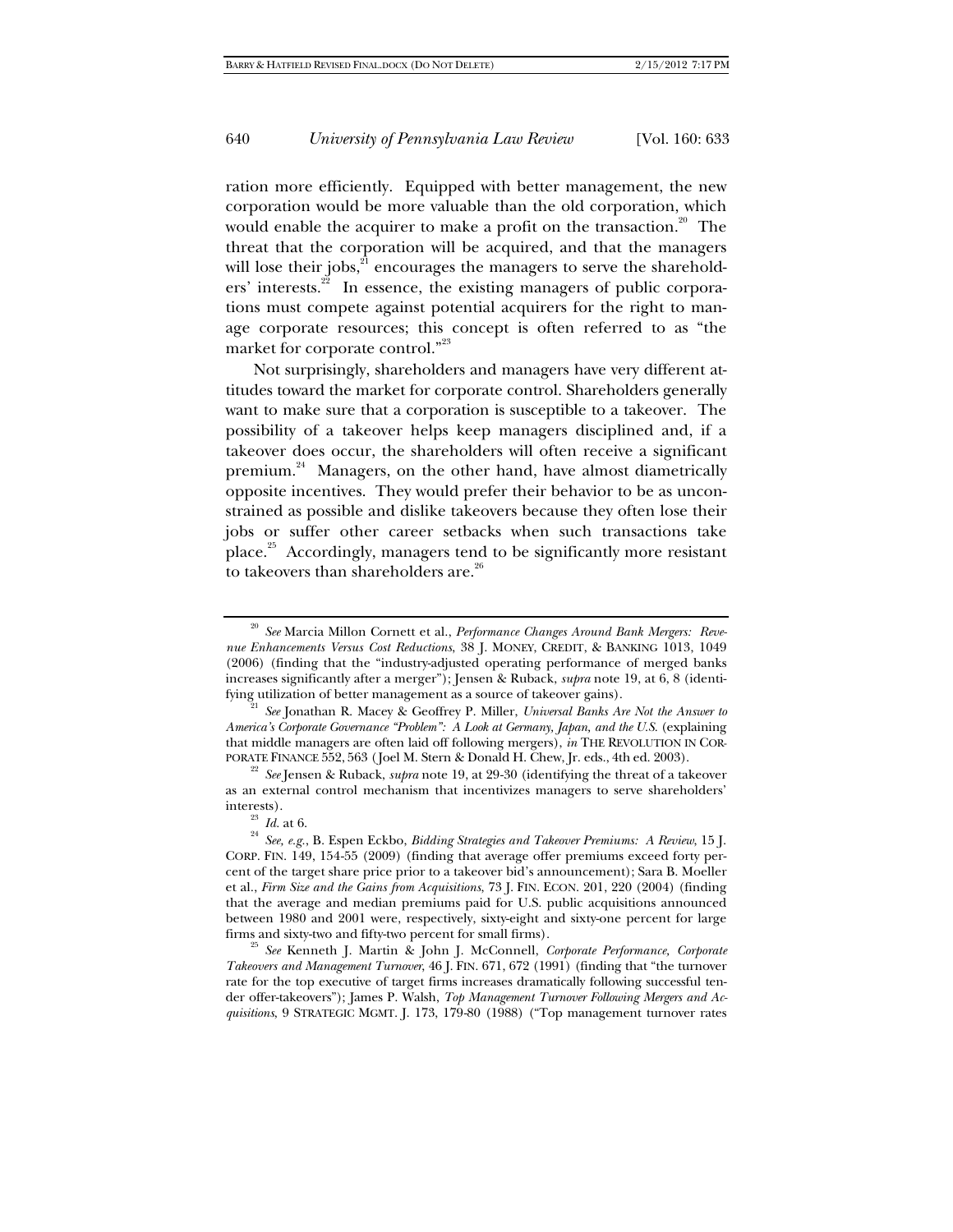ration more efficiently. Equipped with better management, the new corporation would be more valuable than the old corporation, which would enable the acquirer to make a profit on the transaction.<sup>20</sup> The threat that the corporation will be acquired, and that the managers will lose their jobs, $^{21}$  encourages the managers to serve the shareholders' interests.<sup>22</sup> In essence, the existing managers of public corporations must compete against potential acquirers for the right to manage corporate resources; this concept is often referred to as "the market for corporate control."<sup>23</sup>

Not surprisingly, shareholders and managers have very different attitudes toward the market for corporate control. Shareholders generally want to make sure that a corporation is susceptible to a takeover. The possibility of a takeover helps keep managers disciplined and, if a takeover does occur, the shareholders will often receive a significant premium.<sup>24</sup> Managers, on the other hand, have almost diametrically opposite incentives. They would prefer their behavior to be as unconstrained as possible and dislike takeovers because they often lose their jobs or suffer other career setbacks when such transactions take place.25 Accordingly, managers tend to be significantly more resistant to takeovers than shareholders are.<sup>26</sup>

<sup>20</sup> *See* Marcia Millon Cornett et al., *Performance Changes Around Bank Mergers: Revenue Enhancements Versus Cost Reductions*, 38 J. MONEY, CREDIT, & BANKING 1013, 1049 (2006) (finding that the "industry-adjusted operating performance of merged banks increases significantly after a merger"); Jensen & Ruback, *supra* note 19, at 6, 8 (identifying utilization of better management as a source of takeover gains). 21 *See* Jonathan R. Macey & Geoffrey P. Miller, *Universal Banks Are Not the Answer to* 

*America's Corporate Governance "Problem": A Look at Germany, Japan, and the U.S.* (explaining that middle managers are often laid off following mergers), *in* THE REVOLUTION IN COR-PORATE FINANCE 552, 563 (Joel M. Stern & Donald H. Chew, Jr. eds., 4th ed. 2003). 22 *See* Jensen & Ruback, *supra* note 19, at 29-30 (identifying the threat of a takeover

as an external control mechanism that incentivizes managers to serve shareholders'

interests). 23 *Id.* at 6. 24 *See, e.g.*, B. Espen Eckbo, *Bidding Strategies and Takeover Premiums: A Review*, 15 J. CORP. FIN. 149, 154-55 (2009) (finding that average offer premiums exceed forty percent of the target share price prior to a takeover bid's announcement); Sara B. Moeller et al., *Firm Size and the Gains from Acquisitions*, 73 J. FIN. ECON. 201, 220 (2004) (finding that the average and median premiums paid for U.S. public acquisitions announced between 1980 and 2001 were, respectively, sixty-eight and sixty-one percent for large

firms and sixty-two and fifty-two percent for small firms). 25 *See* Kenneth J. Martin & John J. McConnell, *Corporate Performance, Corporate Takeovers and Management Turnover*, 46 J. FIN. 671, 672 (1991) (finding that "the turnover rate for the top executive of target firms increases dramatically following successful tender offer-takeovers"); James P. Walsh, *Top Management Turnover Following Mergers and Acquisitions*, 9 STRATEGIC MGMT. J. 173, 179-80 (1988) ("Top management turnover rates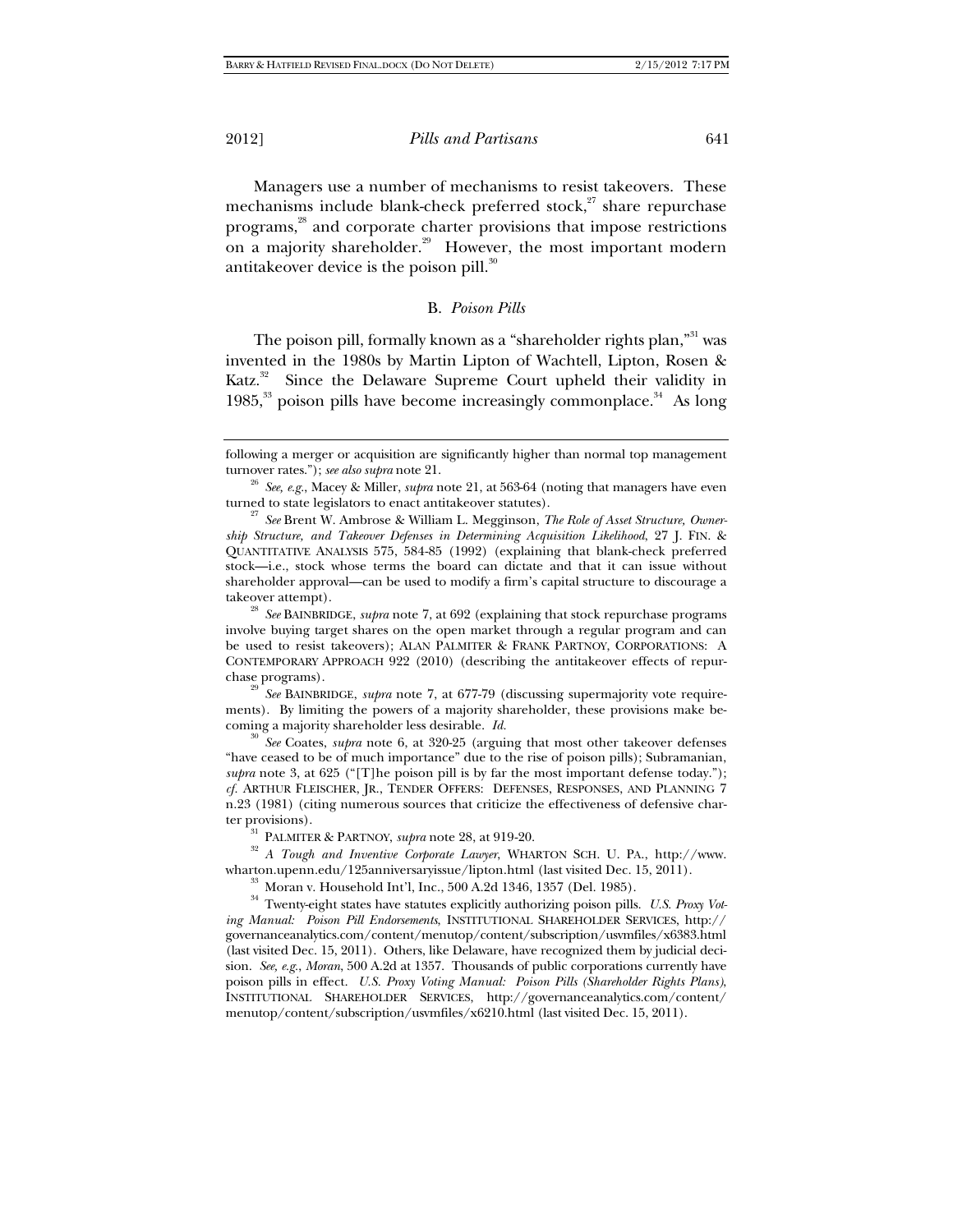Managers use a number of mechanisms to resist takeovers. These mechanisms include blank-check preferred stock, $27$  share repurchase programs,28 and corporate charter provisions that impose restrictions on a majority shareholder.<sup>29</sup> However, the most important modern antitake over device is the poison pill. $30$ 

## B. *Poison Pills*

The poison pill, formally known as a "shareholder rights plan,"<sup>31</sup> was invented in the 1980s by Martin Lipton of Wachtell, Lipton, Rosen & Katz.<sup>32</sup> Since the Delaware Supreme Court upheld their validity in 1985, $33$  poison pills have become increasingly commonplace.<sup>34</sup> As long

takeover attempt). 28 *See* BAINBRIDGE, *supra* note 7, at 692 (explaining that stock repurchase programs involve buying target shares on the open market through a regular program and can be used to resist takeovers); ALAN PALMITER & FRANK PARTNOY, CORPORATIONS: A CONTEMPORARY APPROACH 922 (2010) (describing the antitakeover effects of repurchase programs). 29 *See* BAINBRIDGE, *supra* note 7, at 677-79 (discussing supermajority vote require-

ments). By limiting the powers of a majority shareholder, these provisions make becoming a majority shareholder less desirable. *Id.*

<sup>30</sup> *See* Coates, *supra* note 6, at 320-25 (arguing that most other takeover defenses "have ceased to be of much importance" due to the rise of poison pills); Subramanian, *supra* note 3, at 625 ("[T]he poison pill is by far the most important defense today."); *cf.* ARTHUR FLEISCHER, JR., TENDER OFFERS: DEFENSES, RESPONSES, AND PLANNING 7 n.23 (1981) (citing numerous sources that criticize the effectiveness of defensive char-

ter provisions).<br><sup>31</sup> PALMITER & PARTNOY, *supra* note 28, at 919-20.<br><sup>32</sup> *A Tough and Inventive Corporate Lawyer*, WHARTON SCH. U. PA., http://www.<br>wharton.upenn.edu/125anniversaryissue/lipton.html (last visited Dec. 15,

 $^{33}$  Moran v. Household Int'l, Inc., 500 A.2d 1346, 1357 (Del. 1985).<br><sup>34</sup> Twenty-eight states have statutes explicitly authorizing poison pills. *U.S. Proxy Voting Manual: Poison Pill Endorsements*, INSTITUTIONAL SHAREHOLDER SERVICES, http:// governanceanalytics.com/content/menutop/content/subscription/usvmfiles/x6383.html (last visited Dec. 15, 2011). Others, like Delaware, have recognized them by judicial decision. *See, e.g.*, *Moran*, 500 A.2d at 1357. Thousands of public corporations currently have poison pills in effect. *U.S. Proxy Voting Manual: Poison Pills (Shareholder Rights Plans)*, INSTITUTIONAL SHAREHOLDER SERVICES, http://governanceanalytics.com/content/ menutop/content/subscription/usvmfiles/x6210.html (last visited Dec. 15, 2011).

following a merger or acquisition are significantly higher than normal top management turnover rates."); *see also supra* note 21. 26 *See, e.g.*, Macey & Miller, *supra* note 21, at 563-64 (noting that managers have even

turned to state legislators to enact antitakeover statutes). 27 *See* Brent W. Ambrose & William L. Megginson, *The Role of Asset Structure, Owner-*

*ship Structure, and Takeover Defenses in Determining Acquisition Likelihood*, 27 J. FIN. & QUANTITATIVE ANALYSIS 575, 584-85 (1992) (explaining that blank-check preferred stock—i.e., stock whose terms the board can dictate and that it can issue without shareholder approval—can be used to modify a firm's capital structure to discourage a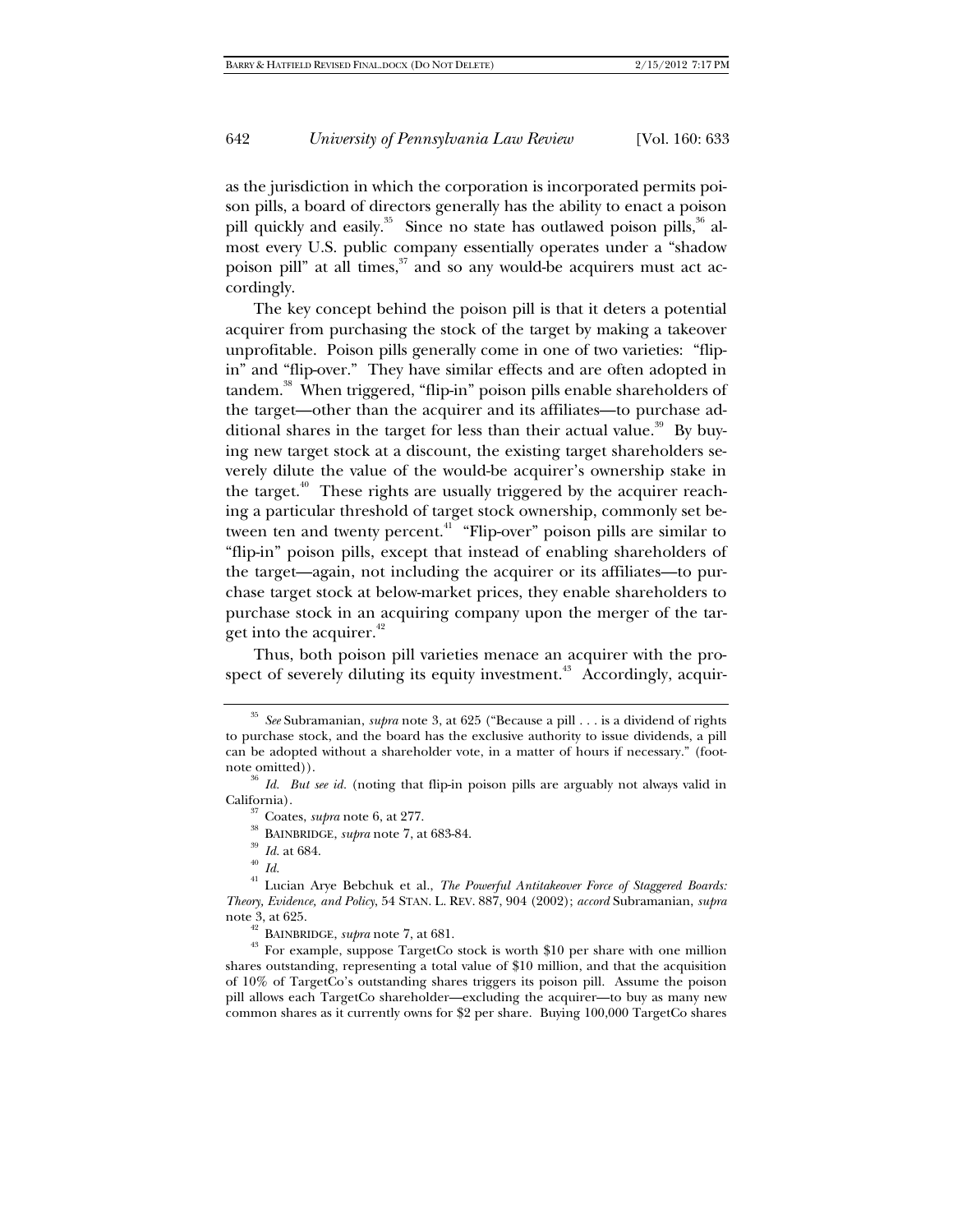as the jurisdiction in which the corporation is incorporated permits poison pills, a board of directors generally has the ability to enact a poison pill quickly and easily.<sup>35</sup> Since no state has outlawed poison pills,<sup>36</sup> almost every U.S. public company essentially operates under a "shadow poison pill" at all times,<sup>37</sup> and so any would-be acquirers must act accordingly.

The key concept behind the poison pill is that it deters a potential acquirer from purchasing the stock of the target by making a takeover unprofitable. Poison pills generally come in one of two varieties: "flipin" and "flip-over." They have similar effects and are often adopted in tandem.38 When triggered, "flip-in" poison pills enable shareholders of the target—other than the acquirer and its affiliates—to purchase additional shares in the target for less than their actual value.<sup>39</sup> By buying new target stock at a discount, the existing target shareholders severely dilute the value of the would-be acquirer's ownership stake in the target.<sup>40</sup> These rights are usually triggered by the acquirer reaching a particular threshold of target stock ownership, commonly set between ten and twenty percent. $4^{17}$  "Flip-over" poison pills are similar to "flip-in" poison pills, except that instead of enabling shareholders of the target—again, not including the acquirer or its affiliates—to purchase target stock at below-market prices, they enable shareholders to purchase stock in an acquiring company upon the merger of the target into the acquirer. $42$ 

Thus, both poison pill varieties menace an acquirer with the prospect of severely diluting its equity investment.<sup>43</sup> Accordingly, acquir-

note 3, at 625.<br><sup>42</sup> BAINBRIDGE, *supra* note 7, at 681.<br><sup>43</sup> For example, suppose TargetCo stock is worth \$10 per share with one million shares outstanding, representing a total value of \$10 million, and that the acquisition of 10% of TargetCo's outstanding shares triggers its poison pill. Assume the poison pill allows each TargetCo shareholder—excluding the acquirer—to buy as many new common shares as it currently owns for \$2 per share. Buying 100,000 TargetCo shares

<sup>35</sup> *See* Subramanian, *supra* note 3, at 625 ("Because a pill . . . is a dividend of rights to purchase stock, and the board has the exclusive authority to issue dividends, a pill can be adopted without a shareholder vote, in a matter of hours if necessary." (foot-

note omitted)). <sup>36</sup> *Id. But see id.* (noting that flip-in poison pills are arguably not always valid in California).

<sup>&</sup>lt;sup>37</sup> Coates, *supra* note 6, at 277.<br><sup>38</sup> BAINBRIDGE, *supra* note 7, at 683-84.<br><sup>39</sup> Id. at 684.<br><sup>41</sup> Lucian Arye Bebchuk et al., *The Powerful Antitakeover Force of Staggered Boards: Theory, Evidence, and Policy*, 54 STAN. L. REV. 887, 904 (2002); *accord* Subramanian, *supra*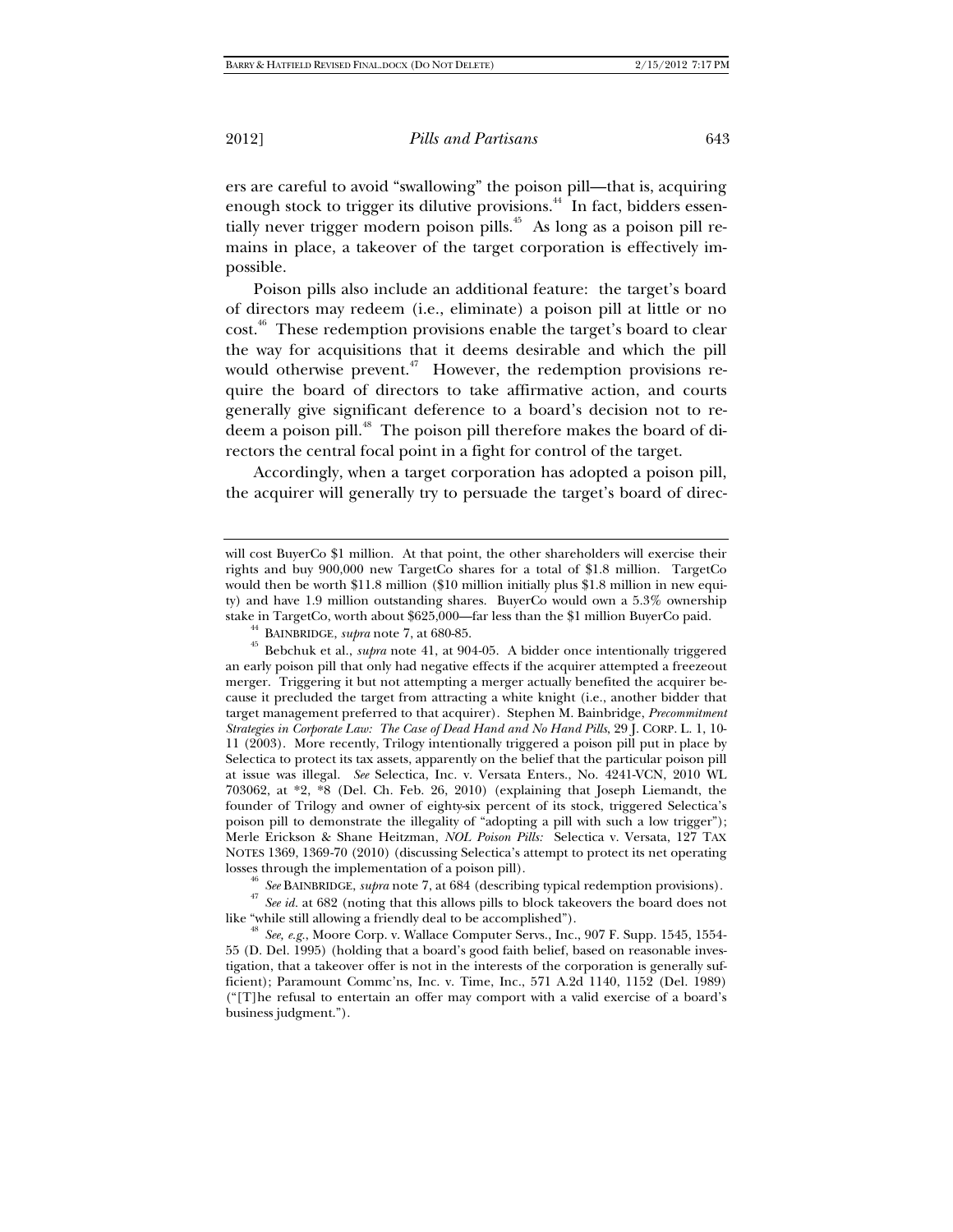ers are careful to avoid "swallowing" the poison pill—that is, acquiring enough stock to trigger its dilutive provisions.<sup>44</sup> In fact, bidders essentially never trigger modern poison pills.<sup>45</sup> As long as a poison pill remains in place, a takeover of the target corporation is effectively impossible.

Poison pills also include an additional feature: the target's board of directors may redeem (i.e., eliminate) a poison pill at little or no cost.<sup>46</sup> These redemption provisions enable the target's board to clear the way for acquisitions that it deems desirable and which the pill would otherwise prevent.<sup>47</sup> However, the redemption provisions require the board of directors to take affirmative action, and courts generally give significant deference to a board's decision not to redeem a poison pill.<sup>48</sup> The poison pill therefore makes the board of directors the central focal point in a fight for control of the target.

Accordingly, when a target corporation has adopted a poison pill, the acquirer will generally try to persuade the target's board of direc-

an early poison pill that only had negative effects if the acquirer attempted a freezeout merger. Triggering it but not attempting a merger actually benefited the acquirer because it precluded the target from attracting a white knight (i.e., another bidder that target management preferred to that acquirer). Stephen M. Bainbridge, *Precommitment Strategies in Corporate Law: The Case of Dead Hand and No Hand Pills*, 29 J. CORP. L. 1, 10- 11 (2003). More recently, Trilogy intentionally triggered a poison pill put in place by Selectica to protect its tax assets, apparently on the belief that the particular poison pill at issue was illegal. *See* Selectica, Inc. v. Versata Enters., No. 4241-VCN, 2010 WL 703062, at \*2, \*8 (Del. Ch. Feb. 26, 2010) (explaining that Joseph Liemandt, the founder of Trilogy and owner of eighty-six percent of its stock, triggered Selectica's poison pill to demonstrate the illegality of "adopting a pill with such a low trigger"); Merle Erickson & Shane Heitzman, *NOL Poison Pills:* Selectica v. Versata, 127 TAX NOTES 1369, 1369-70 (2010) (discussing Selectica's attempt to protect its net operating

losses through the implementation of a poison pill).<br><sup>46</sup> See BAINBRIDGE, *supra* note 7, at 684 (describing typical redemption provisions).<br><sup>47</sup> See id. at 682 (noting that this allows pills to block takeovers the board like "while still allowing a friendly deal to be accomplished").<br><sup>48</sup> *See, e.g.*, Moore Corp. v. Wallace Computer Servs., Inc., 907 F. Supp. 1545, 1554-

55 (D. Del. 1995) (holding that a board's good faith belief, based on reasonable investigation, that a takeover offer is not in the interests of the corporation is generally sufficient); Paramount Commc'ns, Inc. v. Time, Inc., 571 A.2d 1140, 1152 (Del. 1989) ("[T]he refusal to entertain an offer may comport with a valid exercise of a board's business judgment.").

will cost BuyerCo \$1 million. At that point, the other shareholders will exercise their rights and buy 900,000 new TargetCo shares for a total of \$1.8 million. TargetCo would then be worth \$11.8 million (\$10 million initially plus \$1.8 million in new equity) and have 1.9 million outstanding shares. BuyerCo would own a 5.3% ownership stake in TargetCo, worth about \$625,000—far less than the \$1 million BuyerCo paid. 44 BAINBRIDGE, *supra* note 7, at 680-85. 45 Bebchuk et al., *supra* note 41, at 904-05. A bidder once intentionally triggered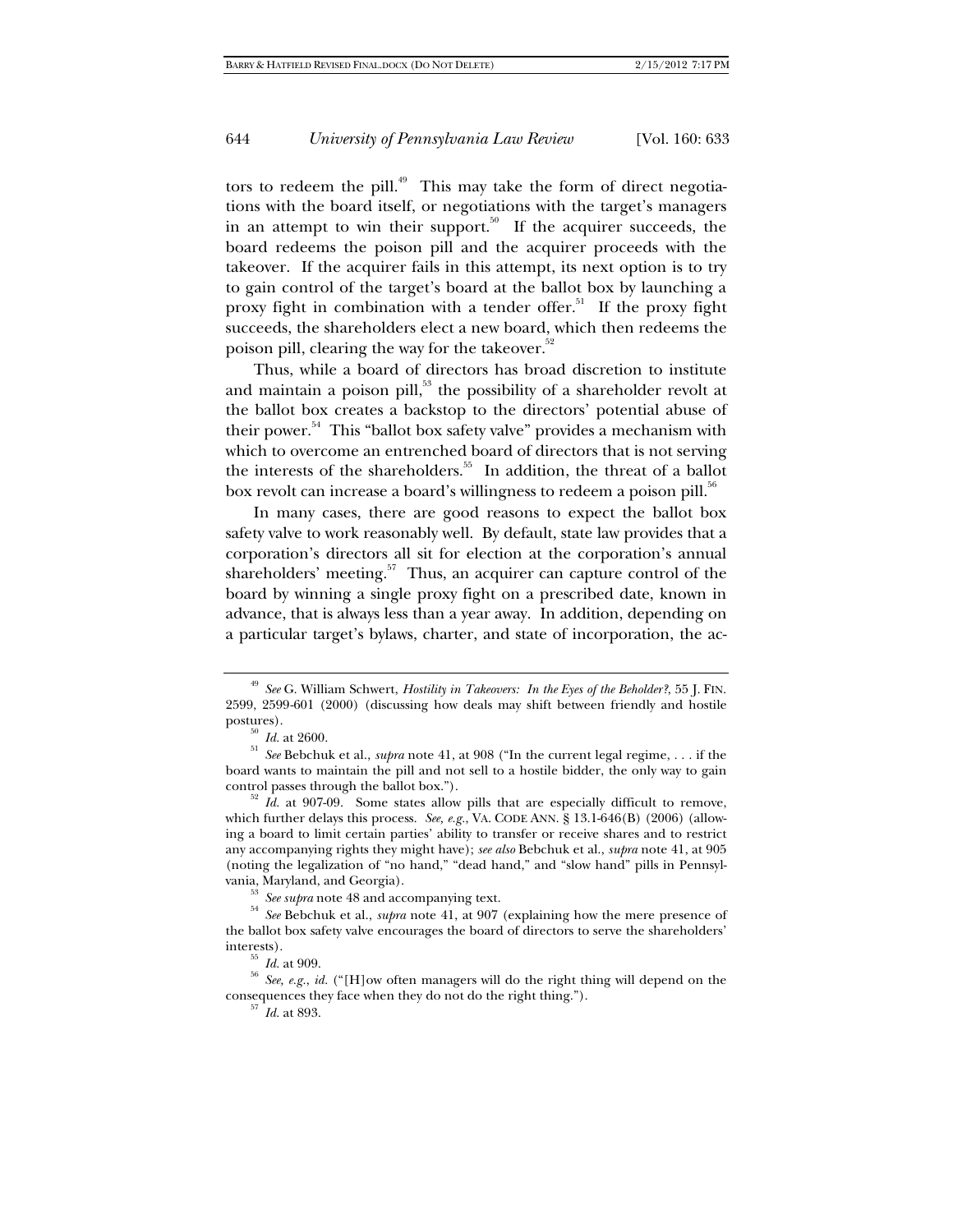tors to redeem the pill.<sup>49</sup> This may take the form of direct negotiations with the board itself, or negotiations with the target's managers in an attempt to win their support.<sup>50</sup> If the acquirer succeeds, the board redeems the poison pill and the acquirer proceeds with the takeover. If the acquirer fails in this attempt, its next option is to try to gain control of the target's board at the ballot box by launching a proxy fight in combination with a tender offer.<sup>51</sup> If the proxy fight succeeds, the shareholders elect a new board, which then redeems the poison pill, clearing the way for the takeover.<sup>52</sup>

Thus, while a board of directors has broad discretion to institute and maintain a poison pill, $53$  the possibility of a shareholder revolt at the ballot box creates a backstop to the directors' potential abuse of their power.<sup>54</sup> This "ballot box safety valve" provides a mechanism with which to overcome an entrenched board of directors that is not serving the interests of the shareholders.<sup>55</sup> In addition, the threat of a ballot box revolt can increase a board's willingness to redeem a poison pill.<sup>56</sup>

In many cases, there are good reasons to expect the ballot box safety valve to work reasonably well. By default, state law provides that a corporation's directors all sit for election at the corporation's annual shareholders' meeting. $57$  Thus, an acquirer can capture control of the board by winning a single proxy fight on a prescribed date, known in advance, that is always less than a year away. In addition, depending on a particular target's bylaws, charter, and state of incorporation, the ac-

<sup>49</sup> *See* G. William Schwert, *Hostility in Takeovers: In the Eyes of the Beholder?*, 55 J. FIN. 2599, 2599-601 (2000) (discussing how deals may shift between friendly and hostile

postures). 50 *Id.* at 2600. 51 *See* Bebchuk et al., *supra* note 41, at 908 ("In the current legal regime, . . . if the board wants to maintain the pill and not sell to a hostile bidder, the only way to gain

 $\overrightarrow{a}$  *Id.* at 907-09. Some states allow pills that are especially difficult to remove, which further delays this process. *See, e.g.*, VA. CODE ANN. § 13.1-646(B) (2006) (allowing a board to limit certain parties' ability to transfer or receive shares and to restrict any accompanying rights they might have); *see also* Bebchuk et al., *supra* note 41, at 905 (noting the legalization of "no hand," "dead hand," and "slow hand" pills in Pennsyl-

vania, Maryland, and Georgia). 53 *See supra* note 48 and accompanying text. 54 *See* Bebchuk et al., *supra* note 41, at 907 (explaining how the mere presence of the ballot box safety valve encourages the board of directors to serve the shareholders'

interests). 55 *Id.* at 909. 56 *See, e.g.*, *id.* ("[H]ow often managers will do the right thing will depend on the consequences they face when they do not do the right thing."). 57 *Id.* at 893.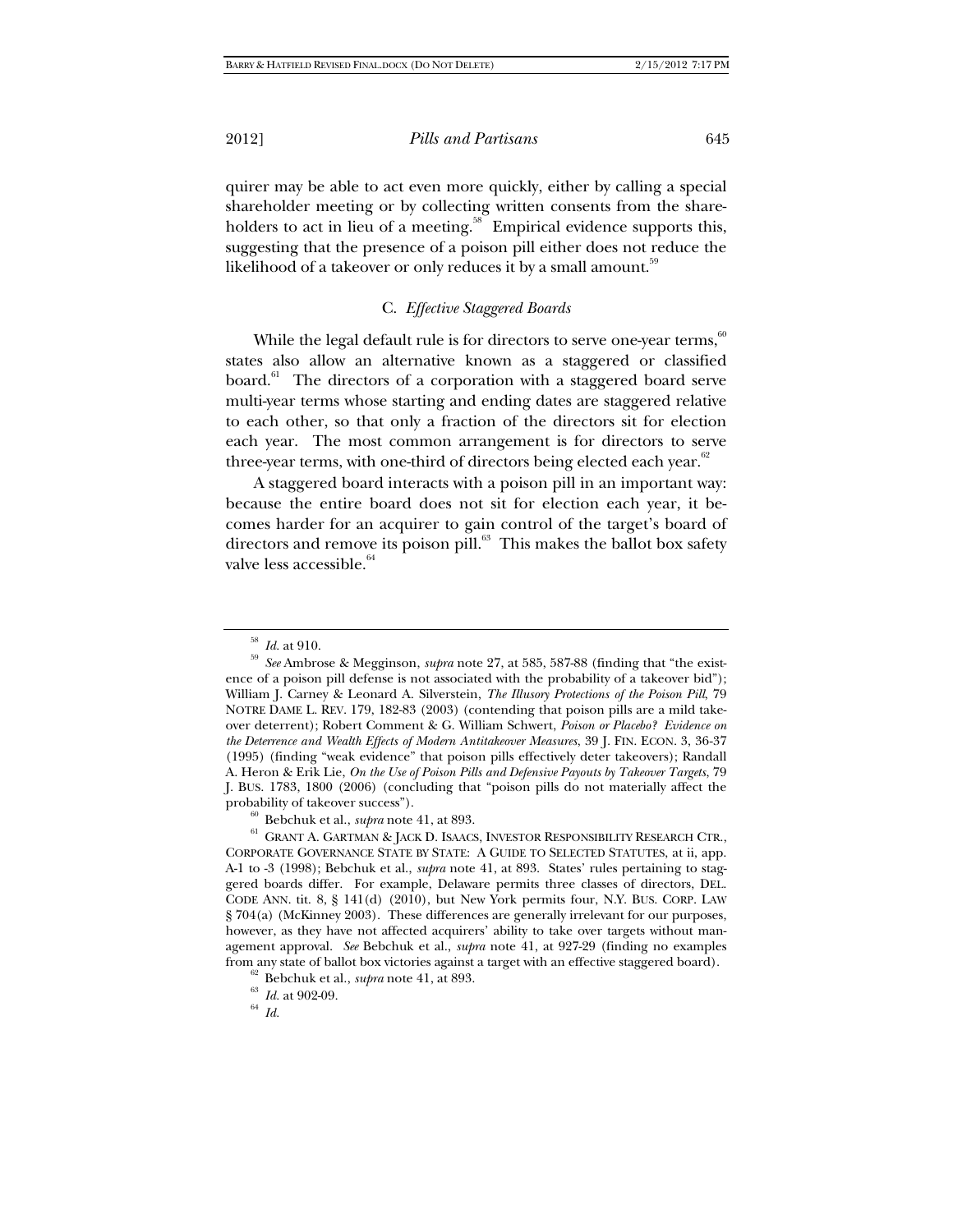quirer may be able to act even more quickly, either by calling a special shareholder meeting or by collecting written consents from the shareholders to act in lieu of a meeting. $58$  Empirical evidence supports this, suggesting that the presence of a poison pill either does not reduce the likelihood of a takeover or only reduces it by a small amount.<sup>59</sup>

## C. *Effective Staggered Boards*

While the legal default rule is for directors to serve one-year terms,  $60^\circ$ states also allow an alternative known as a staggered or classified board.<sup>61</sup> The directors of a corporation with a staggered board serve multi-year terms whose starting and ending dates are staggered relative to each other, so that only a fraction of the directors sit for election each year. The most common arrangement is for directors to serve three-year terms, with one-third of directors being elected each year. $62$ 

A staggered board interacts with a poison pill in an important way: because the entire board does not sit for election each year, it becomes harder for an acquirer to gain control of the target's board of directors and remove its poison pill.<sup>63</sup> This makes the ballot box safety valve less accessible. $64$ 

<sup>58</sup> *Id.* at 910. 59 *See* Ambrose & Megginson, *supra* note 27, at 585, 587-88 (finding that "the existence of a poison pill defense is not associated with the probability of a takeover bid"); William J. Carney & Leonard A. Silverstein, *The Illusory Protections of the Poison Pill*, 79 NOTRE DAME L. REV. 179, 182-83 (2003) (contending that poison pills are a mild takeover deterrent); Robert Comment & G. William Schwert, *Poison or Placebo? Evidence on the Deterrence and Wealth Effects of Modern Antitakeover Measures*, 39 J. FIN. ECON. 3, 36-37 (1995) (finding "weak evidence" that poison pills effectively deter takeovers); Randall A. Heron & Erik Lie, *On the Use of Poison Pills and Defensive Payouts by Takeover Targets*, 79 J. BUS. 1783, 1800 (2006) (concluding that "poison pills do not materially affect the probability of takeover success").<br><sup>60</sup> Bebchuk et al., *supra* note 41, at 893.<br><sup>61</sup> GRANT A. GARTMAN & JACK D. ISAACS, INVESTOR RESPONSIBILITY RESEARCH CTR.,

CORPORATE GOVERNANCE STATE BY STATE: A GUIDE TO SELECTED STATUTES, at ii, app. A-1 to -3 (1998); Bebchuk et al., *supra* note 41, at 893. States' rules pertaining to staggered boards differ. For example, Delaware permits three classes of directors, DEL. CODE ANN. tit. 8, § 141(d) (2010), but New York permits four, N.Y. BUS. CORP. LAW § 704(a) (McKinney 2003). These differences are generally irrelevant for our purposes, however, as they have not affected acquirers' ability to take over targets without management approval. *See* Bebchuk et al., *supra* note 41, at 927-29 (finding no examples from any state of ballot box victories against a target with an effective staggered board).<br><sup>62</sup> Bebchuk et al., *supra* note 41, at 893.<br><sup>63</sup> *Id.* at 902-09.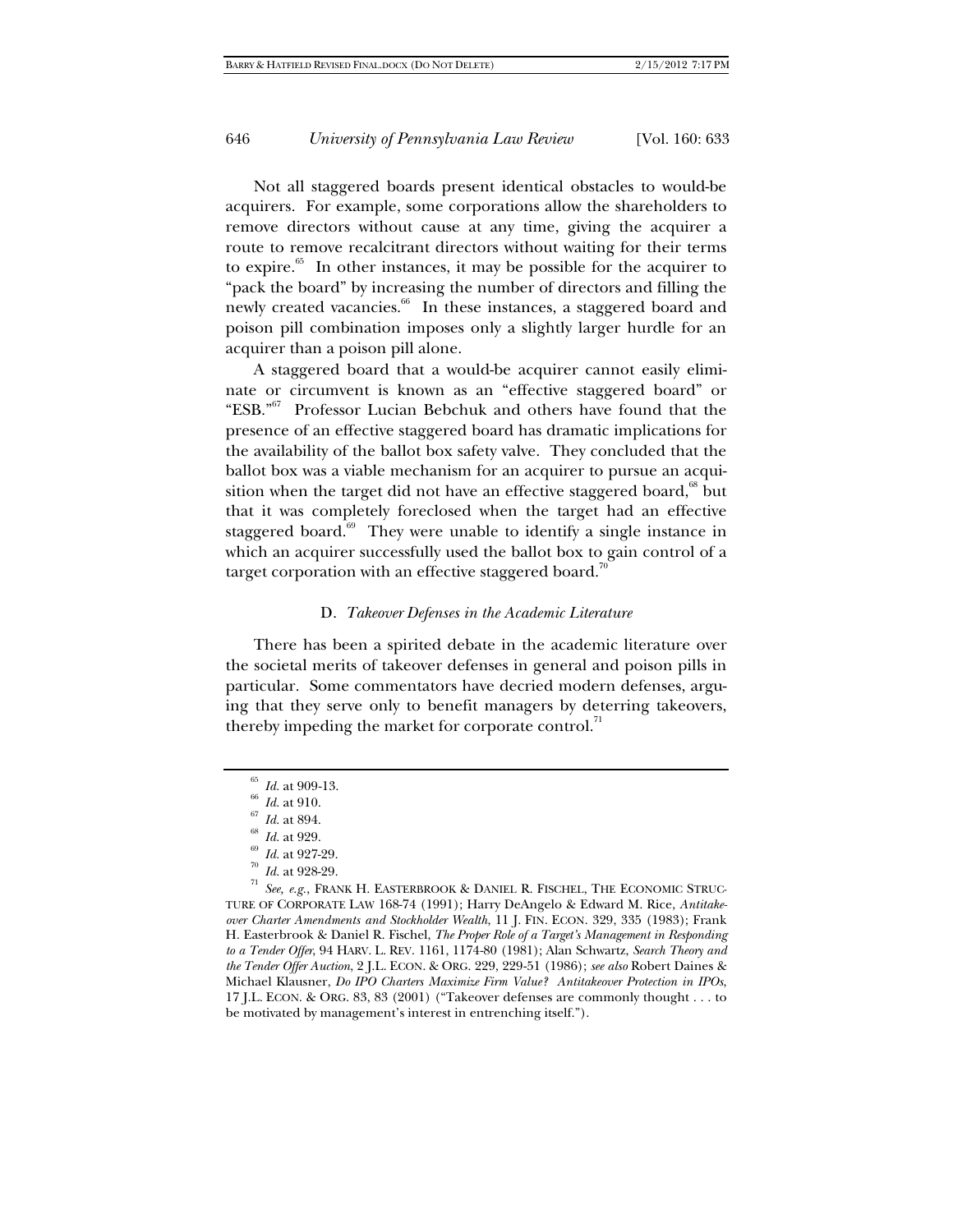Not all staggered boards present identical obstacles to would-be acquirers. For example, some corporations allow the shareholders to remove directors without cause at any time, giving the acquirer a route to remove recalcitrant directors without waiting for their terms to expire.<sup>65</sup> In other instances, it may be possible for the acquirer to "pack the board" by increasing the number of directors and filling the newly created vacancies.<sup>66</sup> In these instances, a staggered board and poison pill combination imposes only a slightly larger hurdle for an acquirer than a poison pill alone.

A staggered board that a would-be acquirer cannot easily eliminate or circumvent is known as an "effective staggered board" or "ESB."67 Professor Lucian Bebchuk and others have found that the presence of an effective staggered board has dramatic implications for the availability of the ballot box safety valve. They concluded that the ballot box was a viable mechanism for an acquirer to pursue an acquisition when the target did not have an effective staggered board,<sup>68</sup> but that it was completely foreclosed when the target had an effective staggered board.<sup>69</sup> They were unable to identify a single instance in which an acquirer successfully used the ballot box to gain control of a target corporation with an effective staggered board.<sup>7</sup>

## D. *Takeover Defenses in the Academic Literature*

There has been a spirited debate in the academic literature over the societal merits of takeover defenses in general and poison pills in particular. Some commentators have decried modern defenses, arguing that they serve only to benefit managers by deterring takeovers, thereby impeding the market for corporate control.<sup>71</sup>

<sup>&</sup>lt;sup>65</sup> *Id.* at 909-13.<br>
<sup>66</sup> *Id.* at 910.<br>
<sup>67</sup> *Id.* at 894.<br>
<sup>68</sup> *Id.* at 927-29.<br>
<sup>70</sup> *Id.* at 928-29.<br>
<sup>71</sup> *See, e.g.*, FRANK H. EASTERBROOK & DANIEL R. FISCHEL, THE ECONOMIC STRUC-TURE OF CORPORATE LAW 168-74 (1991); Harry DeAngelo & Edward M. Rice, *Antitakeover Charter Amendments and Stockholder Wealth*, 11 J. FIN. ECON. 329, 335 (1983); Frank H. Easterbrook & Daniel R. Fischel, *The Proper Role of a Target's Management in Responding to a Tender Offer*, 94 HARV. L. REV. 1161, 1174-80 (1981); Alan Schwartz, *Search Theory and the Tender Offer Auction*, 2 J.L. ECON. & ORG. 229, 229-51 (1986); *see also* Robert Daines & Michael Klausner, *Do IPO Charters Maximize Firm Value? Antitakeover Protection in IPOs*, 17 J.L. ECON. & ORG. 83, 83 (2001) ("Takeover defenses are commonly thought . . . to be motivated by management's interest in entrenching itself.").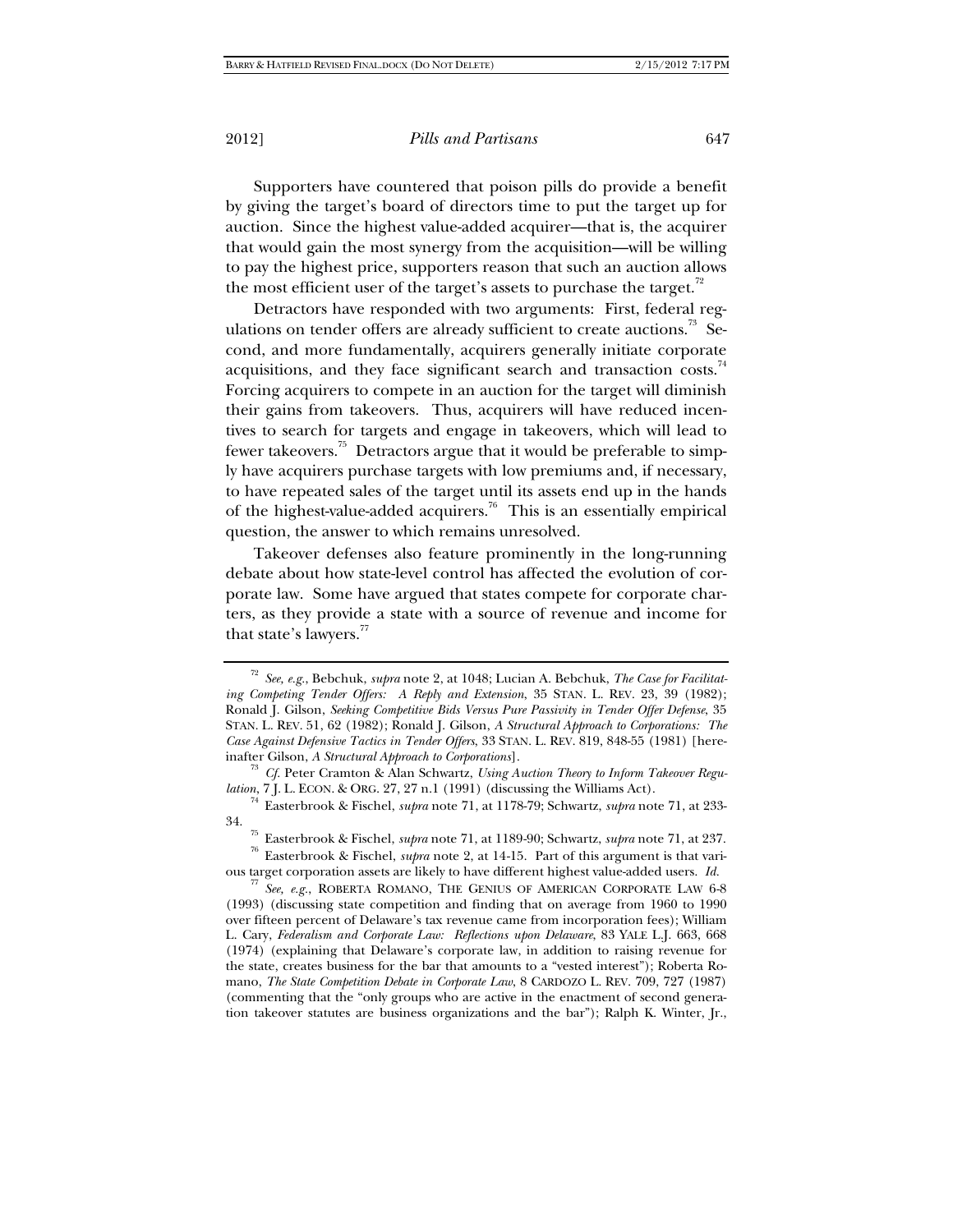Supporters have countered that poison pills do provide a benefit by giving the target's board of directors time to put the target up for auction. Since the highest value-added acquirer—that is, the acquirer that would gain the most synergy from the acquisition—will be willing to pay the highest price, supporters reason that such an auction allows the most efficient user of the target's assets to purchase the target.<sup>72</sup>

Detractors have responded with two arguments: First, federal regulations on tender offers are already sufficient to create auctions.<sup>73</sup> Second, and more fundamentally, acquirers generally initiate corporate acquisitions, and they face significant search and transaction costs.<sup>74</sup> Forcing acquirers to compete in an auction for the target will diminish their gains from takeovers. Thus, acquirers will have reduced incentives to search for targets and engage in takeovers, which will lead to fewer takeovers.<sup>75</sup> Detractors argue that it would be preferable to simply have acquirers purchase targets with low premiums and, if necessary, to have repeated sales of the target until its assets end up in the hands of the highest-value-added acquirers.<sup>76</sup> This is an essentially empirical question, the answer to which remains unresolved.

Takeover defenses also feature prominently in the long-running debate about how state-level control has affected the evolution of corporate law. Some have argued that states compete for corporate charters, as they provide a state with a source of revenue and income for that state's lawyers.<sup>77</sup>

<sup>72</sup> *See, e.g.*, Bebchuk, *supra* note 2, at 1048; Lucian A. Bebchuk, *The Case for Facilitating Competing Tender Offers: A Reply and Extension*, 35 STAN. L. REV. 23, 39 (1982); Ronald J. Gilson, *Seeking Competitive Bids Versus Pure Passivity in Tender Offer Defense*, 35 STAN. L. REV. 51, 62 (1982); Ronald J. Gilson, *A Structural Approach to Corporations: The Case Against Defensive Tactics in Tender Offers*, 33 STAN. L. REV. 819, 848-55 (1981) [here-

inafter Gilson, *A Structural Approach to Corporations*].<br><sup>73</sup> *Cf.* Peter Cramton & Alan Schwartz, *Using Auction Theory to Inform Takeover Regulation*, 7 J. L. ECON. & ORG. 27, 27 n.1 (1991) (discussing the Williams Act)

<sup>&</sup>lt;sup>74</sup> Easterbrook & Fischel, *supra* note 71, at 1178-79; Schwartz, *supra* note 71, at 233-34. 75 Easterbrook & Fischel, *supra* note 71, at 1189-90; Schwartz, *supra* note 71, at 237. 76 Easterbrook & Fischel, *supra* note 2, at 14-15. Part of this argument is that vari-

ous target corporation assets are likely to have different highest value-added users. *Id.*<sup>77</sup> *See, e.g.*, ROBERTA ROMANO, THE GENIUS OF AMERICAN CORPORATE LAW 6-8

<sup>(1993) (</sup>discussing state competition and finding that on average from 1960 to 1990 over fifteen percent of Delaware's tax revenue came from incorporation fees); William L. Cary, *Federalism and Corporate Law: Reflections upon Delaware*, 83 YALE L.J. 663, 668 (1974) (explaining that Delaware's corporate law, in addition to raising revenue for the state, creates business for the bar that amounts to a "vested interest"); Roberta Romano, *The State Competition Debate in Corporate Law*, 8 CARDOZO L. REV. 709, 727 (1987) (commenting that the "only groups who are active in the enactment of second generation takeover statutes are business organizations and the bar"); Ralph K. Winter, Jr.,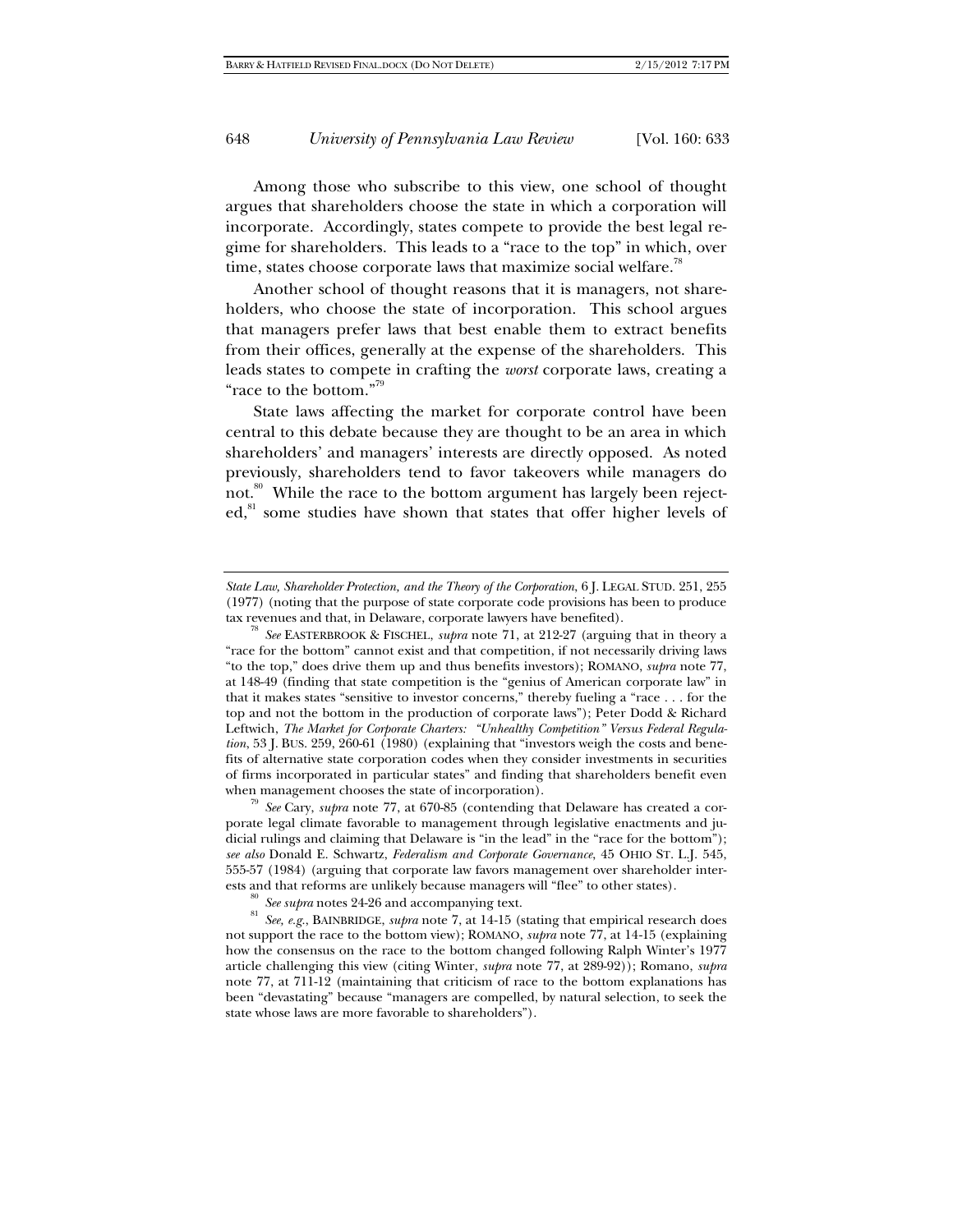Among those who subscribe to this view, one school of thought argues that shareholders choose the state in which a corporation will incorporate. Accordingly, states compete to provide the best legal regime for shareholders. This leads to a "race to the top" in which, over time, states choose corporate laws that maximize social welfare.<sup>78</sup>

Another school of thought reasons that it is managers, not shareholders, who choose the state of incorporation. This school argues that managers prefer laws that best enable them to extract benefits from their offices, generally at the expense of the shareholders. This leads states to compete in crafting the *worst* corporate laws, creating a "race to the bottom."79

State laws affecting the market for corporate control have been central to this debate because they are thought to be an area in which shareholders' and managers' interests are directly opposed. As noted previously, shareholders tend to favor takeovers while managers do not.<sup>80</sup> While the race to the bottom argument has largely been rejected,<sup>81</sup> some studies have shown that states that offer higher levels of

See Cary, *supra* note 77, at 670-85 (contending that Delaware has created a corporate legal climate favorable to management through legislative enactments and judicial rulings and claiming that Delaware is "in the lead" in the "race for the bottom"); *see also* Donald E. Schwartz, *Federalism and Corporate Governance*, 45 OHIO ST. L.J. 545, 555-57 (1984) (arguing that corporate law favors management over shareholder inter-

ests and that reforms are unlikely because managers will "flee" to other states).<br><sup>80</sup> See supra notes 24-26 and accompanying text.<br><sup>81</sup> See, e.g., BAINBRIDGE, *supra* note 7, at 14-15 (stating that empirical research doe not support the race to the bottom view); ROMANO, *supra* note 77, at 14-15 (explaining how the consensus on the race to the bottom changed following Ralph Winter's 1977 article challenging this view (citing Winter, *supra* note 77, at 289-92)); Romano, *supra* note 77, at 711-12 (maintaining that criticism of race to the bottom explanations has been "devastating" because "managers are compelled, by natural selection, to seek the state whose laws are more favorable to shareholders").

*State Law, Shareholder Protection, and the Theory of the Corporation*, 6 J. LEGAL STUD. 251, 255 (1977) (noting that the purpose of state corporate code provisions has been to produce

See EASTERBROOK & FISCHEL, *supra* note 71, at 212-27 (arguing that in theory a "race for the bottom" cannot exist and that competition, if not necessarily driving laws "to the top," does drive them up and thus benefits investors); ROMANO, *supra* note 77, at 148-49 (finding that state competition is the "genius of American corporate law" in that it makes states "sensitive to investor concerns," thereby fueling a "race . . . for the top and not the bottom in the production of corporate laws"); Peter Dodd & Richard Leftwich, *The Market for Corporate Charters: "Unhealthy Competition" Versus Federal Regulation*, 53 J. BUS. 259, 260-61 (1980) (explaining that "investors weigh the costs and benefits of alternative state corporation codes when they consider investments in securities of firms incorporated in particular states" and finding that shareholders benefit even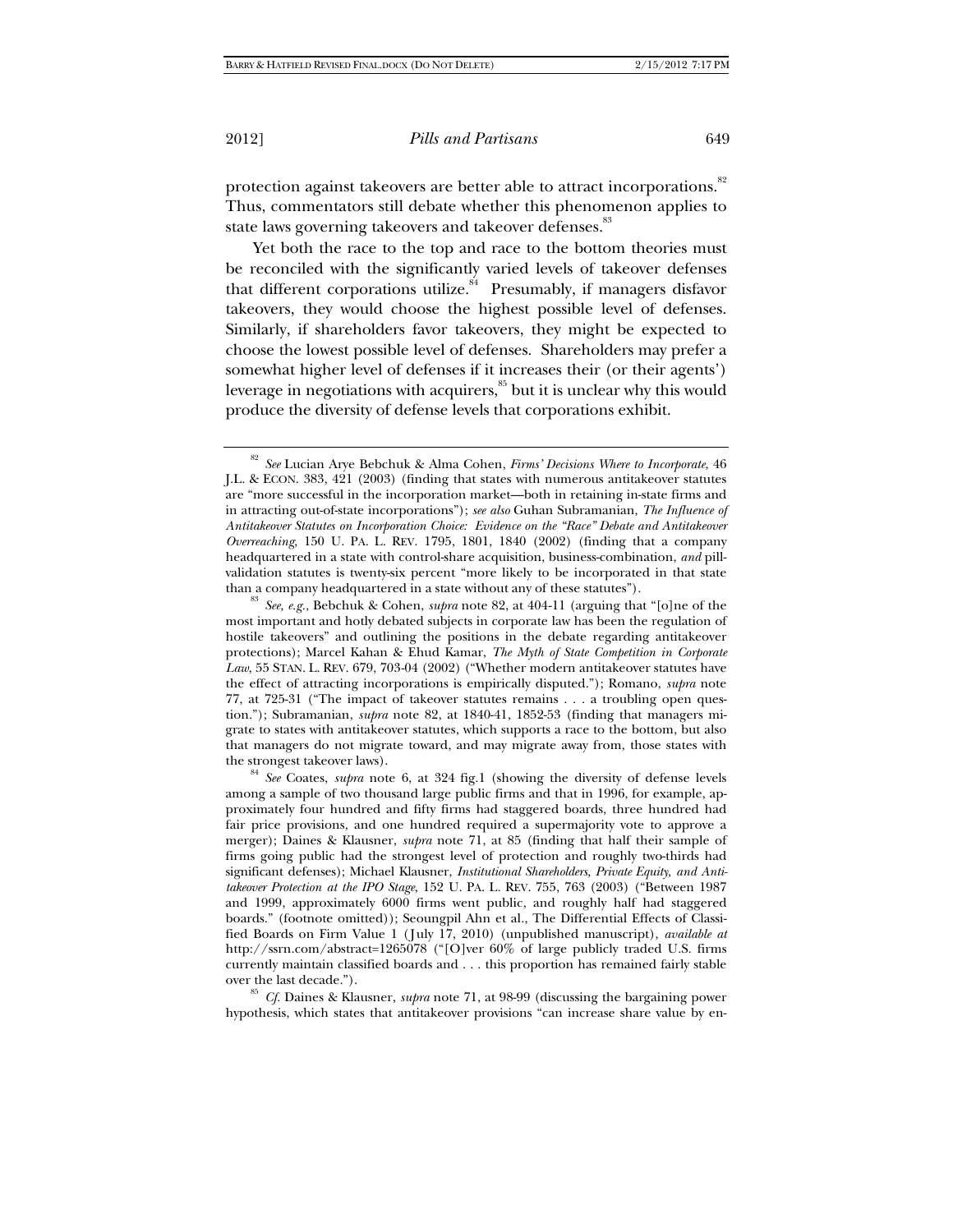protection against takeovers are better able to attract incorporations.<sup>82</sup> Thus, commentators still debate whether this phenomenon applies to state laws governing takeovers and takeover defenses.<sup>83</sup>

Yet both the race to the top and race to the bottom theories must be reconciled with the significantly varied levels of takeover defenses that different corporations utilize. $s<sup>4</sup>$  Presumably, if managers disfavor takeovers, they would choose the highest possible level of defenses. Similarly, if shareholders favor takeovers, they might be expected to choose the lowest possible level of defenses. Shareholders may prefer a somewhat higher level of defenses if it increases their (or their agents') leverage in negotiations with acquirers,<sup>85</sup> but it is unclear why this would produce the diversity of defense levels that corporations exhibit.

most important and hotly debated subjects in corporate law has been the regulation of hostile takeovers" and outlining the positions in the debate regarding antitakeover protections); Marcel Kahan & Ehud Kamar, *The Myth of State Competition in Corporate Law*, 55 STAN. L. REV. 679, 703-04 (2002) ("Whether modern antitakeover statutes have the effect of attracting incorporations is empirically disputed."); Romano, *supra* note 77, at 725-31 ("The impact of takeover statutes remains . . . a troubling open question."); Subramanian, *supra* note 82, at 1840-41, 1852-53 (finding that managers migrate to states with antitakeover statutes, which supports a race to the bottom, but also that managers do not migrate toward, and may migrate away from, those states with

the strongest takeover laws). 84 *See* Coates, *supra* note 6, at 324 fig.1 (showing the diversity of defense levels among a sample of two thousand large public firms and that in 1996, for example, approximately four hundred and fifty firms had staggered boards, three hundred had fair price provisions, and one hundred required a supermajority vote to approve a merger); Daines & Klausner, *supra* note 71, at 85 (finding that half their sample of firms going public had the strongest level of protection and roughly two-thirds had significant defenses); Michael Klausner, *Institutional Shareholders, Private Equity, and Antitakeover Protection at the IPO Stage*, 152 U. PA. L. REV. 755, 763 (2003) ("Between 1987 and 1999, approximately 6000 firms went public, and roughly half had staggered boards." (footnote omitted)); Seoungpil Ahn et al., The Differential Effects of Classified Boards on Firm Value 1 (July 17, 2010) (unpublished manuscript), *available at* http://ssrn.com/abstract=1265078 ("[O]ver 60% of large publicly traded U.S. firms currently maintain classified boards and . . . this proportion has remained fairly stable

over the last decade."). <sup>85</sup> *Cf.* Daines & Klausner, *supra* note 71, at 98-99 (discussing the bargaining power hypothesis, which states that antitakeover provisions "can increase share value by en-

<sup>82</sup> *See* Lucian Arye Bebchuk & Alma Cohen, *Firms' Decisions Where to Incorporate*, 46 J.L. & ECON. 383, 421 (2003) (finding that states with numerous antitakeover statutes are "more successful in the incorporation market—both in retaining in-state firms and in attracting out-of-state incorporations"); *see also* Guhan Subramanian, *The Influence of Antitakeover Statutes on Incorporation Choice: Evidence on the "Race" Debate and Antitakeover Overreaching*, 150 U. PA. L. REV. 1795, 1801, 1840 (2002) (finding that a company headquartered in a state with control-share acquisition, business-combination, *and* pillvalidation statutes is twenty-six percent "more likely to be incorporated in that state than a company headquartered in a state without any of these statutes"). 83 *See, e.g.*, Bebchuk & Cohen, *supra* note 82, at 404-11 (arguing that "[o]ne of the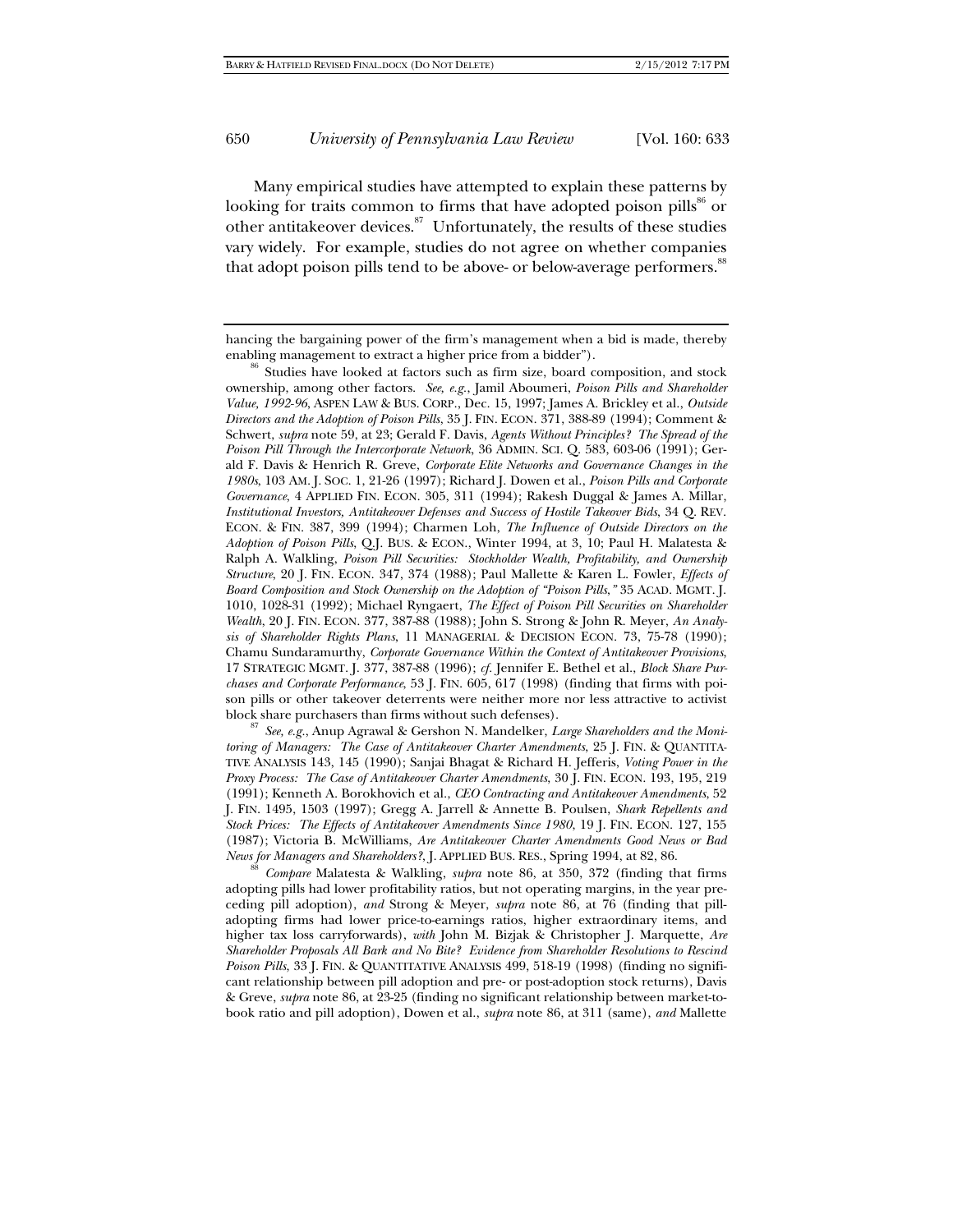Many empirical studies have attempted to explain these patterns by looking for traits common to firms that have adopted poison pills<sup>86</sup> or other antitakeover devices.<sup>87</sup> Unfortunately, the results of these studies vary widely. For example, studies do not agree on whether companies that adopt poison pills tend to be above- or below-average performers.<sup>88</sup>

block share purchasers than firms without such defenses). 87 *See, e.g.*, Anup Agrawal & Gershon N. Mandelker, *Large Shareholders and the Monitoring of Managers: The Case of Antitakeover Charter Amendments*, 25 J. FIN. & QUANTITA-TIVE ANALYSIS 143, 145 (1990); Sanjai Bhagat & Richard H. Jefferis, *Voting Power in the Proxy Process: The Case of Antitakeover Charter Amendments*, 30 J. FIN. ECON. 193, 195, 219 (1991); Kenneth A. Borokhovich et al., *CEO Contracting and Antitakeover Amendments*, 52 J. FIN. 1495, 1503 (1997); Gregg A. Jarrell & Annette B. Poulsen, *Shark Repellents and Stock Prices: The Effects of Antitakeover Amendments Since 1980*, 19 J. FIN. ECON. 127, 155 (1987); Victoria B. McWilliams, *Are Antitakeover Charter Amendments Good News or Bad* 

<sup>88</sup> *Compare* Malatesta & Walkling, *supra* note 86, at 350, 372 (finding that firms adopting pills had lower profitability ratios, but not operating margins, in the year preceding pill adoption), *and* Strong & Meyer, *supra* note 86, at 76 (finding that pilladopting firms had lower price-to-earnings ratios, higher extraordinary items, and higher tax loss carryforwards), *with* John M. Bizjak & Christopher J. Marquette, *Are Shareholder Proposals All Bark and No Bite? Evidence from Shareholder Resolutions to Rescind Poison Pills*, 33 J. FIN. & QUANTITATIVE ANALYSIS 499, 518-19 (1998) (finding no significant relationship between pill adoption and pre- or post-adoption stock returns), Davis & Greve, *supra* note 86, at 23-25 (finding no significant relationship between market-tobook ratio and pill adoption), Dowen et al., *supra* note 86, at 311 (same), *and* Mallette

hancing the bargaining power of the firm's management when a bid is made, thereby

enabling management to extract a higher price from a bidder").<br><sup>86</sup> Studies have looked at factors such as firm size, board composition, and stock ownership, among other factors. *See, e.g.*, Jamil Aboumeri, *Poison Pills and Shareholder Value, 1992-96*, ASPEN LAW & BUS. CORP., Dec. 15, 1997; James A. Brickley et al., *Outside Directors and the Adoption of Poison Pills*, 35 J. FIN. ECON. 371, 388-89 (1994); Comment & Schwert, *supra* note 59, at 23; Gerald F. Davis, *Agents Without Principles? The Spread of the Poison Pill Through the Intercorporate Network*, 36 ADMIN. SCI. Q. 583, 603-06 (1991); Gerald F. Davis & Henrich R. Greve, *Corporate Elite Networks and Governance Changes in the 1980s*, 103 AM. J. SOC. 1, 21-26 (1997); Richard J. Dowen et al., *Poison Pills and Corporate Governance*, 4 APPLIED FIN. ECON. 305, 311 (1994); Rakesh Duggal & James A. Millar, *Institutional Investors, Antitakeover Defenses and Success of Hostile Takeover Bids*, 34 Q. REV. ECON. & FIN. 387, 399 (1994); Charmen Loh, *The Influence of Outside Directors on the Adoption of Poison Pills*, Q.J. BUS. & ECON., Winter 1994, at 3, 10; Paul H. Malatesta & Ralph A. Walkling, *Poison Pill Securities: Stockholder Wealth, Profitability, and Ownership Structure*, 20 J. FIN. ECON. 347, 374 (1988); Paul Mallette & Karen L. Fowler, *Effects of Board Composition and Stock Ownership on the Adoption of "Poison Pills*,*"* 35 ACAD. MGMT. J. 1010, 1028-31 (1992); Michael Ryngaert, *The Effect of Poison Pill Securities on Shareholder Wealth*, 20 J. FIN. ECON. 377, 387-88 (1988); John S. Strong & John R. Meyer, *An Analysis of Shareholder Rights Plans*, 11 MANAGERIAL & DECISION ECON. 73, 75-78 (1990); Chamu Sundaramurthy, *Corporate Governance Within the Context of Antitakeover Provisions*, 17 STRATEGIC MGMT. J. 377, 387-88 (1996); *cf.* Jennifer E. Bethel et al., *Block Share Purchases and Corporate Performance*, 53 J. FIN. 605, 617 (1998) (finding that firms with poison pills or other takeover deterrents were neither more nor less attractive to activist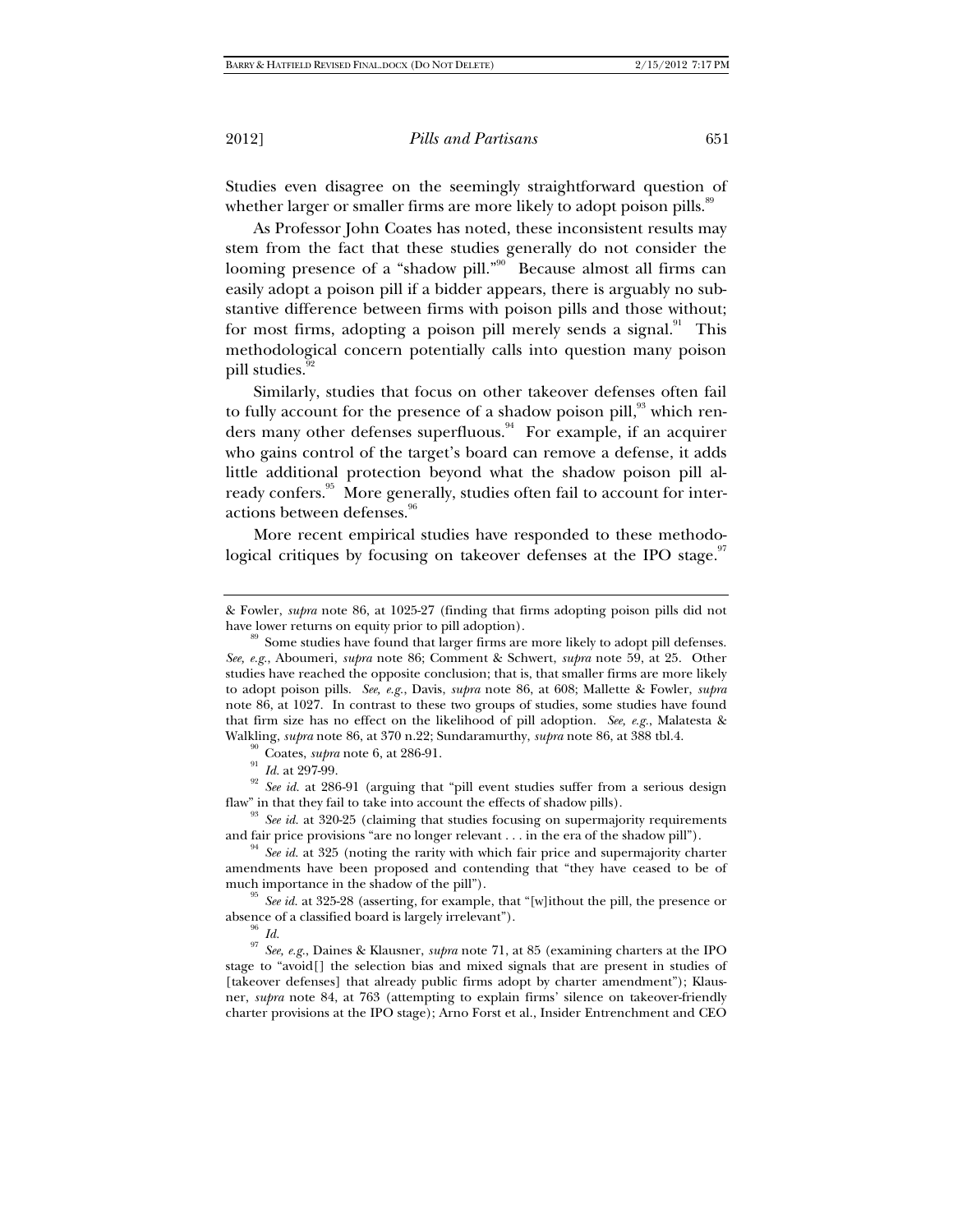Studies even disagree on the seemingly straightforward question of whether larger or smaller firms are more likely to adopt poison pills.<sup>89</sup>

As Professor John Coates has noted, these inconsistent results may stem from the fact that these studies generally do not consider the looming presence of a "shadow pill."<sup>90</sup> Because almost all firms can easily adopt a poison pill if a bidder appears, there is arguably no substantive difference between firms with poison pills and those without; for most firms, adopting a poison pill merely sends a signal. $91$  This methodological concern potentially calls into question many poison pill studies.<sup>92</sup>

Similarly, studies that focus on other takeover defenses often fail to fully account for the presence of a shadow poison pill,<sup>93</sup> which renders many other defenses superfluous.<sup>94</sup> For example, if an acquirer who gains control of the target's board can remove a defense, it adds little additional protection beyond what the shadow poison pill already confers.<sup>95</sup> More generally, studies often fail to account for interactions between defenses.<sup>96</sup>

More recent empirical studies have responded to these methodological critiques by focusing on takeover defenses at the IPO stage. $97$ 

Walkling, *supra* note 86, at 370 n.22; Sundaramurthy, *supra* note 86, at 388 tbl.4.<br><sup>90</sup> Coates, *supra* note 6, at 286-91.<br><sup>91</sup> Id. at 297-99.<br><sup>92</sup> See id. at 286-91 (arguing that "pill event studies suffer from a seri

<sup>93</sup> See *id.* at 320-25 (claiming that studies focusing on supermajority requirements and fair price provisions "are no longer relevant . . . in the era of the shadow pill").<br><sup>94</sup> *See id.* at 325 (noting the rarity with which fair price and supermajority charter

amendments have been proposed and contending that "they have ceased to be of

<sup>95</sup> See id. at 325-28 (asserting, for example, that "[w]ithout the pill, the presence or

absence of a classified board is largely irrelevant").<br><sup>96</sup> *Id.* 97 *See, e.g.*, Daines & Klausner, *supra* note 71, at 85 (examining charters at the IPO stage to "avoid[] the selection bias and mixed signals that are present in studies of [takeover defenses] that already public firms adopt by charter amendment"); Klausner, *supra* note 84, at 763 (attempting to explain firms' silence on takeover-friendly charter provisions at the IPO stage); Arno Forst et al., Insider Entrenchment and CEO

<sup>&</sup>amp; Fowler, *supra* note 86, at 1025-27 (finding that firms adopting poison pills did not

 $h^{\text{99}}$  Some studies have found that larger firms are more likely to adopt pill defenses. *See, e.g.*, Aboumeri, *supra* note 86; Comment & Schwert, *supra* note 59, at 25. Other studies have reached the opposite conclusion; that is, that smaller firms are more likely to adopt poison pills. *See, e.g.*, Davis, *supra* note 86, at 608; Mallette & Fowler, *supra* note 86, at 1027. In contrast to these two groups of studies, some studies have found that firm size has no effect on the likelihood of pill adoption. *See, e.g.*, Malatesta &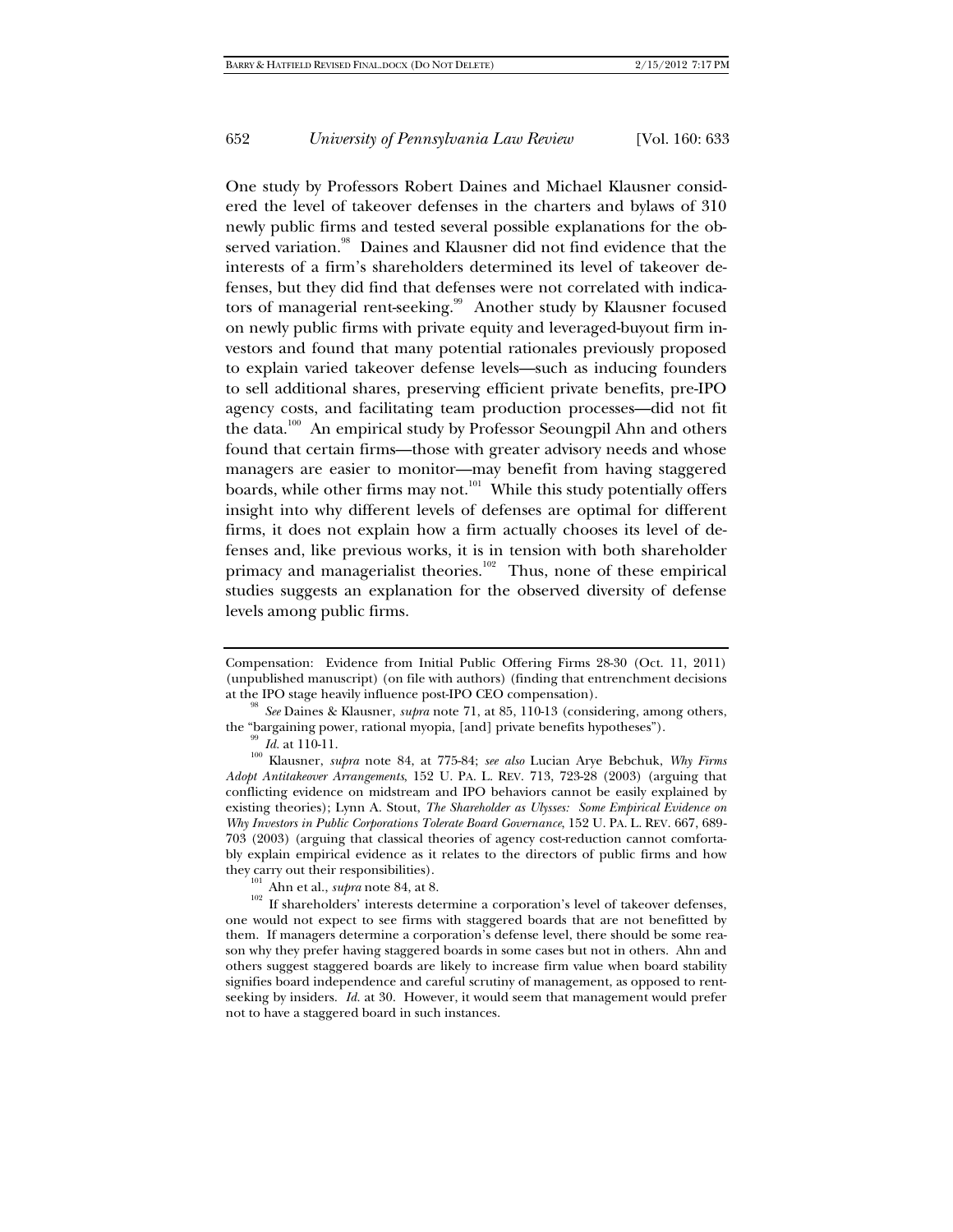One study by Professors Robert Daines and Michael Klausner considered the level of takeover defenses in the charters and bylaws of 310 newly public firms and tested several possible explanations for the observed variation.<sup>98</sup> Daines and Klausner did not find evidence that the interests of a firm's shareholders determined its level of takeover defenses, but they did find that defenses were not correlated with indicators of managerial rent-seeking.<sup>99</sup> Another study by Klausner focused on newly public firms with private equity and leveraged-buyout firm investors and found that many potential rationales previously proposed to explain varied takeover defense levels—such as inducing founders to sell additional shares, preserving efficient private benefits, pre-IPO agency costs, and facilitating team production processes—did not fit the data.<sup>100</sup> An empirical study by Professor Seoungpil Ahn and others found that certain firms—those with greater advisory needs and whose managers are easier to monitor—may benefit from having staggered boards, while other firms may not.<sup>101</sup> While this study potentially offers insight into why different levels of defenses are optimal for different firms, it does not explain how a firm actually chooses its level of defenses and, like previous works, it is in tension with both shareholder primacy and managerialist theories.<sup>102</sup> Thus, none of these empirical studies suggests an explanation for the observed diversity of defense levels among public firms.

Compensation: Evidence from Initial Public Offering Firms 28-30 (Oct. 11, 2011) (unpublished manuscript) (on file with authors) (finding that entrenchment decisions at the IPO stage heavily influence post-IPO CEO compensation). 98 *See* Daines & Klausner, *supra* note 71, at 85, 110-13 (considering, among others,

the "bargaining power, rational myopia, [and] private benefits hypotheses").<br><sup>99</sup> *Id.* at 110-11.<br><sup>100</sup> Klausner, *supra* note 84, at 775-84; *see also* Lucian Arye Bebchuk, *Why Firms Adopt Antitakeover Arrangements*, 152 U. PA. L. REV. 713, 723-28 (2003) (arguing that conflicting evidence on midstream and IPO behaviors cannot be easily explained by existing theories); Lynn A. Stout, *The Shareholder as Ulysses: Some Empirical Evidence on Why Investors in Public Corporations Tolerate Board Governance*, 152 U. PA. L. REV. 667, 689- 703 (2003) (arguing that classical theories of agency cost-reduction cannot comfortably explain empirical evidence as it relates to the directors of public firms and how they carry out their responsibilities).

<sup>&</sup>lt;sup>101</sup> Ahn et al., *supra* note 84, at 8. <sup>102</sup> If shareholders' interests determine a corporation's level of takeover defenses, one would not expect to see firms with staggered boards that are not benefitted by them. If managers determine a corporation's defense level, there should be some reason why they prefer having staggered boards in some cases but not in others. Ahn and others suggest staggered boards are likely to increase firm value when board stability signifies board independence and careful scrutiny of management, as opposed to rentseeking by insiders. *Id.* at 30. However, it would seem that management would prefer not to have a staggered board in such instances.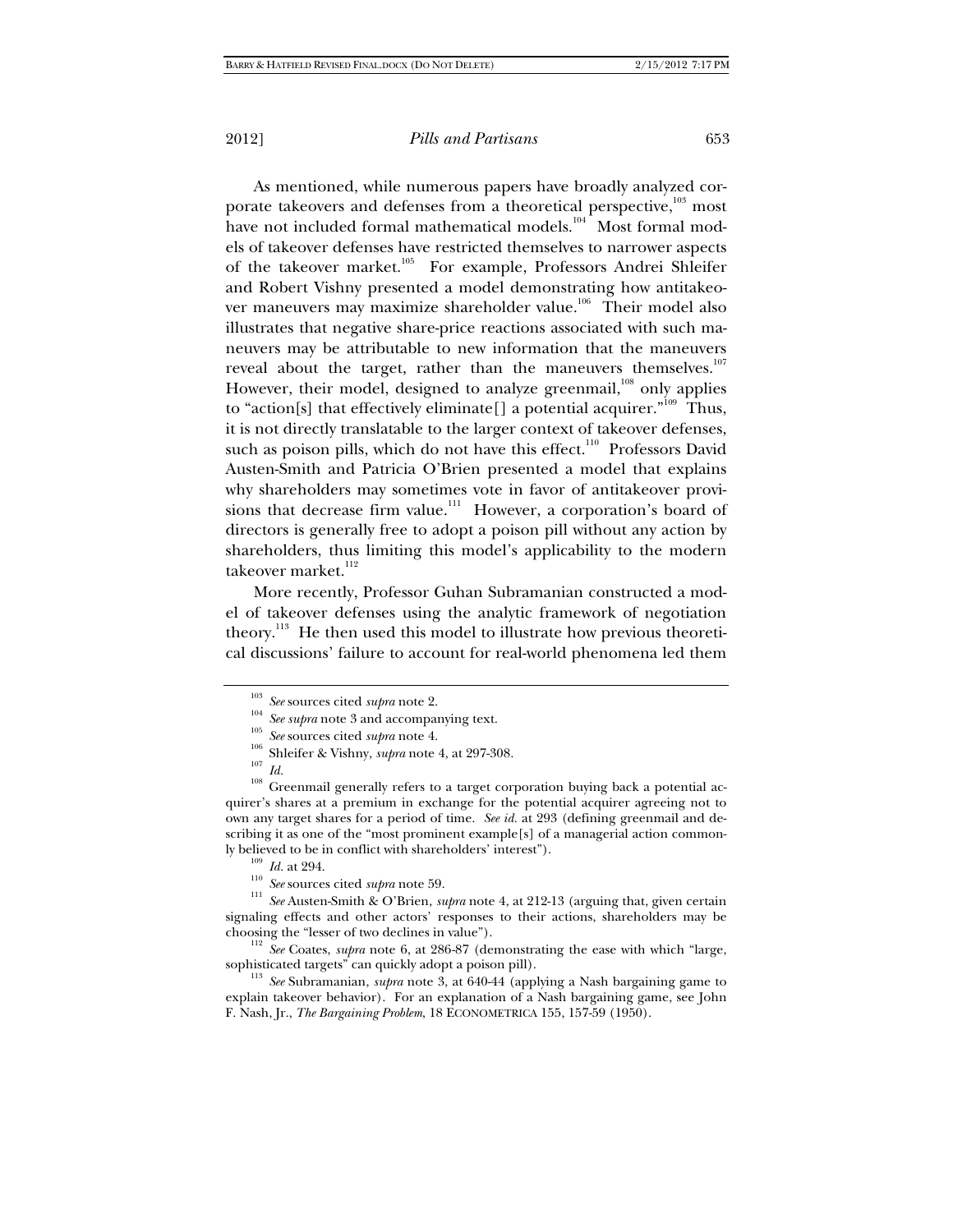As mentioned, while numerous papers have broadly analyzed corporate takeovers and defenses from a theoretical perspective,<sup>103</sup> most have not included formal mathematical models. $104 \text{ M}$  Most formal models of takeover defenses have restricted themselves to narrower aspects of the takeover market.<sup>105</sup> For example, Professors Andrei Shleifer and Robert Vishny presented a model demonstrating how antitakeover maneuvers may maximize shareholder value.<sup>106</sup> Their model also illustrates that negative share-price reactions associated with such maneuvers may be attributable to new information that the maneuvers reveal about the target, rather than the maneuvers themselves.<sup>107</sup> However, their model, designed to analyze greenmail,<sup>108</sup> only applies to "action[s] that effectively eliminate[] a potential acquirer."<sup>109</sup> Thus, it is not directly translatable to the larger context of takeover defenses, such as poison pills, which do not have this effect.<sup>110</sup> Professors David Austen-Smith and Patricia O'Brien presented a model that explains why shareholders may sometimes vote in favor of antitakeover provisions that decrease firm value.<sup>111</sup> However, a corporation's board of directors is generally free to adopt a poison pill without any action by shareholders, thus limiting this model's applicability to the modern takeover market.<sup>112</sup>

More recently, Professor Guhan Subramanian constructed a model of takeover defenses using the analytic framework of negotiation theory.<sup>113</sup> He then used this model to illustrate how previous theoretical discussions' failure to account for real-world phenomena led them

- 
- 

<sup>&</sup>lt;sup>103</sup> See sources cited *supra* note 2.<br>
<sup>104</sup> See supra note 3 and accompanying text.<br>
<sup>105</sup> See sources cited *supra* note 4.<br>
<sup>105</sup> Shleifer & Vishny, *supra* note 4, at 297-308.<br>
<sup>107</sup> *Id.*<br>
<sup>108</sup> Greenmail generally quirer's shares at a premium in exchange for the potential acquirer agreeing not to own any target shares for a period of time. *See id.* at 293 (defining greenmail and describing it as one of the "most prominent example[s] of a managerial action common-

ly believed to be in conflict with shareholders' interest").<br>  $\frac{109}{10}$  *Id.* at 294.<br>
<sup>110</sup> *See* sources cited *supra* note 59.<br>
<sup>111</sup> *See* Austen-Smith & O'Brien, *supra* note 4, at 212-13 (arguing that, given cert signaling effects and other actors' responses to their actions, shareholders may be choosing the "lesser of two declines in value"). 112 *See* Coates, *supra* note 6, at 286-87 (demonstrating the ease with which "large,

sophisticated targets" can quickly adopt a poison pill). 113 *See* Subramanian, *supra* note 3, at 640-44 (applying a Nash bargaining game to

explain takeover behavior). For an explanation of a Nash bargaining game, see John F. Nash, Jr., *The Bargaining Problem*, 18 ECONOMETRICA 155, 157-59 (1950).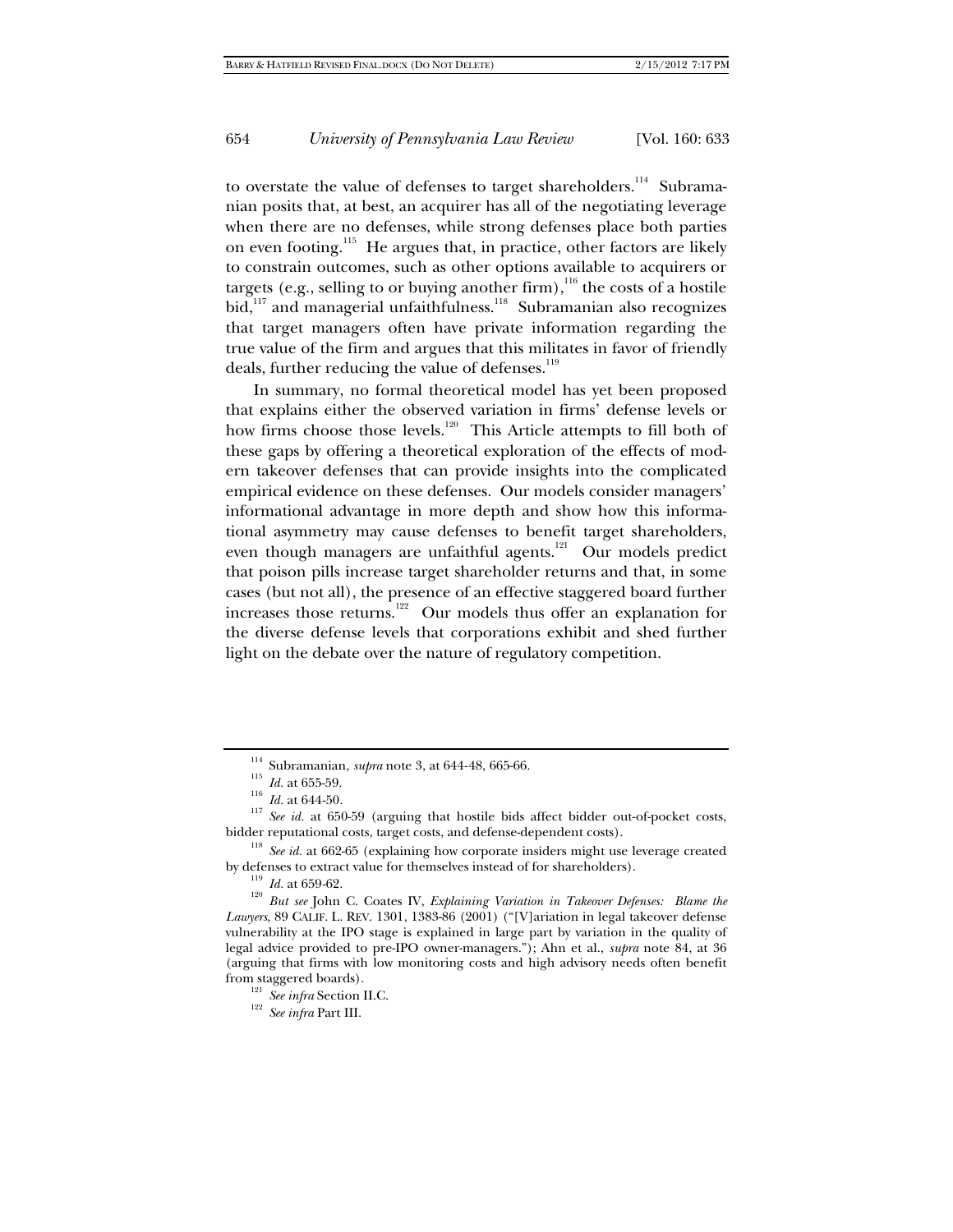to overstate the value of defenses to target shareholders.<sup>114</sup> Subramanian posits that, at best, an acquirer has all of the negotiating leverage when there are no defenses, while strong defenses place both parties on even footing.115 He argues that, in practice, other factors are likely to constrain outcomes, such as other options available to acquirers or targets (e.g., selling to or buying another firm),  $116$  the costs of a hostile bid,<sup>117</sup> and managerial unfaithfulness.<sup>118</sup> Subramanian also recognizes that target managers often have private information regarding the true value of the firm and argues that this militates in favor of friendly deals, further reducing the value of defenses.<sup>119</sup>

In summary, no formal theoretical model has yet been proposed that explains either the observed variation in firms' defense levels or how firms choose those levels.<sup>120</sup> This Article attempts to fill both of these gaps by offering a theoretical exploration of the effects of modern takeover defenses that can provide insights into the complicated empirical evidence on these defenses. Our models consider managers' informational advantage in more depth and show how this informational asymmetry may cause defenses to benefit target shareholders, even though managers are unfaithful agents.<sup>121</sup> Our models predict that poison pills increase target shareholder returns and that, in some cases (but not all), the presence of an effective staggered board further increases those returns.<sup>122</sup> Our models thus offer an explanation for the diverse defense levels that corporations exhibit and shed further light on the debate over the nature of regulatory competition.

<sup>&</sup>lt;sup>114</sup> Subramanian, *supra* note 3, at 644-48, 665-66.<br><sup>115</sup> *Id.* at 655-59.<br><sup>117</sup> *See id.* at 650-59 (arguing that hostile bids affect bidder out-of-pocket costs,<br>bidder reputational costs, target costs, and defense-depe

<sup>&</sup>lt;sup>118</sup> *See id.* at 662-65 (explaining how corporate insiders might use leverage created by defenses to extract value for themselves instead of for shareholders).

<sup>&</sup>lt;sup>119</sup> Id. at 659-62.<br><sup>120</sup> *But see* John C. Coates IV, *Explaining Variation in Takeover Defenses: Blame the Lawyers*, 89 CALIF. L. REV. 1301, 1383-86 (2001) ("[V]ariation in legal takeover defense vulnerability at the IPO stage is explained in large part by variation in the quality of legal advice provided to pre-IPO owner-managers."); Ahn et al., *supra* note 84, at 36 (arguing that firms with low monitoring costs and high advisory needs often benefit from staggered boards). 121 *See infra* Section II.C. 122 *See infra* Part III.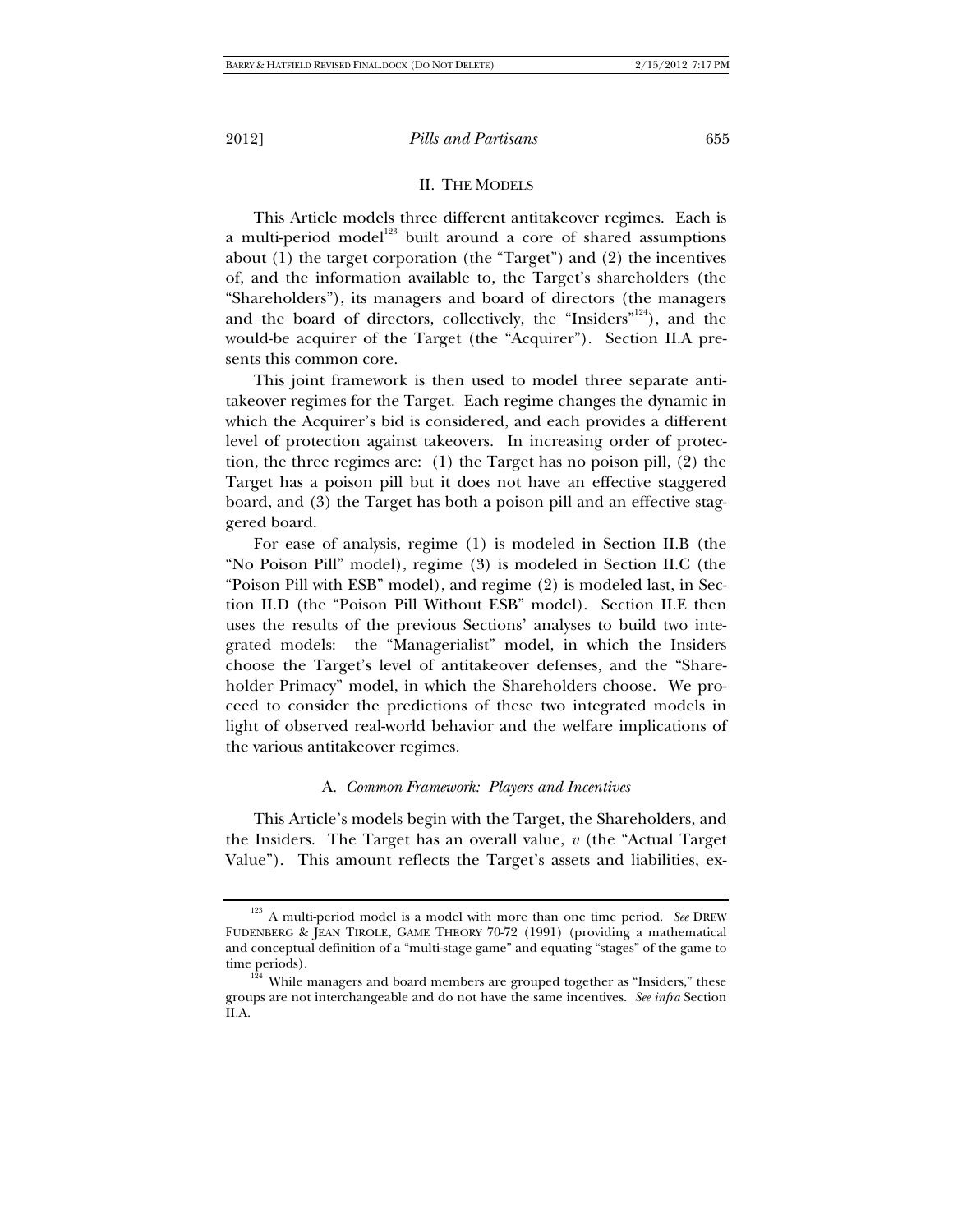## II. THE MODELS

This Article models three different antitakeover regimes. Each is a multi-period model<sup>123</sup> built around a core of shared assumptions about (1) the target corporation (the "Target") and (2) the incentives of, and the information available to, the Target's shareholders (the "Shareholders"), its managers and board of directors (the managers and the board of directors, collectively, the "Insiders"<sup>124</sup>), and the would-be acquirer of the Target (the "Acquirer"). Section II.A presents this common core.

This joint framework is then used to model three separate antitakeover regimes for the Target. Each regime changes the dynamic in which the Acquirer's bid is considered, and each provides a different level of protection against takeovers. In increasing order of protection, the three regimes are: (1) the Target has no poison pill, (2) the Target has a poison pill but it does not have an effective staggered board, and (3) the Target has both a poison pill and an effective staggered board.

For ease of analysis, regime (1) is modeled in Section II.B (the "No Poison Pill" model), regime (3) is modeled in Section II.C (the "Poison Pill with ESB" model), and regime (2) is modeled last, in Section II.D (the "Poison Pill Without ESB" model). Section II.E then uses the results of the previous Sections' analyses to build two integrated models: the "Managerialist" model, in which the Insiders choose the Target's level of antitakeover defenses, and the "Shareholder Primacy" model, in which the Shareholders choose. We proceed to consider the predictions of these two integrated models in light of observed real-world behavior and the welfare implications of the various antitakeover regimes.

## A. *Common Framework: Players and Incentives*

This Article's models begin with the Target, the Shareholders, and the Insiders. The Target has an overall value, *v* (the "Actual Target Value"). This amount reflects the Target's assets and liabilities, ex-

<sup>&</sup>lt;sup>123</sup> A multi-period model is a model with more than one time period. *See* DREW FUDENBERG & JEAN TIROLE, GAME THEORY 70-72 (1991) (providing a mathematical and conceptual definition of a "multi-stage game" and equating "stages" of the game to

 $124$  While managers and board members are grouped together as "Insiders," these groups are not interchangeable and do not have the same incentives. *See infra* Section II.A.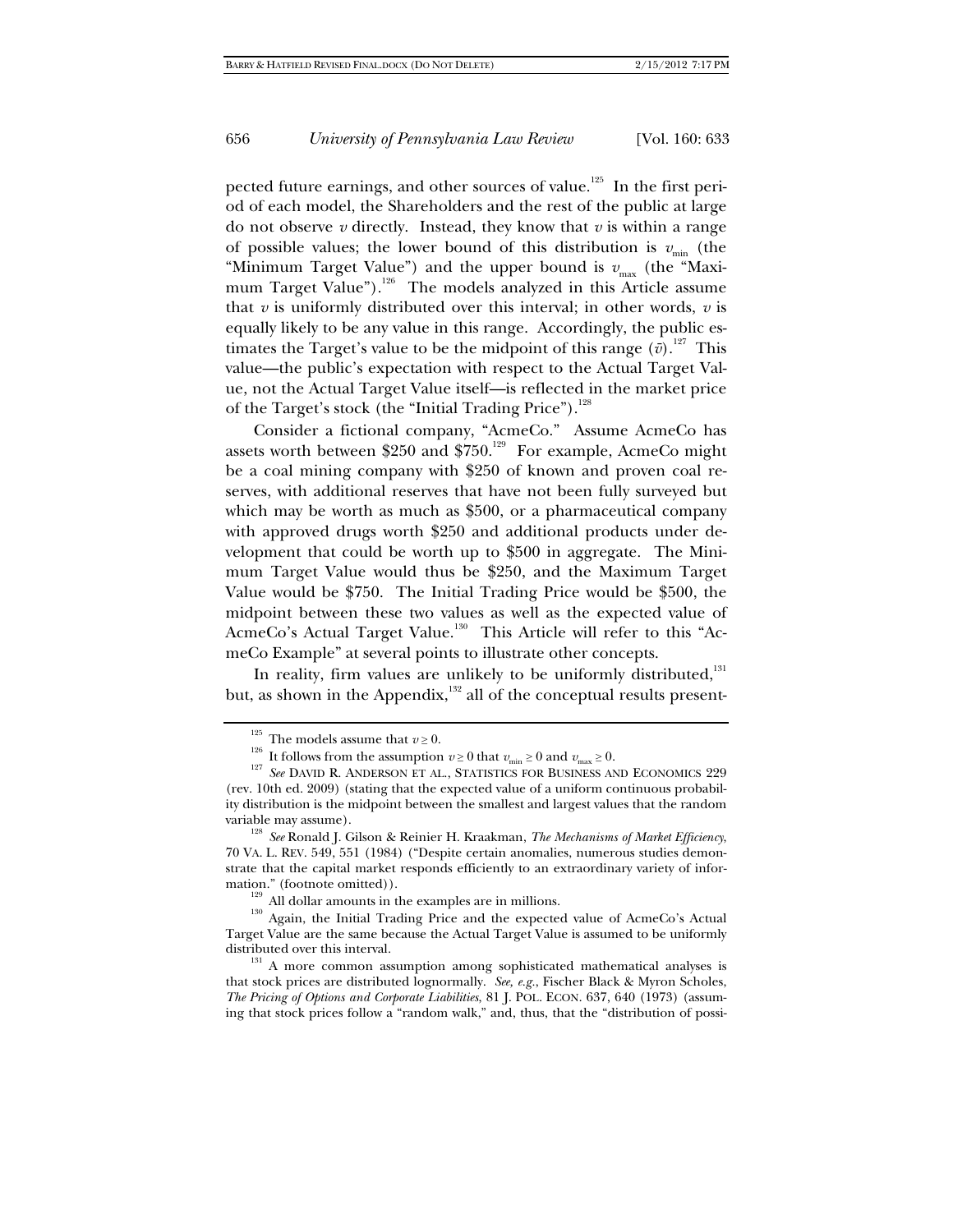pected future earnings, and other sources of value.<sup>125</sup> In the first period of each model, the Shareholders and the rest of the public at large do not observe  $\nu$  directly. Instead, they know that  $\nu$  is within a range of possible values; the lower bound of this distribution is  $v_{\text{min}}$  (the "Minimum Target Value") and the upper bound is  $v_{\text{max}}$  (the "Maximum Target Value").<sup>126</sup> The models analyzed in this Article assume that  $v$  is uniformly distributed over this interval; in other words,  $v$  is equally likely to be any value in this range. Accordingly, the public estimates the Target's value to be the midpoint of this range  $(\bar{v})$ .<sup>127</sup> This value—the public's expectation with respect to the Actual Target Value, not the Actual Target Value itself—is reflected in the market price of the Target's stock (the "Initial Trading Price").<sup>128</sup>

Consider a fictional company, "AcmeCo." Assume AcmeCo has assets worth between \$250 and \$750.<sup>129</sup> For example, AcmeCo might be a coal mining company with \$250 of known and proven coal reserves, with additional reserves that have not been fully surveyed but which may be worth as much as \$500, or a pharmaceutical company with approved drugs worth \$250 and additional products under development that could be worth up to \$500 in aggregate. The Minimum Target Value would thus be \$250, and the Maximum Target Value would be \$750. The Initial Trading Price would be \$500, the midpoint between these two values as well as the expected value of AcmeCo's Actual Target Value.<sup>130</sup> This Article will refer to this "AcmeCo Example" at several points to illustrate other concepts.

In reality, firm values are unlikely to be uniformly distributed, $131$ but, as shown in the Appendix,<sup>132</sup> all of the conceptual results present-

 $\frac{^{129}}{^{130}}$  All dollar amounts in the examples are in millions.<br><sup>130</sup> Again, the Initial Trading Price and the expected value of AcmeCo's Actual Target Value are the same because the Actual Target Value is assumed to be uniformly distributed over this interval.<br><sup>131</sup> A more common assumption among sophisticated mathematical analyses is

that stock prices are distributed lognormally. *See, e.g.*, Fischer Black & Myron Scholes, *The Pricing of Options and Corporate Liabilities*, 81 J. POL. ECON. 637, 640 (1973) (assuming that stock prices follow a "random walk," and, thus, that the "distribution of possi-

<sup>&</sup>lt;sup>125</sup> The models assume that  $v \ge 0$ .<br><sup>126</sup> It follows from the assumption  $v \ge 0$  that  $v_{\text{min}} \ge 0$  and  $v_{\text{max}} \ge 0$ .<br><sup>127</sup> *See* DAVID R. ANDERSON ET AL., STATISTICS FOR BUSINESS AND ECONOMICS 229 (rev. 10th ed. 2009) (stating that the expected value of a uniform continuous probability distribution is the midpoint between the smallest and largest values that the random

variable may assume). 128 *See* Ronald J. Gilson & Reinier H. Kraakman, *The Mechanisms of Market Efficiency*, 70 VA. L. REV. 549, 551 (1984) ("Despite certain anomalies, numerous studies demonstrate that the capital market responds efficiently to an extraordinary variety of information." (footnote omitted)).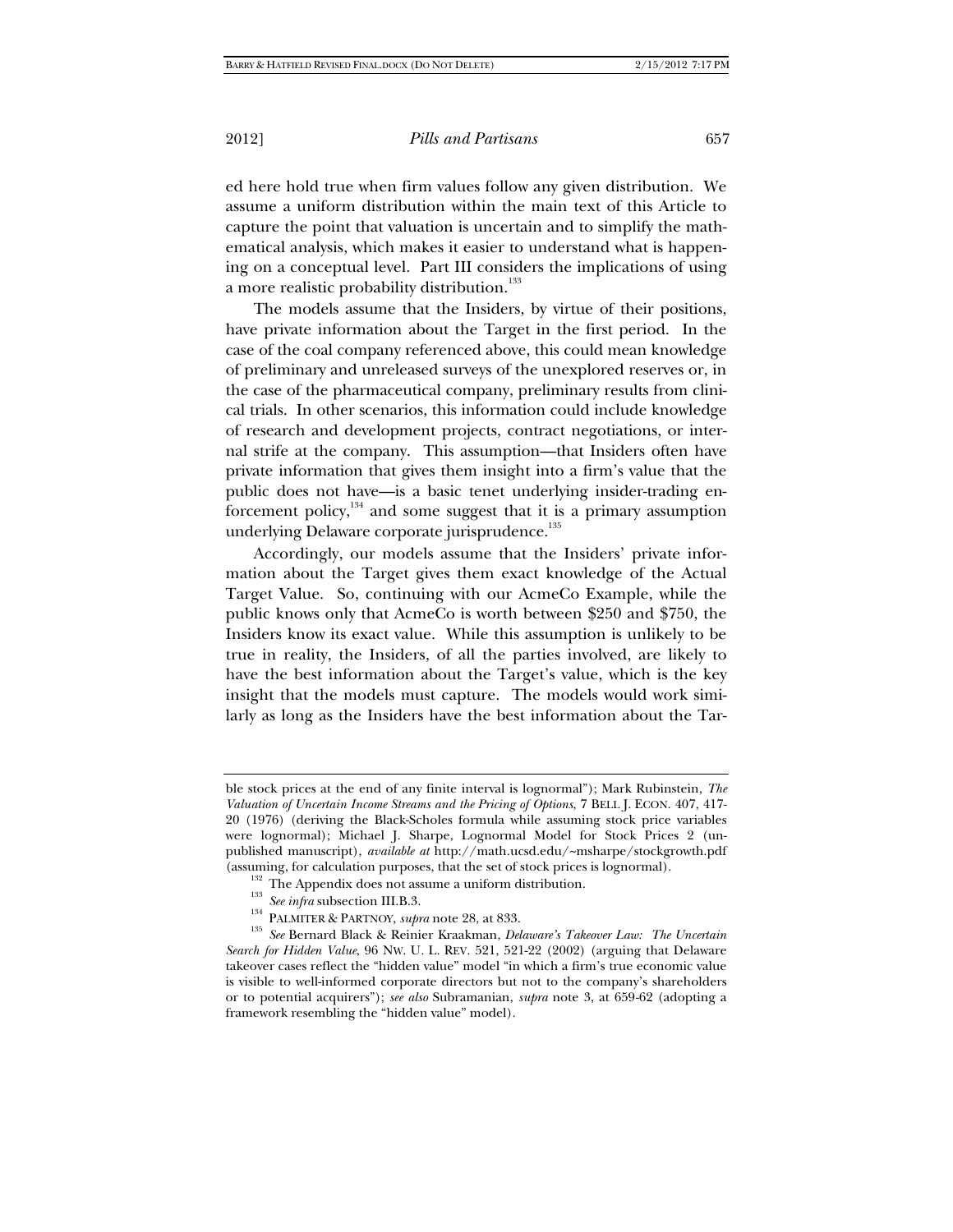ed here hold true when firm values follow any given distribution. We assume a uniform distribution within the main text of this Article to capture the point that valuation is uncertain and to simplify the mathematical analysis, which makes it easier to understand what is happening on a conceptual level. Part III considers the implications of using a more realistic probability distribution.<sup>133</sup>

The models assume that the Insiders, by virtue of their positions, have private information about the Target in the first period. In the case of the coal company referenced above, this could mean knowledge of preliminary and unreleased surveys of the unexplored reserves or, in the case of the pharmaceutical company, preliminary results from clinical trials. In other scenarios, this information could include knowledge of research and development projects, contract negotiations, or internal strife at the company. This assumption—that Insiders often have private information that gives them insight into a firm's value that the public does not have—is a basic tenet underlying insider-trading enforcement policy, $134$  and some suggest that it is a primary assumption underlying Delaware corporate jurisprudence.<sup>135</sup>

Accordingly, our models assume that the Insiders' private information about the Target gives them exact knowledge of the Actual Target Value. So, continuing with our AcmeCo Example, while the public knows only that AcmeCo is worth between \$250 and \$750, the Insiders know its exact value. While this assumption is unlikely to be true in reality, the Insiders, of all the parties involved, are likely to have the best information about the Target's value, which is the key insight that the models must capture. The models would work similarly as long as the Insiders have the best information about the Tar-

- 
- 
- 

ble stock prices at the end of any finite interval is lognormal"); Mark Rubinstein, *The Valuation of Uncertain Income Streams and the Pricing of Options*, 7 BELL J. ECON. 407, 417- 20 (1976) (deriving the Black-Scholes formula while assuming stock price variables were lognormal); Michael J. Sharpe, Lognormal Model for Stock Prices 2 (unpublished manuscript), *available at* http://math.ucsd.edu/~msharpe/stockgrowth.pdf

<sup>(</sup>assuming, for calculation purposes, that the set of stock prices is lognormal).<br>
<sup>132</sup> The Appendix does not assume a uniform distribution.<br>
<sup>133</sup> *See infra* subsection III.B.3.<br>
<sup>134</sup> PALMITER & PARTNOY, *supra* note 2 *Search for Hidden Value*, 96 NW. U. L. REV. 521, 521-22 (2002) (arguing that Delaware takeover cases reflect the "hidden value" model "in which a firm's true economic value is visible to well-informed corporate directors but not to the company's shareholders or to potential acquirers"); *see also* Subramanian, *supra* note 3, at 659-62 (adopting a framework resembling the "hidden value" model).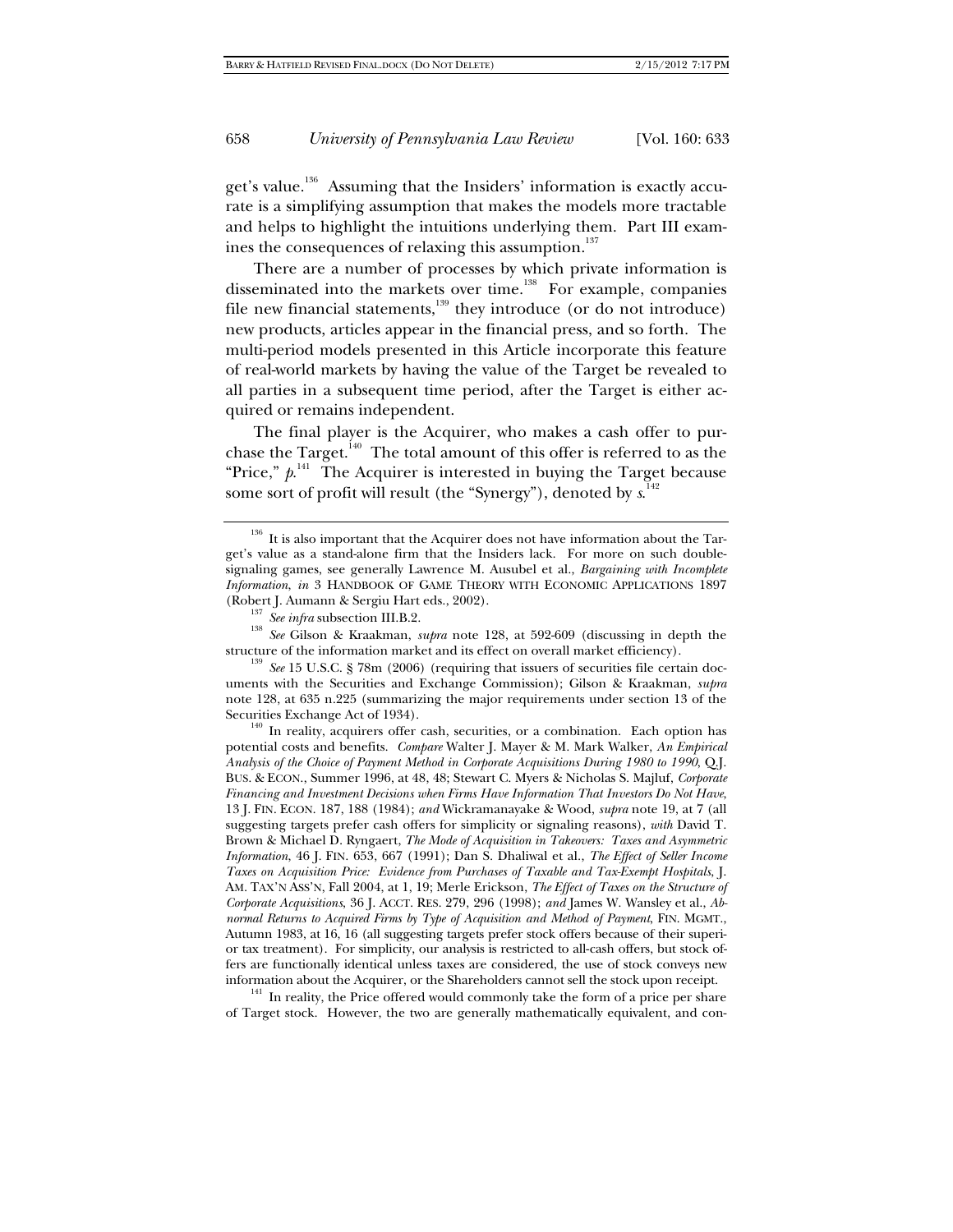get's value.<sup>136</sup> Assuming that the Insiders' information is exactly accurate is a simplifying assumption that makes the models more tractable and helps to highlight the intuitions underlying them. Part III examines the consequences of relaxing this assumption.<sup>137</sup>

There are a number of processes by which private information is disseminated into the markets over time.<sup>138</sup> For example, companies file new financial statements,<sup>139</sup> they introduce (or do not introduce) new products, articles appear in the financial press, and so forth. The multi-period models presented in this Article incorporate this feature of real-world markets by having the value of the Target be revealed to all parties in a subsequent time period, after the Target is either acquired or remains independent.

The final player is the Acquirer, who makes a cash offer to purchase the Target.<sup>140</sup> The total amount of this offer is referred to as the "Price,"  $p$ <sup>141</sup> The Acquirer is interested in buying the Target because some sort of profit will result (the "Synergy"), denoted by *s*. 142

potential costs and benefits. *Compare* Walter J. Mayer & M. Mark Walker, *An Empirical Analysis of the Choice of Payment Method in Corporate Acquisitions During 1980 to 1990*, Q.J. BUS. & ECON., Summer 1996, at 48, 48; Stewart C. Myers & Nicholas S. Majluf, *Corporate Financing and Investment Decisions when Firms Have Information That Investors Do Not Have*, 13 J. FIN. ECON. 187, 188 (1984); *and* Wickramanayake & Wood, *supra* note 19, at 7 (all suggesting targets prefer cash offers for simplicity or signaling reasons), *with* David T. Brown & Michael D. Ryngaert, *The Mode of Acquisition in Takeovers: Taxes and Asymmetric Information*, 46 J. FIN. 653, 667 (1991); Dan S. Dhaliwal et al., *The Effect of Seller Income Taxes on Acquisition Price: Evidence from Purchases of Taxable and Tax-Exempt Hospitals*, J. AM. TAX'N ASS'N, Fall 2004, at 1, 19; Merle Erickson, *The Effect of Taxes on the Structure of Corporate Acquisitions*, 36 J. ACCT. RES. 279, 296 (1998); *and* James W. Wansley et al., *Abnormal Returns to Acquired Firms by Type of Acquisition and Method of Payment*, FIN. MGMT., Autumn 1983, at 16, 16 (all suggesting targets prefer stock offers because of their superior tax treatment). For simplicity, our analysis is restricted to all-cash offers, but stock offers are functionally identical unless taxes are considered, the use of stock conveys new

information about the Acquirer, or the Shareholders cannot sell the stock upon receipt.  $141$  In reality, the Price offered would commonly take the form of a price per share of Target stock. However, the two are generally mathematically equivalent, and con-

It is also important that the Acquirer does not have information about the Target's value as a stand-alone firm that the Insiders lack. For more on such doublesignaling games, see generally Lawrence M. Ausubel et al., *Bargaining with Incomplete Information*, *in* 3 HANDBOOK OF GAME THEORY WITH ECONOMIC APPLICATIONS 1897

<sup>(</sup>Robert J. Aumann & Sergiu Hart eds., 2002). 137 *See infra* subsection III.B.2. 138 *See* Gilson & Kraakman, *supra* note 128, at 592-609 (discussing in depth the structure of the information market and its effect on overall market efficiency). 139 *See* 15 U.S.C. § 78m (2006) (requiring that issuers of securities file certain doc-

uments with the Securities and Exchange Commission); Gilson & Kraakman, *supra* note 128, at 635 n.225 (summarizing the major requirements under section 13 of the Securities Exchange Act of 1934).<br><sup>140</sup> In reality, acquirers offer cash, securities, or a combination. Each option has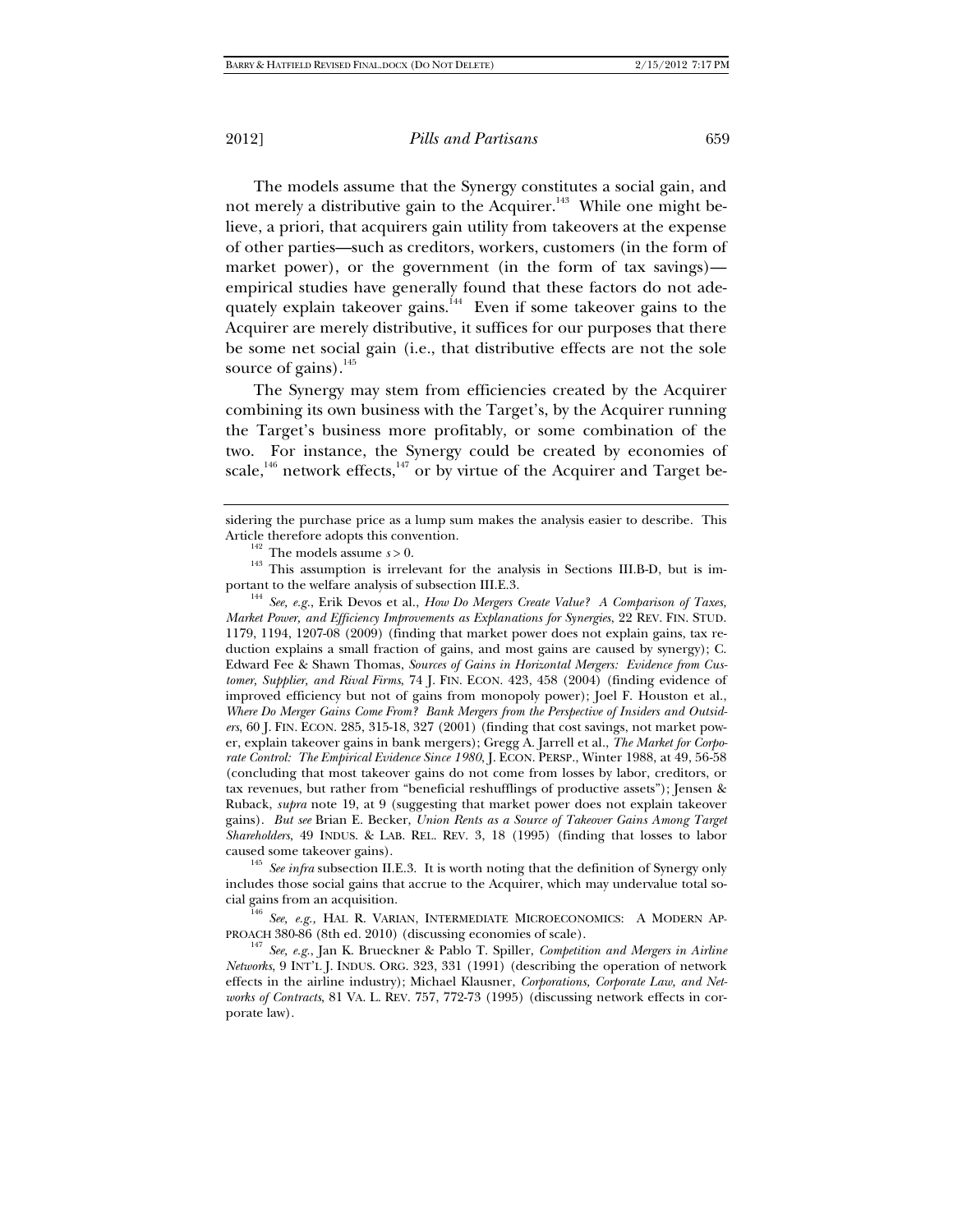The models assume that the Synergy constitutes a social gain, and not merely a distributive gain to the Acquirer.<sup>143</sup> While one might believe, a priori, that acquirers gain utility from takeovers at the expense of other parties—such as creditors, workers, customers (in the form of market power), or the government (in the form of tax savings) empirical studies have generally found that these factors do not adequately explain takeover gains.<sup>144</sup> Even if some takeover gains to the Acquirer are merely distributive, it suffices for our purposes that there be some net social gain (i.e., that distributive effects are not the sole source of gains).<sup>145</sup>

The Synergy may stem from efficiencies created by the Acquirer combining its own business with the Target's, by the Acquirer running the Target's business more profitably, or some combination of the two. For instance, the Synergy could be created by economies of scale,<sup>146</sup> network effects,<sup>147</sup> or by virtue of the Acquirer and Target be-

<sup>145</sup> See infra subsection II.E.3. It is worth noting that the definition of Synergy only includes those social gains that accrue to the Acquirer, which may undervalue total so-

<sup>146</sup> *See, e.g.,* HAL R. VARIAN, INTERMEDIATE MICROECONOMICS: A MODERN AP-PROACH 380-86 (8th ed. 2010) (discussing economies of scale).

<sup>147</sup> See, e.g., Jan K. Brueckner & Pablo T. Spiller, *Competition and Mergers in Airline Networks*, 9 INT'L J. INDUS. ORG. 323, 331 (1991) (describing the operation of network effects in the airline industry); Michael Klausner, *Corporations, Corporate Law, and Networks of Contracts*, 81 VA. L. REV. 757, 772-73 (1995) (discussing network effects in corporate law).

sidering the purchase price as a lump sum makes the analysis easier to describe. This

Article therefore adopts this convention.<br><sup>142</sup> The models assume *s* > 0.<br><sup>143</sup> This assumption is irrelevant for the analysis in Sections III.B-D, but is im-<br>portant to the welfare analysis of subsection III.E.3.

<sup>&</sup>lt;sup>144</sup> See, e.g., Erik Devos et al., *How Do Mergers Create Value? A Comparison of Taxes*, *Market Power, and Efficiency Improvements as Explanations for Synergies*, 22 REV. FIN. STUD. 1179, 1194, 1207-08 (2009) (finding that market power does not explain gains, tax reduction explains a small fraction of gains, and most gains are caused by synergy); C. Edward Fee & Shawn Thomas, *Sources of Gains in Horizontal Mergers: Evidence from Customer, Supplier, and Rival Firms*, 74 J. FIN. ECON. 423, 458 (2004) (finding evidence of improved efficiency but not of gains from monopoly power); Joel F. Houston et al., *Where Do Merger Gains Come From? Bank Mergers from the Perspective of Insiders and Outsiders*, 60 J. FIN. ECON. 285, 315-18, 327 (2001) (finding that cost savings, not market power, explain takeover gains in bank mergers); Gregg A. Jarrell et al., *The Market for Corporate Control: The Empirical Evidence Since 1980*, J. ECON. PERSP., Winter 1988, at 49, 56-58 (concluding that most takeover gains do not come from losses by labor, creditors, or tax revenues, but rather from "beneficial reshufflings of productive assets"); Jensen & Ruback, *supra* note 19, at 9 (suggesting that market power does not explain takeover gains). *But see* Brian E. Becker, *Union Rents as a Source of Takeover Gains Among Target Shareholders*, 49 INDUS. & LAB. REL. REV. 3, 18 (1995) (finding that losses to labor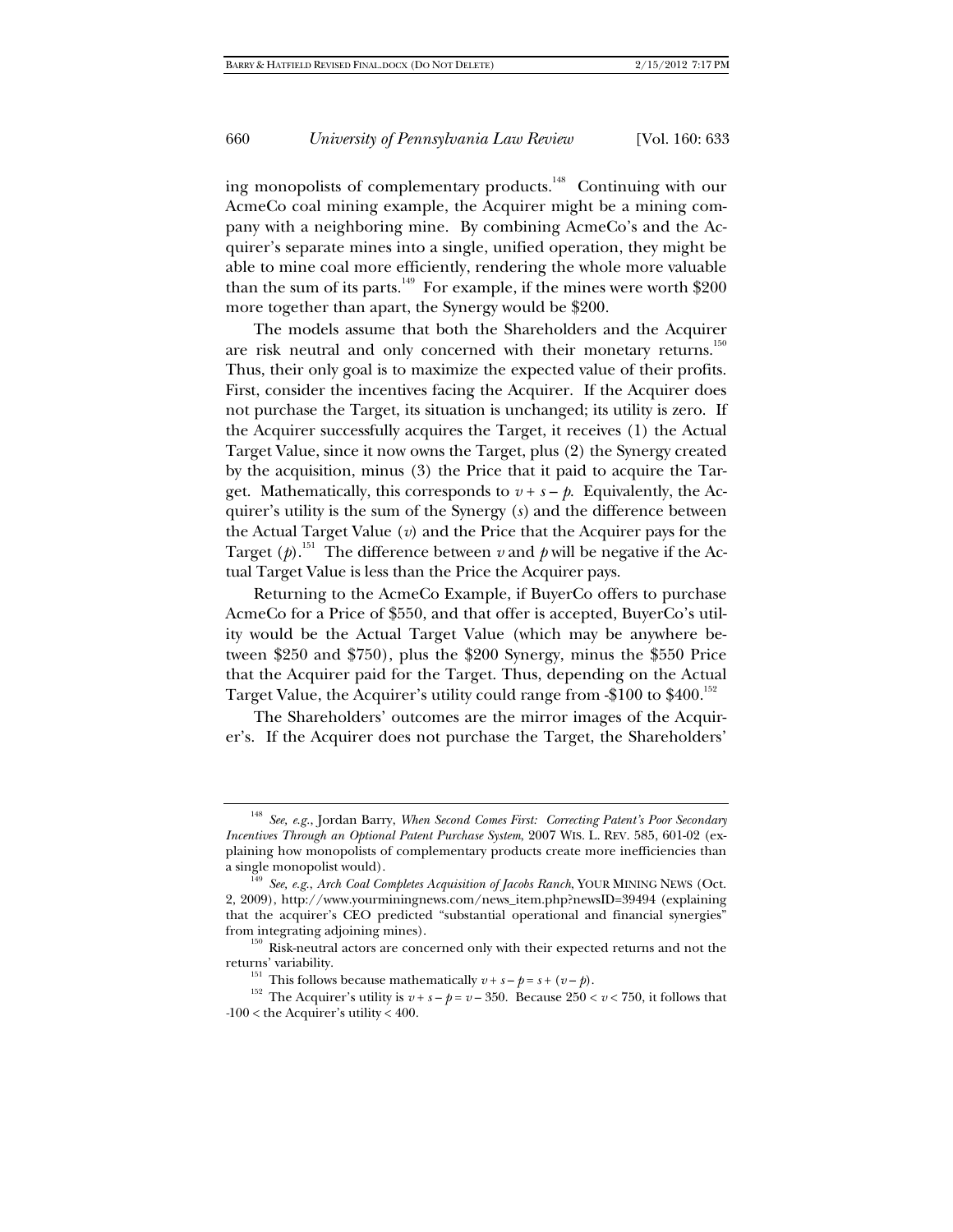ing monopolists of complementary products.<sup>148</sup> Continuing with our AcmeCo coal mining example, the Acquirer might be a mining company with a neighboring mine. By combining AcmeCo's and the Acquirer's separate mines into a single, unified operation, they might be able to mine coal more efficiently, rendering the whole more valuable than the sum of its parts.<sup>149</sup> For example, if the mines were worth \$200 more together than apart, the Synergy would be \$200.

The models assume that both the Shareholders and the Acquirer are risk neutral and only concerned with their monetary returns.<sup>150</sup> Thus, their only goal is to maximize the expected value of their profits. First, consider the incentives facing the Acquirer. If the Acquirer does not purchase the Target, its situation is unchanged; its utility is zero. If the Acquirer successfully acquires the Target, it receives (1) the Actual Target Value, since it now owns the Target, plus (2) the Synergy created by the acquisition, minus (3) the Price that it paid to acquire the Target. Mathematically, this corresponds to  $v + s - p$ . Equivalently, the Acquirer's utility is the sum of the Synergy (*s*) and the difference between the Actual Target Value (*v*) and the Price that the Acquirer pays for the Target ( $\phi$ ).<sup>151</sup> The difference between *v* and  $\phi$  will be negative if the Actual Target Value is less than the Price the Acquirer pays.

Returning to the AcmeCo Example, if BuyerCo offers to purchase AcmeCo for a Price of \$550, and that offer is accepted, BuyerCo's utility would be the Actual Target Value (which may be anywhere between \$250 and \$750), plus the \$200 Synergy, minus the \$550 Price that the Acquirer paid for the Target. Thus, depending on the Actual Target Value, the Acquirer's utility could range from -\$100 to \$400.152

The Shareholders' outcomes are the mirror images of the Acquirer's. If the Acquirer does not purchase the Target, the Shareholders'

<sup>148</sup> *See, e.g.*, Jordan Barry, *When Second Comes First: Correcting Patent's Poor Secondary Incentives Through an Optional Patent Purchase System*, 2007 WIS. L. REV. 585, 601-02 (explaining how monopolists of complementary products create more inefficiencies than a single monopolist would). 149 *See, e.g.*, *Arch Coal Completes Acquisition of Jacobs Ranch*, YOUR MINING NEWS (Oct.

<sup>2, 2009),</sup> http://www.yourminingnews.com/news\_item.php?newsID=39494 (explaining that the acquirer's CEO predicted "substantial operational and financial synergies" from integrating adjoining mines).  $150$  Risk-neutral actors are concerned only with their expected returns and not the

returns' variability.<br>This follows because mathematically  $v + s - p = s + (v - p)$ .

<sup>&</sup>lt;sup>152</sup> The Acquirer's utility is  $v + s - p = v - 350$ . Because 250 <  $v < 750$ , it follows that *-*100 < the Acquirer's utility < 400.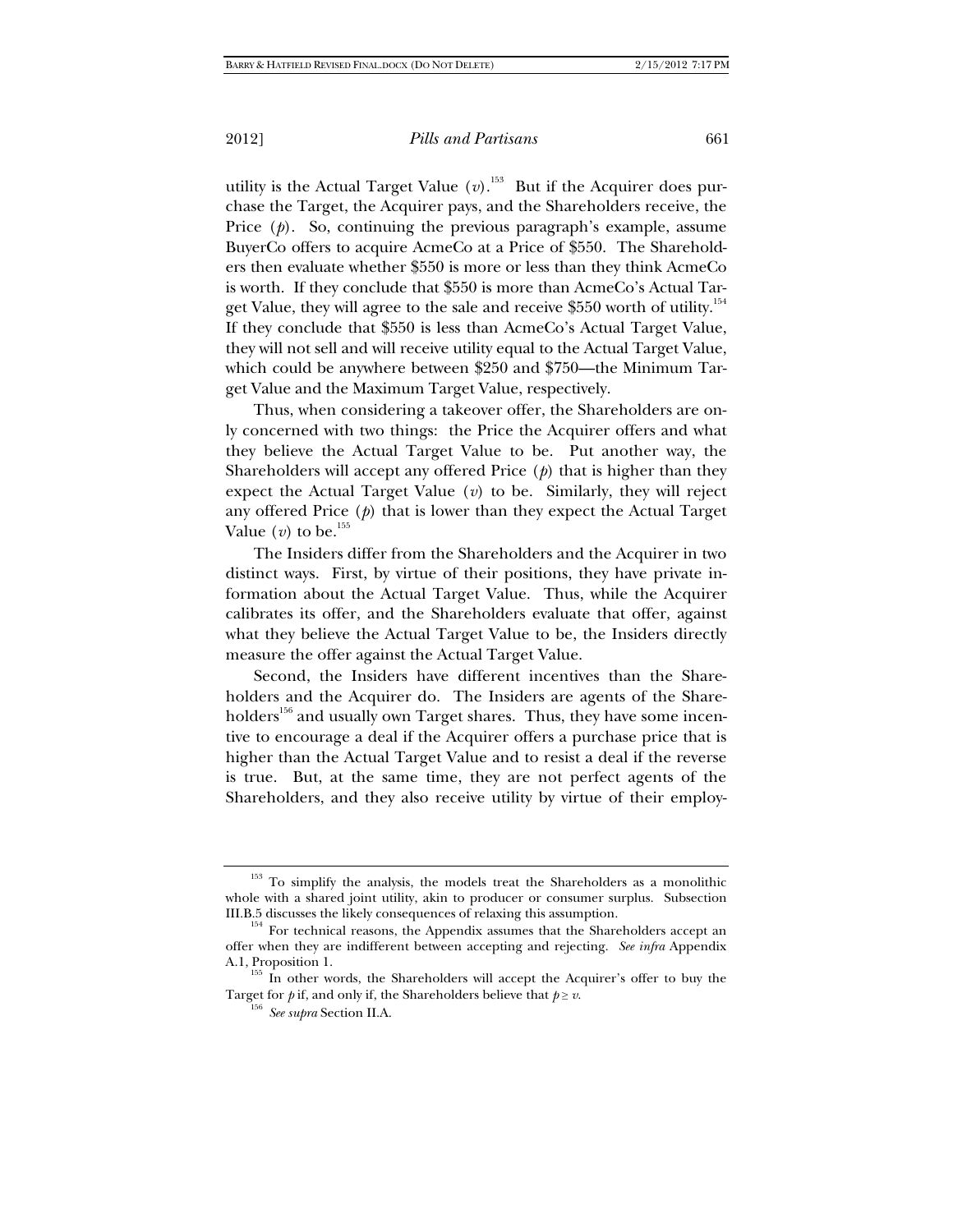utility is the Actual Target Value  $(v)$ .<sup>153</sup> But if the Acquirer does purchase the Target, the Acquirer pays, and the Shareholders receive, the Price (*p*). So, continuing the previous paragraph's example, assume BuyerCo offers to acquire AcmeCo at a Price of \$550. The Shareholders then evaluate whether \$550 is more or less than they think AcmeCo is worth. If they conclude that \$550 is more than AcmeCo's Actual Target Value, they will agree to the sale and receive \$550 worth of utility.<sup>154</sup> If they conclude that \$550 is less than AcmeCo's Actual Target Value, they will not sell and will receive utility equal to the Actual Target Value, which could be anywhere between \$250 and \$750—the Minimum Target Value and the Maximum Target Value, respectively.

Thus, when considering a takeover offer, the Shareholders are only concerned with two things: the Price the Acquirer offers and what they believe the Actual Target Value to be. Put another way, the Shareholders will accept any offered Price (*p*) that is higher than they expect the Actual Target Value (*v*) to be. Similarly, they will reject any offered Price (*p*) that is lower than they expect the Actual Target Value  $(v)$  to be.<sup>155</sup>

The Insiders differ from the Shareholders and the Acquirer in two distinct ways. First, by virtue of their positions, they have private information about the Actual Target Value. Thus, while the Acquirer calibrates its offer, and the Shareholders evaluate that offer, against what they believe the Actual Target Value to be, the Insiders directly measure the offer against the Actual Target Value.

Second, the Insiders have different incentives than the Shareholders and the Acquirer do. The Insiders are agents of the Shareholders<sup>156</sup> and usually own Target shares. Thus, they have some incentive to encourage a deal if the Acquirer offers a purchase price that is higher than the Actual Target Value and to resist a deal if the reverse is true. But, at the same time, they are not perfect agents of the Shareholders, and they also receive utility by virtue of their employ-

<sup>&</sup>lt;sup>153</sup> To simplify the analysis, the models treat the Shareholders as a monolithic whole with a shared joint utility, akin to producer or consumer surplus. Subsection III.B.5 discusses the likely consequences of relaxing this assumption.  $154$  For technical reasons, the Appendix assumes that the Shareholders accept an

offer when they are indifferent between accepting and rejecting. *See infra* Appendix A.1, Proposition 1.  $^{155}$  In other words, the Shareholders will accept the Acquirer's offer to buy the

Target for *p* if, and only if, the Shareholders believe that  $p \ge v$ . <sup>156</sup> *See supra* Section II.A.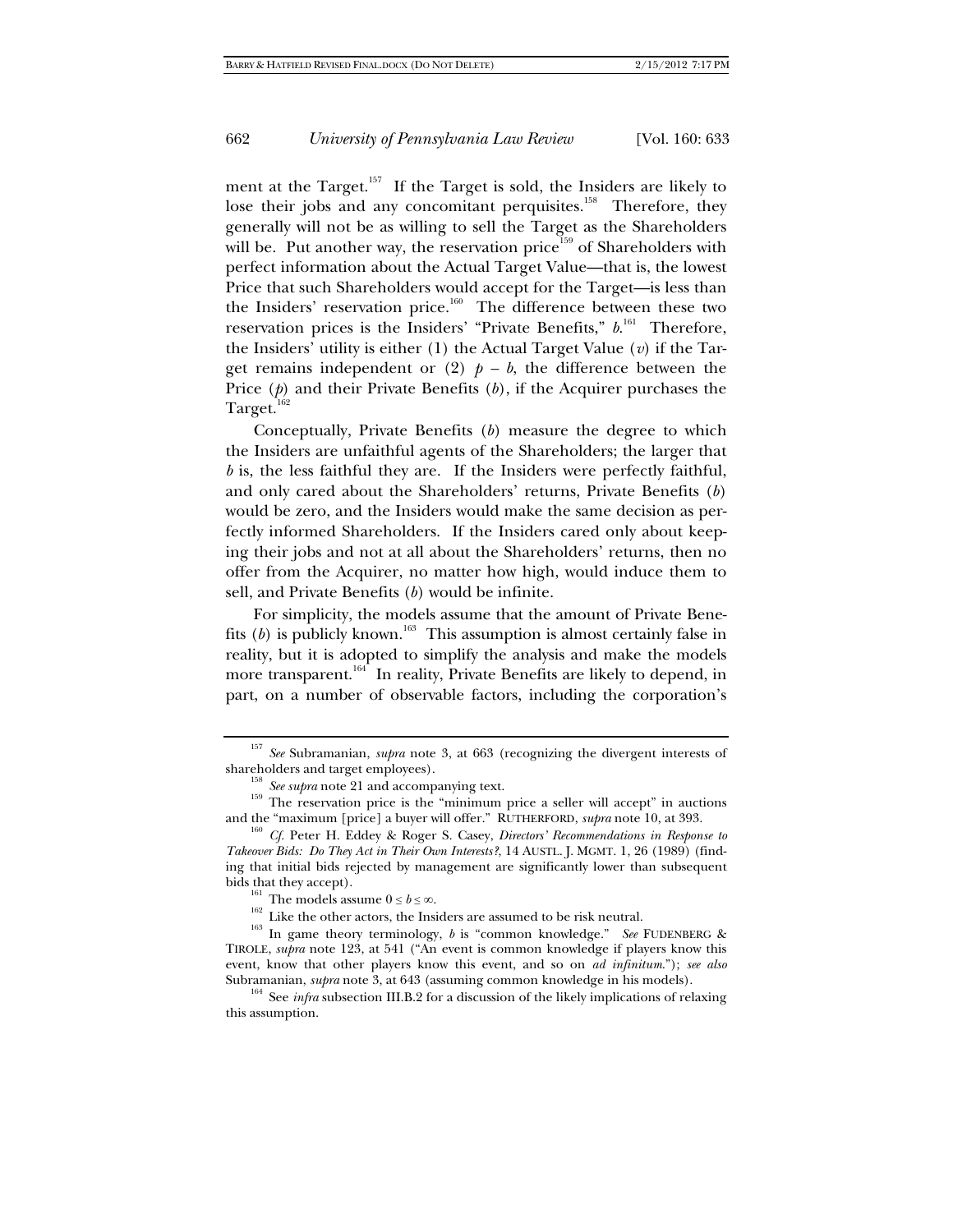ment at the Target.<sup>157</sup> If the Target is sold, the Insiders are likely to lose their jobs and any concomitant perquisites.<sup>158</sup> Therefore, they generally will not be as willing to sell the Target as the Shareholders will be. Put another way, the reservation price<sup>159</sup> of Shareholders with perfect information about the Actual Target Value—that is, the lowest Price that such Shareholders would accept for the Target—is less than the Insiders' reservation price.<sup>160</sup> The difference between these two reservation prices is the Insiders' "Private Benefits,"  $b^{161}$  Therefore, the Insiders' utility is either (1) the Actual Target Value (*v*) if the Target remains independent or  $(2)$   $p - b$ , the difference between the Price (p) and their Private Benefits (b), if the Acquirer purchases the Target.<sup>1</sup>

Conceptually, Private Benefits (*b*) measure the degree to which the Insiders are unfaithful agents of the Shareholders; the larger that *b* is, the less faithful they are. If the Insiders were perfectly faithful, and only cared about the Shareholders' returns, Private Benefits (*b*) would be zero, and the Insiders would make the same decision as perfectly informed Shareholders. If the Insiders cared only about keeping their jobs and not at all about the Shareholders' returns, then no offer from the Acquirer, no matter how high, would induce them to sell, and Private Benefits (*b*) would be infinite.

For simplicity, the models assume that the amount of Private Benefits  $(b)$  is publicly known.<sup>163</sup> This assumption is almost certainly false in reality, but it is adopted to simplify the analysis and make the models more transparent.<sup>164</sup> In reality, Private Benefits are likely to depend, in part, on a number of observable factors, including the corporation's

<sup>157</sup> *See* Subramanian, *supra* note 3, at 663 (recognizing the divergent interests of

shareholders and target employees).<br><sup>158</sup> *See supra* note 21 and accompanying text.<br><sup>159</sup> The reservation price is the "minimum price a seller will accept" in auctions<br>and the "maximum [price] a buyer will offer." RUTHERF

<sup>&</sup>lt;sup>160</sup> Cf. Peter H. Eddey & Roger S. Casey, *Directors' Recommendations in Response to Takeover Bids: Do They Act in Their Own Interests?*, 14 AUSTL. J. MGMT. 1, 26 (1989) (finding that initial bids rejected by management are significantly lower than subsequent

bids that they accept).<br><sup>161</sup> The models assume  $0 ≤ b ≤ ∞$ .<br><sup>162</sup> Like the other actors, the Insiders are assumed to be risk neutral.<br><sup>163</sup> In game theory terminology, *b* is "common knowledge." *See* FUDENBERG & TIROLE, *supra* note 123, at 541 ("An event is common knowledge if players know this event, know that other players know this event, and so on *ad infinitum*."); *see also* Subramanian, *supra* note 3, at 643 (assuming common knowledge in his models).<br><sup>164</sup> See *infra* subsection III.B.2 for a discussion of the likely implications of relaxing

this assumption.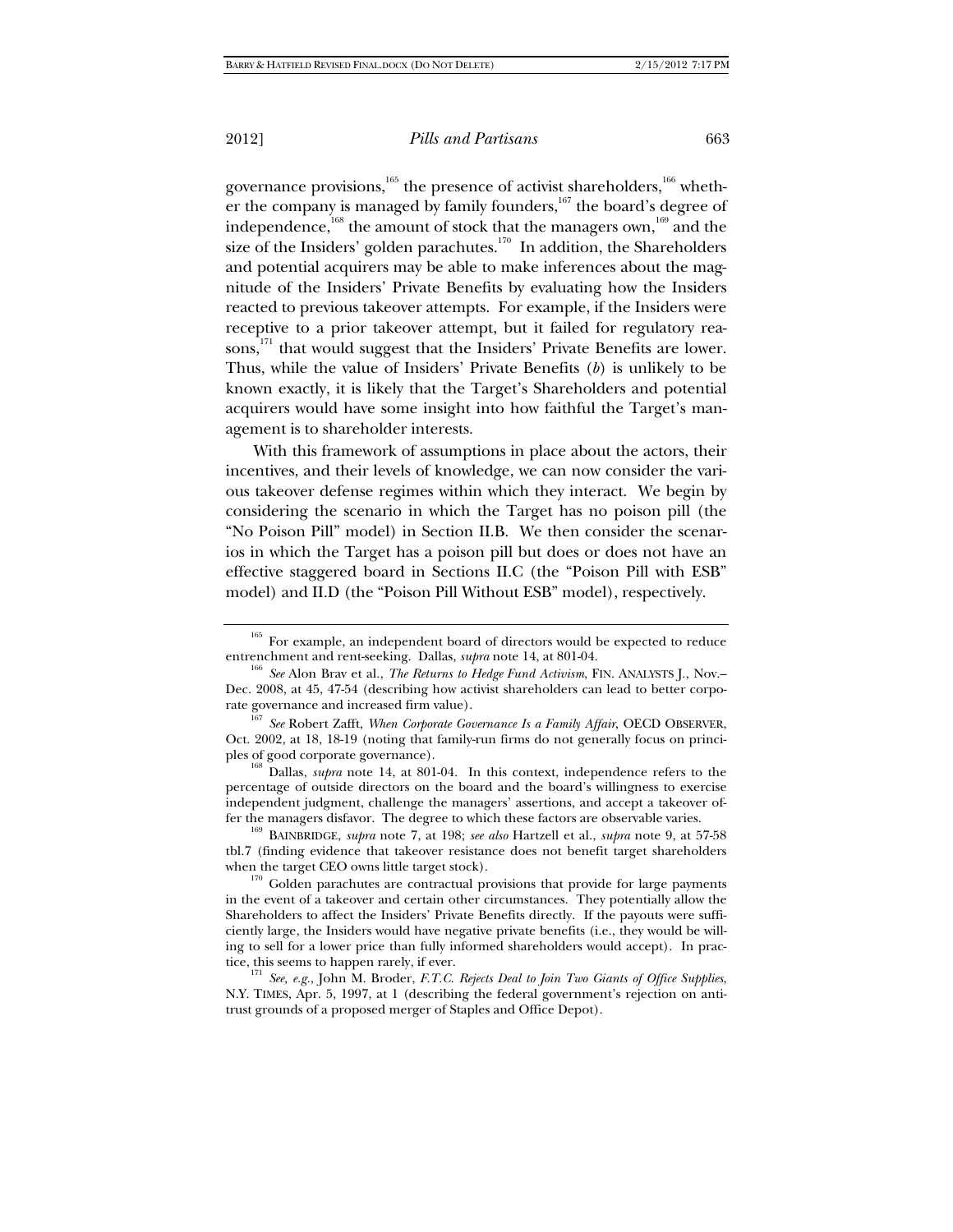governance provisions,<sup>165</sup> the presence of activist shareholders,<sup>166</sup> whether the company is managed by family founders, $167$  the board's degree of independence,<sup>168</sup> the amount of stock that the managers own,<sup>169</sup> and the size of the Insiders' golden parachutes.<sup>170</sup> In addition, the Shareholders and potential acquirers may be able to make inferences about the magnitude of the Insiders' Private Benefits by evaluating how the Insiders reacted to previous takeover attempts. For example, if the Insiders were receptive to a prior takeover attempt, but it failed for regulatory reasons,<sup>171</sup> that would suggest that the Insiders' Private Benefits are lower. Thus, while the value of Insiders' Private Benefits (*b*) is unlikely to be known exactly, it is likely that the Target's Shareholders and potential acquirers would have some insight into how faithful the Target's management is to shareholder interests.

With this framework of assumptions in place about the actors, their incentives, and their levels of knowledge, we can now consider the various takeover defense regimes within which they interact. We begin by considering the scenario in which the Target has no poison pill (the "No Poison Pill" model) in Section II.B. We then consider the scenarios in which the Target has a poison pill but does or does not have an effective staggered board in Sections II.C (the "Poison Pill with ESB" model) and II.D (the "Poison Pill Without ESB" model), respectively.

percentage of outside directors on the board and the board's willingness to exercise independent judgment, challenge the managers' assertions, and accept a takeover of-<br>fer the managers disfavor. The degree to which these factors are observable varies.

<sup>169</sup> BAINBRIDGE, *supra* note 7, at 198; *see also* Hartzell et al., *supra* note 9, at 57-58 tbl.7 (finding evidence that takeover resistance does not benefit target shareholders

when the target CEO owns little target stock).<br> $^{170}$  Golden parachutes are contractual provisions that provide for large payments in the event of a takeover and certain other circumstances. They potentially allow the Shareholders to affect the Insiders' Private Benefits directly. If the payouts were sufficiently large, the Insiders would have negative private benefits (i.e., they would be willing to sell for a lower price than fully informed shareholders would accept). In prac-

tice, this seems to happen rarely, if ever.<br><sup>171</sup> *See, e.g.*, John M. Broder, *F.T.C. Rejects Deal to Join Two Giants of Office Supplies*, N.Y. TIMES, Apr. 5, 1997, at 1 (describing the federal government's rejection on antitrust grounds of a proposed merger of Staples and Office Depot).

<sup>&</sup>lt;sup>165</sup> For example, an independent board of directors would be expected to reduce entrenchment and rent-seeking. Dallas, *supra* note 14, at 801-04.

<sup>&</sup>lt;sup>166</sup> See Alon Brav et al., *The Returns to Hedge Fund Activism*, FIN. ANALYSTS J., Nov.– Dec. 2008, at 45, 47-54 (describing how activist shareholders can lead to better corpo-

rate governance and increased firm value). 167 *See* Robert Zafft, *When Corporate Governance Is a Family Affair*, OECD OBSERVER, Oct. 2002, at 18, 18-19 (noting that family-run firms do not generally focus on principles of good corporate governance). 168 Dallas, *supra* note 14, at 801-04. In this context, independence refers to the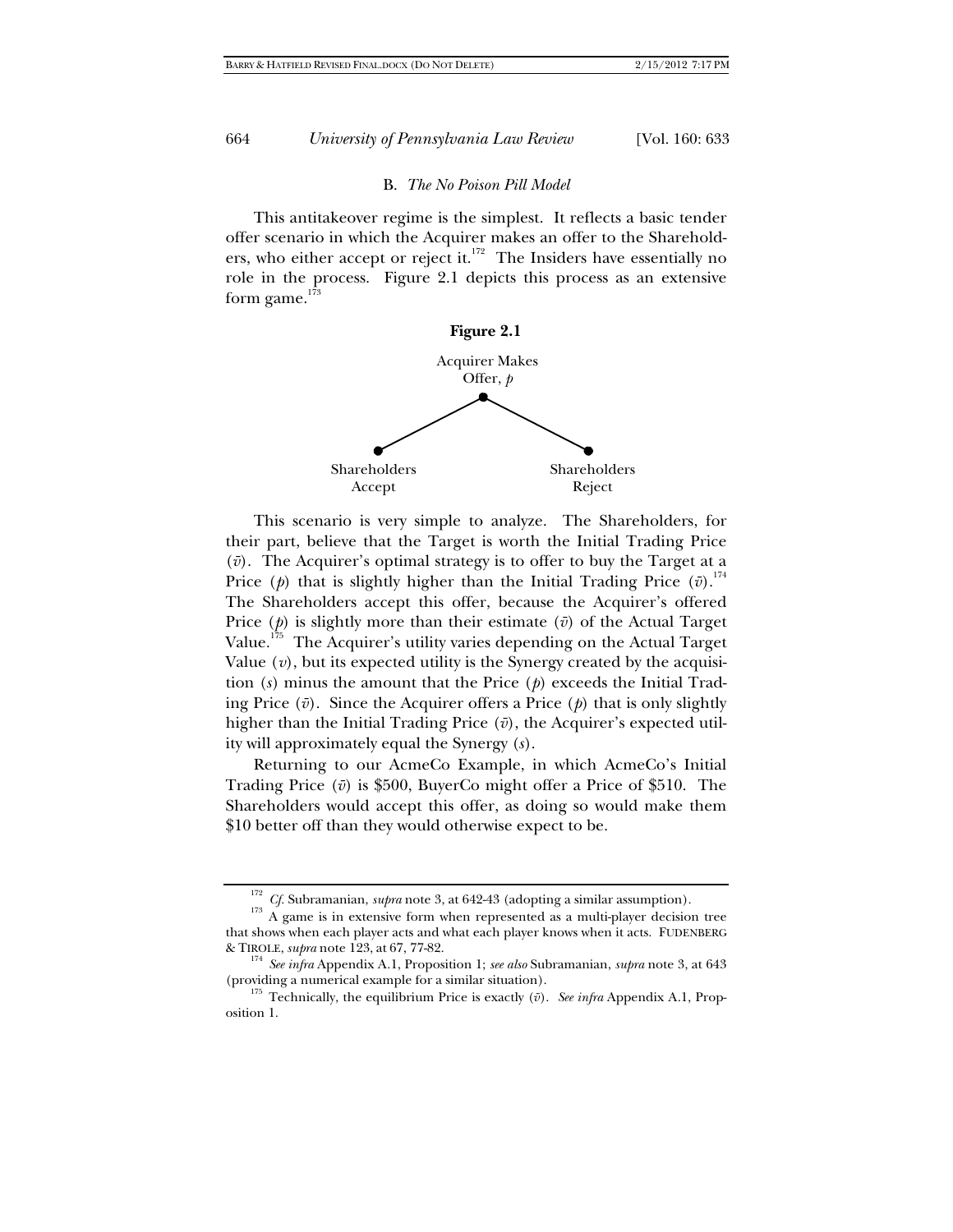#### B. *The No Poison Pill Model*

This antitakeover regime is the simplest. It reflects a basic tender offer scenario in which the Acquirer makes an offer to the Shareholders, who either accept or reject it. $172$  The Insiders have essentially no role in the process. Figure 2.1 depicts this process as an extensive form game. $1\overline{7}$ 



This scenario is very simple to analyze. The Shareholders, for their part, believe that the Target is worth the Initial Trading Price  $(v)$ . The Acquirer's optimal strategy is to offer to buy the Target at a Price (*p*) that is slightly higher than the Initial Trading Price ( $\bar{v}$ ).<sup>174</sup> The Shareholders accept this offer, because the Acquirer's offered Price  $(p)$  is slightly more than their estimate  $(\bar{v})$  of the Actual Target Value.<sup>175</sup> The Acquirer's utility varies depending on the Actual Target Value  $(v)$ , but its expected utility is the Synergy created by the acquisition (*s*) minus the amount that the Price (*p*) exceeds the Initial Trading Price  $(\bar{v})$ . Since the Acquirer offers a Price  $(\rho)$  that is only slightly higher than the Initial Trading Price  $(\bar{v})$ , the Acquirer's expected utility will approximately equal the Synergy (*s*).

Returning to our AcmeCo Example, in which AcmeCo's Initial Trading Price  $(\bar{v})$  is \$500, BuyerCo might offer a Price of \$510. The Shareholders would accept this offer, as doing so would make them \$10 better off than they would otherwise expect to be.

<sup>&</sup>lt;sup>172</sup> *Cf.* Subramanian, *supra* note 3, at 642-43 (adopting a similar assumption).<br><sup>173</sup> A game is in extensive form when represented as a multi-player decision tree that shows when each player acts and what each player knows when it acts. FUDENBERG

<sup>&</sup>amp; TIROLE, *supra* note 123, at 67, 77-82. 174 *See infra* Appendix A.1, Proposition 1; *see also* Subramanian, *supra* note 3, at 643 (providing a numerical example for a similar situation).<br><sup>175</sup> Technically, the equilibrium Price is exactly  $(\bar{v})$ . *See infra* Appendix A.1, Prop-

osition 1.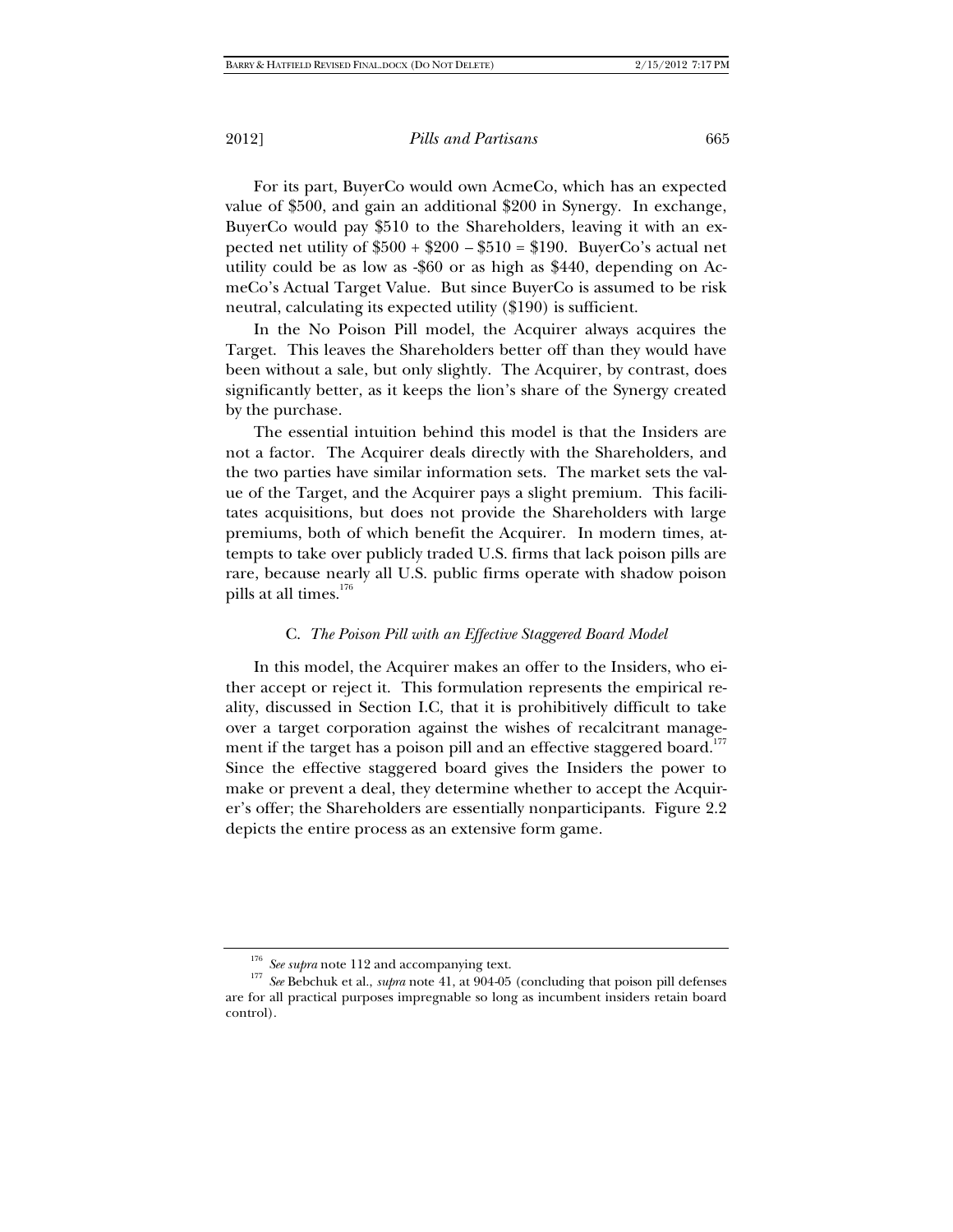For its part, BuyerCo would own AcmeCo, which has an expected value of \$500, and gain an additional \$200 in Synergy. In exchange, BuyerCo would pay \$510 to the Shareholders, leaving it with an expected net utility of  $$500 + $200 - $510 = $190$ . BuyerCo's actual net utility could be as low as -\$60 or as high as \$440, depending on AcmeCo's Actual Target Value. But since BuyerCo is assumed to be risk neutral, calculating its expected utility (\$190) is sufficient.

In the No Poison Pill model, the Acquirer always acquires the Target. This leaves the Shareholders better off than they would have been without a sale, but only slightly. The Acquirer, by contrast, does significantly better, as it keeps the lion's share of the Synergy created by the purchase.

The essential intuition behind this model is that the Insiders are not a factor. The Acquirer deals directly with the Shareholders, and the two parties have similar information sets. The market sets the value of the Target, and the Acquirer pays a slight premium. This facilitates acquisitions, but does not provide the Shareholders with large premiums, both of which benefit the Acquirer. In modern times, attempts to take over publicly traded U.S. firms that lack poison pills are rare, because nearly all U.S. public firms operate with shadow poison pills at all times.<sup>176</sup>

## C. *The Poison Pill with an Effective Staggered Board Model*

In this model, the Acquirer makes an offer to the Insiders, who either accept or reject it. This formulation represents the empirical reality, discussed in Section I.C, that it is prohibitively difficult to take over a target corporation against the wishes of recalcitrant management if the target has a poison pill and an effective staggered board.<sup>177</sup> Since the effective staggered board gives the Insiders the power to make or prevent a deal, they determine whether to accept the Acquirer's offer; the Shareholders are essentially nonparticipants. Figure 2.2 depicts the entire process as an extensive form game.

<sup>&</sup>lt;sup>176</sup> *See supra* note 112 and accompanying text.<br><sup>177</sup> *See* Bebchuk et al., *supra* note 41, at 904-05 (concluding that poison pill defenses are for all practical purposes impregnable so long as incumbent insiders retain board control).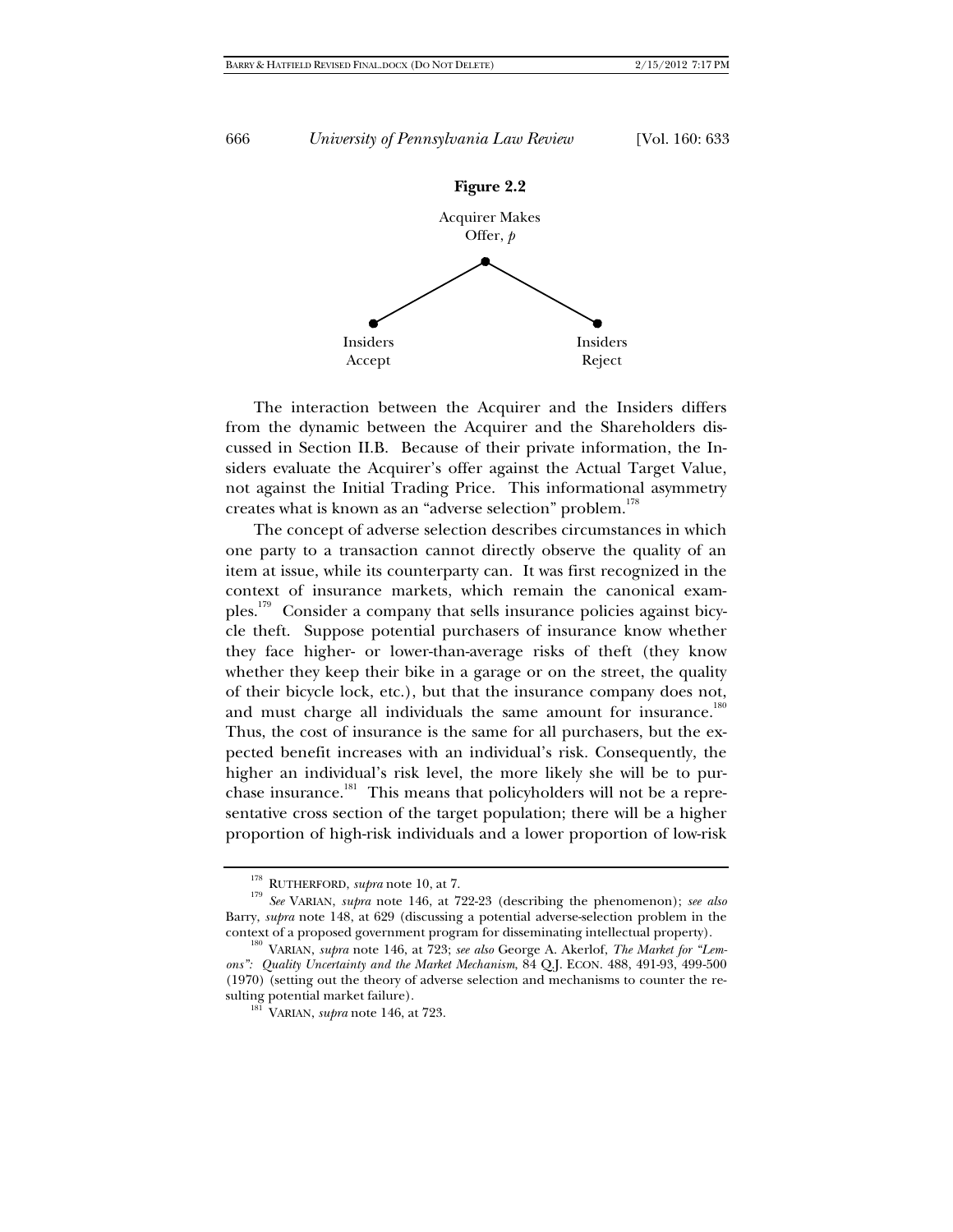

The interaction between the Acquirer and the Insiders differs from the dynamic between the Acquirer and the Shareholders discussed in Section II.B. Because of their private information, the Insiders evaluate the Acquirer's offer against the Actual Target Value, not against the Initial Trading Price. This informational asymmetry creates what is known as an "adverse selection" problem.<sup>178</sup>

The concept of adverse selection describes circumstances in which one party to a transaction cannot directly observe the quality of an item at issue, while its counterparty can. It was first recognized in the context of insurance markets, which remain the canonical examples.179 Consider a company that sells insurance policies against bicycle theft. Suppose potential purchasers of insurance know whether they face higher- or lower-than-average risks of theft (they know whether they keep their bike in a garage or on the street, the quality of their bicycle lock, etc.), but that the insurance company does not, and must charge all individuals the same amount for insurance.<sup>180</sup> Thus, the cost of insurance is the same for all purchasers, but the expected benefit increases with an individual's risk. Consequently, the higher an individual's risk level, the more likely she will be to purchase insurance.<sup>181</sup> This means that policyholders will not be a representative cross section of the target population; there will be a higher proportion of high-risk individuals and a lower proportion of low-risk

<sup>&</sup>lt;sup>178</sup> RUTHERFORD, *supra* note 10, at 7.<br><sup>179</sup> *See* VARIAN, *supra* note 146, at 722-23 (describing the phenomenon); *see also* Barry, *supra* note 148, at 629 (discussing a potential adverse-selection problem in the context of a proposed government program for disseminating intellectual property). 180 VARIAN, *supra* note 146, at 723; *see also* George A. Akerlof, *The Market for "Lem-*

*ons": Quality Uncertainty and the Market Mechanism*, 84 Q.J. ECON. 488, 491-93, 499-500 (1970) (setting out the theory of adverse selection and mechanisms to counter the re-

 $18\overline{1}$  VARIAN, *supra* note 146, at 723.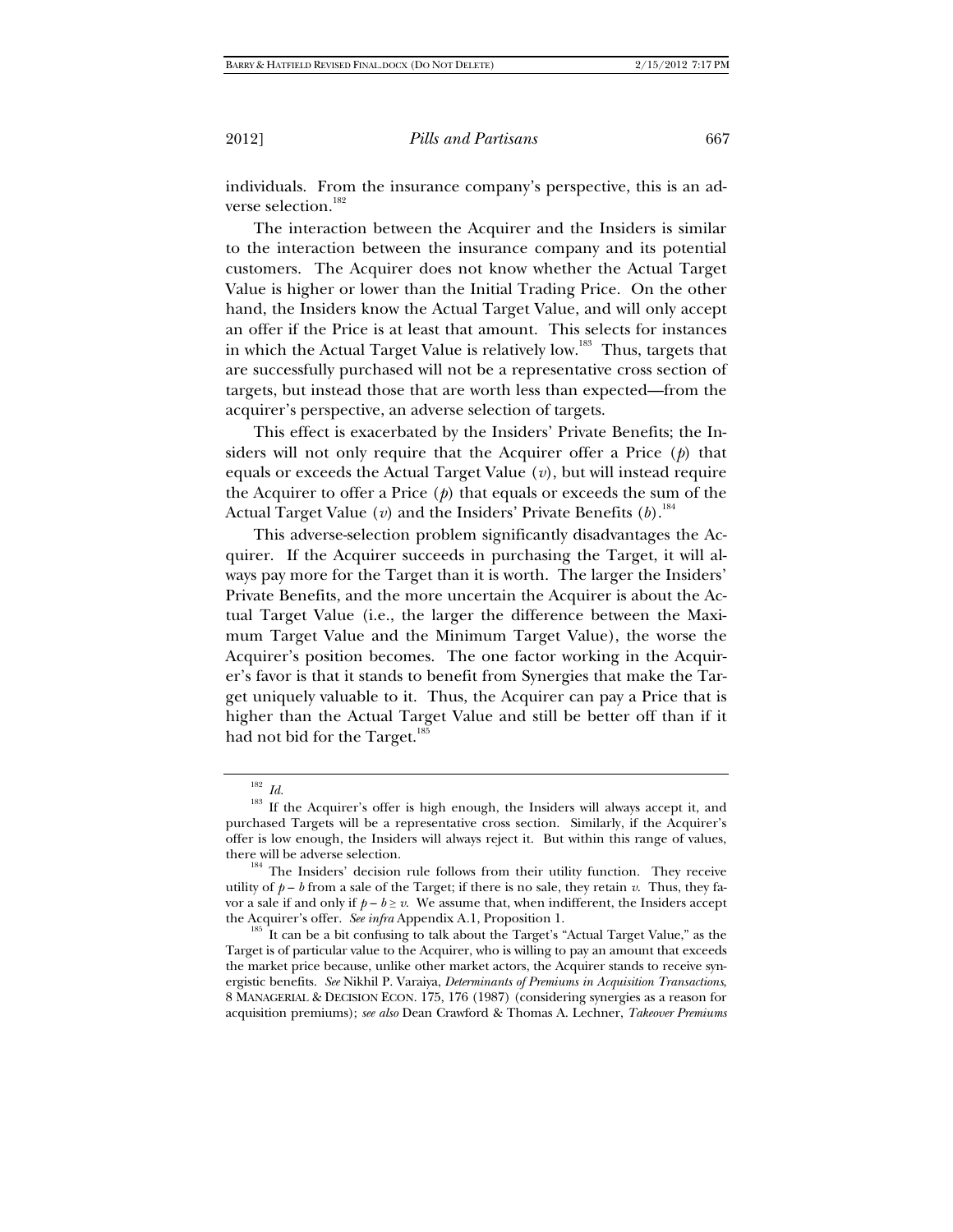individuals. From the insurance company's perspective, this is an adverse selection.<sup>182</sup>

The interaction between the Acquirer and the Insiders is similar to the interaction between the insurance company and its potential customers. The Acquirer does not know whether the Actual Target Value is higher or lower than the Initial Trading Price. On the other hand, the Insiders know the Actual Target Value, and will only accept an offer if the Price is at least that amount. This selects for instances in which the Actual Target Value is relatively low.<sup>183</sup> Thus, targets that are successfully purchased will not be a representative cross section of targets, but instead those that are worth less than expected—from the acquirer's perspective, an adverse selection of targets.

This effect is exacerbated by the Insiders' Private Benefits; the Insiders will not only require that the Acquirer offer a Price (*p*) that equals or exceeds the Actual Target Value (*v*), but will instead require the Acquirer to offer a Price (*p*) that equals or exceeds the sum of the Actual Target Value (*v*) and the Insiders' Private Benefits (*b*).184

This adverse-selection problem significantly disadvantages the Acquirer. If the Acquirer succeeds in purchasing the Target, it will always pay more for the Target than it is worth. The larger the Insiders' Private Benefits, and the more uncertain the Acquirer is about the Actual Target Value (i.e., the larger the difference between the Maximum Target Value and the Minimum Target Value), the worse the Acquirer's position becomes. The one factor working in the Acquirer's favor is that it stands to benefit from Synergies that make the Target uniquely valuable to it. Thus, the Acquirer can pay a Price that is higher than the Actual Target Value and still be better off than if it had not bid for the Target.<sup>185</sup>

<sup>&</sup>lt;sup>182</sup> *Id.* <sup>183</sup> *Id.* **183** If the Acquirer's offer is high enough, the Insiders will always accept it, and purchased Targets will be a representative cross section. Similarly, if the Acquirer's offer is low enough, the Insiders will always reject it. But within this range of values,

there will be adverse selection.  $184$  The Insiders' decision rule follows from their utility function. They receive utility of  $p - b$  from a sale of the Target; if there is no sale, they retain *v*. Thus, they favor a sale if and only if  $p - b \ge v$ . We assume that, when indifferent, the Insiders accept the Acquirer's offer. *See infra* Appendix A.1, Proposition 1.<br><sup>185</sup> It can be a bit confusing to talk about the Target's "Actual Target Value," as the

Target is of particular value to the Acquirer, who is willing to pay an amount that exceeds the market price because, unlike other market actors, the Acquirer stands to receive synergistic benefits. *See* Nikhil P. Varaiya, *Determinants of Premiums in Acquisition Transactions*, 8 MANAGERIAL & DECISION ECON. 175, 176 (1987) (considering synergies as a reason for acquisition premiums); *see also* Dean Crawford & Thomas A. Lechner, *Takeover Premiums*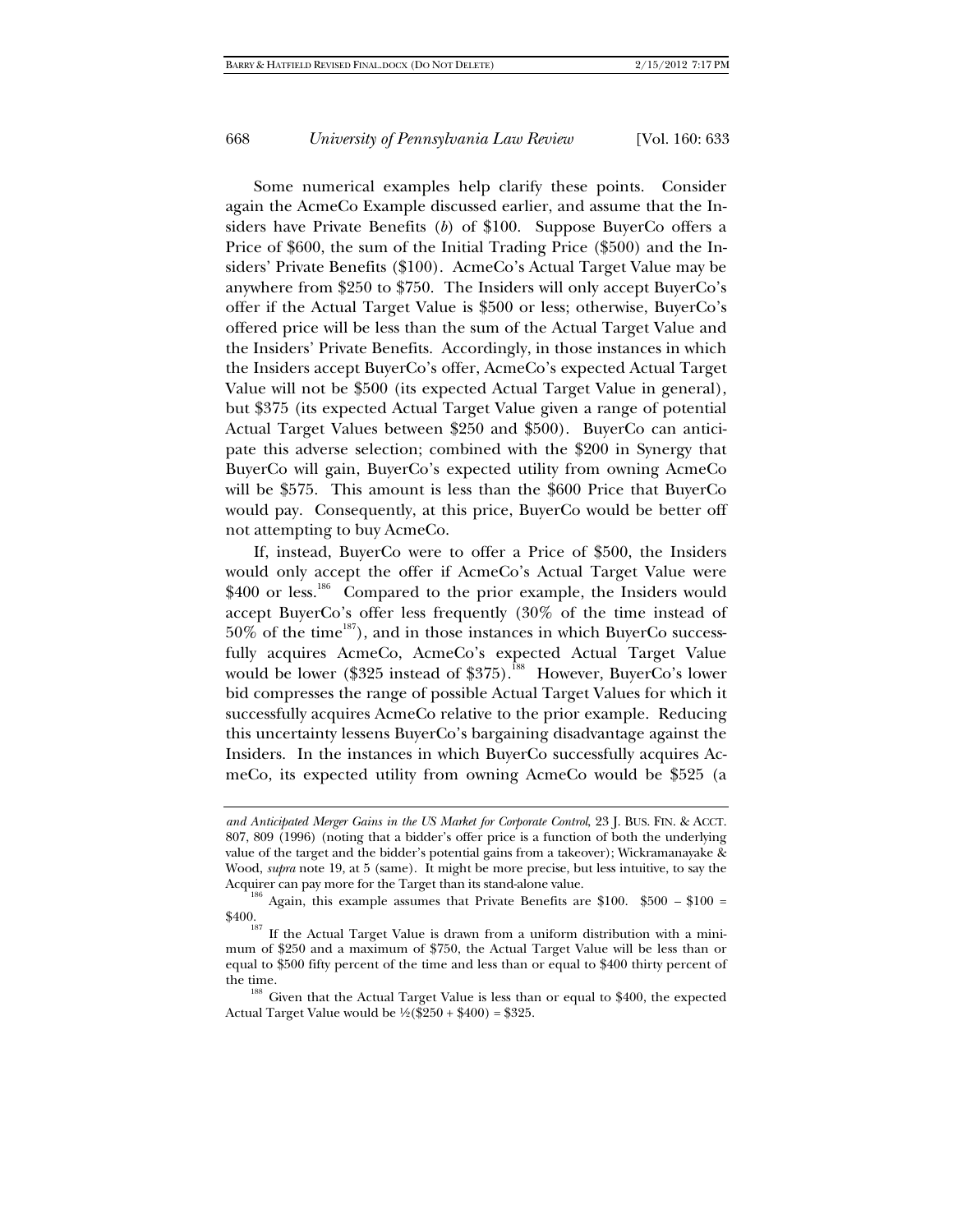Some numerical examples help clarify these points. Consider again the AcmeCo Example discussed earlier, and assume that the Insiders have Private Benefits (*b*) of \$100. Suppose BuyerCo offers a Price of \$600, the sum of the Initial Trading Price (\$500) and the Insiders' Private Benefits (\$100). AcmeCo's Actual Target Value may be anywhere from \$250 to \$750. The Insiders will only accept BuyerCo's offer if the Actual Target Value is \$500 or less; otherwise, BuyerCo's offered price will be less than the sum of the Actual Target Value and the Insiders' Private Benefits. Accordingly, in those instances in which the Insiders accept BuyerCo's offer, AcmeCo's expected Actual Target Value will not be \$500 (its expected Actual Target Value in general), but \$375 (its expected Actual Target Value given a range of potential Actual Target Values between \$250 and \$500). BuyerCo can anticipate this adverse selection; combined with the \$200 in Synergy that BuyerCo will gain, BuyerCo's expected utility from owning AcmeCo will be \$575. This amount is less than the \$600 Price that BuyerCo would pay. Consequently, at this price, BuyerCo would be better off not attempting to buy AcmeCo.

If, instead, BuyerCo were to offer a Price of \$500, the Insiders would only accept the offer if AcmeCo's Actual Target Value were \$400 or less.<sup>186</sup> Compared to the prior example, the Insiders would accept BuyerCo's offer less frequently (30% of the time instead of  $50\%$  of the time<sup>187</sup>), and in those instances in which BuyerCo successfully acquires AcmeCo, AcmeCo's expected Actual Target Value would be lower (\$325 instead of \$375).<sup>588</sup> However, BuyerCo's lower bid compresses the range of possible Actual Target Values for which it successfully acquires AcmeCo relative to the prior example. Reducing this uncertainty lessens BuyerCo's bargaining disadvantage against the Insiders. In the instances in which BuyerCo successfully acquires AcmeCo, its expected utility from owning AcmeCo would be \$525 (a

*and Anticipated Merger Gains in the US Market for Corporate Control*, 23 J. BUS. FIN. & ACCT. 807, 809 (1996) (noting that a bidder's offer price is a function of both the underlying value of the target and the bidder's potential gains from a takeover); Wickramanayake & Wood, *supra* note 19, at 5 (same). It might be more precise, but less intuitive, to say the Acquirer can pay more for the Target than its stand-alone value.

<sup>&</sup>lt;sup>186</sup> Again, this example assumes that Private Benefits are \$100. \$500 – \$100 =

<sup>\$400.&</sup>lt;br><sup>187</sup> If the Actual Target Value is drawn from a uniform distribution with a minimum of \$250 and a maximum of \$750, the Actual Target Value will be less than or equal to \$500 fifty percent of the time and less than or equal to \$400 thirty percent of

the time.<br><sup>188</sup> Given that the Actual Target Value is less than or equal to \$400, the expected Actual Target Value would be  $\frac{1}{2}$ (\$250 + \$400) = \$325.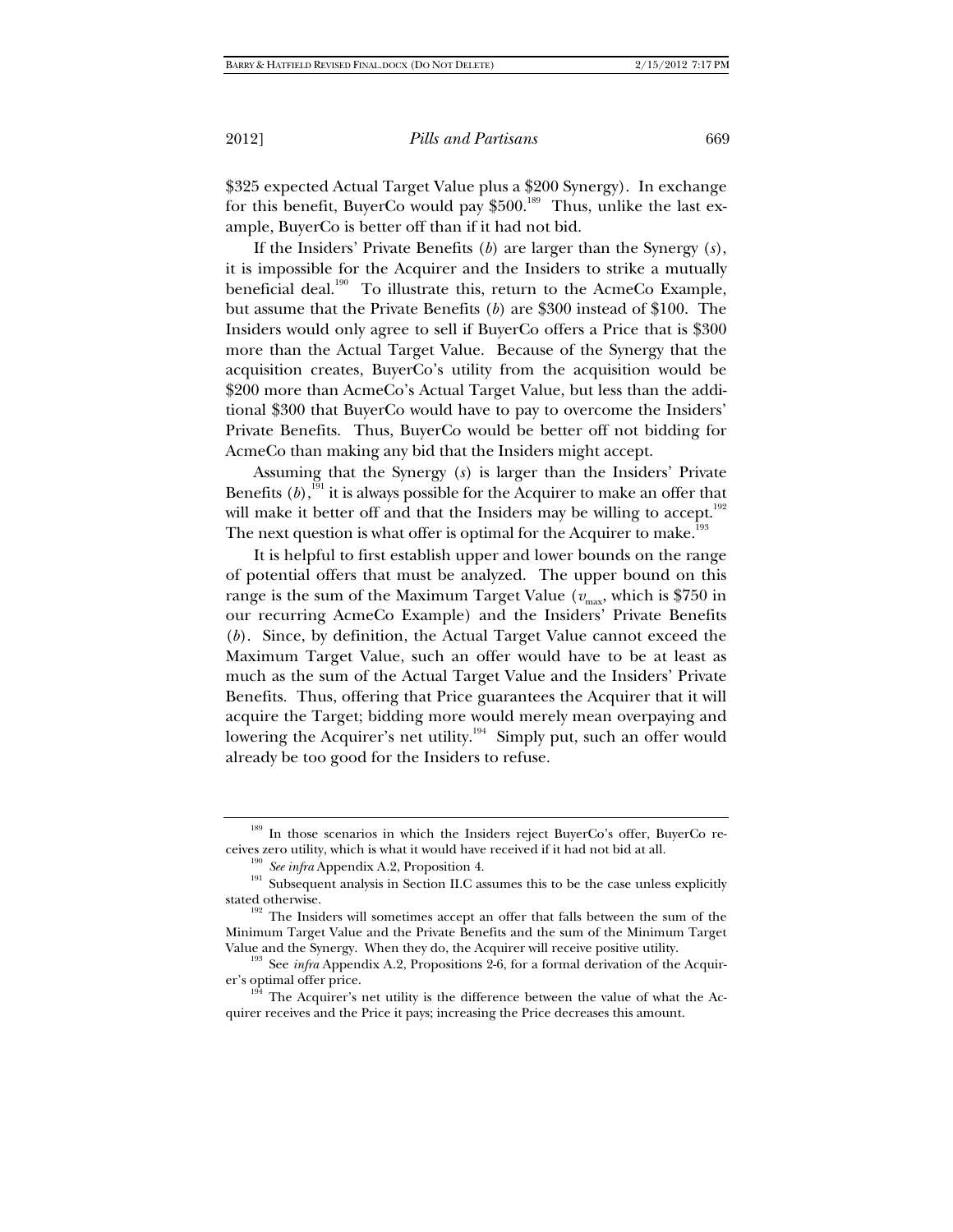\$325 expected Actual Target Value plus a \$200 Synergy). In exchange for this benefit, BuyerCo would pay  $$500.<sup>189</sup>$  Thus, unlike the last example, BuyerCo is better off than if it had not bid.

If the Insiders' Private Benefits (*b*) are larger than the Synergy (*s*), it is impossible for the Acquirer and the Insiders to strike a mutually beneficial deal.<sup>190</sup> To illustrate this, return to the AcmeCo Example, but assume that the Private Benefits (*b*) are \$300 instead of \$100. The Insiders would only agree to sell if BuyerCo offers a Price that is \$300 more than the Actual Target Value. Because of the Synergy that the acquisition creates, BuyerCo's utility from the acquisition would be \$200 more than AcmeCo's Actual Target Value, but less than the additional \$300 that BuyerCo would have to pay to overcome the Insiders' Private Benefits. Thus, BuyerCo would be better off not bidding for AcmeCo than making any bid that the Insiders might accept.

Assuming that the Synergy (*s*) is larger than the Insiders' Private Benefits  $(b)$ ,<sup>191</sup> it is always possible for the Acquirer to make an offer that will make it better off and that the Insiders may be willing to accept.<sup>192</sup> The next question is what offer is optimal for the Acquirer to make.<sup>193</sup>

It is helpful to first establish upper and lower bounds on the range of potential offers that must be analyzed. The upper bound on this range is the sum of the Maximum Target Value ( $v_{\text{max}}$ , which is \$750 in our recurring AcmeCo Example) and the Insiders' Private Benefits (*b*). Since, by definition, the Actual Target Value cannot exceed the Maximum Target Value, such an offer would have to be at least as much as the sum of the Actual Target Value and the Insiders' Private Benefits. Thus, offering that Price guarantees the Acquirer that it will acquire the Target; bidding more would merely mean overpaying and lowering the Acquirer's net utility.<sup>194</sup> Simply put, such an offer would already be too good for the Insiders to refuse.

<sup>&</sup>lt;sup>189</sup> In those scenarios in which the Insiders reject BuyerCo's offer, BuyerCo re-

ceives zero utility, which is what it would have received if it had not bid at all.<br><sup>190</sup> *See infra* Appendix A.2, Proposition 4.<br><sup>191</sup> Subsequent analysis in Section II.C assumes this to be the case unless explicitly

stated otherwise.<br><sup>192</sup> The Insiders will sometimes accept an offer that falls between the sum of the Minimum Target Value and the Private Benefits and the sum of the Minimum Target

Value and the Synergy. When they do, the Acquirer will receive positive utility. 193 See *infra* Appendix A.2, Propositions 2-6, for a formal derivation of the Acquirer's optimal offer price.<br><sup>194</sup> The Acquirer's net utility is the difference between the value of what the Ac-

quirer receives and the Price it pays; increasing the Price decreases this amount.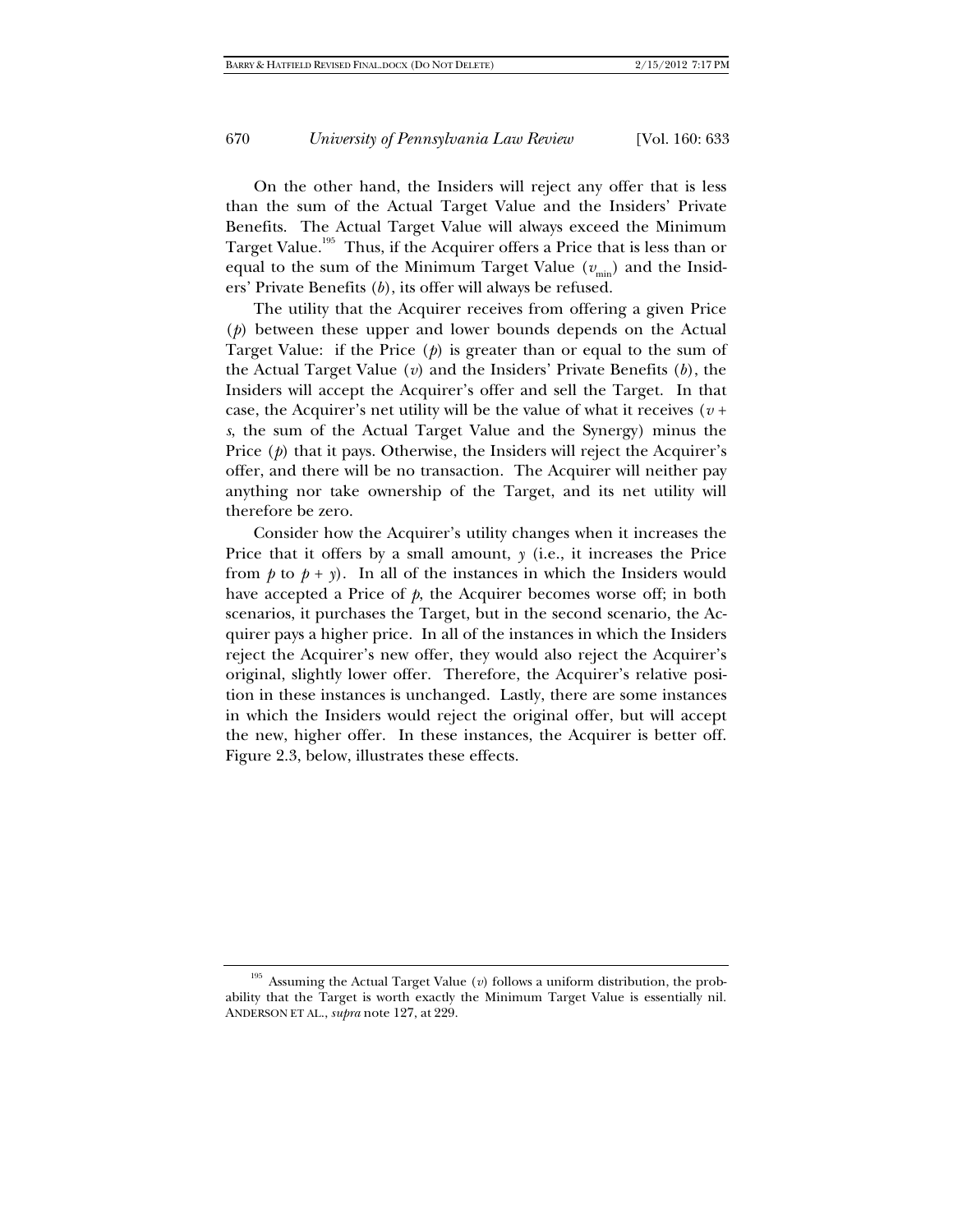On the other hand, the Insiders will reject any offer that is less than the sum of the Actual Target Value and the Insiders' Private Benefits. The Actual Target Value will always exceed the Minimum Target Value.<sup>195</sup> Thus, if the Acquirer offers a Price that is less than or equal to the sum of the Minimum Target Value  $(v_{min})$  and the Insiders' Private Benefits (*b*), its offer will always be refused.

The utility that the Acquirer receives from offering a given Price (*p*) between these upper and lower bounds depends on the Actual Target Value: if the Price (*p*) is greater than or equal to the sum of the Actual Target Value (*v*) and the Insiders' Private Benefits (*b*), the Insiders will accept the Acquirer's offer and sell the Target. In that case, the Acquirer's net utility will be the value of what it receives  $(v +$ *s*, the sum of the Actual Target Value and the Synergy) minus the Price (*p*) that it pays. Otherwise, the Insiders will reject the Acquirer's offer, and there will be no transaction. The Acquirer will neither pay anything nor take ownership of the Target, and its net utility will therefore be zero.

Consider how the Acquirer's utility changes when it increases the Price that it offers by a small amount,  $y$  (i.e., it increases the Price from  $p$  to  $p + y$ ). In all of the instances in which the Insiders would have accepted a Price of *p*, the Acquirer becomes worse off; in both scenarios, it purchases the Target, but in the second scenario, the Acquirer pays a higher price. In all of the instances in which the Insiders reject the Acquirer's new offer, they would also reject the Acquirer's original, slightly lower offer. Therefore, the Acquirer's relative position in these instances is unchanged. Lastly, there are some instances in which the Insiders would reject the original offer, but will accept the new, higher offer. In these instances, the Acquirer is better off. Figure 2.3, below, illustrates these effects.

<sup>195</sup> Assuming the Actual Target Value (*v*) follows a uniform distribution, the probability that the Target is worth exactly the Minimum Target Value is essentially nil. ANDERSON ET AL., *supra* note 127, at 229.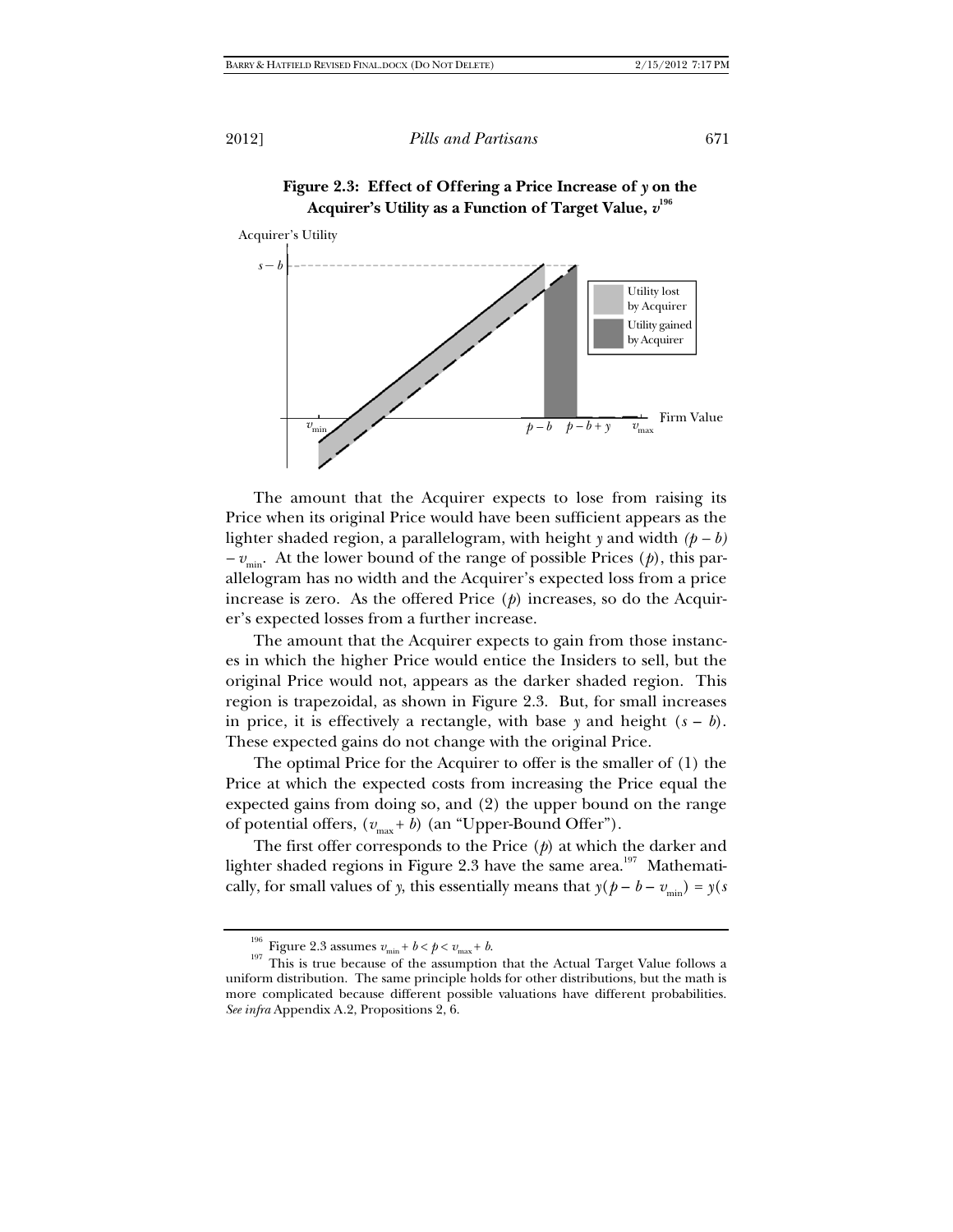



The amount that the Acquirer expects to lose from raising its Price when its original Price would have been sufficient appears as the lighter shaded region, a parallelogram, with height *y* and width *(p – b)*   $-v_{\text{min}}$ . At the lower bound of the range of possible Prices (*p*), this parallelogram has no width and the Acquirer's expected loss from a price increase is zero. As the offered Price (*p*) increases, so do the Acquirer's expected losses from a further increase.

The amount that the Acquirer expects to gain from those instances in which the higher Price would entice the Insiders to sell, but the original Price would not, appears as the darker shaded region. This region is trapezoidal, as shown in Figure 2.3. But, for small increases in price, it is effectively a rectangle, with base  $\gamma$  and height  $(s - b)$ . These expected gains do not change with the original Price.

The optimal Price for the Acquirer to offer is the smaller of (1) the Price at which the expected costs from increasing the Price equal the expected gains from doing so, and (2) the upper bound on the range of potential offers,  $(v_{\text{max}} + b)$  (an "Upper-Bound Offer").

The first offer corresponds to the Price (*p*) at which the darker and lighter shaded regions in Figure 2.3 have the same area.<sup>197</sup> Mathematically, for small values of *y*, this essentially means that  $y(p - b - v_{min}) = y(s)$ 

<sup>&</sup>lt;sup>196</sup> Figure 2.3 assumes  $v_{\text{min}} + b < p < v_{\text{max}} + b$ .<br><sup>197</sup> This is true because of the assumption that the Actual Target Value follows a uniform distribution. The same principle holds for other distributions, but the math is more complicated because different possible valuations have different probabilities. *See infra* Appendix A.2, Propositions 2, 6.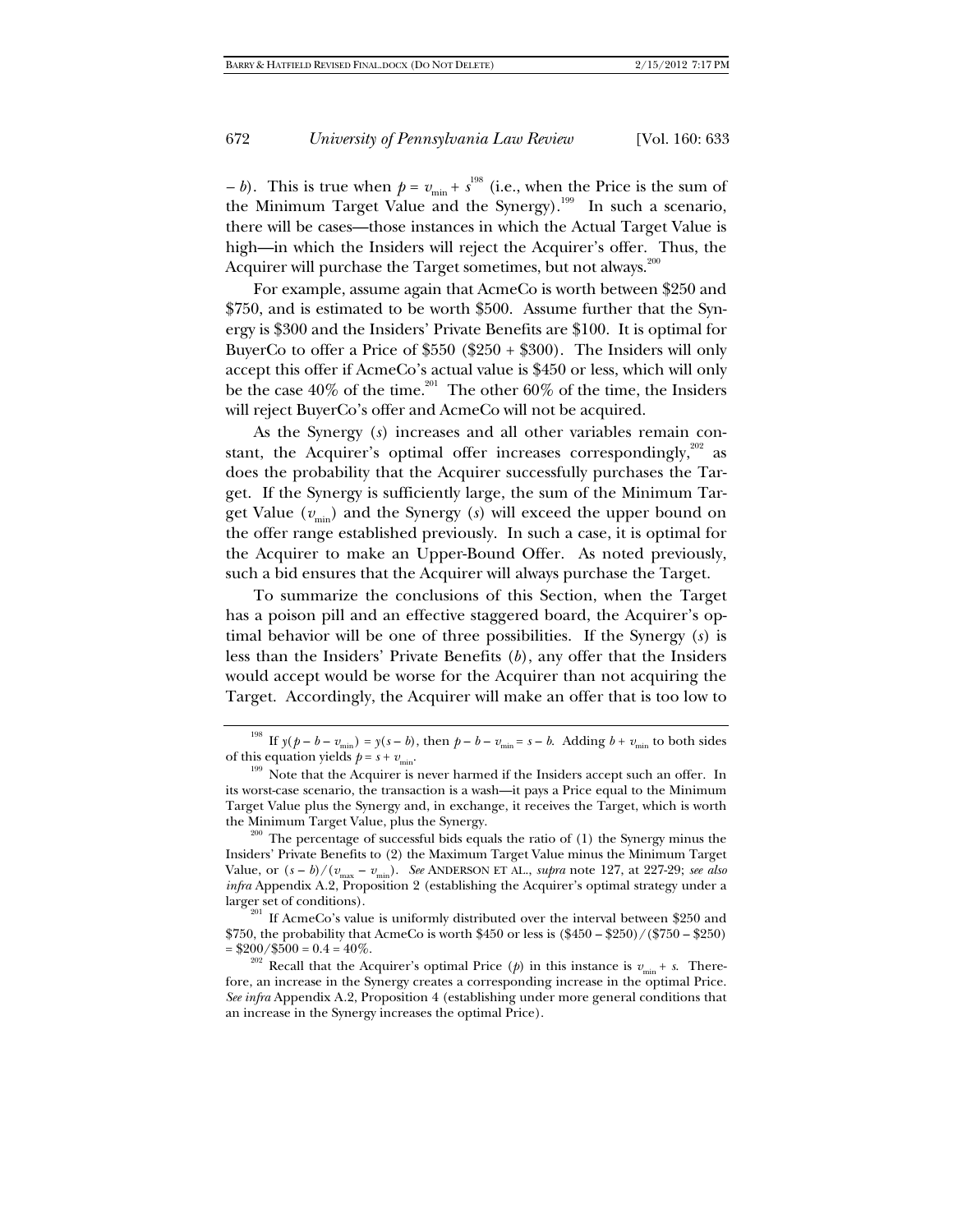*– b*). This is true when  $p = v_{min} + s^{198}$  (i.e., when the Price is the sum of the Minimum Target Value and the Synergy).<sup>199</sup> In such a scenario, there will be cases—those instances in which the Actual Target Value is high—in which the Insiders will reject the Acquirer's offer. Thus, the Acquirer will purchase the Target sometimes, but not always.<sup>200</sup>

For example, assume again that AcmeCo is worth between \$250 and \$750, and is estimated to be worth \$500. Assume further that the Synergy is \$300 and the Insiders' Private Benefits are \$100. It is optimal for BuyerCo to offer a Price of  $$550 ($250 + $300)$ . The Insiders will only accept this offer if AcmeCo's actual value is \$450 or less, which will only be the case  $40\%$  of the time.<sup>201</sup> The other  $60\%$  of the time, the Insiders will reject BuyerCo's offer and AcmeCo will not be acquired.

As the Synergy (*s*) increases and all other variables remain constant, the Acquirer's optimal offer increases correspondingly,<sup>202</sup> as does the probability that the Acquirer successfully purchases the Target. If the Synergy is sufficiently large, the sum of the Minimum Target Value  $(v_{\text{min}})$  and the Synergy (s) will exceed the upper bound on the offer range established previously. In such a case, it is optimal for the Acquirer to make an Upper-Bound Offer. As noted previously, such a bid ensures that the Acquirer will always purchase the Target.

To summarize the conclusions of this Section, when the Target has a poison pill and an effective staggered board, the Acquirer's optimal behavior will be one of three possibilities. If the Synergy (*s*) is less than the Insiders' Private Benefits (*b*), any offer that the Insiders would accept would be worse for the Acquirer than not acquiring the Target. Accordingly, the Acquirer will make an offer that is too low to

<sup>&</sup>lt;sup>198</sup> If  $y(p - b - v_{\text{min}}) = y(s - b)$ , then  $p - b - v_{\text{min}} = s - b$ . Adding  $b + v_{\text{min}}$  to both sides of this equation yields  $p = s + v_{\text{min}}$ .

<sup>&</sup>lt;sup>199</sup> Note that the Acquirer is never harmed if the Insiders accept such an offer. In its worst-case scenario, the transaction is a wash—it pays a Price equal to the Minimum Target Value plus the Synergy and, in exchange, it receives the Target, which is worth the Minimum Target Value, plus the Synergy.<br><sup>200</sup> The percentage of successful bids equals the ratio of (1) the Synergy minus the

Insiders' Private Benefits to (2) the Maximum Target Value minus the Minimum Target Value, or  $(s - b)/(v_{\text{max}} - v_{\text{min}})$ . *See* ANDERSON ET AL., *supra* note 127, at 227-29; *see also infra* Appendix A.2, Proposition 2 (establishing the Acquirer's optimal strategy under a larger set of conditions).

<sup>&</sup>lt;sup>201</sup> If AcmeCo's value is uniformly distributed over the interval between \$250 and \$750, the probability that AcmeCo is worth \$450 or less is  $(\$450 - \$250) / (\$750 - \$250)$ 

 $=$  \$200/\$500 = 0.4 = 40%.<br><sup>202</sup> Recall that the Acquirer's optimal Price (*p*) in this instance is  $v_{\text{min}} + s$ . Therefore, an increase in the Synergy creates a corresponding increase in the optimal Price. *See infra* Appendix A.2, Proposition 4 (establishing under more general conditions that an increase in the Synergy increases the optimal Price).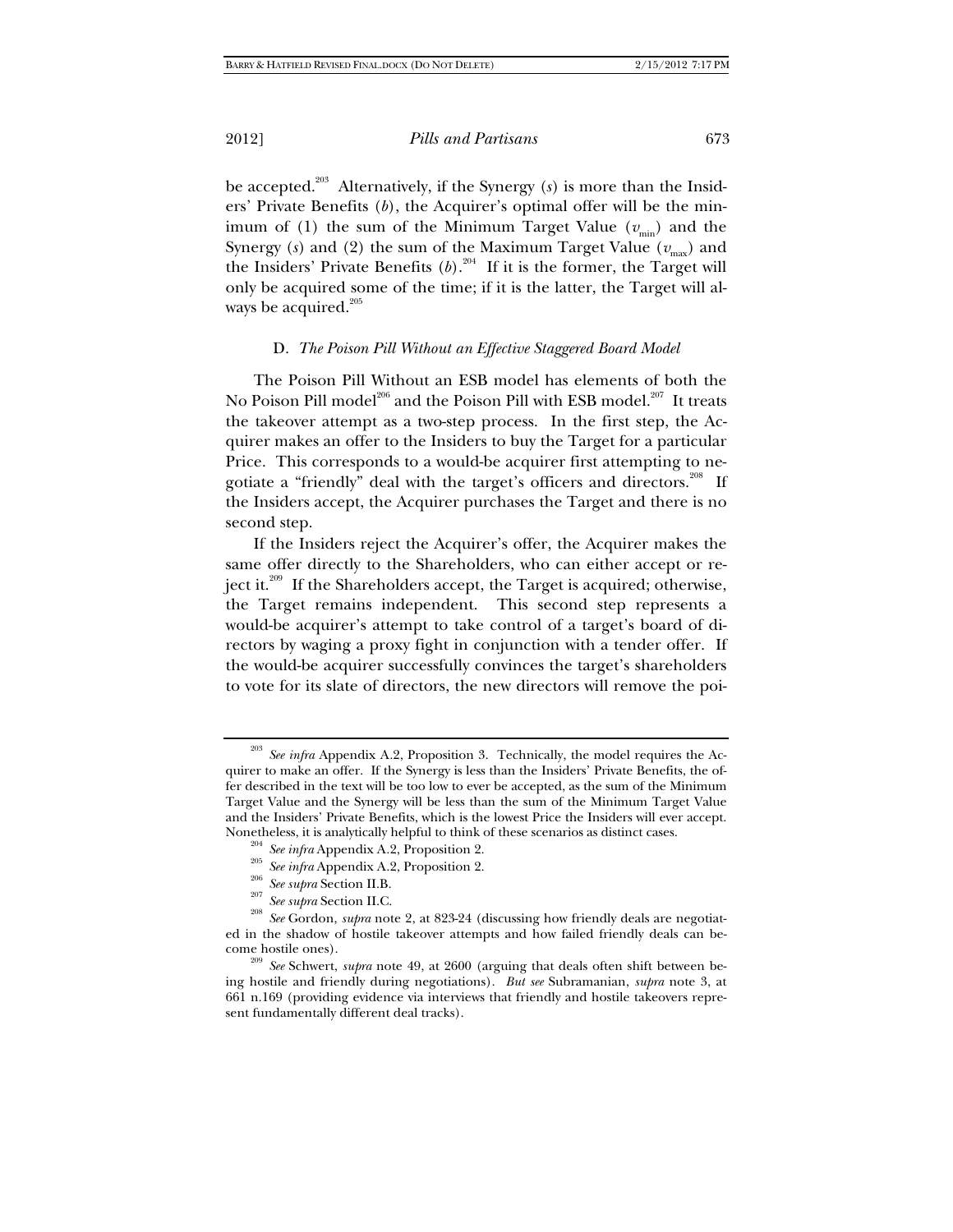be accepted.203 Alternatively, if the Synergy (*s*) is more than the Insiders' Private Benefits (*b*), the Acquirer's optimal offer will be the minimum of (1) the sum of the Minimum Target Value  $(v_{min})$  and the Synergy (s) and (2) the sum of the Maximum Target Value ( $v_{\text{max}}$ ) and the Insiders' Private Benefits  $(b)$ <sup>204</sup> If it is the former, the Target will only be acquired some of the time; if it is the latter, the Target will always be acquired.<sup>205</sup>

## D. *The Poison Pill Without an Effective Staggered Board Model*

The Poison Pill Without an ESB model has elements of both the No Poison Pill model<sup>206</sup> and the Poison Pill with ESB model.<sup>207</sup> It treats the takeover attempt as a two-step process. In the first step, the Acquirer makes an offer to the Insiders to buy the Target for a particular Price. This corresponds to a would-be acquirer first attempting to negotiate a "friendly" deal with the target's officers and directors.<sup>208</sup> If the Insiders accept, the Acquirer purchases the Target and there is no second step.

If the Insiders reject the Acquirer's offer, the Acquirer makes the same offer directly to the Shareholders, who can either accept or reject it.<sup>209</sup> If the Shareholders accept, the Target is acquired; otherwise, the Target remains independent. This second step represents a would-be acquirer's attempt to take control of a target's board of directors by waging a proxy fight in conjunction with a tender offer. If the would-be acquirer successfully convinces the target's shareholders to vote for its slate of directors, the new directors will remove the poi-

- 
- 

<sup>203</sup> *See infra* Appendix A.2, Proposition 3. Technically, the model requires the Acquirer to make an offer. If the Synergy is less than the Insiders' Private Benefits, the offer described in the text will be too low to ever be accepted, as the sum of the Minimum Target Value and the Synergy will be less than the sum of the Minimum Target Value and the Insiders' Private Benefits, which is the lowest Price the Insiders will ever accept.

<sup>&</sup>lt;sup>204</sup> See infra Appendix A.2, Proposition 2.<br><sup>205</sup> See infra Appendix A.2, Proposition 2.<br><sup>205</sup> See supra Section II.B.<br><sup>207</sup> See supra Section II.C.<br><sup>208</sup> See Gordon, *supra* note 2, at 823-24 (discussing how friendly de ed in the shadow of hostile takeover attempts and how failed friendly deals can be-

come hostile ones). 209 *See* Schwert, *supra* note 49, at 2600 (arguing that deals often shift between being hostile and friendly during negotiations). *But see* Subramanian, *supra* note 3, at 661 n.169 (providing evidence via interviews that friendly and hostile takeovers represent fundamentally different deal tracks).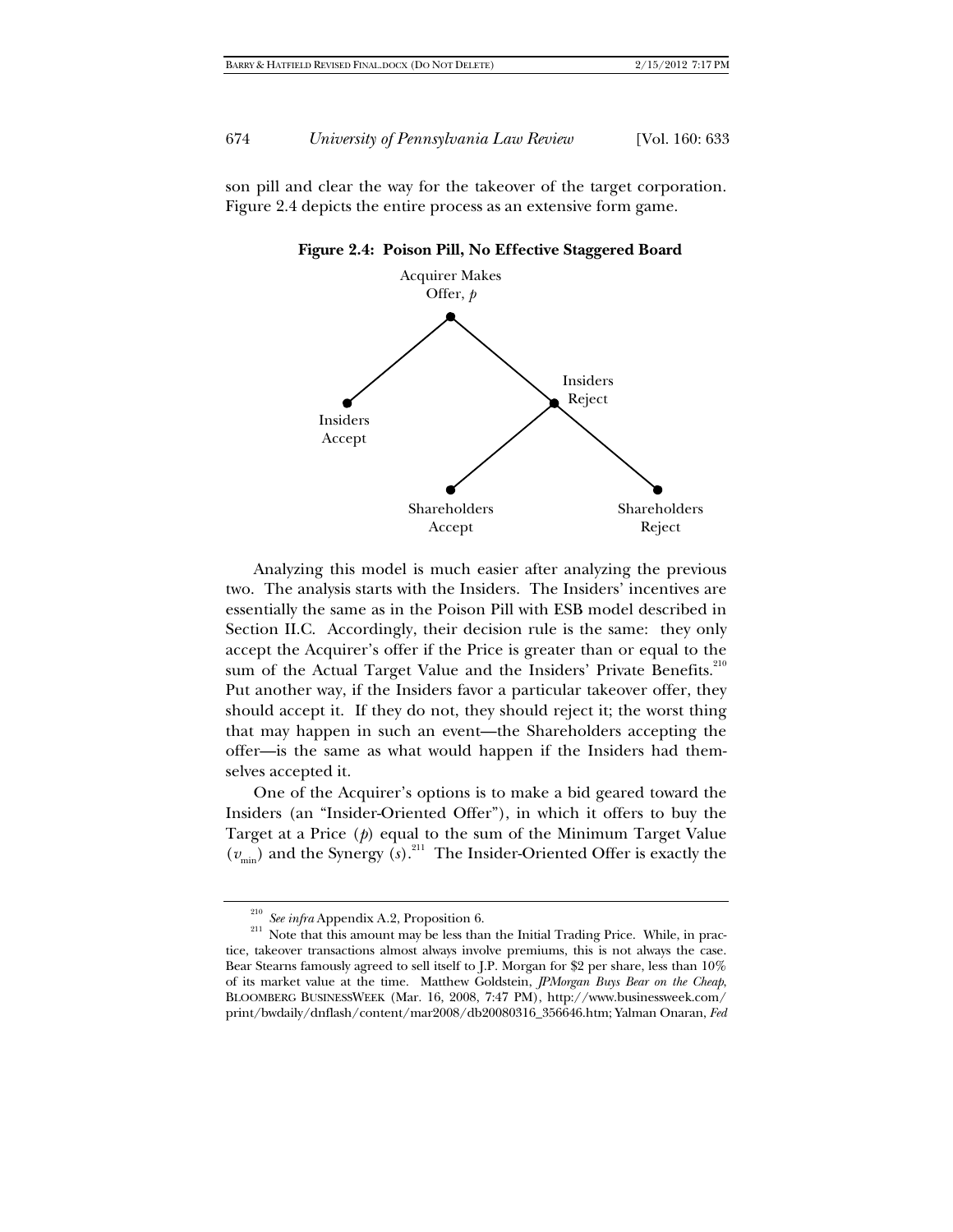son pill and clear the way for the takeover of the target corporation. Figure 2.4 depicts the entire process as an extensive form game.





Analyzing this model is much easier after analyzing the previous two. The analysis starts with the Insiders. The Insiders' incentives are essentially the same as in the Poison Pill with ESB model described in Section II.C. Accordingly, their decision rule is the same: they only accept the Acquirer's offer if the Price is greater than or equal to the sum of the Actual Target Value and the Insiders' Private Benefits.<sup>210</sup> Put another way, if the Insiders favor a particular takeover offer, they should accept it. If they do not, they should reject it; the worst thing that may happen in such an event—the Shareholders accepting the offer—is the same as what would happen if the Insiders had themselves accepted it.

One of the Acquirer's options is to make a bid geared toward the Insiders (an "Insider-Oriented Offer"), in which it offers to buy the Target at a Price (*p*) equal to the sum of the Minimum Target Value  $(v_{\text{min}})$  and the Synergy  $(s)$ .<sup>211</sup> The Insider-Oriented Offer is exactly the

<sup>&</sup>lt;sup>210</sup> *See infra* Appendix A.2, Proposition 6.<br><sup>211</sup> Note that this amount may be less than the Initial Trading Price. While, in practice, takeover transactions almost always involve premiums, this is not always the case. Bear Stearns famously agreed to sell itself to J.P. Morgan for \$2 per share, less than 10% of its market value at the time. Matthew Goldstein, *JPMorgan Buys Bear on the Cheap*, BLOOMBERG BUSINESSWEEK (Mar. 16, 2008, 7:47 PM), http://www.businessweek.com/ print/bwdaily/dnflash/content/mar2008/db20080316\_356646.htm; Yalman Onaran, *Fed*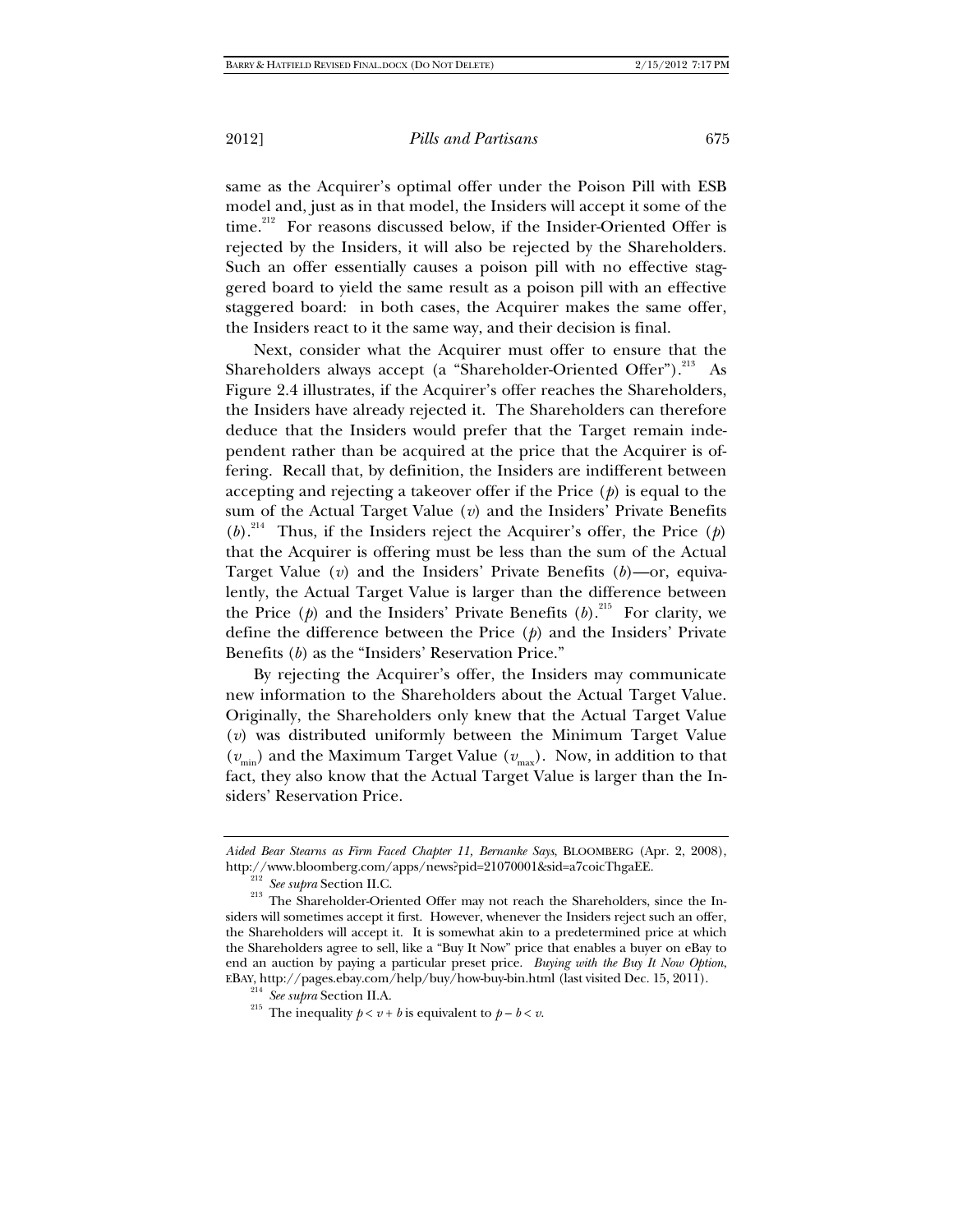same as the Acquirer's optimal offer under the Poison Pill with ESB model and, just as in that model, the Insiders will accept it some of the time.<sup>212</sup> For reasons discussed below, if the Insider-Oriented Offer is rejected by the Insiders, it will also be rejected by the Shareholders. Such an offer essentially causes a poison pill with no effective staggered board to yield the same result as a poison pill with an effective staggered board: in both cases, the Acquirer makes the same offer, the Insiders react to it the same way, and their decision is final.

Next, consider what the Acquirer must offer to ensure that the Shareholders always accept (a "Shareholder-Oriented Offer").<sup>213</sup> As Figure 2.4 illustrates, if the Acquirer's offer reaches the Shareholders, the Insiders have already rejected it. The Shareholders can therefore deduce that the Insiders would prefer that the Target remain independent rather than be acquired at the price that the Acquirer is offering. Recall that, by definition, the Insiders are indifferent between accepting and rejecting a takeover offer if the Price (*p*) is equal to the sum of the Actual Target Value (*v*) and the Insiders' Private Benefits  $(b)$ <sup>214</sup> Thus, if the Insiders reject the Acquirer's offer, the Price  $(p)$ that the Acquirer is offering must be less than the sum of the Actual Target Value (*v*) and the Insiders' Private Benefits (*b*)—or, equivalently, the Actual Target Value is larger than the difference between the Price  $(p)$  and the Insiders' Private Benefits  $(b)$ <sup>215</sup> For clarity, we define the difference between the Price (*p*) and the Insiders' Private Benefits (*b*) as the "Insiders' Reservation Price."

By rejecting the Acquirer's offer, the Insiders may communicate new information to the Shareholders about the Actual Target Value. Originally, the Shareholders only knew that the Actual Target Value (*v*) was distributed uniformly between the Minimum Target Value  $(v_{\text{min}})$  and the Maximum Target Value  $(v_{\text{max}})$ . Now, in addition to that fact, they also know that the Actual Target Value is larger than the Insiders' Reservation Price.

*Aided Bear Stearns as Firm Faced Chapter 11, Bernanke Says*, BLOOMBERG (Apr. 2, 2008),

http://www.bloomberg.com/apps/news?pid=21070001&sid=a7coicThgaEE.<br><sup>212</sup> *See supra* Section II.C. <sup>213</sup> The Shareholder-Oriented Offer may not reach the Shareholders, since the Insiders will sometimes accept it first. However, whenever the Insiders reject such an offer, the Shareholders will accept it. It is somewhat akin to a predetermined price at which the Shareholders agree to sell, like a "Buy It Now" price that enables a buyer on eBay to end an auction by paying a particular preset price. *Buying with the Buy It Now Option*, EBAY, http://pages.ebay.com/help/buy/how-buy-bin.html (last visited Dec. 15, 2011).<br> $^{214}$  See supra Section II.A.

<sup>&</sup>lt;sup>215</sup> The inequality  $p < v + b$  is equivalent to  $p - b < v$ .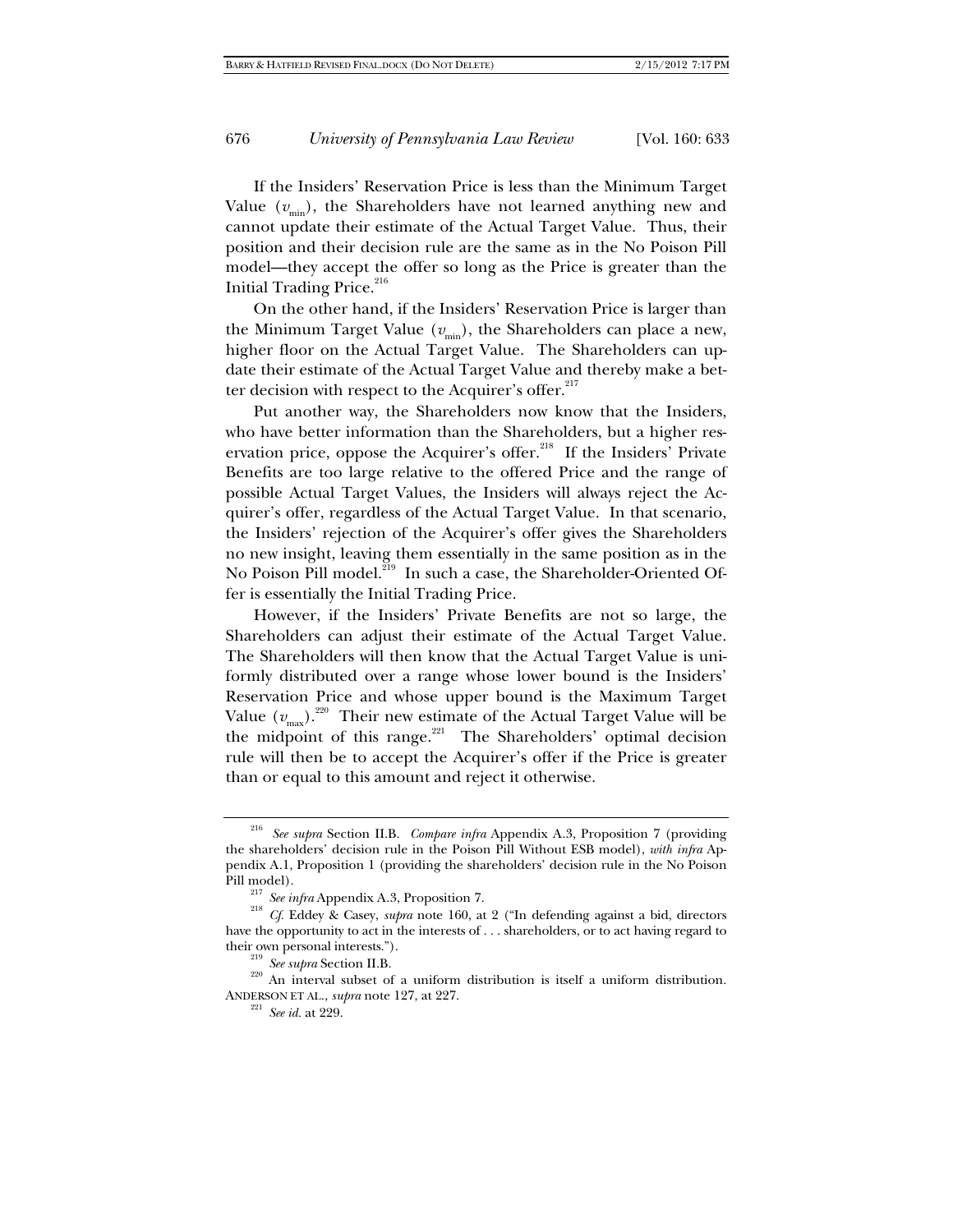If the Insiders' Reservation Price is less than the Minimum Target Value  $(v_{\text{min}})$ , the Shareholders have not learned anything new and cannot update their estimate of the Actual Target Value. Thus, their position and their decision rule are the same as in the No Poison Pill model—they accept the offer so long as the Price is greater than the Initial Trading Price.<sup>216</sup>

On the other hand, if the Insiders' Reservation Price is larger than the Minimum Target Value  $(v_{\text{min}})$ , the Shareholders can place a new, higher floor on the Actual Target Value. The Shareholders can update their estimate of the Actual Target Value and thereby make a better decision with respect to the Acquirer's offer.<sup>217</sup>

Put another way, the Shareholders now know that the Insiders, who have better information than the Shareholders, but a higher reservation price, oppose the Acquirer's offer.<sup>218</sup> If the Insiders' Private Benefits are too large relative to the offered Price and the range of possible Actual Target Values, the Insiders will always reject the Acquirer's offer, regardless of the Actual Target Value. In that scenario, the Insiders' rejection of the Acquirer's offer gives the Shareholders no new insight, leaving them essentially in the same position as in the No Poison Pill model.<sup>219</sup> In such a case, the Shareholder-Oriented Offer is essentially the Initial Trading Price.

However, if the Insiders' Private Benefits are not so large, the Shareholders can adjust their estimate of the Actual Target Value. The Shareholders will then know that the Actual Target Value is uniformly distributed over a range whose lower bound is the Insiders' Reservation Price and whose upper bound is the Maximum Target Value  $(v_{\text{max}})$ <sup>220</sup> Their new estimate of the Actual Target Value will be the midpoint of this range.<sup>221</sup> The Shareholders' optimal decision rule will then be to accept the Acquirer's offer if the Price is greater than or equal to this amount and reject it otherwise.

<sup>216</sup> *See supra* Section II.B. *Compare infra* Appendix A.3, Proposition 7 (providing the shareholders' decision rule in the Poison Pill Without ESB model), *with infra* Appendix A.1, Proposition 1 (providing the shareholders' decision rule in the No Poison

Pill model). 217 *See infra* Appendix A.3, Proposition 7. 218 *Cf.* Eddey & Casey, *supra* note 160, at 2 ("In defending against a bid, directors have the opportunity to act in the interests of . . . shareholders, or to act having regard to

their own personal interests.").<br><sup>219</sup> *See supra* Section II.B.<br><sup>220</sup> An interval subset of a uniform distribution is itself a uniform distribution. ANDERSON ET AL., *supra* note 127, at 227.<br><sup>221</sup> *See id.* at 229.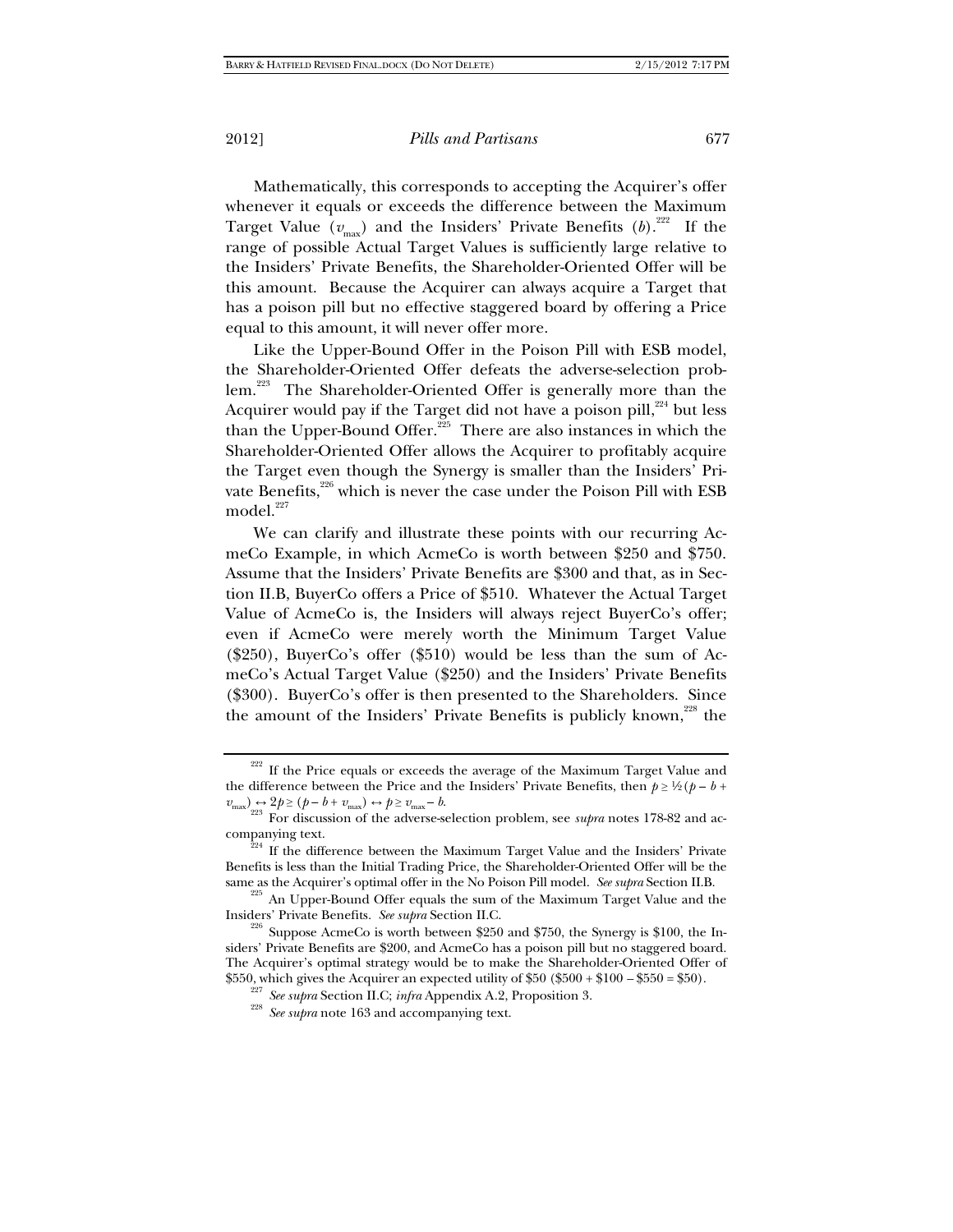Mathematically, this corresponds to accepting the Acquirer's offer whenever it equals or exceeds the difference between the Maximum Target Value ( $v_{\text{max}}$ ) and the Insiders' Private Benefits (b).<sup>222</sup> If the range of possible Actual Target Values is sufficiently large relative to the Insiders' Private Benefits, the Shareholder-Oriented Offer will be this amount. Because the Acquirer can always acquire a Target that has a poison pill but no effective staggered board by offering a Price equal to this amount, it will never offer more.

Like the Upper-Bound Offer in the Poison Pill with ESB model, the Shareholder-Oriented Offer defeats the adverse-selection problem.<sup>223</sup> The Shareholder-Oriented Offer is generally more than the Acquirer would pay if the Target did not have a poison pill, $224$  but less than the Upper-Bound Offer.<sup>225</sup> There are also instances in which the Shareholder-Oriented Offer allows the Acquirer to profitably acquire the Target even though the Synergy is smaller than the Insiders' Private Benefits,<sup>226</sup> which is never the case under the Poison Pill with ESB model.<sup>227</sup>

We can clarify and illustrate these points with our recurring AcmeCo Example, in which AcmeCo is worth between \$250 and \$750. Assume that the Insiders' Private Benefits are \$300 and that, as in Section II.B, BuyerCo offers a Price of \$510. Whatever the Actual Target Value of AcmeCo is, the Insiders will always reject BuyerCo's offer; even if AcmeCo were merely worth the Minimum Target Value (\$250), BuyerCo's offer (\$510) would be less than the sum of AcmeCo's Actual Target Value (\$250) and the Insiders' Private Benefits (\$300). BuyerCo's offer is then presented to the Shareholders. Since the amount of the Insiders' Private Benefits is publicly known, $^{228}$  the

 $222$  If the Price equals or exceeds the average of the Maximum Target Value and the difference between the Price and the Insiders' Private Benefits, then  $p \geq \frac{1}{2}(p - b + 1)$  $v_{\text{max}} \rightarrow 2p \ge (p - b + v_{\text{max}}) \leftrightarrow p \ge v_{\text{max}} - b.$ <br>For discussion of the adverse-selection problem, see *supra* notes 178-82 and ac-

companying text.<br><sup>224</sup> If the difference between the Maximum Target Value and the Insiders' Private Benefits is less than the Initial Trading Price, the Shareholder-Oriented Offer will be the

same as the Acquirer's optimal offer in the No Poison Pill model. *See supra* Section II.B.<br><sup>225</sup> An Upper-Bound Offer equals the sum of the Maximum Target Value and the Insiders' Private Benefits. *See supra* Section II.C

<sup>&</sup>lt;sup>226</sup> Suppose AcmeCo is worth between \$250 and \$750, the Synergy is \$100, the Insiders' Private Benefits are \$200, and AcmeCo has a poison pill but no staggered board. The Acquirer's optimal strategy would be to make the Shareholder-Oriented Offer of \$550, which gives the Acquirer an expected utility of \$50 (\$500 + \$100 – \$550 = \$50).<br><sup>227</sup> See supra Section II.C; infra Appendix A.2, Proposition 3.<br><sup>228</sup> See supra note 163 and accompanying text.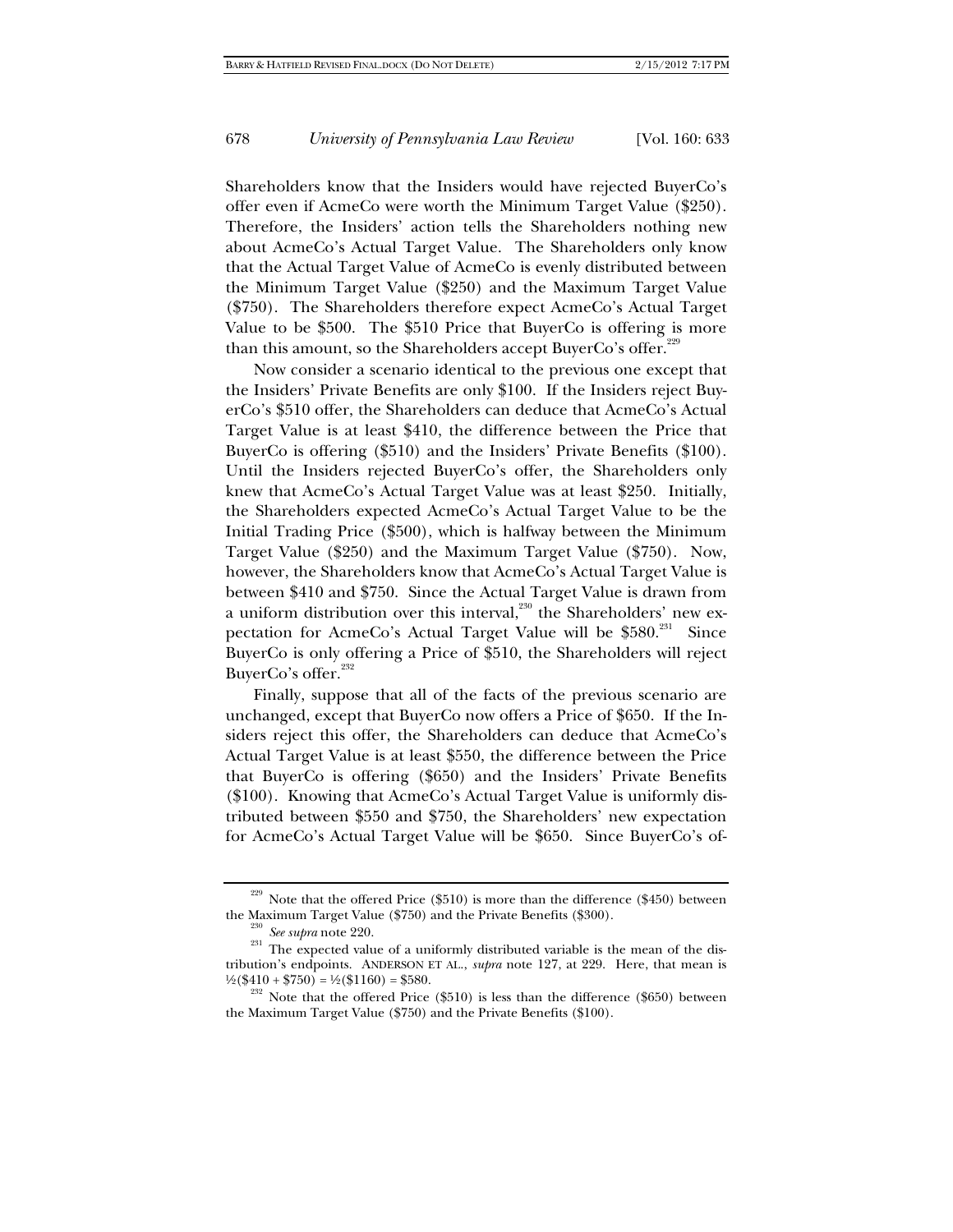Shareholders know that the Insiders would have rejected BuyerCo's offer even if AcmeCo were worth the Minimum Target Value (\$250). Therefore, the Insiders' action tells the Shareholders nothing new about AcmeCo's Actual Target Value. The Shareholders only know that the Actual Target Value of AcmeCo is evenly distributed between the Minimum Target Value (\$250) and the Maximum Target Value (\$750). The Shareholders therefore expect AcmeCo's Actual Target Value to be \$500. The \$510 Price that BuyerCo is offering is more than this amount, so the Shareholders accept BuyerCo's offer.<sup>229</sup>

Now consider a scenario identical to the previous one except that the Insiders' Private Benefits are only \$100. If the Insiders reject BuyerCo's \$510 offer, the Shareholders can deduce that AcmeCo's Actual Target Value is at least \$410, the difference between the Price that BuyerCo is offering (\$510) and the Insiders' Private Benefits (\$100). Until the Insiders rejected BuyerCo's offer, the Shareholders only knew that AcmeCo's Actual Target Value was at least \$250. Initially, the Shareholders expected AcmeCo's Actual Target Value to be the Initial Trading Price (\$500), which is halfway between the Minimum Target Value (\$250) and the Maximum Target Value (\$750). Now, however, the Shareholders know that AcmeCo's Actual Target Value is between \$410 and \$750. Since the Actual Target Value is drawn from a uniform distribution over this interval, $230$  the Shareholders' new expectation for AcmeCo's Actual Target Value will be \$580.<sup>231</sup> Since BuyerCo is only offering a Price of \$510, the Shareholders will reject BuyerCo's offer.<sup>232</sup>

Finally, suppose that all of the facts of the previous scenario are unchanged, except that BuyerCo now offers a Price of \$650. If the Insiders reject this offer, the Shareholders can deduce that AcmeCo's Actual Target Value is at least \$550, the difference between the Price that BuyerCo is offering (\$650) and the Insiders' Private Benefits (\$100). Knowing that AcmeCo's Actual Target Value is uniformly distributed between \$550 and \$750, the Shareholders' new expectation for AcmeCo's Actual Target Value will be \$650. Since BuyerCo's of-

 $^{229}$  Note that the offered Price (\$510) is more than the difference (\$450) between

the Maximum Target Value (\$750) and the Private Benefits (\$300).<br><sup>230</sup> *See supra* note 220.<br><sup>231</sup> The expected value of a uniformly distributed variable is the mean of the distribution's endpoints. ANDERSON ET AL., *supra* note 127, at 229. Here, that mean is  $\frac{1}{2}$ (\$410 + \$750) = ½(\$1160) = \$580.<br><sup>232</sup> Note that the offered Price (\$510) is less than the difference (\$650) between

the Maximum Target Value (\$750) and the Private Benefits (\$100).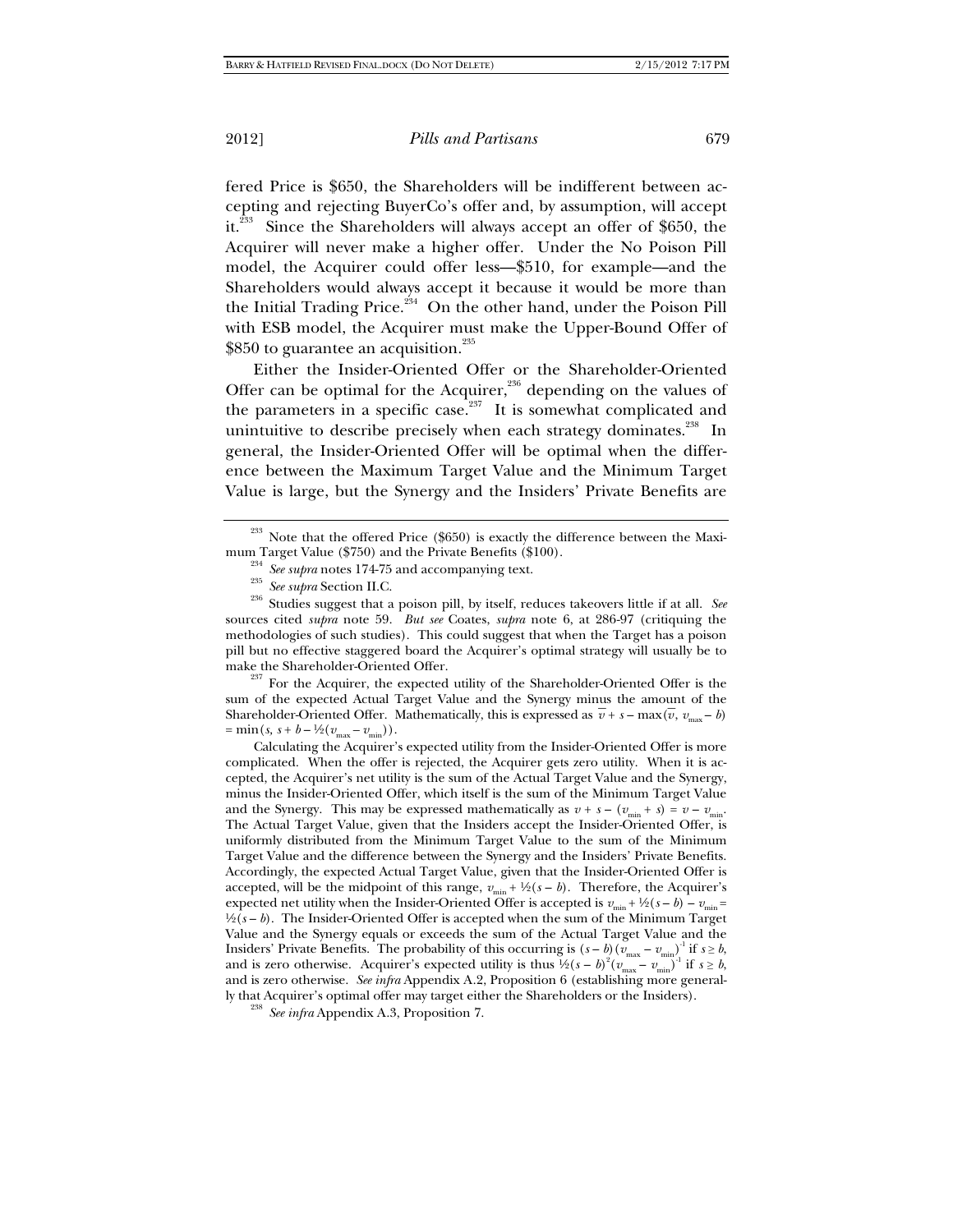fered Price is \$650, the Shareholders will be indifferent between accepting and rejecting BuyerCo's offer and, by assumption, will accept it.<sup>233</sup> Since the Shareholders will always accept an offer of \$650, the Acquirer will never make a higher offer. Under the No Poison Pill model, the Acquirer could offer less—\$510, for example—and the Shareholders would always accept it because it would be more than the Initial Trading Price.<sup>234</sup> On the other hand, under the Poison Pill with ESB model, the Acquirer must make the Upper-Bound Offer of \$850 to guarantee an acquisition.<sup>235</sup>

Either the Insider-Oriented Offer or the Shareholder-Oriented Offer can be optimal for the Acquirer, $236$  depending on the values of the parameters in a specific case.<sup>237</sup> It is somewhat complicated and unintuitive to describe precisely when each strategy dominates.<sup>238</sup> In general, the Insider-Oriented Offer will be optimal when the difference between the Maximum Target Value and the Minimum Target Value is large, but the Synergy and the Insiders' Private Benefits are

<sup>234</sup> See supra notes 174-75 and accompanying text.<br><sup>235</sup> See supra Section II.C.<br><sup>236</sup> Studies suggest that a poison pill, by itself, reduces takeovers little if at all. See sources cited *supra* note 59. *But see* Coates, *supra* note 6, at 286-97 (critiquing the methodologies of such studies). This could suggest that when the Target has a poison pill but no effective staggered board the Acquirer's optimal strategy will usually be to make the Shareholder-Oriented Offer.<br><sup>237</sup> For the Acquirer, the expected utility of the Shareholder-Oriented Offer is the

sum of the expected Actual Target Value and the Synergy minus the amount of the Shareholder-Oriented Offer. Mathematically, this is expressed as  $\bar{v} + s - \max(\bar{v}, v_{\max} - b)$  $= \min(s, s + b - \frac{1}{2}(v_{\text{max}} - v_{\text{min}})).$ 

Calculating the Acquirer's expected utility from the Insider-Oriented Offer is more complicated. When the offer is rejected, the Acquirer gets zero utility. When it is accepted, the Acquirer's net utility is the sum of the Actual Target Value and the Synergy, minus the Insider-Oriented Offer, which itself is the sum of the Minimum Target Value and the Synergy. This may be expressed mathematically as  $v + s - (v_{min} + s) = v - v_{min}$ . The Actual Target Value, given that the Insiders accept the Insider-Oriented Offer, is uniformly distributed from the Minimum Target Value to the sum of the Minimum Target Value and the difference between the Synergy and the Insiders' Private Benefits. Accordingly, the expected Actual Target Value, given that the Insider-Oriented Offer is accepted, will be the midpoint of this range,  $v_{\min} + \frac{1}{2}(s - b)$ . Therefore, the Acquirer's expected net utility when the Insider-Oriented Offer is accepted is  $v_{\text{min}} + \frac{1}{2}(s - b) - v_{\text{min}} =$  $\frac{1}{2}(s - b)$ . The Insider-Oriented Offer is accepted when the sum of the Minimum Target Value and the Synergy equals or exceeds the sum of the Actual Target Value and the Insiders' Private Benefits. The probability of this occurring is  $(s - b)$  ( $v_{\text{max}} - v_{\text{min}}$ )<sup>-1</sup> if  $s \ge b$ , and is zero otherwise. Acquirer's expected utility is thus  $\frac{1}{2}(s-b)^2(v_{\text{max}}-v_{\text{min}})^{-1}$  if  $s \ge b$ , and is zero otherwise. *See infra* Appendix A.2, Proposition 6 (establishing more generally that Acquirer's optimal offer may target either the Shareholders or the Insiders). 238 *See infra* Appendix A.3, Proposition 7.

<sup>&</sup>lt;sup>233</sup> Note that the offered Price (\$650) is exactly the difference between the Maximum Target Value (\$750) and the Private Benefits (\$100).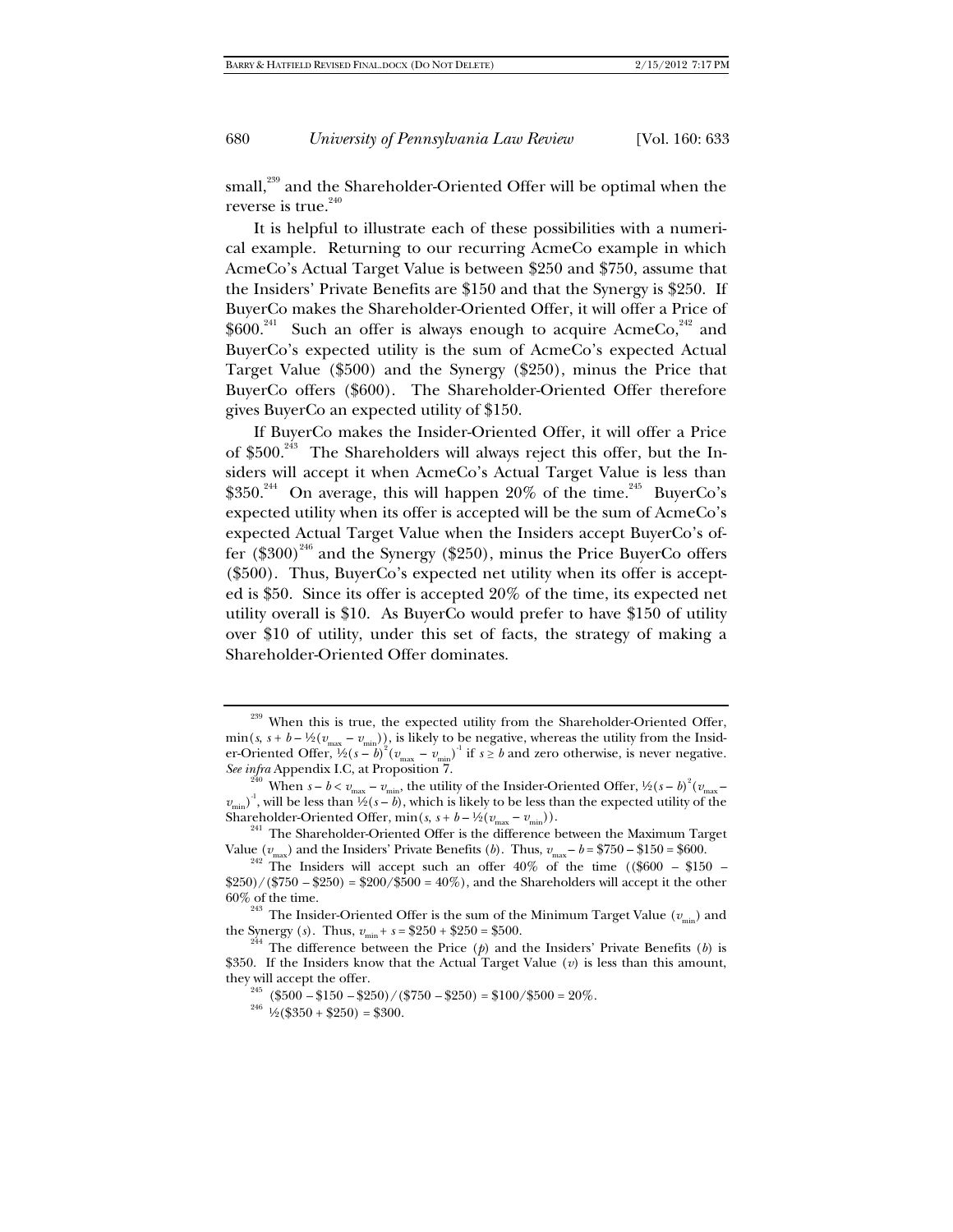small,<sup>239</sup> and the Shareholder-Oriented Offer will be optimal when the reverse is true.<sup>240</sup>

It is helpful to illustrate each of these possibilities with a numerical example. Returning to our recurring AcmeCo example in which AcmeCo's Actual Target Value is between \$250 and \$750, assume that the Insiders' Private Benefits are \$150 and that the Synergy is \$250. If BuyerCo makes the Shareholder-Oriented Offer, it will offer a Price of  $$600.<sup>241</sup>$  Such an offer is always enough to acquire AcmeCo,<sup>242</sup> and BuyerCo's expected utility is the sum of AcmeCo's expected Actual Target Value (\$500) and the Synergy (\$250), minus the Price that BuyerCo offers (\$600). The Shareholder-Oriented Offer therefore gives BuyerCo an expected utility of \$150.

If BuyerCo makes the Insider-Oriented Offer, it will offer a Price of  $$500.<sup>243</sup>$  The Shareholders will always reject this offer, but the Insiders will accept it when AcmeCo's Actual Target Value is less than \$350.<sup>244</sup> On average, this will happen 20% of the time.<sup>245</sup> BuyerCo's expected utility when its offer is accepted will be the sum of AcmeCo's expected Actual Target Value when the Insiders accept BuyerCo's offer  $(\$300)^{246}$  and the Synergy  $(\$250)$ , minus the Price BuyerCo offers (\$500). Thus, BuyerCo's expected net utility when its offer is accepted is \$50. Since its offer is accepted 20% of the time, its expected net utility overall is \$10. As BuyerCo would prefer to have \$150 of utility over \$10 of utility, under this set of facts, the strategy of making a Shareholder-Oriented Offer dominates.

 $239$  When this is true, the expected utility from the Shareholder-Oriented Offer,  $\min(s, s + b - \frac{1}{2}(v_{\text{max}} - v_{\text{min}}))$ , is likely to be negative, whereas the utility from the Insider-Oriented Offer,  $\frac{1}{2}(s-b)^2 (v_{\text{max}}-v_{\text{min}})^{-1}$  if  $s \ge b$  and zero otherwise, is never negative.

*See infra* Appendix I.C, at Proposition 7.<br><sup>240</sup> When  $s - b < v_{\text{max}} - v_{\text{min}}$ , the utility of the Insider-Oriented Offer, ½( $s - b$ )<sup>2</sup>( $v_{\text{max}}$  $v_{\text{min}}$ <sup>-1</sup>, will be less than  $\frac{1}{2}(s-b)$ , which is likely to be less than the expected utility of the Shareholder-Oriented Offer, min(*s*,  $s + b - \frac{1}{2}(v_{\text{max}} - v_{\text{min}})$ ).<br><sup>241</sup> The Shareholder-Oriented Offer is the difference between the Maximum Target

Value ( $v_{\text{max}}$ ) and the Insiders' Private Benefits (*b*). Thus,  $v_{\text{max}} - b = $750 - $150 = $600$ .<br><sup>242</sup> The Insiders will accept such an offer 40% of the time ((\$600 – \$150 –  $$250/($750 - $250) = $200/$500 = 40%$ , and the Shareholders will accept it the other

<sup>60%</sup> of the time.<br><sup>243</sup> The Insider-Oriented Offer is the sum of the Minimum Target Value ( $v_{\text{min}}$ ) and the Synergy (*s*). Thus,  $v_{\text{min}} + s = $250 + $250 = $500$ .

<sup>&</sup>lt;sup>244</sup> The difference between the Price ( $\psi$ ) and the Insiders' Private Benefits ( $b$ ) is \$350. If the Insiders know that the Actual Target Value (*v*) is less than this amount, they will accept the offer.<br><sup>245</sup> (\$500 –\$150 –\$250)/(\$750 –\$250) = \$100/\$500 = 20%.<br><sup>246</sup> ½(\$350 + \$250) = \$300.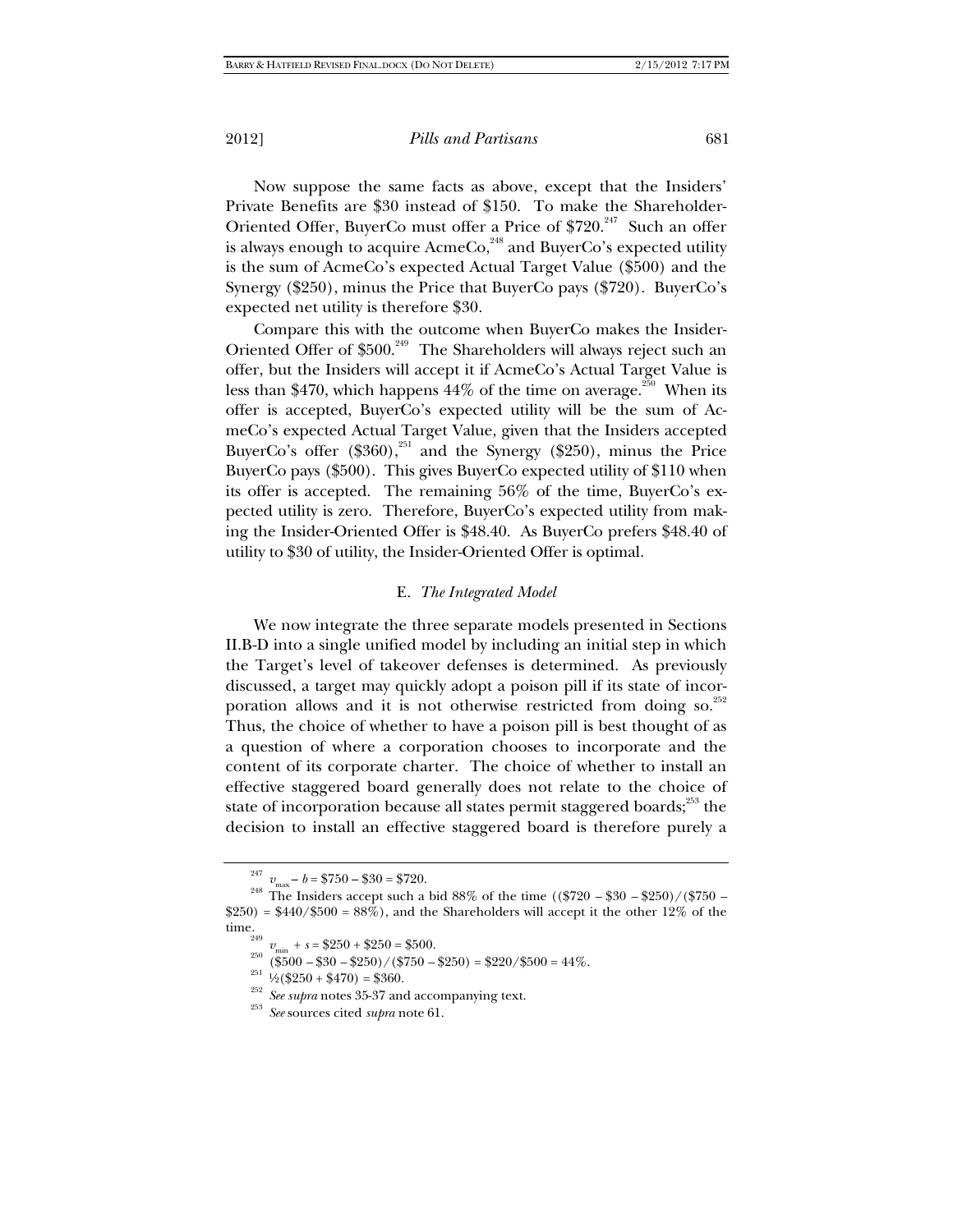Now suppose the same facts as above, except that the Insiders' Private Benefits are \$30 instead of \$150. To make the Shareholder-Oriented Offer, BuyerCo must offer a Price of \$720.<sup>247</sup> Such an offer is always enough to acquire  $A$ cme $Co<sub>248</sub>$  and Buyer $Co<sub>25</sub>$  expected utility is the sum of AcmeCo's expected Actual Target Value (\$500) and the Synergy (\$250), minus the Price that BuyerCo pays (\$720). BuyerCo's expected net utility is therefore \$30.

Compare this with the outcome when BuyerCo makes the Insider-Oriented Offer of \$500.<sup>249</sup> The Shareholders will always reject such an offer, but the Insiders will accept it if AcmeCo's Actual Target Value is less than \$470, which happens  $44\%$  of the time on average.<sup>250</sup> When its offer is accepted, BuyerCo's expected utility will be the sum of AcmeCo's expected Actual Target Value, given that the Insiders accepted BuyerCo's offer  $(\$360)$ ,<sup>251</sup> and the Synergy  $(\$250)$ , minus the Price BuyerCo pays (\$500). This gives BuyerCo expected utility of \$110 when its offer is accepted. The remaining 56% of the time, BuyerCo's expected utility is zero. Therefore, BuyerCo's expected utility from making the Insider-Oriented Offer is \$48.40. As BuyerCo prefers \$48.40 of utility to \$30 of utility, the Insider-Oriented Offer is optimal.

#### E. *The Integrated Model*

We now integrate the three separate models presented in Sections II.B-D into a single unified model by including an initial step in which the Target's level of takeover defenses is determined. As previously discussed, a target may quickly adopt a poison pill if its state of incorporation allows and it is not otherwise restricted from doing so. $^{252}$ Thus, the choice of whether to have a poison pill is best thought of as a question of where a corporation chooses to incorporate and the content of its corporate charter. The choice of whether to install an effective staggered board generally does not relate to the choice of state of incorporation because all states permit staggered boards; $^{253}$  the decision to install an effective staggered board is therefore purely a

<sup>247</sup>

<sup>&</sup>lt;sup>247</sup>  $v_{\text{max}} - b = $750 - $30 = $720$ .<br><sup>248</sup> The Insiders accept such a bid 88% of the time ((\$720 – \$30 – \$250)/(\$750 –  $$250) = $440/\$500 = 88\%$ , and the Shareholders will accept it the other 12\% of the

time.<br>
<sup>249</sup>  $v_{\text{min}} + s = $250 + $250 = $500.$ <br>
<sup>250</sup> (\$500 - \$30 - \$250)/(\$750 - \$250) = \$220/\$500 = 44%.<br>
<sup>251</sup> <sup>1</sup>/<sub>2</sub>(\$250 + \$470) = \$360.<br>
<sup>252</sup> See supra notes 35-37 and accompanying text.<br>
<sup>253</sup> See supra notes 35-37 and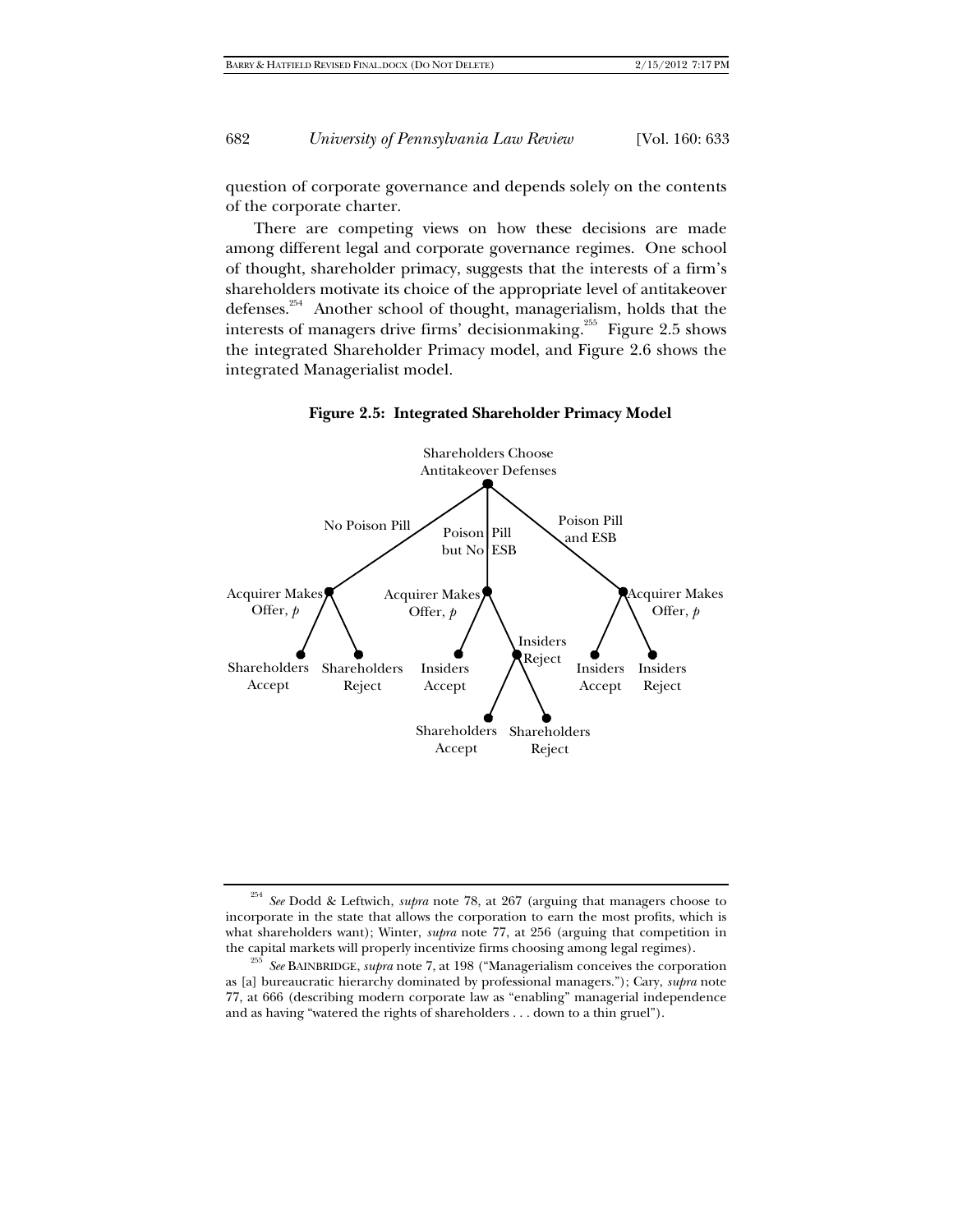question of corporate governance and depends solely on the contents of the corporate charter.

There are competing views on how these decisions are made among different legal and corporate governance regimes. One school of thought, shareholder primacy, suggests that the interests of a firm's shareholders motivate its choice of the appropriate level of antitakeover defenses.254 Another school of thought, managerialism, holds that the interests of managers drive firms' decisionmaking.<sup>255</sup> Figure 2.5 shows the integrated Shareholder Primacy model, and Figure 2.6 shows the integrated Managerialist model.



**Figure 2.5: Integrated Shareholder Primacy Model** 

<sup>254</sup> *See* Dodd & Leftwich, *supra* note 78, at 267 (arguing that managers choose to incorporate in the state that allows the corporation to earn the most profits, which is what shareholders want); Winter, *supra* note 77, at 256 (arguing that competition in the capital markets will properly incentivize firms choosing among legal regimes). 255 *See* BAINBRIDGE, *supra* note 7, at 198 ("Managerialism conceives the corporation

as [a] bureaucratic hierarchy dominated by professional managers."); Cary, *supra* note 77, at 666 (describing modern corporate law as "enabling" managerial independence and as having "watered the rights of shareholders . . . down to a thin gruel").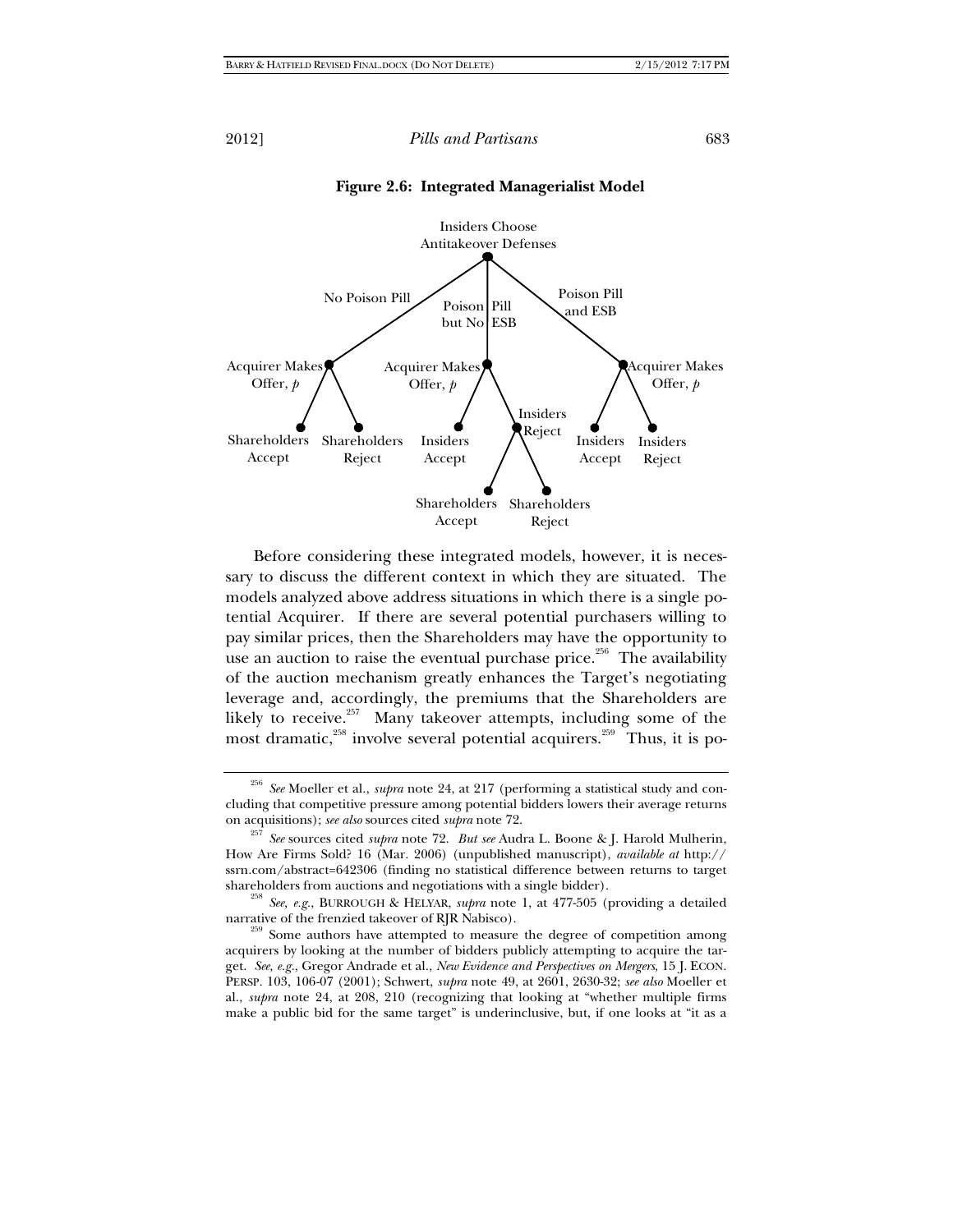



Before considering these integrated models, however, it is necessary to discuss the different context in which they are situated. The models analyzed above address situations in which there is a single potential Acquirer. If there are several potential purchasers willing to pay similar prices, then the Shareholders may have the opportunity to use an auction to raise the eventual purchase price.<sup>256</sup> The availability of the auction mechanism greatly enhances the Target's negotiating leverage and, accordingly, the premiums that the Shareholders are likely to receive.<sup>257</sup> Many takeover attempts, including some of the most dramatic, $258$  involve several potential acquirers.<sup>259</sup> Thus, it is po-

<sup>256</sup> *See* Moeller et al., *supra* note 24, at 217 (performing a statistical study and concluding that competitive pressure among potential bidders lowers their average returns

on acquisitions); *see also* sources cited *supra* note 72.<br><sup>257</sup> *See* sources cited *supra* note 72. *But see* Audra L. Boone & J. Harold Mulherin, How Are Firms Sold? 16 (Mar. 2006) (unpublished manuscript), *available at* http:// ssrn.com/abstract=642306 (finding no statistical difference between returns to target shareholders from auctions and negotiations with a single bidder).

<sup>&</sup>lt;sup>258</sup> See, e.g., BURROUGH & HELYAR, *supra* note 1, at 477-505 (providing a detailed narrative of the frenzied takeover of RJR Nabisco).<br><sup>259</sup> Some authors have attempted to measure the degree of competition among

acquirers by looking at the number of bidders publicly attempting to acquire the target. *See, e.g.*, Gregor Andrade et al., *New Evidence and Perspectives on Mergers*, 15 J. ECON. PERSP. 103, 106-07 (2001); Schwert, *supra* note 49, at 2601, 2630-32; *see also* Moeller et al., *supra* note 24, at 208, 210 (recognizing that looking at "whether multiple firms make a public bid for the same target" is underinclusive, but, if one looks at "it as a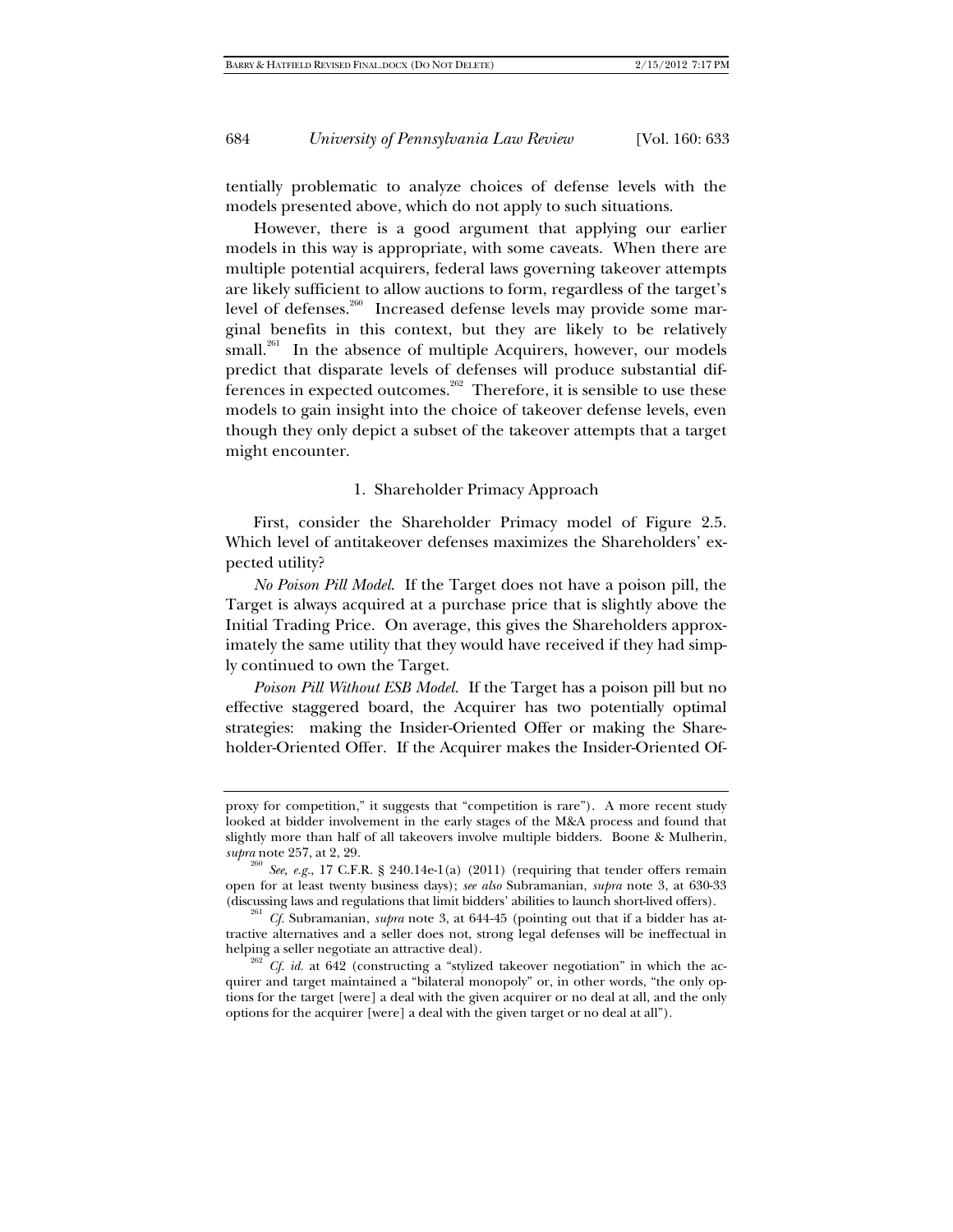tentially problematic to analyze choices of defense levels with the models presented above, which do not apply to such situations.

However, there is a good argument that applying our earlier models in this way is appropriate, with some caveats. When there are multiple potential acquirers, federal laws governing takeover attempts are likely sufficient to allow auctions to form, regardless of the target's level of defenses.<sup>260</sup> Increased defense levels may provide some marginal benefits in this context, but they are likely to be relatively small.<sup>261</sup> In the absence of multiple Acquirers, however, our models predict that disparate levels of defenses will produce substantial differences in expected outcomes.<sup>262</sup> Therefore, it is sensible to use these models to gain insight into the choice of takeover defense levels, even though they only depict a subset of the takeover attempts that a target might encounter.

### 1. Shareholder Primacy Approach

First, consider the Shareholder Primacy model of Figure 2.5. Which level of antitakeover defenses maximizes the Shareholders' expected utility?

*No Poison Pill Model*. If the Target does not have a poison pill, the Target is always acquired at a purchase price that is slightly above the Initial Trading Price. On average, this gives the Shareholders approximately the same utility that they would have received if they had simply continued to own the Target.

*Poison Pill Without ESB Model*. If the Target has a poison pill but no effective staggered board, the Acquirer has two potentially optimal strategies: making the Insider-Oriented Offer or making the Shareholder-Oriented Offer. If the Acquirer makes the Insider-Oriented Of-

proxy for competition," it suggests that "competition is rare"). A more recent study looked at bidder involvement in the early stages of the M&A process and found that slightly more than half of all takeovers involve multiple bidders. Boone & Mulherin, *supra* note 257, at 2, 29.

<sup>&</sup>lt;sup>260</sup> *See, e.g.*, 17 C.F.R. § 240.14e-1(a) (2011) (requiring that tender offers remain open for at least twenty business days); *see also* Subramanian, *supra* note 3, at 630-33

<sup>(</sup>discussing laws and regulations that limit bidders' abilities to launch short-lived offers). *Cf.* Subramanian, *supra* note 3, at 644-45 (pointing out that if a bidder has attractive alternatives and a seller does not, strong legal defenses will be ineffectual in

helping a seller negotiate an attractive deal).<br><sup>262</sup> *Cf. id.* at 642 (constructing a "stylized takeover negotiation" in which the acquirer and target maintained a "bilateral monopoly" or, in other words, "the only options for the target [were] a deal with the given acquirer or no deal at all, and the only options for the acquirer [were] a deal with the given target or no deal at all").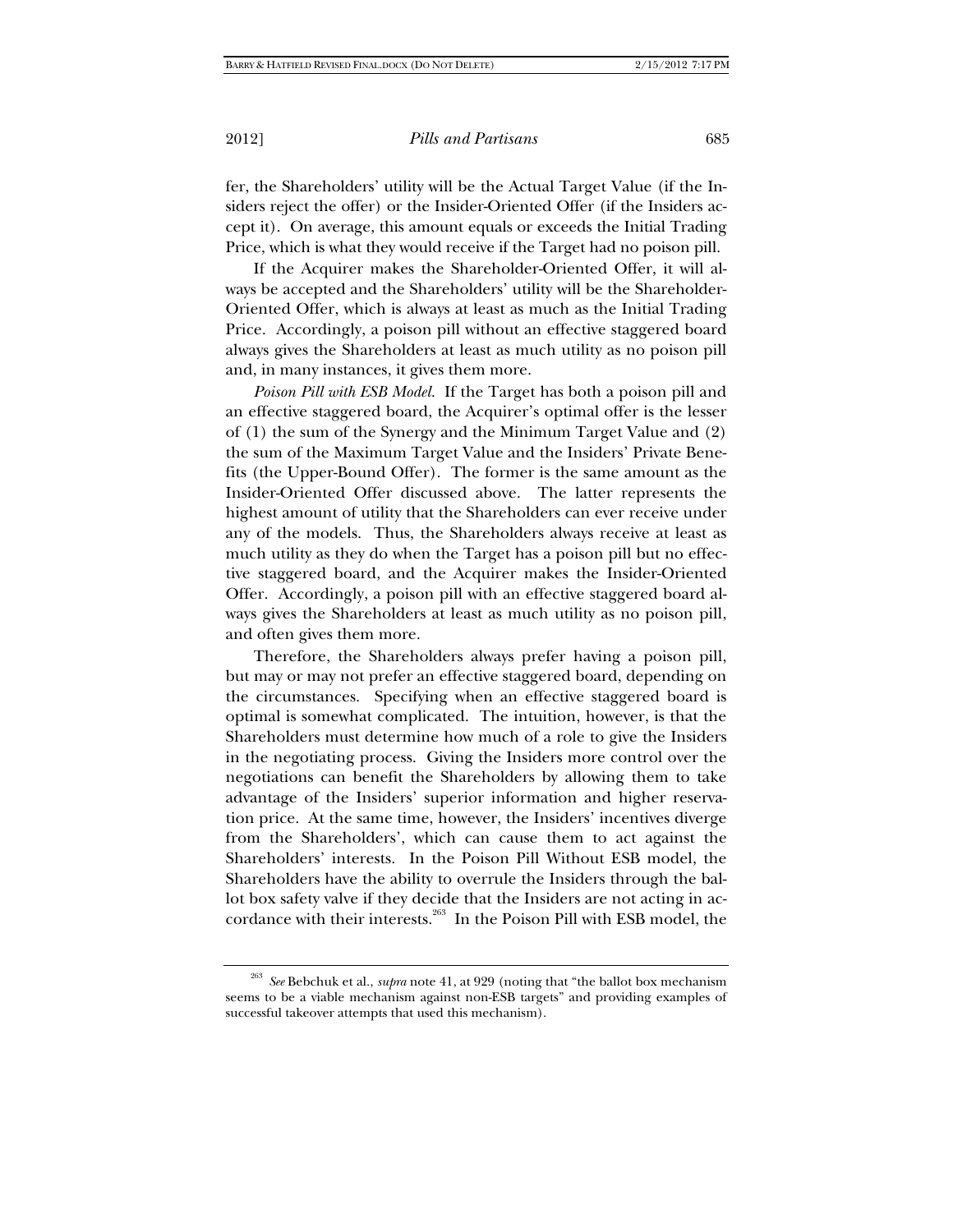fer, the Shareholders' utility will be the Actual Target Value (if the Insiders reject the offer) or the Insider-Oriented Offer (if the Insiders accept it). On average, this amount equals or exceeds the Initial Trading Price, which is what they would receive if the Target had no poison pill.

If the Acquirer makes the Shareholder-Oriented Offer, it will always be accepted and the Shareholders' utility will be the Shareholder-Oriented Offer, which is always at least as much as the Initial Trading Price. Accordingly, a poison pill without an effective staggered board always gives the Shareholders at least as much utility as no poison pill and, in many instances, it gives them more.

*Poison Pill with ESB Model*. If the Target has both a poison pill and an effective staggered board, the Acquirer's optimal offer is the lesser of (1) the sum of the Synergy and the Minimum Target Value and (2) the sum of the Maximum Target Value and the Insiders' Private Benefits (the Upper-Bound Offer). The former is the same amount as the Insider-Oriented Offer discussed above. The latter represents the highest amount of utility that the Shareholders can ever receive under any of the models. Thus, the Shareholders always receive at least as much utility as they do when the Target has a poison pill but no effective staggered board, and the Acquirer makes the Insider-Oriented Offer. Accordingly, a poison pill with an effective staggered board always gives the Shareholders at least as much utility as no poison pill, and often gives them more.

Therefore, the Shareholders always prefer having a poison pill, but may or may not prefer an effective staggered board, depending on the circumstances. Specifying when an effective staggered board is optimal is somewhat complicated. The intuition, however, is that the Shareholders must determine how much of a role to give the Insiders in the negotiating process. Giving the Insiders more control over the negotiations can benefit the Shareholders by allowing them to take advantage of the Insiders' superior information and higher reservation price. At the same time, however, the Insiders' incentives diverge from the Shareholders', which can cause them to act against the Shareholders' interests. In the Poison Pill Without ESB model, the Shareholders have the ability to overrule the Insiders through the ballot box safety valve if they decide that the Insiders are not acting in accordance with their interests.<sup>263</sup> In the Poison Pill with ESB model, the

<sup>263</sup> *See* Bebchuk et al., *supra* note 41, at 929 (noting that "the ballot box mechanism seems to be a viable mechanism against non-ESB targets" and providing examples of successful takeover attempts that used this mechanism).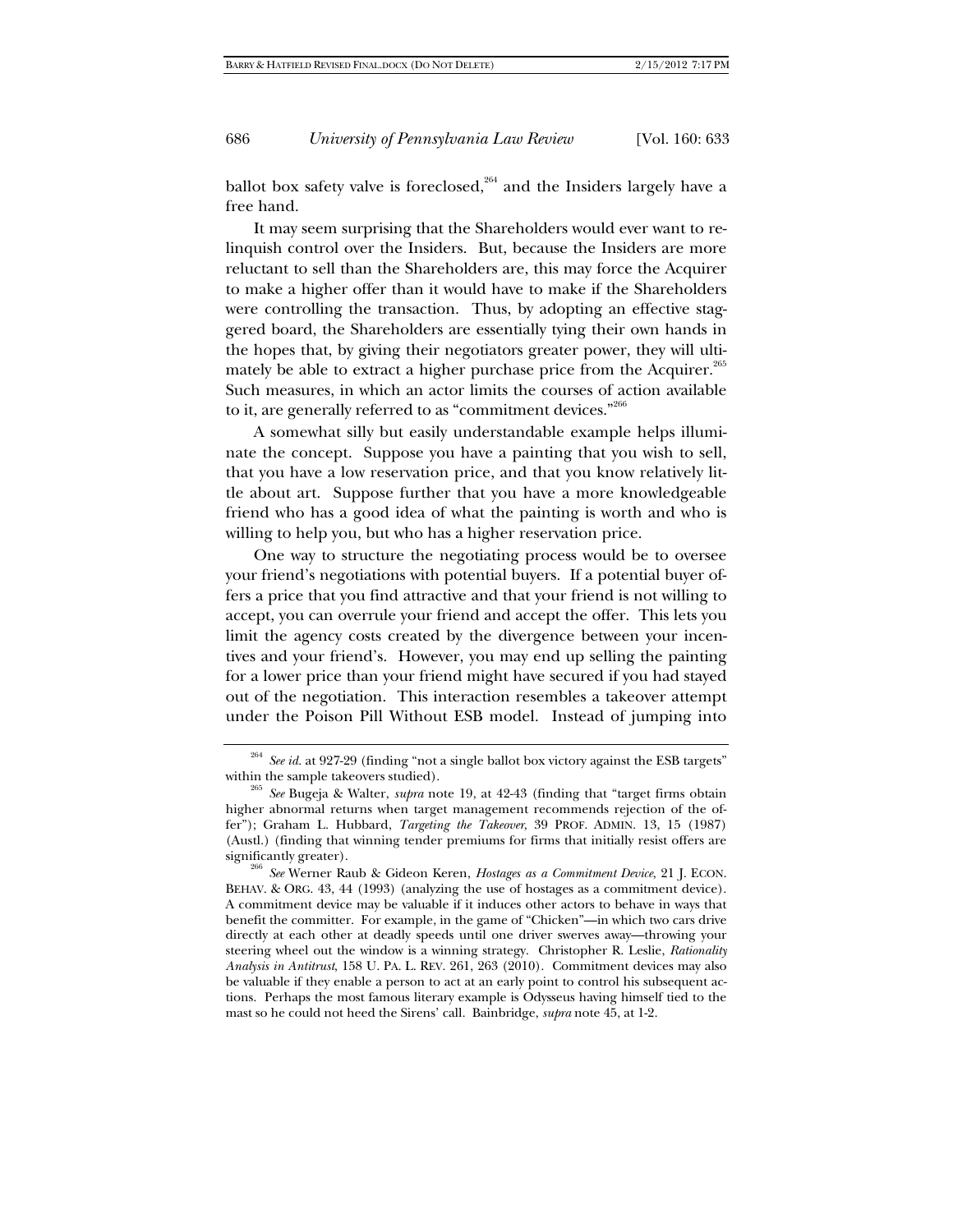ballot box safety valve is foreclosed,<sup>264</sup> and the Insiders largely have a free hand.

It may seem surprising that the Shareholders would ever want to relinquish control over the Insiders. But, because the Insiders are more reluctant to sell than the Shareholders are, this may force the Acquirer to make a higher offer than it would have to make if the Shareholders were controlling the transaction. Thus, by adopting an effective staggered board, the Shareholders are essentially tying their own hands in the hopes that, by giving their negotiators greater power, they will ultimately be able to extract a higher purchase price from the Acquirer.<sup>265</sup> Such measures, in which an actor limits the courses of action available to it, are generally referred to as "commitment devices."266

A somewhat silly but easily understandable example helps illuminate the concept. Suppose you have a painting that you wish to sell, that you have a low reservation price, and that you know relatively little about art. Suppose further that you have a more knowledgeable friend who has a good idea of what the painting is worth and who is willing to help you, but who has a higher reservation price.

One way to structure the negotiating process would be to oversee your friend's negotiations with potential buyers. If a potential buyer offers a price that you find attractive and that your friend is not willing to accept, you can overrule your friend and accept the offer. This lets you limit the agency costs created by the divergence between your incentives and your friend's. However, you may end up selling the painting for a lower price than your friend might have secured if you had stayed out of the negotiation. This interaction resembles a takeover attempt under the Poison Pill Without ESB model. Instead of jumping into

<sup>&</sup>lt;sup>264</sup> *See id.* at 927-29 (finding "not a single ballot box victory against the ESB targets" within the sample takeovers studied).

<sup>&</sup>lt;sup>265</sup> See Bugeja & Walter, *supra* note 19, at 42-43 (finding that "target firms obtain higher abnormal returns when target management recommends rejection of the offer"); Graham L. Hubbard, *Targeting the Takeover*, 39 PROF. ADMIN. 13, 15 (1987) (Austl.) (finding that winning tender premiums for firms that initially resist offers are significantly greater).

<sup>&</sup>lt;sup>266</sup> See Werner Raub & Gideon Keren, *Hostages as a Commitment Device*, 21 J. ECON. BEHAV. & ORG. 43, 44 (1993) (analyzing the use of hostages as a commitment device). A commitment device may be valuable if it induces other actors to behave in ways that benefit the committer. For example, in the game of "Chicken"—in which two cars drive directly at each other at deadly speeds until one driver swerves away—throwing your steering wheel out the window is a winning strategy. Christopher R. Leslie, *Rationality Analysis in Antitrust*, 158 U. PA. L. REV. 261, 263 (2010). Commitment devices may also be valuable if they enable a person to act at an early point to control his subsequent actions. Perhaps the most famous literary example is Odysseus having himself tied to the mast so he could not heed the Sirens' call. Bainbridge, *supra* note 45, at 1-2.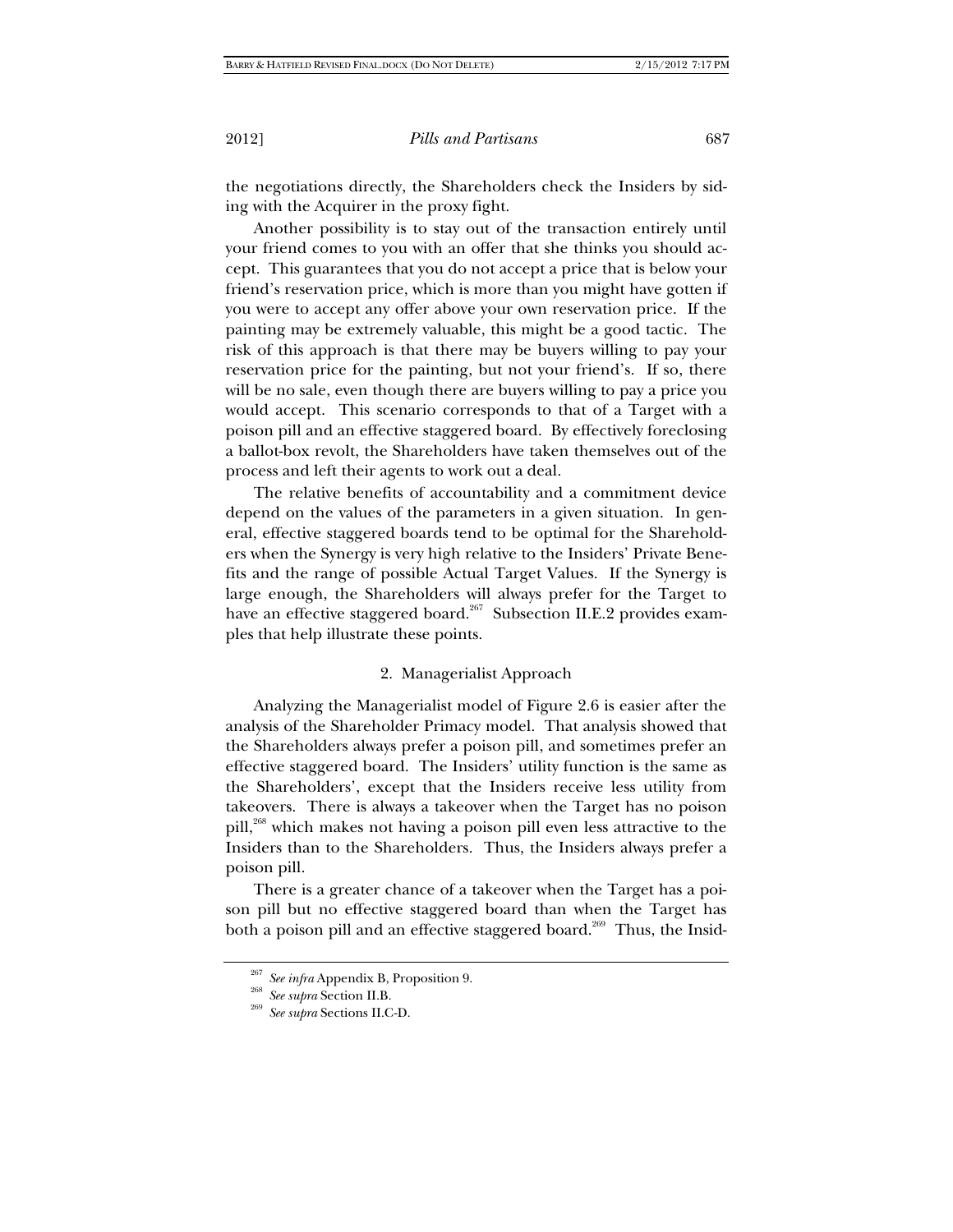the negotiations directly, the Shareholders check the Insiders by siding with the Acquirer in the proxy fight.

Another possibility is to stay out of the transaction entirely until your friend comes to you with an offer that she thinks you should accept. This guarantees that you do not accept a price that is below your friend's reservation price, which is more than you might have gotten if you were to accept any offer above your own reservation price. If the painting may be extremely valuable, this might be a good tactic. The risk of this approach is that there may be buyers willing to pay your reservation price for the painting, but not your friend's. If so, there will be no sale, even though there are buyers willing to pay a price you would accept. This scenario corresponds to that of a Target with a poison pill and an effective staggered board. By effectively foreclosing a ballot-box revolt, the Shareholders have taken themselves out of the process and left their agents to work out a deal.

The relative benefits of accountability and a commitment device depend on the values of the parameters in a given situation. In general, effective staggered boards tend to be optimal for the Shareholders when the Synergy is very high relative to the Insiders' Private Benefits and the range of possible Actual Target Values. If the Synergy is large enough, the Shareholders will always prefer for the Target to have an effective staggered board.<sup>267</sup> Subsection II.E.2 provides examples that help illustrate these points.

## 2. Managerialist Approach

Analyzing the Managerialist model of Figure 2.6 is easier after the analysis of the Shareholder Primacy model. That analysis showed that the Shareholders always prefer a poison pill, and sometimes prefer an effective staggered board. The Insiders' utility function is the same as the Shareholders', except that the Insiders receive less utility from takeovers. There is always a takeover when the Target has no poison pill,<sup>268</sup> which makes not having a poison pill even less attractive to the Insiders than to the Shareholders. Thus, the Insiders always prefer a poison pill.

There is a greater chance of a takeover when the Target has a poison pill but no effective staggered board than when the Target has both a poison pill and an effective staggered board.<sup>269</sup> Thus, the Insid-

<sup>267</sup> *See infra* Appendix B, Proposition 9. 268 *See supra* Section II.B. 269 *See supra* Sections II.C-D.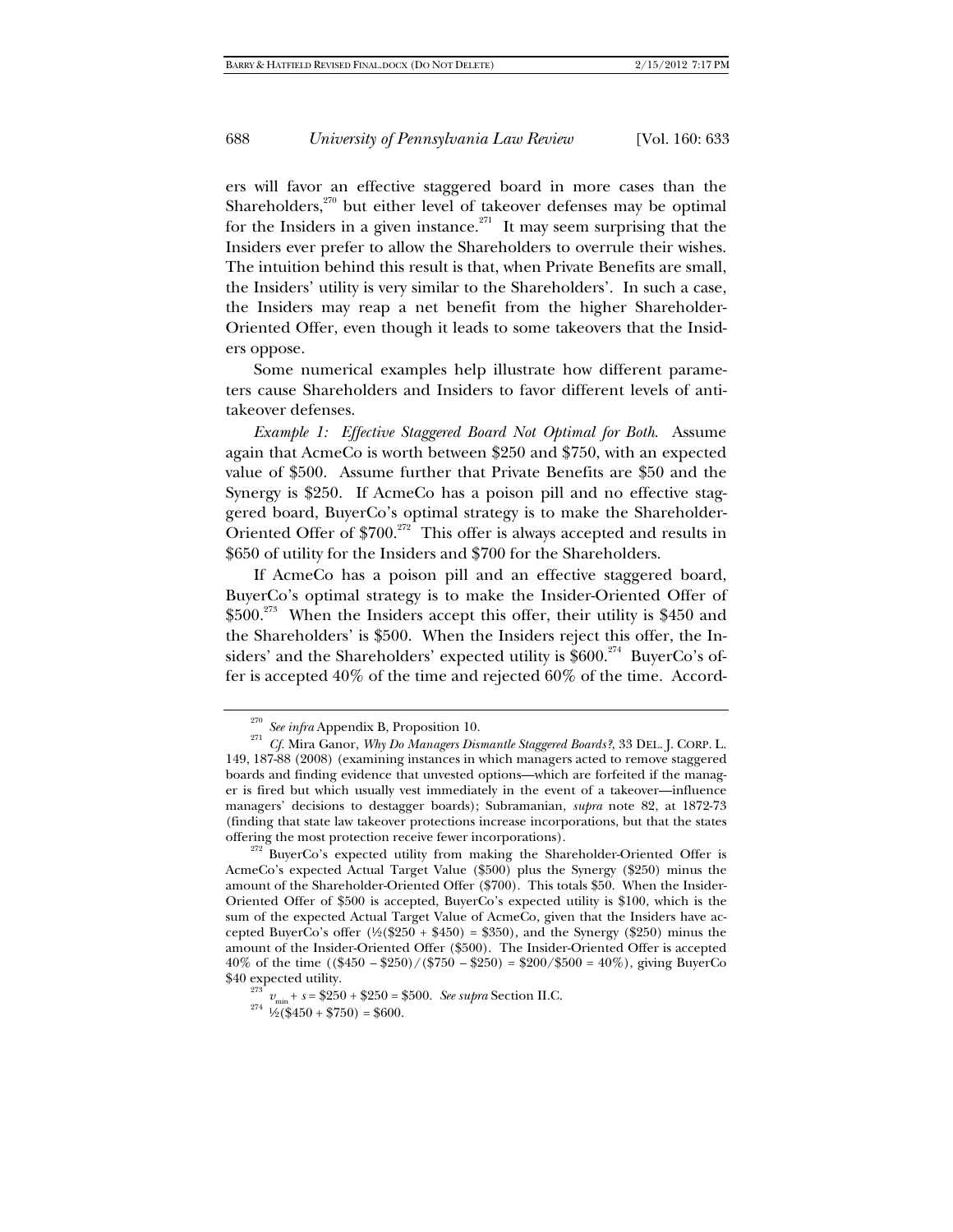ers will favor an effective staggered board in more cases than the Shareholders, $270$  but either level of takeover defenses may be optimal for the Insiders in a given instance.<sup>271</sup> It may seem surprising that the Insiders ever prefer to allow the Shareholders to overrule their wishes. The intuition behind this result is that, when Private Benefits are small, the Insiders' utility is very similar to the Shareholders'. In such a case, the Insiders may reap a net benefit from the higher Shareholder-Oriented Offer, even though it leads to some takeovers that the Insiders oppose.

Some numerical examples help illustrate how different parameters cause Shareholders and Insiders to favor different levels of antitakeover defenses.

*Example 1: Effective Staggered Board Not Optimal for Both*. Assume again that AcmeCo is worth between \$250 and \$750, with an expected value of \$500. Assume further that Private Benefits are \$50 and the Synergy is \$250. If AcmeCo has a poison pill and no effective staggered board, BuyerCo's optimal strategy is to make the Shareholder-Oriented Offer of  $$700.<sup>272</sup>$  This offer is always accepted and results in \$650 of utility for the Insiders and \$700 for the Shareholders.

If AcmeCo has a poison pill and an effective staggered board, BuyerCo's optimal strategy is to make the Insider-Oriented Offer of \$500.<sup>273</sup> When the Insiders accept this offer, their utility is \$450 and the Shareholders' is \$500. When the Insiders reject this offer, the Insiders' and the Shareholders' expected utility is  $$600.<sup>274</sup>$  BuyerCo's offer is accepted 40% of the time and rejected 60% of the time. Accord-

<sup>&</sup>lt;sup>270</sup> *See infra* Appendix B, Proposition 10.<br><sup>271</sup> *Cf.* Mira Ganor, *Why Do Managers Dismantle Staggered Boards*?, 33 DEL. J. CORP. L. 149, 187-88 (2008) (examining instances in which managers acted to remove staggered boards and finding evidence that unvested options—which are forfeited if the manager is fired but which usually vest immediately in the event of a takeover—influence managers' decisions to destagger boards); Subramanian, *supra* note 82, at 1872-73 (finding that state law takeover protections increase incorporations, but that the states

 $272$  BuyerCo's expected utility from making the Shareholder-Oriented Offer is AcmeCo's expected Actual Target Value (\$500) plus the Synergy (\$250) minus the amount of the Shareholder-Oriented Offer (\$700). This totals \$50. When the Insider-Oriented Offer of \$500 is accepted, BuyerCo's expected utility is \$100, which is the sum of the expected Actual Target Value of AcmeCo, given that the Insiders have accepted BuyerCo's offer  $(\frac{1}{2}(\$250 + \$450) = \$350)$ , and the Synergy ( $\$250$ ) minus the amount of the Insider-Oriented Offer (\$500). The Insider-Oriented Offer is accepted 40% of the time ((\$450 *–* \$250)/(\$750 *–* \$250) = \$200/\$500 = 40%), giving BuyerCo \$40 expected utility.

<sup>&</sup>lt;sup>273</sup>  $v_{\text{min}} + s = $250 + $250 = $500$ . *See supra* Section II.C. <sup>274</sup> ½(\$450 + \$750) = \$600.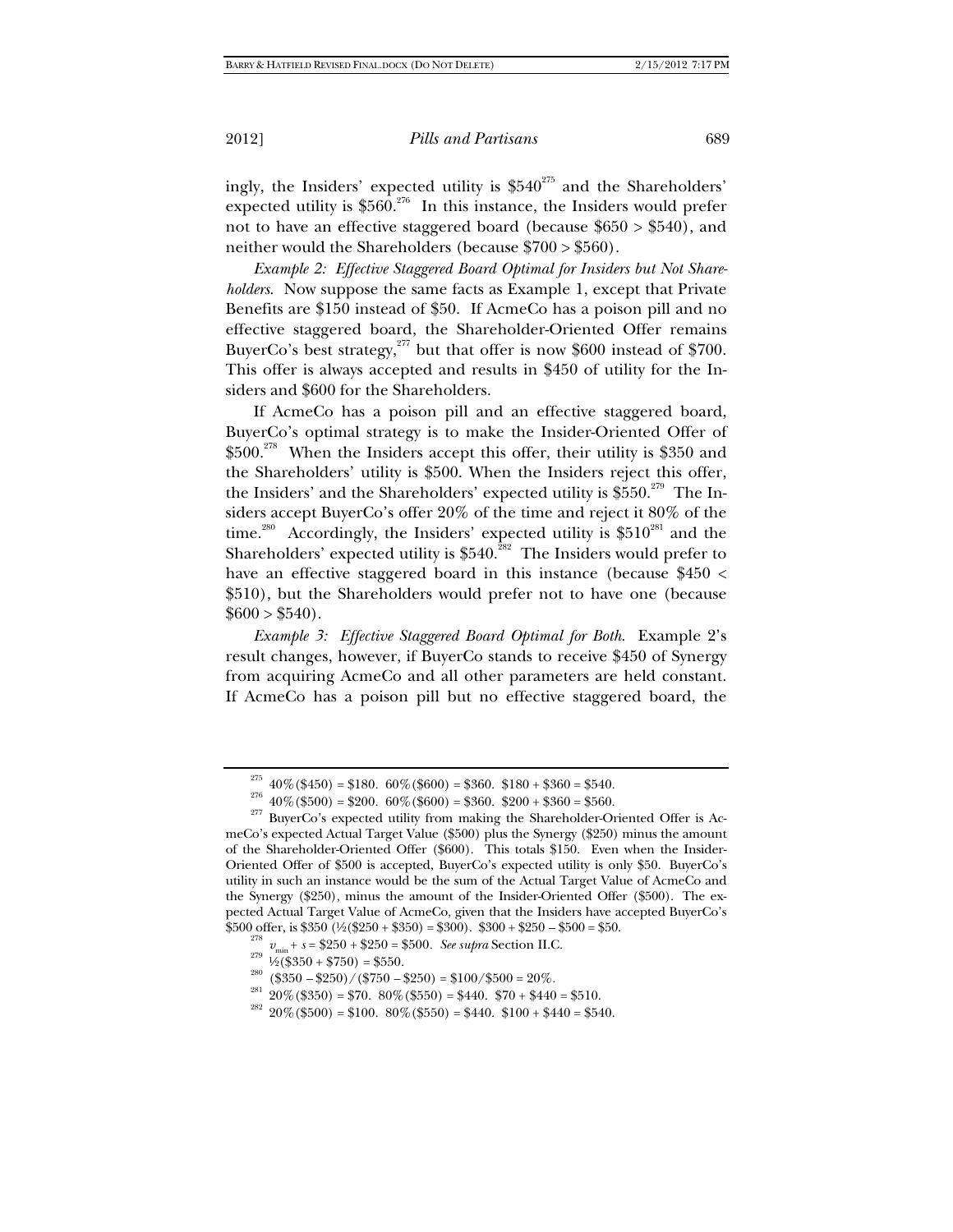ingly, the Insiders' expected utility is \$540<sup>275</sup> and the Shareholders' expected utility is  $$560.<sup>276</sup>$  In this instance, the Insiders would prefer not to have an effective staggered board (because  $$650 > $540$ ), and neither would the Shareholders (because \$700 > \$560).

*Example 2: Effective Staggered Board Optimal for Insiders but Not Shareholders*. Now suppose the same facts as Example 1, except that Private Benefits are \$150 instead of \$50. If AcmeCo has a poison pill and no effective staggered board, the Shareholder-Oriented Offer remains BuyerCo's best strategy, $277$  but that offer is now \$600 instead of \$700. This offer is always accepted and results in \$450 of utility for the Insiders and \$600 for the Shareholders.

If AcmeCo has a poison pill and an effective staggered board, BuyerCo's optimal strategy is to make the Insider-Oriented Offer of  $$500.<sup>278</sup>$  When the Insiders accept this offer, their utility is \$350 and the Shareholders' utility is \$500. When the Insiders reject this offer, the Insiders' and the Shareholders' expected utility is  $$550.<sup>279</sup>$  The Insiders accept BuyerCo's offer 20% of the time and reject it 80% of the time.<sup>280</sup> Accordingly, the Insiders' expected utility is  $$510^{281}$  and the Shareholders' expected utility is  $$540.<sup>282</sup>$  The Insiders would prefer to have an effective staggered board in this instance (because \$450 < \$510), but the Shareholders would prefer not to have one (because  $$600 > $540$ .

*Example 3: Effective Staggered Board Optimal for Both*. Example 2's result changes, however, if BuyerCo stands to receive \$450 of Synergy from acquiring AcmeCo and all other parameters are held constant. If AcmeCo has a poison pill but no effective staggered board, the

<sup>&</sup>lt;sup>275</sup> 40%(\$450) = \$180. 60%(\$600) = \$360. \$180 + \$360 = \$540.<br><sup>276</sup> 40%(\$500) = \$200. 60%(\$600) = \$360. \$200 + \$360 = \$560.<br><sup>277</sup> BuyerCo's expected utility from making the Shareholder-Oriented Offer is AcmeCo's expected Actual Target Value (\$500) plus the Synergy (\$250) minus the amount of the Shareholder-Oriented Offer (\$600). This totals \$150. Even when the Insider-Oriented Offer of \$500 is accepted, BuyerCo's expected utility is only \$50. BuyerCo's utility in such an instance would be the sum of the Actual Target Value of AcmeCo and the Synergy (\$250), minus the amount of the Insider-Oriented Offer (\$500). The expected Actual Target Value of AcmeCo, given that the Insiders have accepted BuyerCo's \$500 offer, is \$350 (½(\$250 + \$350) = \$300). \$300 + \$250 - \$500 = \$50.<br>  $\frac{278}{279} v_{min} + s = $250 + $250 = $500$ . See supra Section II.C.<br>  $\frac{279}{279}$  ½(\$350 + \$750) = \$550.<br>  $\frac{280}{279}$  (\$350 - \$250)/(\$750 - \$250) = \$100/\$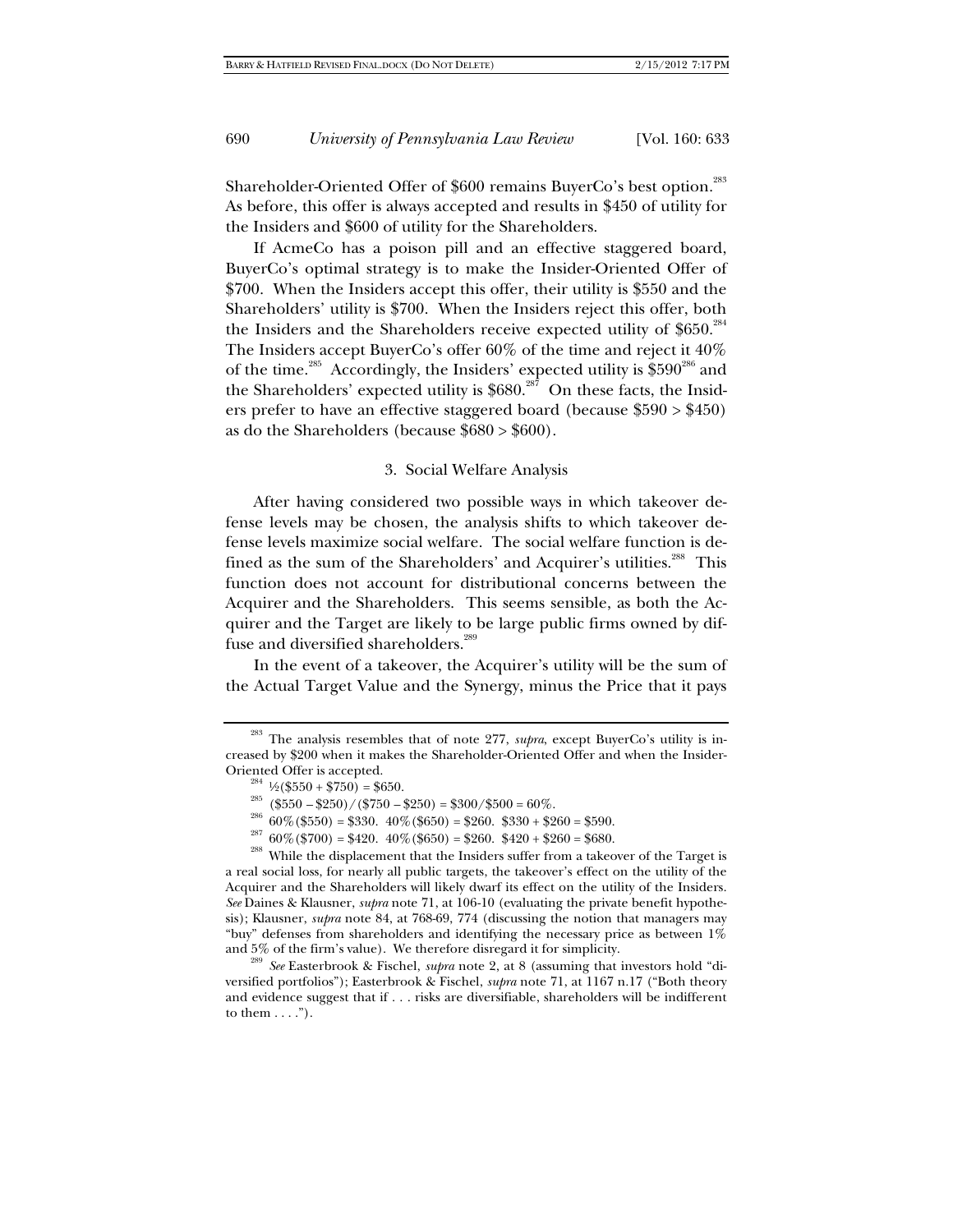Shareholder-Oriented Offer of \$600 remains BuyerCo's best option.<sup>283</sup> As before, this offer is always accepted and results in \$450 of utility for the Insiders and \$600 of utility for the Shareholders.

If AcmeCo has a poison pill and an effective staggered board, BuyerCo's optimal strategy is to make the Insider-Oriented Offer of \$700. When the Insiders accept this offer, their utility is \$550 and the Shareholders' utility is \$700. When the Insiders reject this offer, both the Insiders and the Shareholders receive expected utility of  $$650.<sup>284</sup>$ The Insiders accept BuyerCo's offer 60% of the time and reject it 40% of the time.<sup>285</sup> Accordingly, the Insiders' expected utility is  $$590^{286}$  and the Shareholders' expected utility is  $$680.<sup>287</sup>$  On these facts, the Insiders prefer to have an effective staggered board (because \$590 > \$450) as do the Shareholders (because \$680 > \$600).

#### 3. Social Welfare Analysis

After having considered two possible ways in which takeover defense levels may be chosen, the analysis shifts to which takeover defense levels maximize social welfare. The social welfare function is defined as the sum of the Shareholders' and Acquirer's utilities.<sup>288</sup> This function does not account for distributional concerns between the Acquirer and the Shareholders. This seems sensible, as both the Acquirer and the Target are likely to be large public firms owned by diffuse and diversified shareholders.<sup>289</sup>

In the event of a takeover, the Acquirer's utility will be the sum of the Actual Target Value and the Synergy, minus the Price that it pays

a real social loss, for nearly all public targets, the takeover's effect on the utility of the Acquirer and the Shareholders will likely dwarf its effect on the utility of the Insiders. *See* Daines & Klausner, *supra* note 71, at 106-10 (evaluating the private benefit hypothesis); Klausner, *supra* note 84, at 768-69, 774 (discussing the notion that managers may "buy" defenses from shareholders and identifying the necessary price as between  $1\%$  and  $5\%$  of the firm's value). We therefore disregard it for simplicity.

See Easterbrook & Fischel, *supra* note 2, at 8 (assuming that investors hold "diversified portfolios"); Easterbrook & Fischel, *supra* note 71, at 1167 n.17 ("Both theory and evidence suggest that if . . . risks are diversifiable, shareholders will be indifferent to them  $\dots$ .").

<sup>283</sup> The analysis resembles that of note 277, *supra*, except BuyerCo's utility is increased by \$200 when it makes the Shareholder-Oriented Offer and when the Insider-Oriented Offer is accepted.<br>
<sup>284</sup>  $\frac{1}{2}(\$550 + \$750) = \$650$ .<br>
<sup>285</sup> (\\heta 550 -\\heta 5250)/(\\heta 5750 -\\heta 5250) = \\heta 300/\\heta 500 = 60%.<br>
<sup>286</sup> 60%(\\heta 550) = \\heta 40%(\\heta 650) = \\heta 260. \heta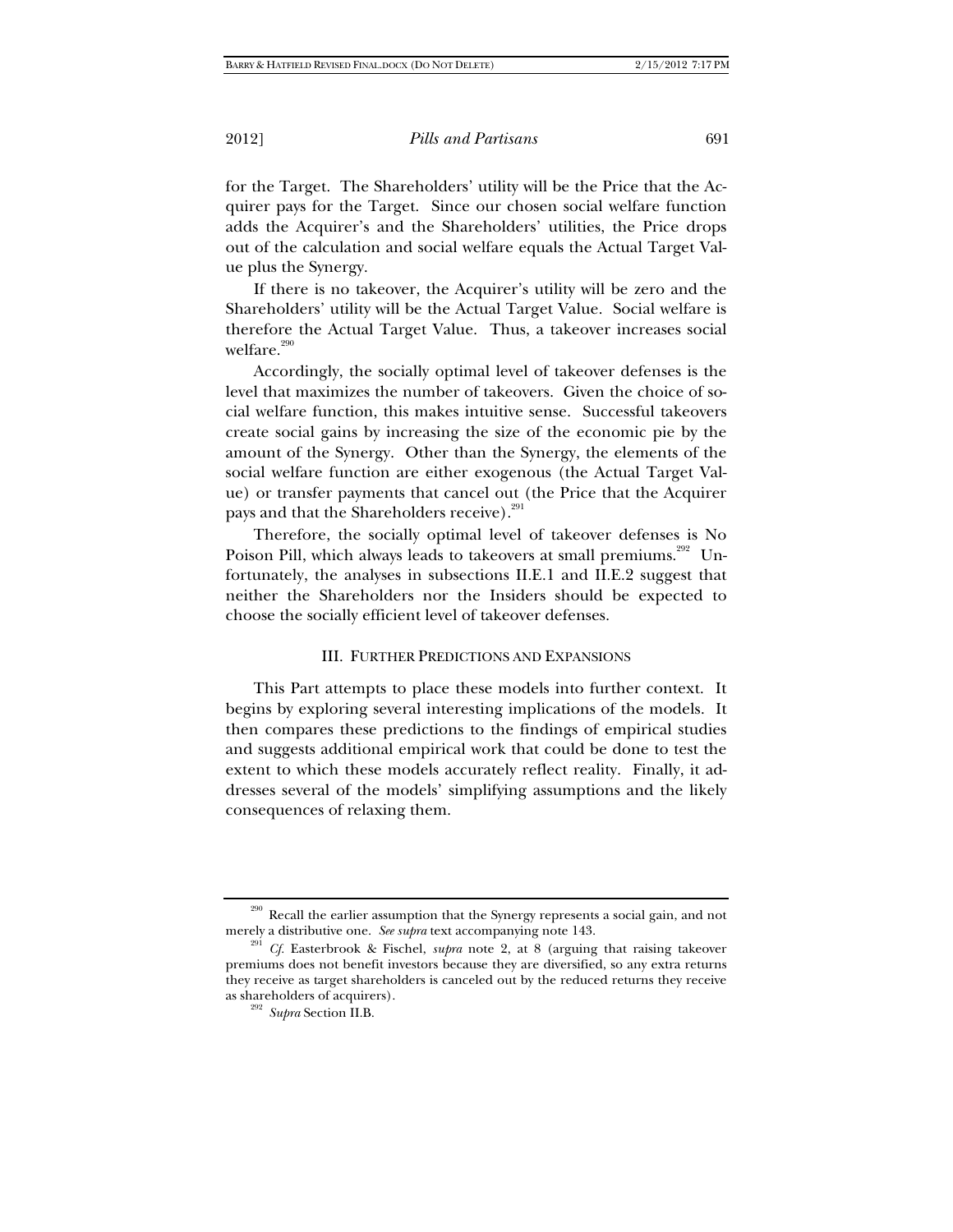for the Target. The Shareholders' utility will be the Price that the Acquirer pays for the Target. Since our chosen social welfare function adds the Acquirer's and the Shareholders' utilities, the Price drops out of the calculation and social welfare equals the Actual Target Value plus the Synergy.

If there is no takeover, the Acquirer's utility will be zero and the Shareholders' utility will be the Actual Target Value. Social welfare is therefore the Actual Target Value. Thus, a takeover increases social welfare.<sup>290</sup>

Accordingly, the socially optimal level of takeover defenses is the level that maximizes the number of takeovers. Given the choice of social welfare function, this makes intuitive sense. Successful takeovers create social gains by increasing the size of the economic pie by the amount of the Synergy. Other than the Synergy, the elements of the social welfare function are either exogenous (the Actual Target Value) or transfer payments that cancel out (the Price that the Acquirer pays and that the Shareholders receive).<sup>291</sup>

Therefore, the socially optimal level of takeover defenses is No Poison Pill, which always leads to takeovers at small premiums.<sup>292</sup> Unfortunately, the analyses in subsections II.E.1 and II.E.2 suggest that neither the Shareholders nor the Insiders should be expected to choose the socially efficient level of takeover defenses.

## III. FURTHER PREDICTIONS AND EXPANSIONS

This Part attempts to place these models into further context. It begins by exploring several interesting implications of the models. It then compares these predictions to the findings of empirical studies and suggests additional empirical work that could be done to test the extent to which these models accurately reflect reality. Finally, it addresses several of the models' simplifying assumptions and the likely consequences of relaxing them.

<sup>&</sup>lt;sup>290</sup> Recall the earlier assumption that the Synergy represents a social gain, and not merely a distributive one. *See supra* text accompanying note 143.

<sup>&</sup>lt;sup>291</sup> *Cf.* Easterbrook & Fischel, *supra* note 2, at 8 (arguing that raising takeover premiums does not benefit investors because they are diversified, so any extra returns they receive as target shareholders is canceled out by the reduced returns they receive

<sup>&</sup>lt;sup>292</sup> Supra Section II.B.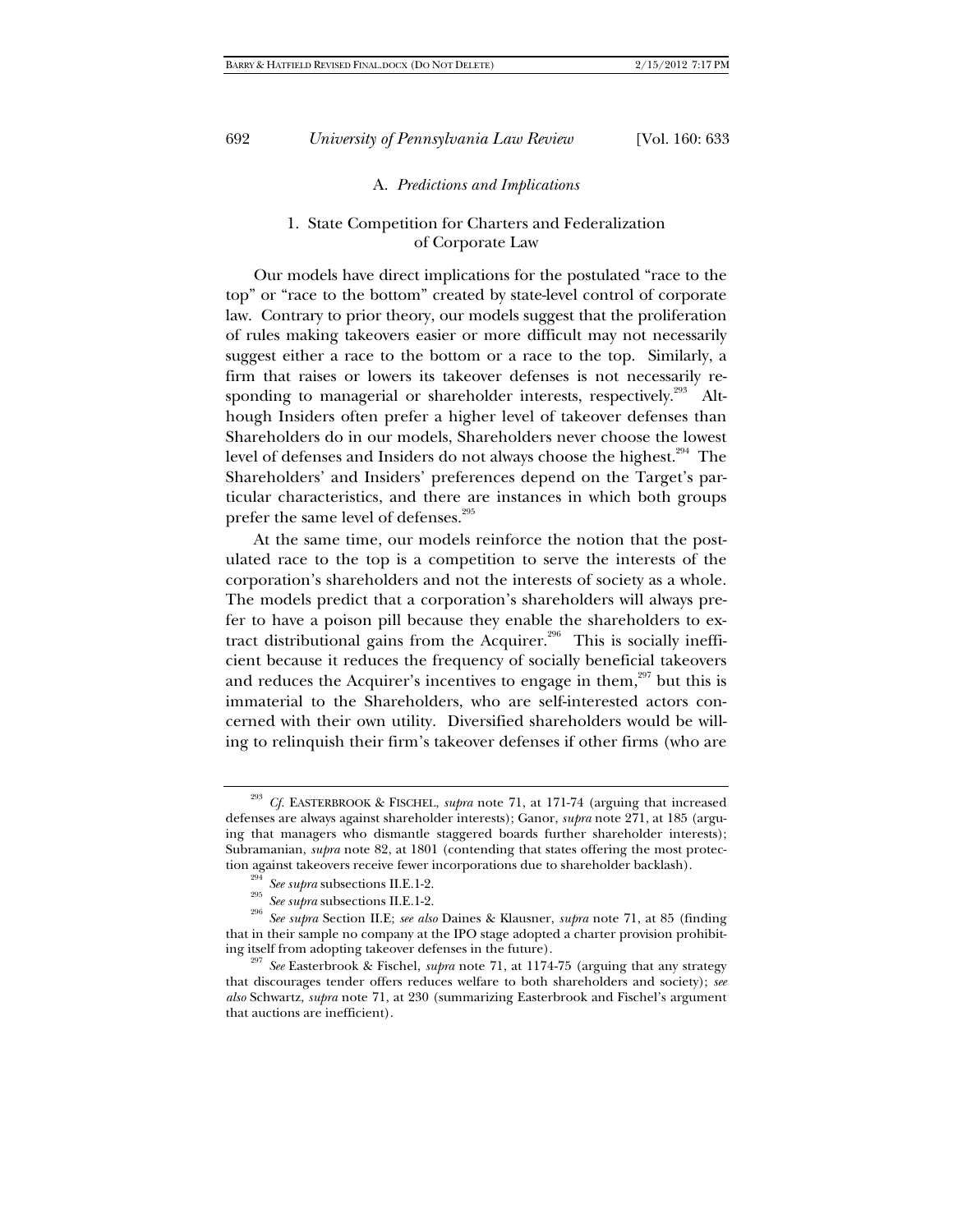#### A. *Predictions and Implications*

# 1. State Competition for Charters and Federalization of Corporate Law

Our models have direct implications for the postulated "race to the top" or "race to the bottom" created by state-level control of corporate law. Contrary to prior theory, our models suggest that the proliferation of rules making takeovers easier or more difficult may not necessarily suggest either a race to the bottom or a race to the top. Similarly, a firm that raises or lowers its takeover defenses is not necessarily responding to managerial or shareholder interests, respectively.<sup>293</sup> Although Insiders often prefer a higher level of takeover defenses than Shareholders do in our models, Shareholders never choose the lowest level of defenses and Insiders do not always choose the highest.<sup>294</sup> The Shareholders' and Insiders' preferences depend on the Target's particular characteristics, and there are instances in which both groups prefer the same level of defenses.<sup>295</sup>

At the same time, our models reinforce the notion that the postulated race to the top is a competition to serve the interests of the corporation's shareholders and not the interests of society as a whole. The models predict that a corporation's shareholders will always prefer to have a poison pill because they enable the shareholders to extract distributional gains from the Acquirer.<sup>296</sup> This is socially inefficient because it reduces the frequency of socially beneficial takeovers and reduces the Acquirer's incentives to engage in them, $297$  but this is immaterial to the Shareholders, who are self-interested actors concerned with their own utility. Diversified shareholders would be willing to relinquish their firm's takeover defenses if other firms (who are

Cf. EASTERBROOK & FISCHEL, *supra* note 71, at 171-74 (arguing that increased defenses are always against shareholder interests); Ganor, *supra* note 271, at 185 (arguing that managers who dismantle staggered boards further shareholder interests); Subramanian, *supra* note 82, at 1801 (contending that states offering the most protection against takeovers receive fewer incorporations due to shareholder backlash).

<sup>&</sup>lt;sup>294</sup> See supra subsections II.E.1-2.<br><sup>295</sup> See supra subsections II.E.1-2.<br><sup>295</sup> See supra Section II.E; *see also* Daines & Klausner, *supra* note 71, at 85 (finding that in their sample no company at the IPO stage adopted a charter provision prohibit-

ing itself from adopting takeover defenses in the future). 297 *See* Easterbrook & Fischel, *supra* note 71, at 1174-75 (arguing that any strategy that discourages tender offers reduces welfare to both shareholders and society); *see also* Schwartz, *supra* note 71, at 230 (summarizing Easterbrook and Fischel's argument that auctions are inefficient).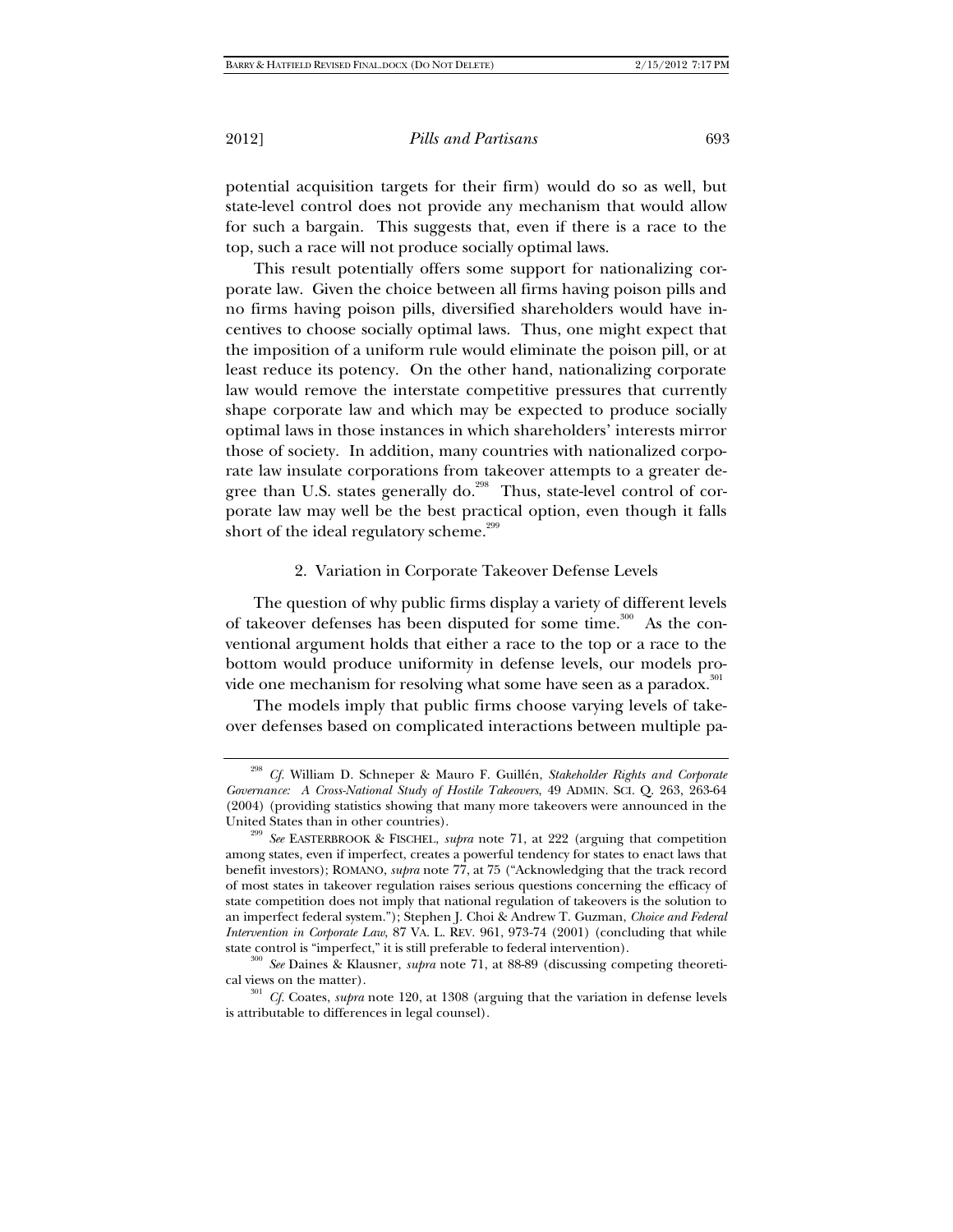potential acquisition targets for their firm) would do so as well, but state-level control does not provide any mechanism that would allow for such a bargain. This suggests that, even if there is a race to the top, such a race will not produce socially optimal laws.

This result potentially offers some support for nationalizing corporate law. Given the choice between all firms having poison pills and no firms having poison pills, diversified shareholders would have incentives to choose socially optimal laws. Thus, one might expect that the imposition of a uniform rule would eliminate the poison pill, or at least reduce its potency. On the other hand, nationalizing corporate law would remove the interstate competitive pressures that currently shape corporate law and which may be expected to produce socially optimal laws in those instances in which shareholders' interests mirror those of society. In addition, many countries with nationalized corporate law insulate corporations from takeover attempts to a greater degree than U.S. states generally do.<sup>298</sup> Thus, state-level control of corporate law may well be the best practical option, even though it falls short of the ideal regulatory scheme.<sup>299</sup>

## 2. Variation in Corporate Takeover Defense Levels

The question of why public firms display a variety of different levels of takeover defenses has been disputed for some time.<sup>300</sup> As the conventional argument holds that either a race to the top or a race to the bottom would produce uniformity in defense levels, our models provide one mechanism for resolving what some have seen as a paradox.<sup>301</sup>

The models imply that public firms choose varying levels of takeover defenses based on complicated interactions between multiple pa-

<sup>298</sup> *Cf.* William D. Schneper & Mauro F. Guillén, *Stakeholder Rights and Corporate Governance: A Cross-National Study of Hostile Takeovers*, 49 ADMIN. SCI. Q. 263, 263-64 (2004) (providing statistics showing that many more takeovers were announced in the United States than in other countries). 299 *See* EASTERBROOK & FISCHEL, *supra* note 71, at 222 (arguing that competition

among states, even if imperfect, creates a powerful tendency for states to enact laws that benefit investors); ROMANO, *supra* note 77, at 75 ("Acknowledging that the track record of most states in takeover regulation raises serious questions concerning the efficacy of state competition does not imply that national regulation of takeovers is the solution to an imperfect federal system."); Stephen J. Choi & Andrew T. Guzman, *Choice and Federal Intervention in Corporate Law*, 87 VA. L. REV. 961, 973-74 (2001) (concluding that while

state control is "imperfect," it is still preferable to federal intervention). 300 *See* Daines & Klausner, *supra* note 71, at 88-89 (discussing competing theoretical views on the matter).  $^{301}$  *Cf.* Coates, *supra* note 120, at 1308 (arguing that the variation in defense levels

is attributable to differences in legal counsel).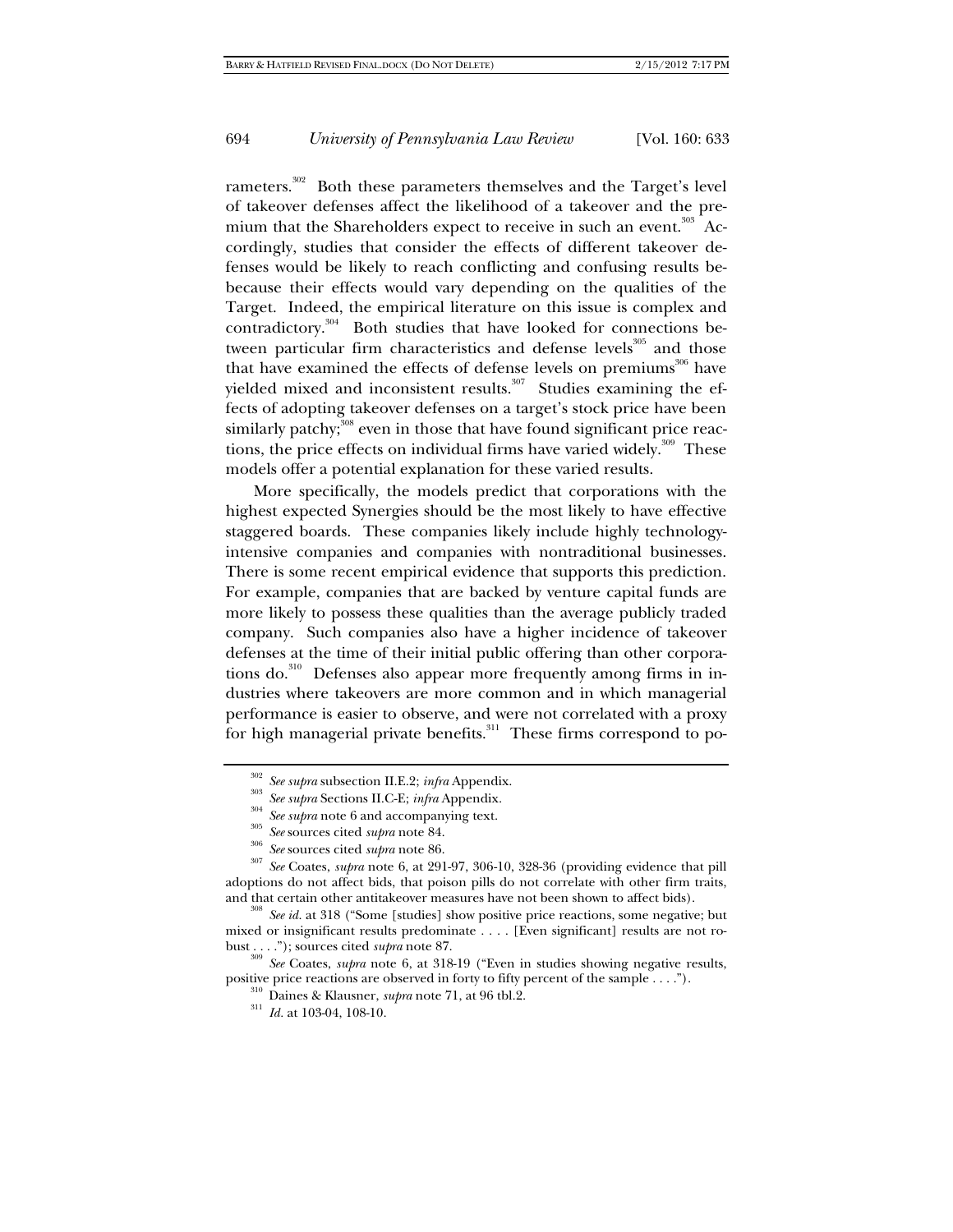rameters.<sup>302</sup> Both these parameters themselves and the Target's level of takeover defenses affect the likelihood of a takeover and the premium that the Shareholders expect to receive in such an event.<sup>303</sup> Accordingly, studies that consider the effects of different takeover defenses would be likely to reach conflicting and confusing results bebecause their effects would vary depending on the qualities of the Target. Indeed, the empirical literature on this issue is complex and contradictory.<sup>304</sup> Both studies that have looked for connections between particular firm characteristics and defense levels<sup>305</sup> and those that have examined the effects of defense levels on premiums<sup>306</sup> have yielded mixed and inconsistent results.<sup>307</sup> Studies examining the effects of adopting takeover defenses on a target's stock price have been similarly patchy;<sup>308</sup> even in those that have found significant price reactions, the price effects on individual firms have varied widely. $309$  These models offer a potential explanation for these varied results.

More specifically, the models predict that corporations with the highest expected Synergies should be the most likely to have effective staggered boards. These companies likely include highly technologyintensive companies and companies with nontraditional businesses. There is some recent empirical evidence that supports this prediction. For example, companies that are backed by venture capital funds are more likely to possess these qualities than the average publicly traded company. Such companies also have a higher incidence of takeover defenses at the time of their initial public offering than other corporations do.<sup>310</sup> Defenses also appear more frequently among firms in industries where takeovers are more common and in which managerial performance is easier to observe, and were not correlated with a proxy for high managerial private benefits.<sup>311</sup> These firms correspond to po-

<sup>&</sup>lt;sup>302</sup> See supra subsection II.E.2; infra Appendix.<br><sup>303</sup> See supra Sections II.C-E; infra Appendix.<br><sup>304</sup> See supra note 6 and accompanying text.<br><sup>305</sup> See sources cited *supra* note 84.<br><sup>305</sup> See Coates, *supra* note 6, adoptions do not affect bids, that poison pills do not correlate with other firm traits,

<sup>&</sup>lt;sup>308</sup> See *id.* at 318 ("Some [studies] show positive price reactions, some negative; but mixed or insignificant results predominate . . . . [Even significant] results are not robust . . . ."); sources cited *supra* note 87.<br><sup>309</sup> *See* Coates, *supra* note 6, at 318-19 ("Even in studies showing negative results,

positive price reactions are observed in forty to fifty percent of the sample . . . ."). <sup>310</sup> Daines & Klausner, *supra* note 71, at 96 tbl.2. <sup>311</sup> *Id.* at 103-04, 108-10.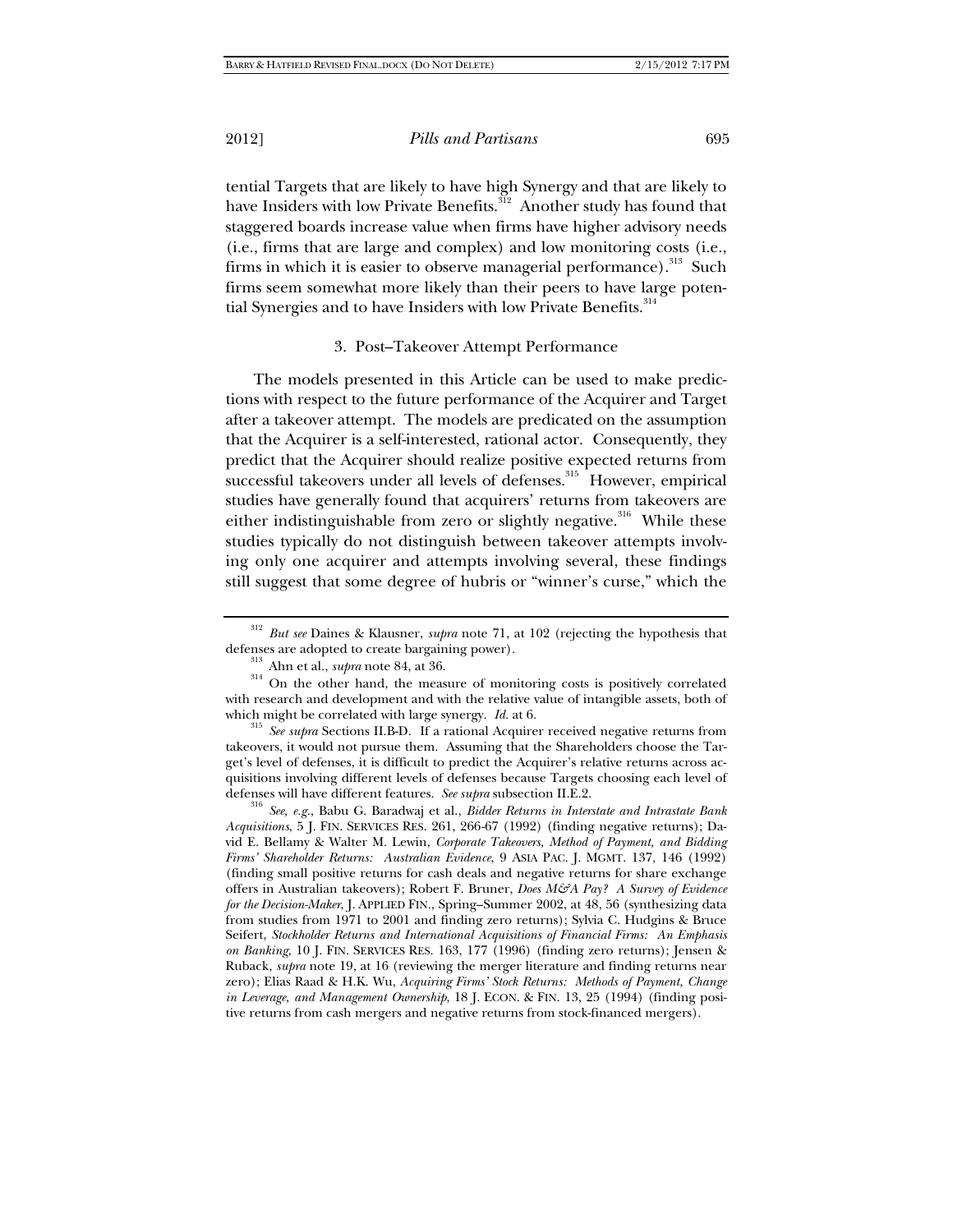tential Targets that are likely to have high Synergy and that are likely to have Insiders with low Private Benefits.<sup>312</sup> Another study has found that staggered boards increase value when firms have higher advisory needs (i.e., firms that are large and complex) and low monitoring costs (i.e., firms in which it is easier to observe managerial performance).<sup>313</sup> Such firms seem somewhat more likely than their peers to have large potential Synergies and to have Insiders with low Private Benefits.<sup>314</sup>

## 3. Post–Takeover Attempt Performance

The models presented in this Article can be used to make predictions with respect to the future performance of the Acquirer and Target after a takeover attempt. The models are predicated on the assumption that the Acquirer is a self-interested, rational actor. Consequently, they predict that the Acquirer should realize positive expected returns from successful takeovers under all levels of defenses.<sup>315</sup> However, empirical studies have generally found that acquirers' returns from takeovers are either indistinguishable from zero or slightly negative.<sup>316</sup> While these studies typically do not distinguish between takeover attempts involving only one acquirer and attempts involving several, these findings still suggest that some degree of hubris or "winner's curse," which the

which might be correlated with large synergy. *Id.* at 6. 315 *See supra* Sections II.B-D. If a rational Acquirer received negative returns from takeovers, it would not pursue them. Assuming that the Shareholders choose the Target's level of defenses, it is difficult to predict the Acquirer's relative returns across acquisitions involving different levels of defenses because Targets choosing each level of

defenses will have different features. *See supra* subsection II.E.2. 316 *See, e.g.*, Babu G. Baradwaj et al., *Bidder Returns in Interstate and Intrastate Bank Acquisitions*, 5 J. FIN. SERVICES RES. 261, 266-67 (1992) (finding negative returns); David E. Bellamy & Walter M. Lewin, *Corporate Takeovers, Method of Payment, and Bidding Firms' Shareholder Returns: Australian Evidence*, 9 ASIA PAC. J. MGMT. 137, 146 (1992) (finding small positive returns for cash deals and negative returns for share exchange offers in Australian takeovers); Robert F. Bruner, *Does M&A Pay? A Survey of Evidence for the Decision-Maker*, J. APPLIED FIN., Spring–Summer 2002, at 48, 56 (synthesizing data from studies from 1971 to 2001 and finding zero returns); Sylvia C. Hudgins & Bruce Seifert, *Stockholder Returns and International Acquisitions of Financial Firms: An Emphasis on Banking*, 10 J. FIN. SERVICES RES. 163, 177 (1996) (finding zero returns); Jensen & Ruback, *supra* note 19, at 16 (reviewing the merger literature and finding returns near zero); Elias Raad & H.K. Wu, *Acquiring Firms' Stock Returns: Methods of Payment, Change in Leverage, and Management Ownership*, 18 J. ECON. & FIN. 13, 25 (1994) (finding positive returns from cash mergers and negative returns from stock-financed mergers).

<sup>312</sup> *But see* Daines & Klausner, *supra* note 71, at 102 (rejecting the hypothesis that defenses are adopted to create bargaining power).<br><sup>313</sup> Ahn et al., *supra* note 84, at 36.<br><sup>314</sup> On the other hand, the measure of monitoring costs is positively correlated

with research and development and with the relative value of intangible assets, both of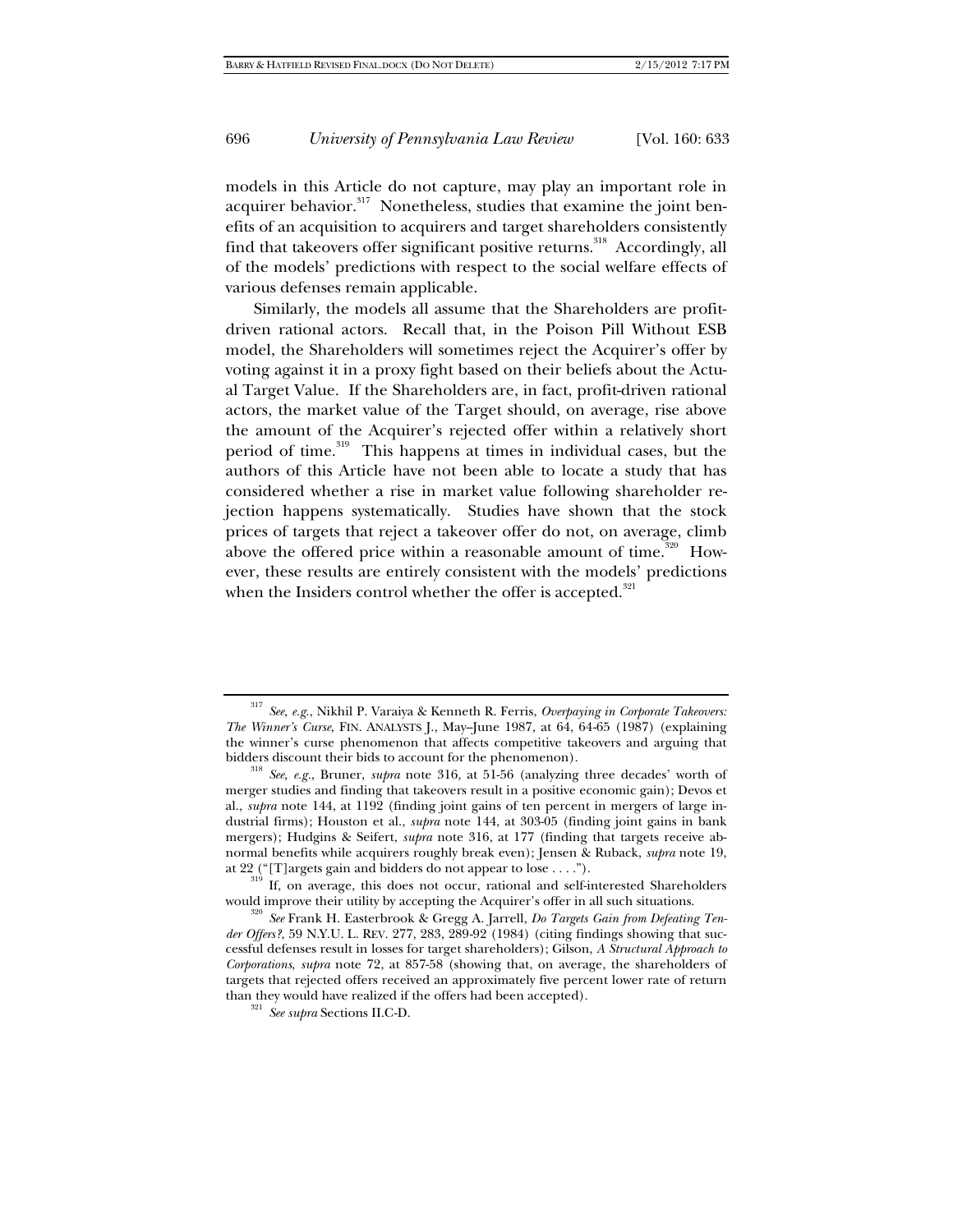models in this Article do not capture, may play an important role in acquirer behavior.<sup>317</sup> Nonetheless, studies that examine the joint benefits of an acquisition to acquirers and target shareholders consistently find that takeovers offer significant positive returns.<sup>318</sup> Accordingly, all of the models' predictions with respect to the social welfare effects of various defenses remain applicable.

Similarly, the models all assume that the Shareholders are profitdriven rational actors. Recall that, in the Poison Pill Without ESB model, the Shareholders will sometimes reject the Acquirer's offer by voting against it in a proxy fight based on their beliefs about the Actual Target Value. If the Shareholders are, in fact, profit-driven rational actors, the market value of the Target should, on average, rise above the amount of the Acquirer's rejected offer within a relatively short period of time.<sup>319</sup> This happens at times in individual cases, but the authors of this Article have not been able to locate a study that has considered whether a rise in market value following shareholder rejection happens systematically. Studies have shown that the stock prices of targets that reject a takeover offer do not, on average, climb above the offered price within a reasonable amount of time.<sup>320</sup> However, these results are entirely consistent with the models' predictions when the Insiders control whether the offer is accepted.<sup>321</sup>

<sup>317</sup> *See, e.g.*, Nikhil P. Varaiya & Kenneth R. Ferris, *Overpaying in Corporate Takeovers: The Winner's Curse*, FIN. ANALYSTS J., May–June 1987, at 64, 64-65 (1987) (explaining the winner's curse phenomenon that affects competitive takeovers and arguing that

bidders discount their bids to account for the phenomenon). 318 *See, e.g.*, Bruner, *supra* note 316, at 51-56 (analyzing three decades' worth of merger studies and finding that takeovers result in a positive economic gain); Devos et al., *supra* note 144, at 1192 (finding joint gains of ten percent in mergers of large industrial firms); Houston et al., *supra* note 144, at 303-05 (finding joint gains in bank mergers); Hudgins & Seifert, *supra* note 316, at 177 (finding that targets receive abnormal benefits while acquirers roughly break even); Jensen & Ruback, *supra* note 19,

at 22 ("[T]argets gain and bidders do not appear to lose . . . .").<br><sup>319</sup> If, on average, this does not occur, rational and self-interested Shareholders<br>would improve their utility by accepting the Acquirer's offer in all

<sup>&</sup>lt;sup>320</sup> See Frank H. Easterbrook & Gregg A. Jarrell, *Do Targets Gain from Defeating Tender Offers?*, 59 N.Y.U. L. REV. 277, 283, 289-92 (1984) (citing findings showing that successful defenses result in losses for target shareholders); Gilson, *A Structural Approach to Corporations*, *supra* note 72, at 857-58 (showing that, on average, the shareholders of targets that rejected offers received an approximately five percent lower rate of return than they would have realized if the offers had been accepted). 321 *See supra* Sections II.C-D.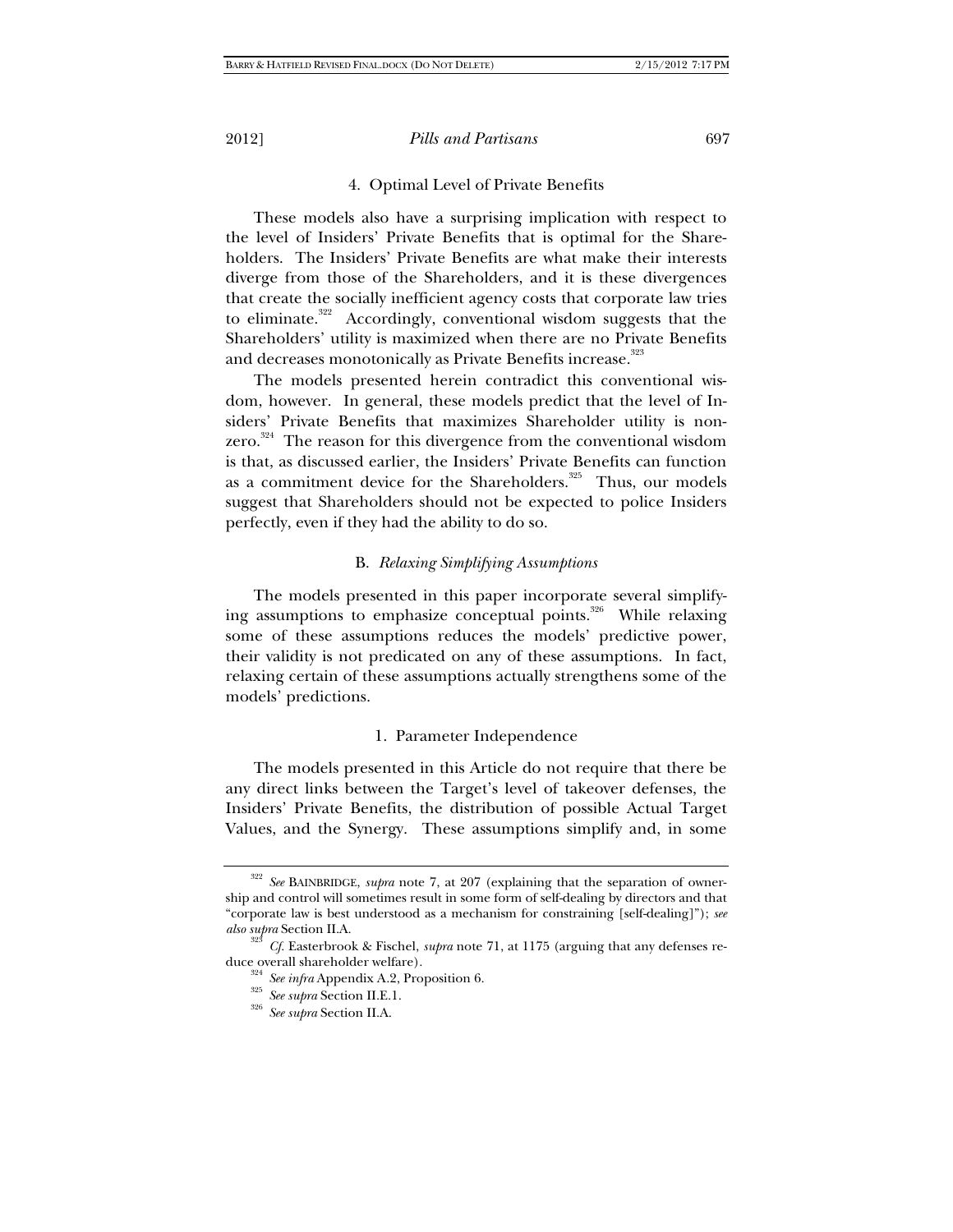### 4. Optimal Level of Private Benefits

These models also have a surprising implication with respect to the level of Insiders' Private Benefits that is optimal for the Shareholders. The Insiders' Private Benefits are what make their interests diverge from those of the Shareholders, and it is these divergences that create the socially inefficient agency costs that corporate law tries to eliminate.<sup>322</sup> Accordingly, conventional wisdom suggests that the Shareholders' utility is maximized when there are no Private Benefits and decreases monotonically as Private Benefits increase.<sup>323</sup>

The models presented herein contradict this conventional wisdom, however. In general, these models predict that the level of Insiders' Private Benefits that maximizes Shareholder utility is nonzero.<sup>324</sup> The reason for this divergence from the conventional wisdom is that, as discussed earlier, the Insiders' Private Benefits can function as a commitment device for the Shareholders.<sup>325</sup> Thus, our models suggest that Shareholders should not be expected to police Insiders perfectly, even if they had the ability to do so.

## B. *Relaxing Simplifying Assumptions*

The models presented in this paper incorporate several simplifying assumptions to emphasize conceptual points.<sup>326</sup> While relaxing some of these assumptions reduces the models' predictive power, their validity is not predicated on any of these assumptions. In fact, relaxing certain of these assumptions actually strengthens some of the models' predictions.

#### 1. Parameter Independence

The models presented in this Article do not require that there be any direct links between the Target's level of takeover defenses, the Insiders' Private Benefits, the distribution of possible Actual Target Values, and the Synergy. These assumptions simplify and, in some

<sup>322</sup> *See* BAINBRIDGE, *supra* note 7, at 207 (explaining that the separation of ownership and control will sometimes result in some form of self-dealing by directors and that "corporate law is best understood as a mechanism for constraining [self-dealing]"); *see also supra* Section II.A. 323 *Cf.* Easterbrook & Fischel, *supra* note 71, at 1175 (arguing that any defenses re-

duce overall shareholder welfare). 324 *See infra* Appendix A.2, Proposition 6. 325 *See supra* Section II.E.1. 326 *See supra* Section II.A.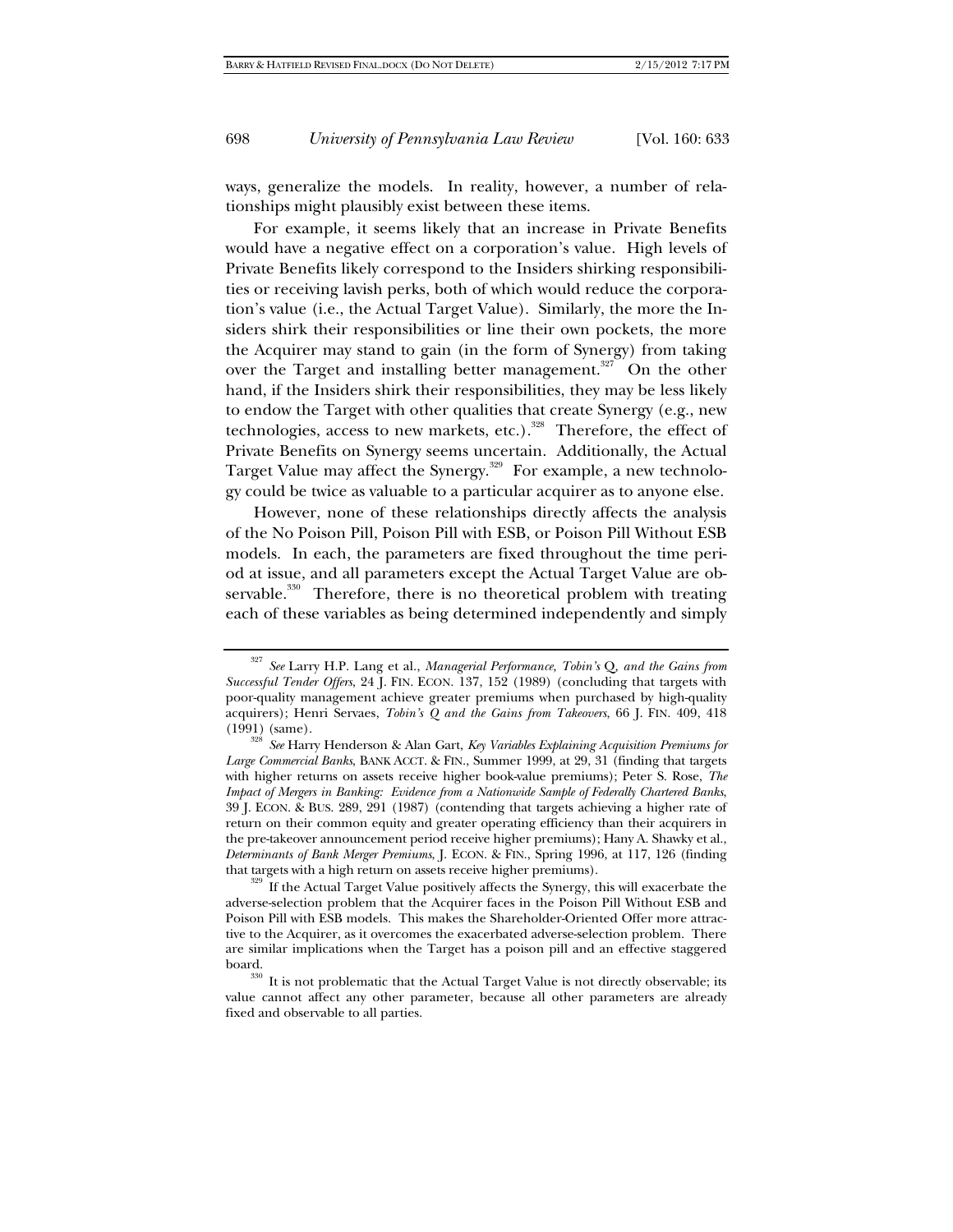ways, generalize the models. In reality, however, a number of relationships might plausibly exist between these items.

For example, it seems likely that an increase in Private Benefits would have a negative effect on a corporation's value. High levels of Private Benefits likely correspond to the Insiders shirking responsibilities or receiving lavish perks, both of which would reduce the corporation's value (i.e., the Actual Target Value). Similarly, the more the Insiders shirk their responsibilities or line their own pockets, the more the Acquirer may stand to gain (in the form of Synergy) from taking over the Target and installing better management.<sup>327</sup> On the other hand, if the Insiders shirk their responsibilities, they may be less likely to endow the Target with other qualities that create Synergy (e.g., new technologies, access to new markets, etc.).<sup>328</sup> Therefore, the effect of Private Benefits on Synergy seems uncertain. Additionally, the Actual Target Value may affect the Synergy.<sup>329</sup> For example, a new technology could be twice as valuable to a particular acquirer as to anyone else.

However, none of these relationships directly affects the analysis of the No Poison Pill, Poison Pill with ESB, or Poison Pill Without ESB models. In each, the parameters are fixed throughout the time period at issue, and all parameters except the Actual Target Value are observable.<sup>330</sup> Therefore, there is no theoretical problem with treating each of these variables as being determined independently and simply

<sup>327</sup> *See* Larry H.P. Lang et al., *Managerial Performance, Tobin's* Q*, and the Gains from Successful Tender Offers*, 24 J. FIN. ECON. 137, 152 (1989) (concluding that targets with poor-quality management achieve greater premiums when purchased by high-quality acquirers); Henri Servaes, *Tobin's Q and the Gains from Takeovers*, 66 J. FIN. 409, 418 (1991) (same). 328 *See* Harry Henderson & Alan Gart, *Key Variables Explaining Acquisition Premiums for* 

*Large Commercial Banks*, BANK ACCT. & FIN., Summer 1999, at 29, 31 (finding that targets with higher returns on assets receive higher book-value premiums); Peter S. Rose, *The Impact of Mergers in Banking: Evidence from a Nationwide Sample of Federally Chartered Banks*, 39 J. ECON. & BUS. 289, 291 (1987) (contending that targets achieving a higher rate of return on their common equity and greater operating efficiency than their acquirers in the pre-takeover announcement period receive higher premiums); Hany A. Shawky et al., *Determinants of Bank Merger Premiums*, J. ECON. & FIN., Spring 1996, at 117, 126 (finding

 $\frac{329}{329}$  If the Actual Target Value positively affects the Synergy, this will exacerbate the adverse-selection problem that the Acquirer faces in the Poison Pill Without ESB and Poison Pill with ESB models. This makes the Shareholder-Oriented Offer more attractive to the Acquirer, as it overcomes the exacerbated adverse-selection problem. There are similar implications when the Target has a poison pill and an effective staggered

board.<br><sup>330</sup> It is not problematic that the Actual Target Value is not directly observable; its value cannot affect any other parameter, because all other parameters are already fixed and observable to all parties.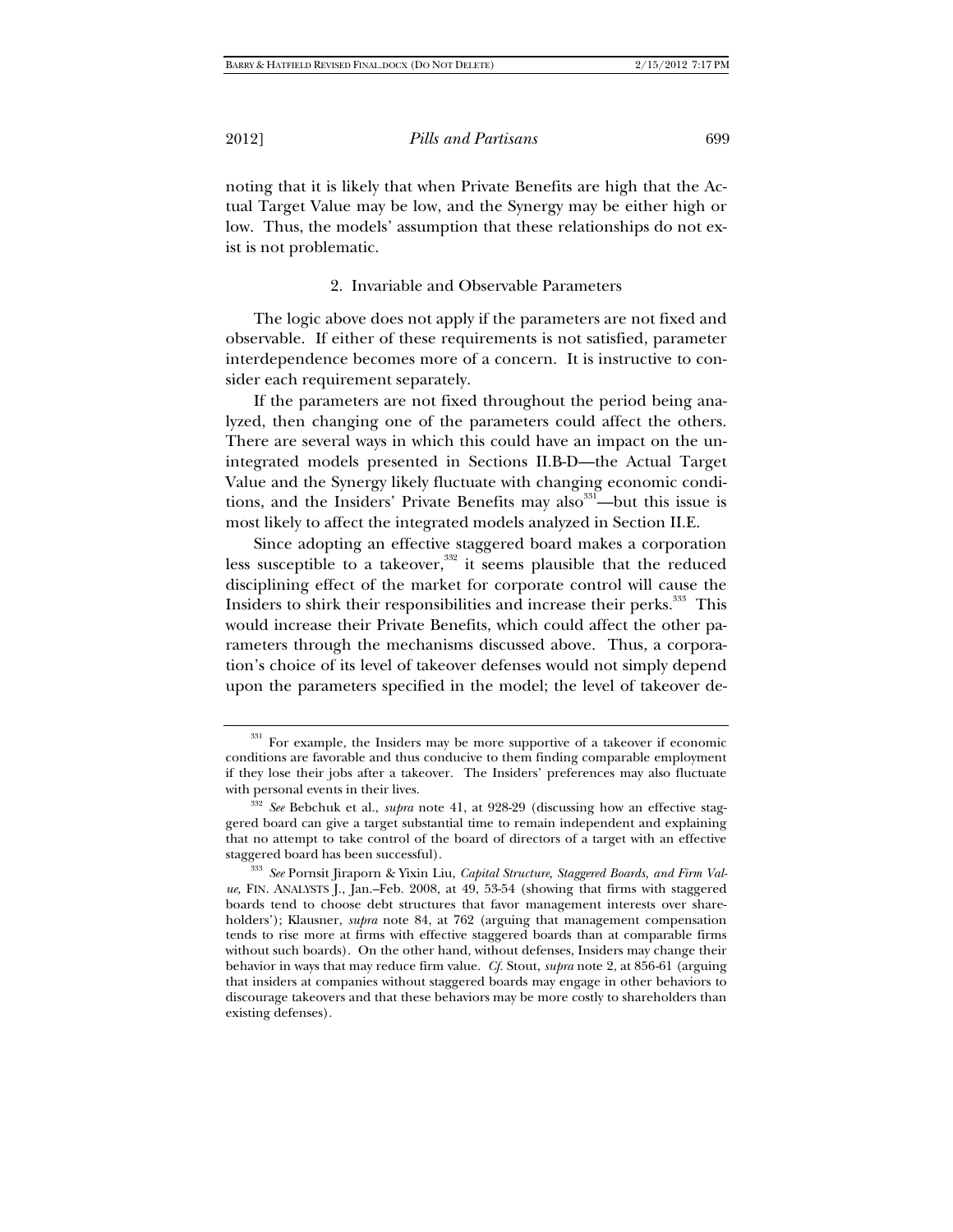noting that it is likely that when Private Benefits are high that the Actual Target Value may be low, and the Synergy may be either high or low. Thus, the models' assumption that these relationships do not exist is not problematic.

# 2. Invariable and Observable Parameters

The logic above does not apply if the parameters are not fixed and observable. If either of these requirements is not satisfied, parameter interdependence becomes more of a concern. It is instructive to consider each requirement separately.

If the parameters are not fixed throughout the period being analyzed, then changing one of the parameters could affect the others. There are several ways in which this could have an impact on the unintegrated models presented in Sections II.B-D—the Actual Target Value and the Synergy likely fluctuate with changing economic conditions, and the Insiders' Private Benefits may also  $331$ —but this issue is most likely to affect the integrated models analyzed in Section II.E.

Since adopting an effective staggered board makes a corporation less susceptible to a takeover,<sup>332</sup> it seems plausible that the reduced disciplining effect of the market for corporate control will cause the Insiders to shirk their responsibilities and increase their perks.<sup>333</sup> This would increase their Private Benefits, which could affect the other parameters through the mechanisms discussed above. Thus, a corporation's choice of its level of takeover defenses would not simply depend upon the parameters specified in the model; the level of takeover de-

<sup>&</sup>lt;sup>331</sup> For example, the Insiders may be more supportive of a takeover if economic conditions are favorable and thus conducive to them finding comparable employment if they lose their jobs after a takeover. The Insiders' preferences may also fluctuate

with personal events in their lives.<br><sup>332</sup> *See* Bebchuk et al., *supra* note 41, at 928-29 (discussing how an effective staggered board can give a target substantial time to remain independent and explaining that no attempt to take control of the board of directors of a target with an effective staggered board has been successful).

<sup>&</sup>lt;sup>333</sup> See Pornsit Jiraporn & Yixin Liu, *Capital Structure, Staggered Boards, and Firm Value*, FIN. ANALYSTS J., Jan.–Feb. 2008, at 49, 53-54 (showing that firms with staggered boards tend to choose debt structures that favor management interests over shareholders'); Klausner, *supra* note 84, at 762 (arguing that management compensation tends to rise more at firms with effective staggered boards than at comparable firms without such boards). On the other hand, without defenses, Insiders may change their behavior in ways that may reduce firm value. *Cf.* Stout, *supra* note 2, at 856-61 (arguing that insiders at companies without staggered boards may engage in other behaviors to discourage takeovers and that these behaviors may be more costly to shareholders than existing defenses).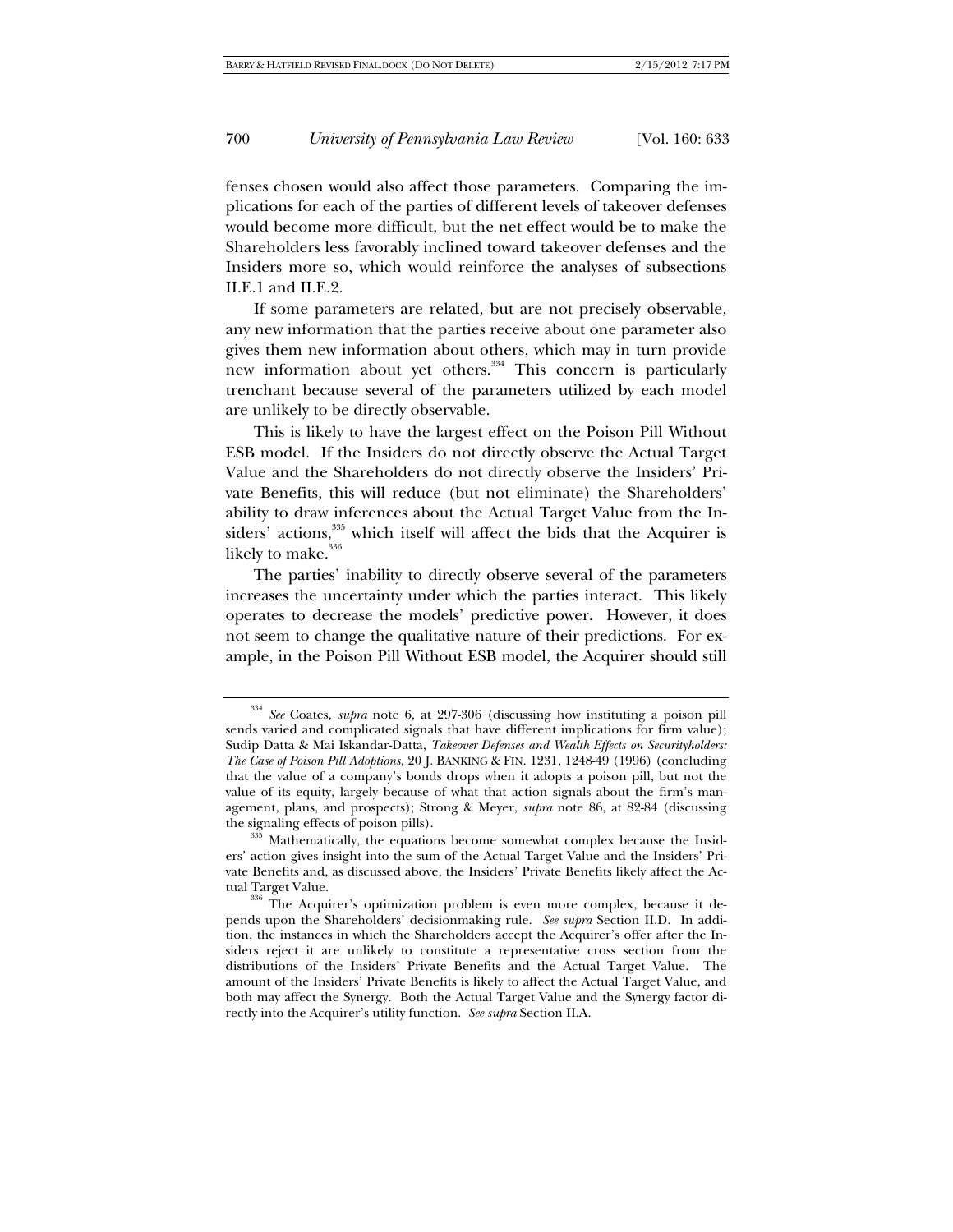fenses chosen would also affect those parameters. Comparing the implications for each of the parties of different levels of takeover defenses would become more difficult, but the net effect would be to make the Shareholders less favorably inclined toward takeover defenses and the Insiders more so, which would reinforce the analyses of subsections II.E.1 and II.E.2.

If some parameters are related, but are not precisely observable, any new information that the parties receive about one parameter also gives them new information about others, which may in turn provide new information about yet others.<sup>334</sup> This concern is particularly trenchant because several of the parameters utilized by each model are unlikely to be directly observable.

This is likely to have the largest effect on the Poison Pill Without ESB model. If the Insiders do not directly observe the Actual Target Value and the Shareholders do not directly observe the Insiders' Private Benefits, this will reduce (but not eliminate) the Shareholders' ability to draw inferences about the Actual Target Value from the Insiders' actions,<sup>335</sup> which itself will affect the bids that the Acquirer is likely to make.<sup>3</sup>

The parties' inability to directly observe several of the parameters increases the uncertainty under which the parties interact. This likely operates to decrease the models' predictive power. However, it does not seem to change the qualitative nature of their predictions. For example, in the Poison Pill Without ESB model, the Acquirer should still

<sup>334</sup> *See* Coates, *supra* note 6, at 297-306 (discussing how instituting a poison pill sends varied and complicated signals that have different implications for firm value); Sudip Datta & Mai Iskandar-Datta, *Takeover Defenses and Wealth Effects on Securityholders: The Case of Poison Pill Adoptions*, 20 J. BANKING & FIN. 1231, 1248-49 (1996) (concluding that the value of a company's bonds drops when it adopts a poison pill, but not the value of its equity, largely because of what that action signals about the firm's management, plans, and prospects); Strong & Meyer, *supra* note 86, at 82-84 (discussing

 $t<sub>335</sub>$  Mathematically, the equations become somewhat complex because the Insiders' action gives insight into the sum of the Actual Target Value and the Insiders' Private Benefits and, as discussed above, the Insiders' Private Benefits likely affect the Ac-

tual Target Value.<br><sup>336</sup> The Acquirer's optimization problem is even more complex, because it depends upon the Shareholders' decisionmaking rule. *See supra* Section II.D. In addition, the instances in which the Shareholders accept the Acquirer's offer after the Insiders reject it are unlikely to constitute a representative cross section from the distributions of the Insiders' Private Benefits and the Actual Target Value. The amount of the Insiders' Private Benefits is likely to affect the Actual Target Value, and both may affect the Synergy. Both the Actual Target Value and the Synergy factor directly into the Acquirer's utility function. *See supra* Section II.A.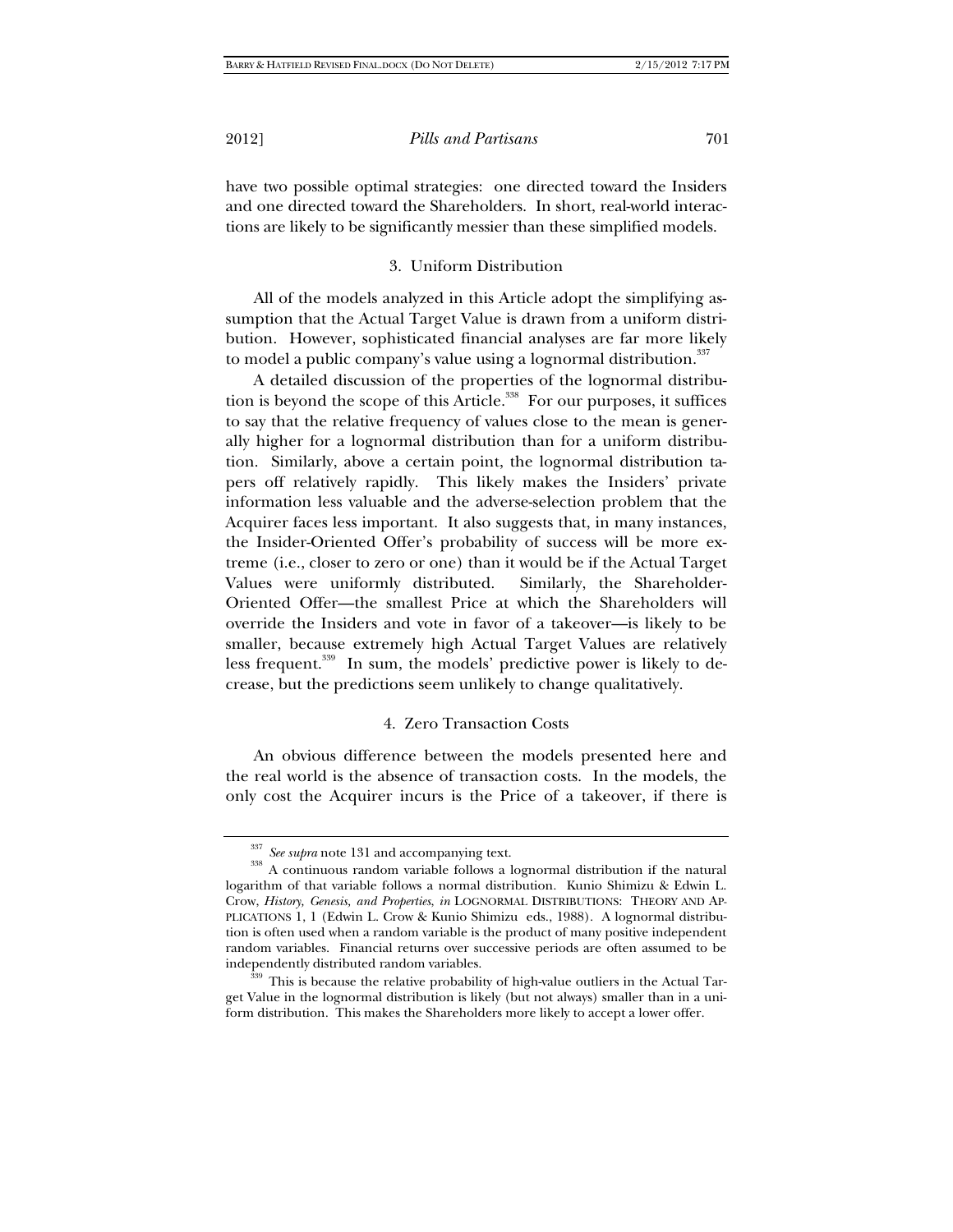have two possible optimal strategies: one directed toward the Insiders and one directed toward the Shareholders. In short, real-world interactions are likely to be significantly messier than these simplified models.

# 3. Uniform Distribution

All of the models analyzed in this Article adopt the simplifying assumption that the Actual Target Value is drawn from a uniform distribution. However, sophisticated financial analyses are far more likely to model a public company's value using a lognormal distribution.<sup>337</sup>

A detailed discussion of the properties of the lognormal distribution is beyond the scope of this Article.<sup>338</sup> For our purposes, it suffices to say that the relative frequency of values close to the mean is generally higher for a lognormal distribution than for a uniform distribution. Similarly, above a certain point, the lognormal distribution tapers off relatively rapidly. This likely makes the Insiders' private information less valuable and the adverse-selection problem that the Acquirer faces less important. It also suggests that, in many instances, the Insider-Oriented Offer's probability of success will be more extreme (i.e., closer to zero or one) than it would be if the Actual Target Values were uniformly distributed. Similarly, the Shareholder-Oriented Offer—the smallest Price at which the Shareholders will override the Insiders and vote in favor of a takeover—is likely to be smaller, because extremely high Actual Target Values are relatively less frequent.<sup>339</sup> In sum, the models' predictive power is likely to decrease, but the predictions seem unlikely to change qualitatively.

# 4. Zero Transaction Costs

An obvious difference between the models presented here and the real world is the absence of transaction costs. In the models, the only cost the Acquirer incurs is the Price of a takeover, if there is

<sup>&</sup>lt;sup>337</sup> *See supra* note 131 and accompanying text.<br><sup>338</sup> A continuous random variable follows a lognormal distribution if the natural logarithm of that variable follows a normal distribution. Kunio Shimizu & Edwin L. Crow, *History, Genesis, and Properties*, *in* LOGNORMAL DISTRIBUTIONS: THEORY AND AP-PLICATIONS 1, 1 (Edwin L. Crow & Kunio Shimizu eds., 1988). A lognormal distribution is often used when a random variable is the product of many positive independent random variables. Financial returns over successive periods are often assumed to be independently distributed random variables.<br><sup>339</sup> This is because the relative probability of high-value outliers in the Actual Tar-

get Value in the lognormal distribution is likely (but not always) smaller than in a uniform distribution. This makes the Shareholders more likely to accept a lower offer.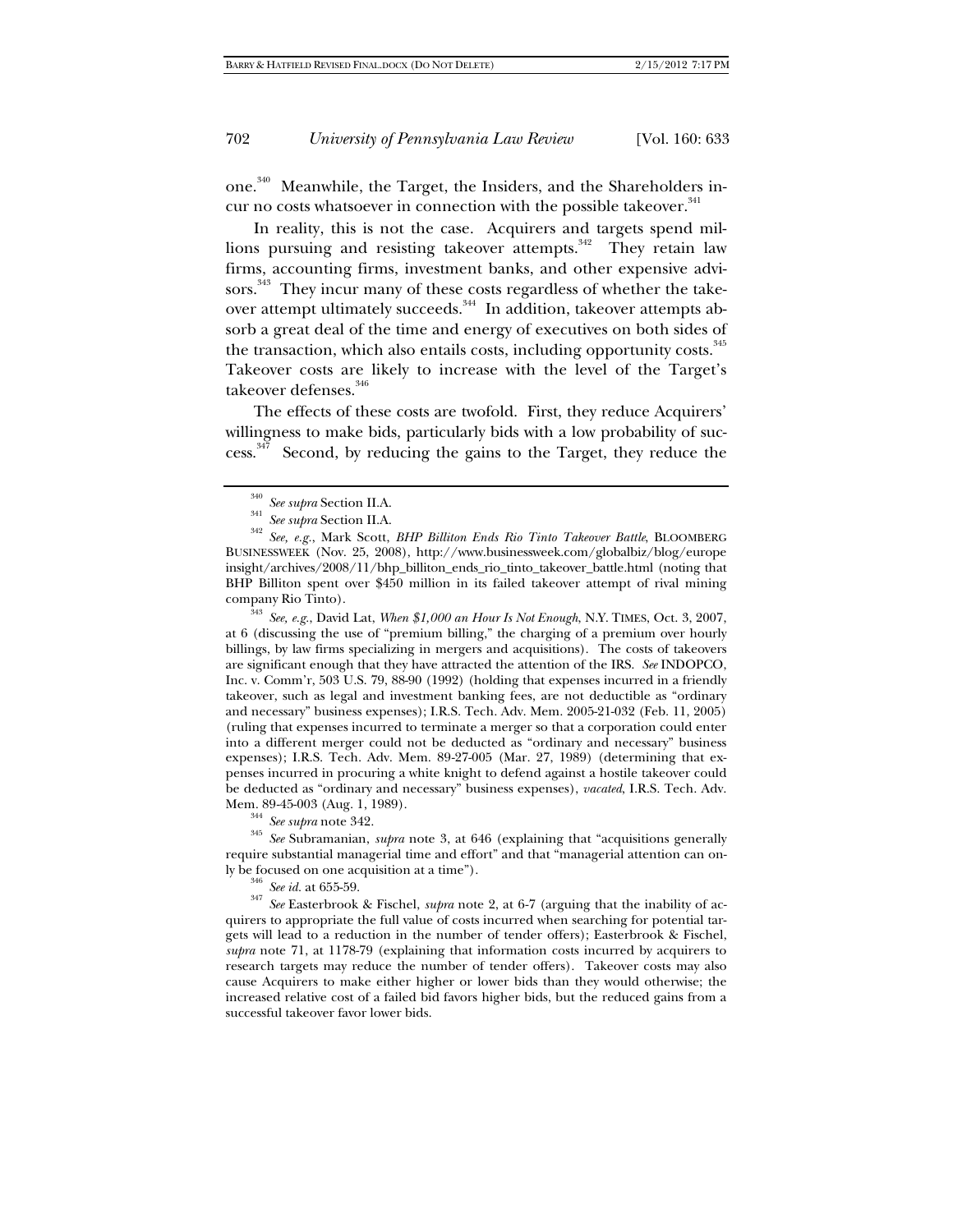one.<sup>340</sup> Meanwhile, the Target, the Insiders, and the Shareholders incur no costs whatsoever in connection with the possible takeover.<sup>341</sup>

In reality, this is not the case. Acquirers and targets spend millions pursuing and resisting takeover attempts.<sup>342</sup> They retain law firms, accounting firms, investment banks, and other expensive advisors.<sup>343</sup> They incur many of these costs regardless of whether the takeover attempt ultimately succeeds.<sup>344</sup> In addition, takeover attempts absorb a great deal of the time and energy of executives on both sides of the transaction, which also entails costs, including opportunity costs.<sup>345</sup> Takeover costs are likely to increase with the level of the Target's takeover defenses.<sup>346</sup>

The effects of these costs are twofold. First, they reduce Acquirers' willingness to make bids, particularly bids with a low probability of suc $cess.\overline{347}$  Second, by reducing the gains to the Target, they reduce the

<sup>343</sup> *See, e.g.*, David Lat, *When \$1,000 an Hour Is Not Enough*, N.Y. TIMES, Oct. 3, 2007, at 6 (discussing the use of "premium billing," the charging of a premium over hourly billings, by law firms specializing in mergers and acquisitions). The costs of takeovers are significant enough that they have attracted the attention of the IRS. *See* INDOPCO, Inc. v. Comm'r, 503 U.S. 79, 88-90 (1992) (holding that expenses incurred in a friendly takeover, such as legal and investment banking fees, are not deductible as "ordinary and necessary" business expenses); I.R.S. Tech. Adv. Mem. 2005-21-032 (Feb. 11, 2005) (ruling that expenses incurred to terminate a merger so that a corporation could enter into a different merger could not be deducted as "ordinary and necessary" business expenses); I.R.S. Tech. Adv. Mem. 89-27-005 (Mar. 27, 1989) (determining that expenses incurred in procuring a white knight to defend against a hostile takeover could be deducted as "ordinary and necessary" business expenses), *vacated*, I.R.S. Tech. Adv.

Mem. 89-45-003 (Aug. 1, 1989). 344 *See supra* note 342. 345 *See* Subramanian, *supra* note 3, at 646 (explaining that "acquisitions generally require substantial managerial time and effort" and that "managerial attention can on-<br>ly be focused on one acquisition at a time").

<sup>346</sup> See id. at 655-59. <br><sup>347</sup> See Easterbrook & Fischel, *supra* note 2, at 6-7 (arguing that the inability of acquirers to appropriate the full value of costs incurred when searching for potential targets will lead to a reduction in the number of tender offers); Easterbrook & Fischel, *supra* note 71, at 1178-79 (explaining that information costs incurred by acquirers to research targets may reduce the number of tender offers). Takeover costs may also cause Acquirers to make either higher or lower bids than they would otherwise; the increased relative cost of a failed bid favors higher bids, but the reduced gains from a successful takeover favor lower bids.

<sup>340</sup> *See supra* Section II.A. 341 *See supra* Section II.A. 342 *See, e.g.*, Mark Scott, *BHP Billiton Ends Rio Tinto Takeover Battle*, BLOOMBERG BUSINESSWEEK (Nov. 25, 2008), http://www.businessweek.com/globalbiz/blog/europe insight/archives/2008/11/bhp\_billiton\_ends\_rio\_tinto\_takeover\_battle.html (noting that BHP Billiton spent over \$450 million in its failed takeover attempt of rival mining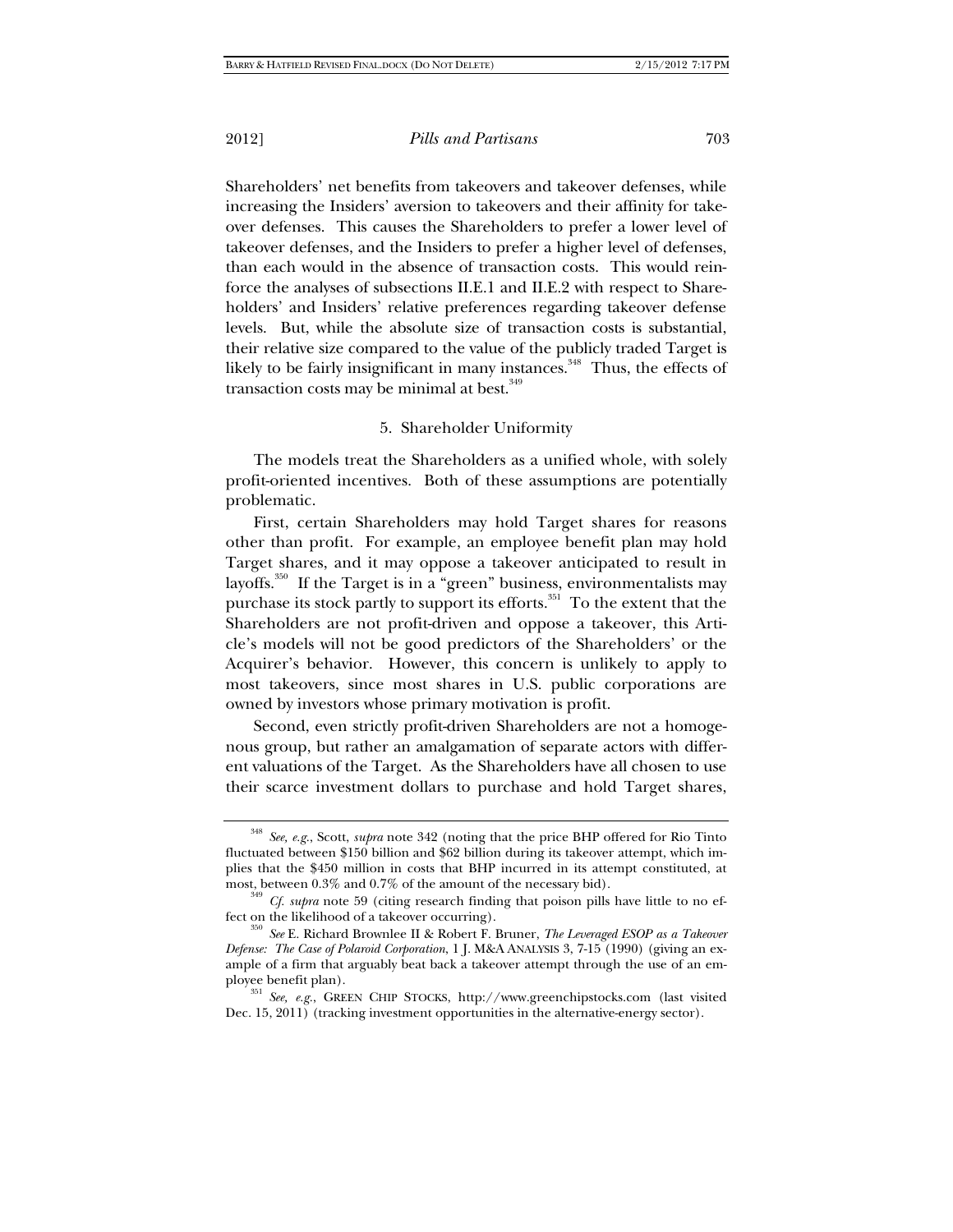Shareholders' net benefits from takeovers and takeover defenses, while increasing the Insiders' aversion to takeovers and their affinity for takeover defenses. This causes the Shareholders to prefer a lower level of takeover defenses, and the Insiders to prefer a higher level of defenses, than each would in the absence of transaction costs. This would reinforce the analyses of subsections II.E.1 and II.E.2 with respect to Shareholders' and Insiders' relative preferences regarding takeover defense levels. But, while the absolute size of transaction costs is substantial, their relative size compared to the value of the publicly traded Target is likely to be fairly insignificant in many instances.<sup>348</sup> Thus, the effects of transaction costs may be minimal at best.<sup>349</sup>

## 5. Shareholder Uniformity

The models treat the Shareholders as a unified whole, with solely profit-oriented incentives. Both of these assumptions are potentially problematic.

First, certain Shareholders may hold Target shares for reasons other than profit. For example, an employee benefit plan may hold Target shares, and it may oppose a takeover anticipated to result in layoffs.<sup>350</sup> If the Target is in a "green" business, environmentalists may purchase its stock partly to support its efforts.<sup>351</sup> To the extent that the Shareholders are not profit-driven and oppose a takeover, this Article's models will not be good predictors of the Shareholders' or the Acquirer's behavior. However, this concern is unlikely to apply to most takeovers, since most shares in U.S. public corporations are owned by investors whose primary motivation is profit.

Second, even strictly profit-driven Shareholders are not a homogenous group, but rather an amalgamation of separate actors with different valuations of the Target. As the Shareholders have all chosen to use their scarce investment dollars to purchase and hold Target shares,

<sup>348</sup> *See, e.g.*, Scott, *supra* note 342 (noting that the price BHP offered for Rio Tinto fluctuated between \$150 billion and \$62 billion during its takeover attempt, which implies that the \$450 million in costs that BHP incurred in its attempt constituted, at most, between 0.3% and 0.7% of the amount of the necessary bid).

 $\frac{1}{2}$  *S*<sup>49</sup> *Cf. supra* note 59 (citing research finding that poison pills have little to no ef-

fect on the likelihood of a takeover occurring). 350 *See* E. Richard Brownlee II & Robert F. Bruner, *The Leveraged ESOP as a Takeover Defense: The Case of Polaroid Corporation*, 1 J. M&A ANALYSIS 3, 7-15 (1990) (giving an example of a firm that arguably beat back a takeover attempt through the use of an em-

ployee benefit plan). 351 *See, e.g.*, GREEN CHIP STOCKS, http://www.greenchipstocks.com (last visited Dec. 15, 2011) (tracking investment opportunities in the alternative-energy sector).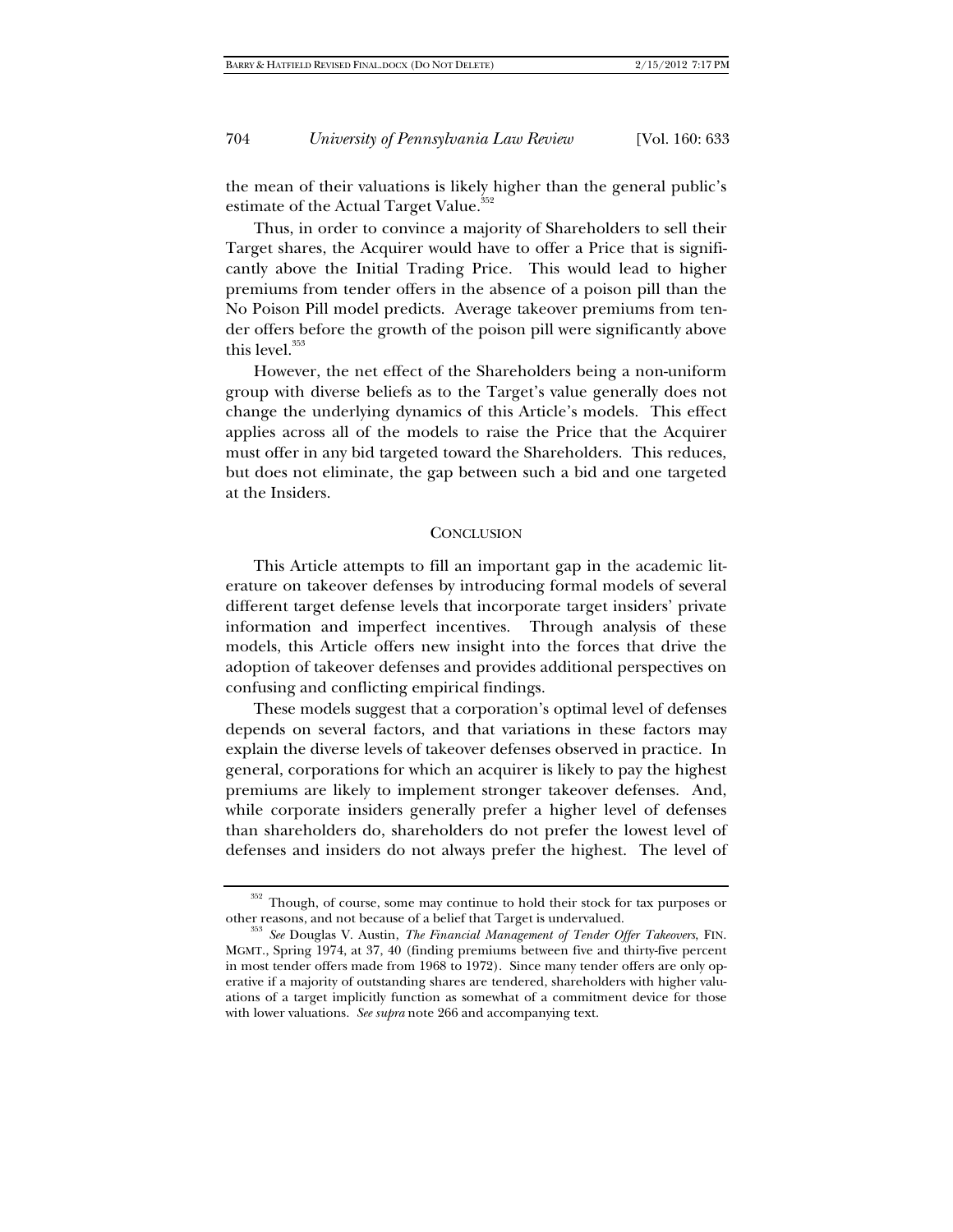the mean of their valuations is likely higher than the general public's estimate of the Actual Target Value.<sup>352</sup>

Thus, in order to convince a majority of Shareholders to sell their Target shares, the Acquirer would have to offer a Price that is significantly above the Initial Trading Price. This would lead to higher premiums from tender offers in the absence of a poison pill than the No Poison Pill model predicts. Average takeover premiums from tender offers before the growth of the poison pill were significantly above this level.<sup>353</sup>

However, the net effect of the Shareholders being a non-uniform group with diverse beliefs as to the Target's value generally does not change the underlying dynamics of this Article's models. This effect applies across all of the models to raise the Price that the Acquirer must offer in any bid targeted toward the Shareholders. This reduces, but does not eliminate, the gap between such a bid and one targeted at the Insiders.

#### **CONCLUSION**

This Article attempts to fill an important gap in the academic literature on takeover defenses by introducing formal models of several different target defense levels that incorporate target insiders' private information and imperfect incentives. Through analysis of these models, this Article offers new insight into the forces that drive the adoption of takeover defenses and provides additional perspectives on confusing and conflicting empirical findings.

These models suggest that a corporation's optimal level of defenses depends on several factors, and that variations in these factors may explain the diverse levels of takeover defenses observed in practice. In general, corporations for which an acquirer is likely to pay the highest premiums are likely to implement stronger takeover defenses. And, while corporate insiders generally prefer a higher level of defenses than shareholders do, shareholders do not prefer the lowest level of defenses and insiders do not always prefer the highest. The level of

 $352$  Though, of course, some may continue to hold their stock for tax purposes or other reasons, and not because of a belief that Target is undervalued.

<sup>&</sup>lt;sup>353</sup> See Douglas V. Austin, *The Financial Management of Tender Offer Takeovers*, FIN. MGMT., Spring 1974, at 37, 40 (finding premiums between five and thirty-five percent in most tender offers made from 1968 to 1972). Since many tender offers are only operative if a majority of outstanding shares are tendered, shareholders with higher valuations of a target implicitly function as somewhat of a commitment device for those with lower valuations. *See supra* note 266 and accompanying text.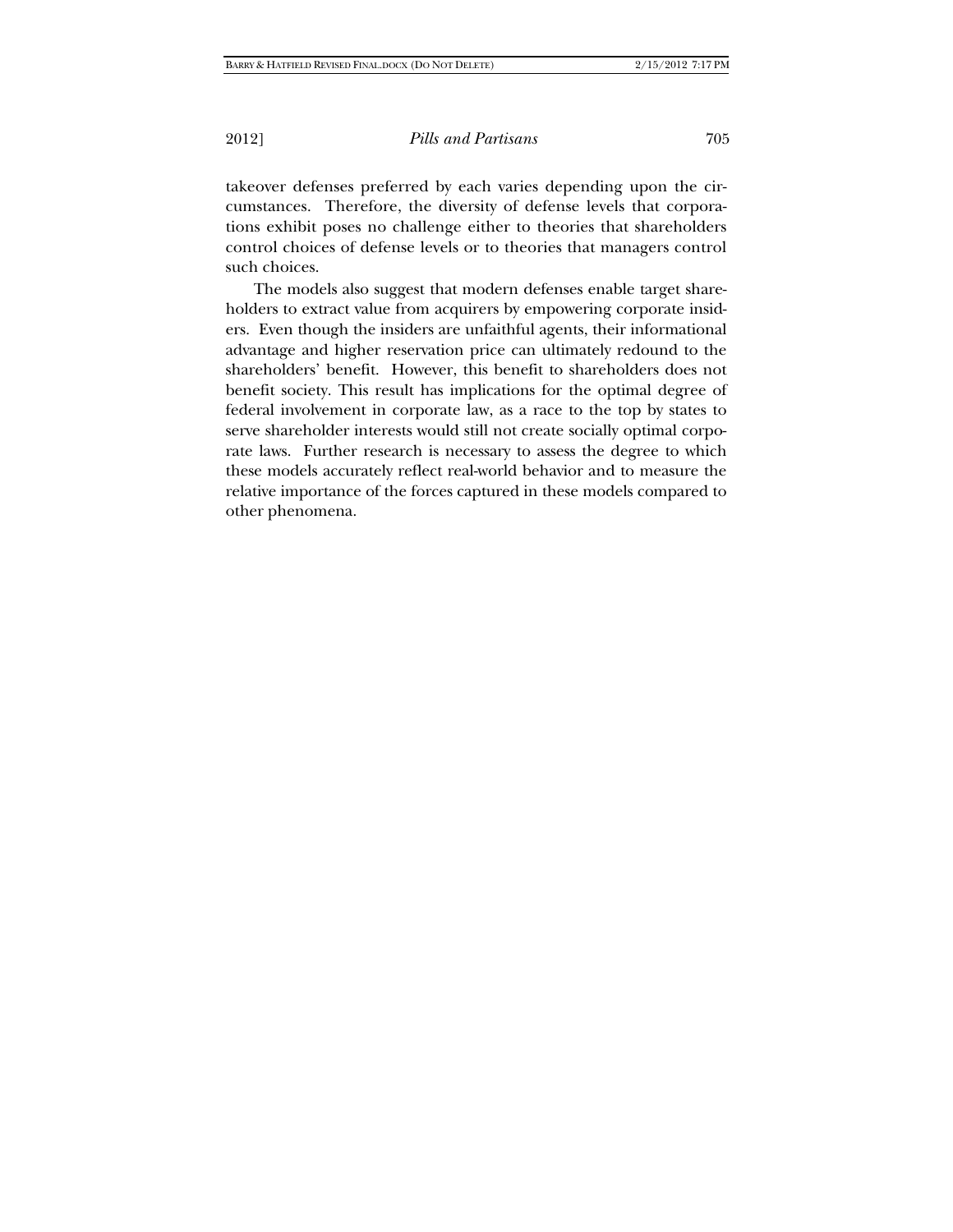takeover defenses preferred by each varies depending upon the circumstances. Therefore, the diversity of defense levels that corporations exhibit poses no challenge either to theories that shareholders control choices of defense levels or to theories that managers control such choices.

The models also suggest that modern defenses enable target shareholders to extract value from acquirers by empowering corporate insiders. Even though the insiders are unfaithful agents, their informational advantage and higher reservation price can ultimately redound to the shareholders' benefit. However, this benefit to shareholders does not benefit society. This result has implications for the optimal degree of federal involvement in corporate law, as a race to the top by states to serve shareholder interests would still not create socially optimal corporate laws. Further research is necessary to assess the degree to which these models accurately reflect real-world behavior and to measure the relative importance of the forces captured in these models compared to other phenomena.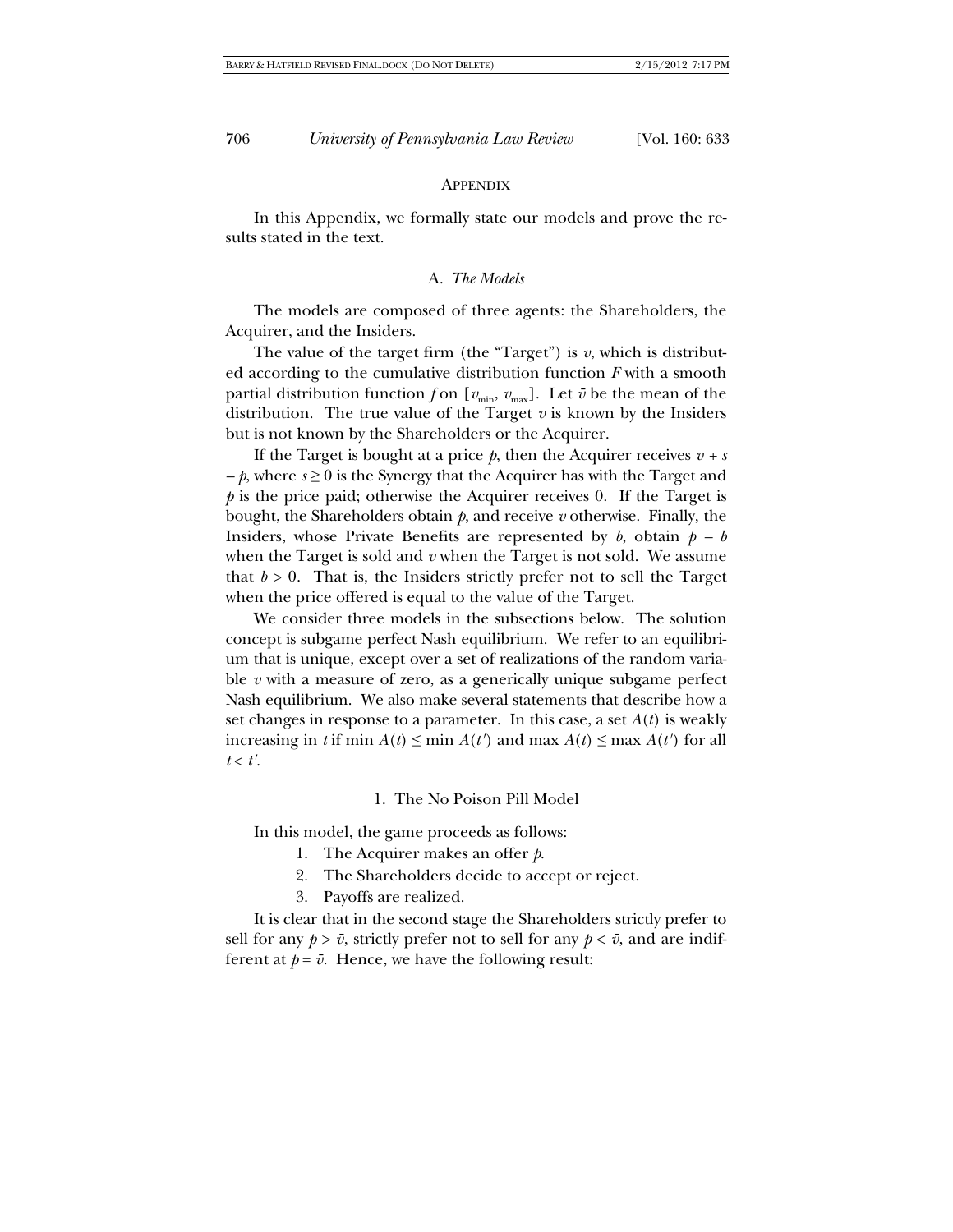#### **APPENDIX**

In this Appendix, we formally state our models and prove the results stated in the text.

### A. *The Models*

The models are composed of three agents: the Shareholders, the Acquirer, and the Insiders.

The value of the target firm (the "Target") is  $v$ , which is distributed according to the cumulative distribution function *F* with a smooth partial distribution function *f* on  $[v_{min}, v_{max}]$ . Let  $\bar{v}$  be the mean of the distribution. The true value of the Target  $v$  is known by the Insiders but is not known by the Shareholders or the Acquirer.

If the Target is bought at a price  $p$ , then the Acquirer receives  $v + s$ *– p*, where *s* ≥ 0 is the Synergy that the Acquirer has with the Target and *p* is the price paid; otherwise the Acquirer receives 0. If the Target is bought, the Shareholders obtain *p*, and receive *v* otherwise. Finally, the Insiders, whose Private Benefits are represented by  $b$ , obtain  $p - b$ when the Target is sold and *v* when the Target is not sold. We assume that  $b > 0$ . That is, the Insiders strictly prefer not to sell the Target when the price offered is equal to the value of the Target.

We consider three models in the subsections below. The solution concept is subgame perfect Nash equilibrium. We refer to an equilibrium that is unique, except over a set of realizations of the random variable *v* with a measure of zero, as a generically unique subgame perfect Nash equilibrium. We also make several statements that describe how a set changes in response to a parameter. In this case, a set  $A(t)$  is weakly increasing in *t* if min  $A(t) \leq \min A(t')$  and max  $A(t) \leq \max A(t')$  for all  $t < t'.$ 

### 1. The No Poison Pill Model

In this model, the game proceeds as follows:

- 1. The Acquirer makes an offer *p*.
- 2. The Shareholders decide to accept or reject.
- 3. Payoffs are realized.

 It is clear that in the second stage the Shareholders strictly prefer to sell for any  $p > \bar{v}$ , strictly prefer not to sell for any  $p < \bar{v}$ , and are indifferent at  $p = \bar{v}$ . Hence, we have the following result: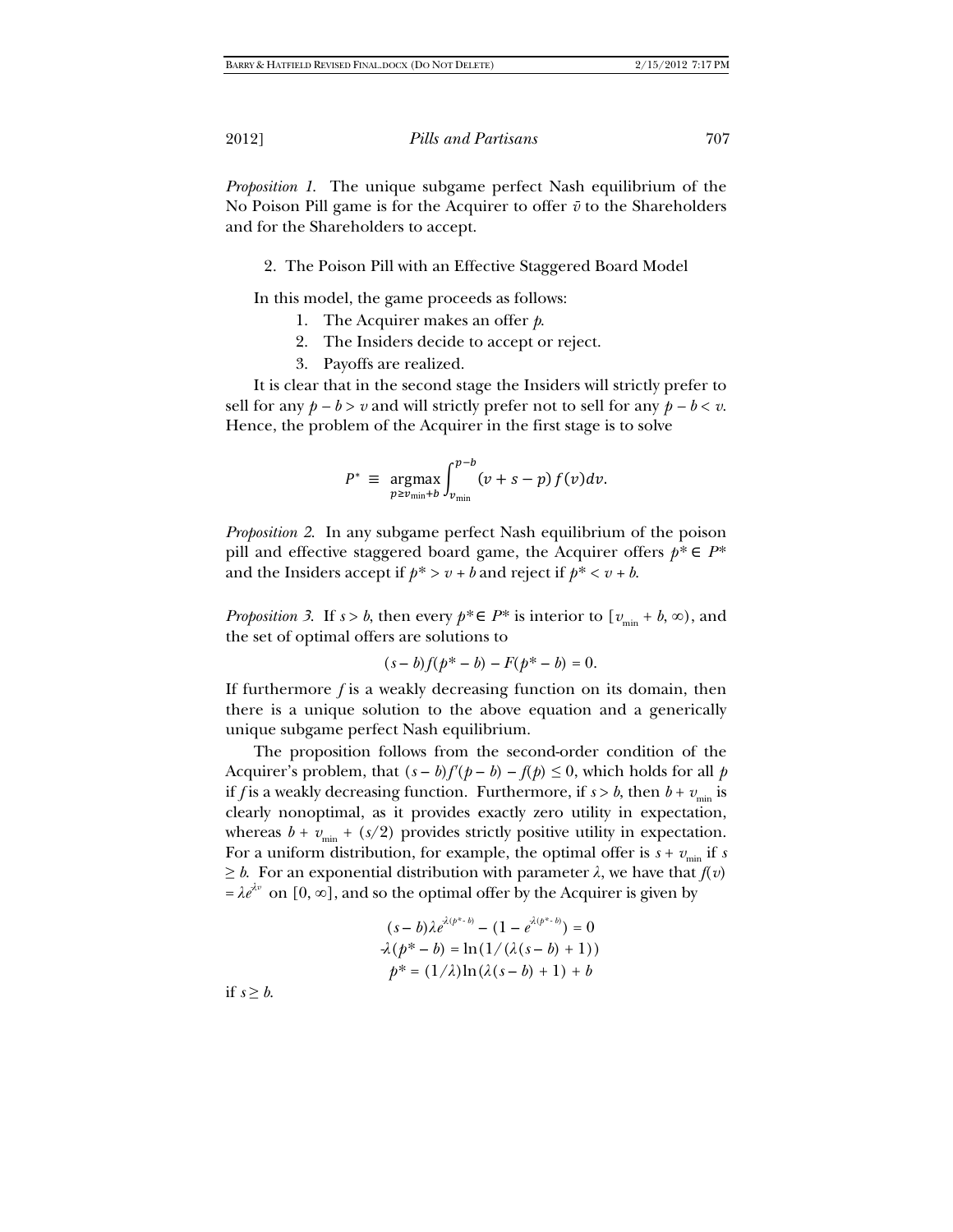*Proposition 1*. The unique subgame perfect Nash equilibrium of the No Poison Pill game is for the Acquirer to offer  $\bar{v}$  to the Shareholders and for the Shareholders to accept.

# 2. The Poison Pill with an Effective Staggered Board Model

In this model, the game proceeds as follows:

- 1. The Acquirer makes an offer *p*.
- 2. The Insiders decide to accept or reject.
- 3. Payoffs are realized.

It is clear that in the second stage the Insiders will strictly prefer to sell for any  $p - b > v$  and will strictly prefer not to sell for any  $p - b < v$ . Hence, the problem of the Acquirer in the first stage is to solve

$$
P^* \equiv \underset{p \ge v_{\min} + b}{\operatorname{argmax}} \int_{v_{\min}}^{p-b} (v + s - p) f(v) dv.
$$

*Proposition 2*. In any subgame perfect Nash equilibrium of the poison pill and effective staggered board game, the Acquirer offers  $p^* \in P^*$ and the Insiders accept if  $p^* > v + b$  and reject if  $p^* < v + b$ .

*Proposition 3.* If  $s > b$ , then every  $p^* \in P^*$  is interior to  $[v_{\min} + b, \infty)$ , and the set of optimal offers are solutions to

$$
(s-b)f(p^*-b) - F(p^*-b) = 0.
$$

If furthermore *f* is a weakly decreasing function on its domain, then there is a unique solution to the above equation and a generically unique subgame perfect Nash equilibrium.

The proposition follows from the second-order condition of the Acquirer's problem, that  $(s - b)f'(p - b) - f(p) \leq 0$ , which holds for all *p* if *f* is a weakly decreasing function. Furthermore, if  $s > b$ , then  $b + v_{\min}$  is clearly nonoptimal, as it provides exactly zero utility in expectation, whereas  $b + v_{\text{min}} + (s/2)$  provides strictly positive utility in expectation. For a uniform distribution, for example, the optimal offer is  $s + v_{min}$  if *s*  $\geq b$ . For an exponential distribution with parameter  $\lambda$ , we have that  $f(v)$  $= \lambda e^{\lambda v}$  on [0,  $\infty$ ], and so the optimal offer by the Acquirer is given by

$$
(s-b)\lambda e^{\lambda(p^{s}-b)} - (1 - e^{\lambda(p^{s}-b)}) = 0
$$
  

$$
\lambda(p^{s}-b) = \ln(1/\lambda(s-b) + 1))
$$
  

$$
p^{s} = (1/\lambda)\ln(\lambda(s-b) + 1) + b
$$

if  $s \geq b$ .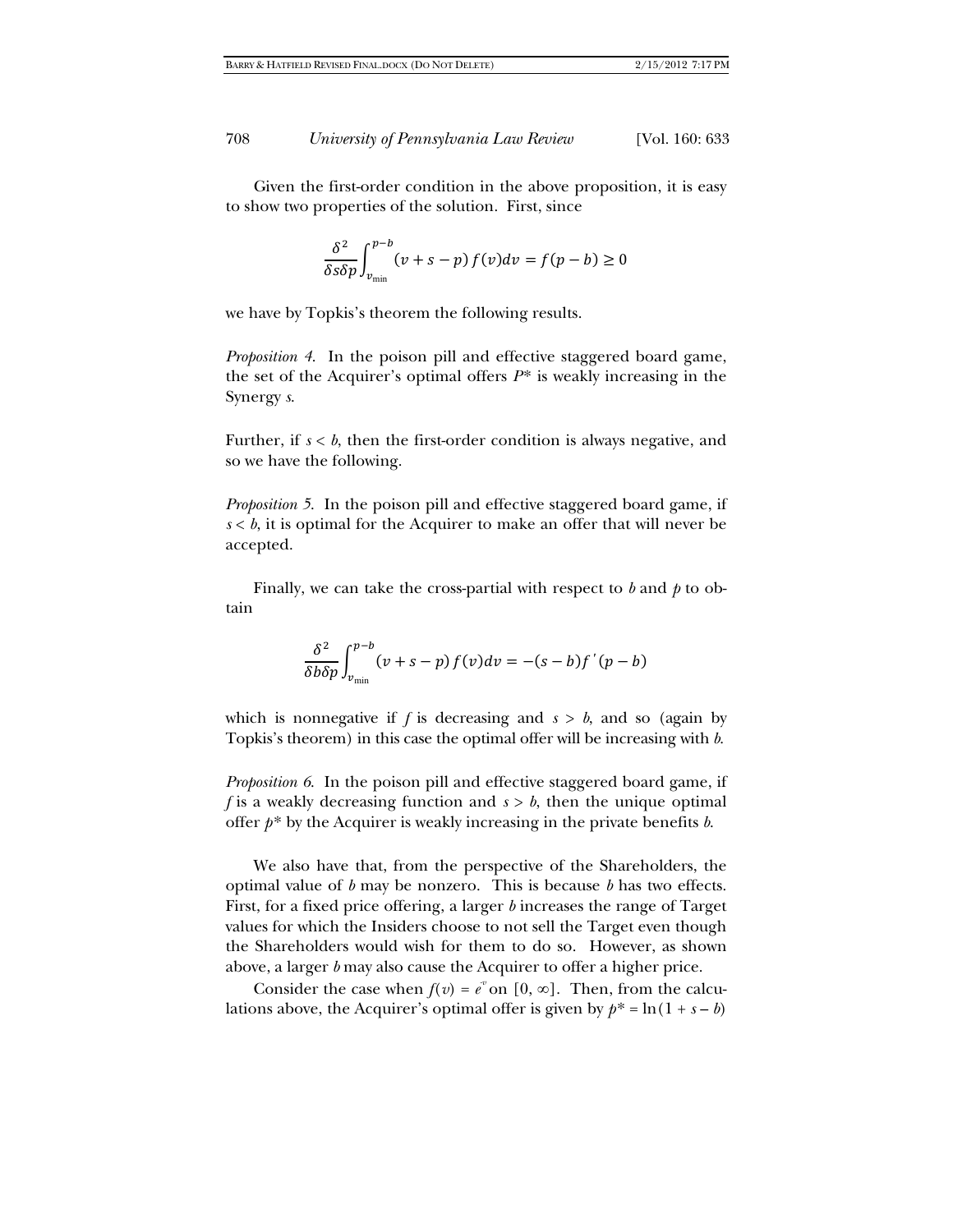Given the first-order condition in the above proposition, it is easy to show two properties of the solution. First, since

$$
\frac{\delta^2}{\delta s \delta p} \int_{\nu_{\rm min}}^{\nu-b} (\nu+s-p) \, f(\nu) d\nu = f(p-b) \geq 0
$$

we have by Topkis's theorem the following results.

*Proposition 4*. In the poison pill and effective staggered board game, the set of the Acquirer's optimal offers *P*\* is weakly increasing in the Synergy *s*.

Further, if  $s < b$ , then the first-order condition is always negative, and so we have the following.

*Proposition 5*. In the poison pill and effective staggered board game, if  $s < b$ , it is optimal for the Acquirer to make an offer that will never be accepted.

Finally, we can take the cross-partial with respect to *b* and *p* to obtain

$$
\frac{\delta^2}{\delta b \delta p} \int_{v_{\text{min}}}^{p-b} (v+s-p) f(v) dv = -(s-b) f'(p-b)
$$

which is nonnegative if  $f$  is decreasing and  $s > b$ , and so (again by Topkis's theorem) in this case the optimal offer will be increasing with *b*.

*Proposition 6*. In the poison pill and effective staggered board game, if *f* is a weakly decreasing function and *s* > *b*, then the unique optimal offer *p*\* by the Acquirer is weakly increasing in the private benefits *b*.

We also have that, from the perspective of the Shareholders, the optimal value of *b* may be nonzero. This is because *b* has two effects. First, for a fixed price offering, a larger *b* increases the range of Target values for which the Insiders choose to not sell the Target even though the Shareholders would wish for them to do so. However, as shown above, a larger *b* may also cause the Acquirer to offer a higher price.

Consider the case when  $f(v) = e^v$  on [0, ∞]. Then, from the calculations above, the Acquirer's optimal offer is given by  $p^* = \ln(1 + s - b)$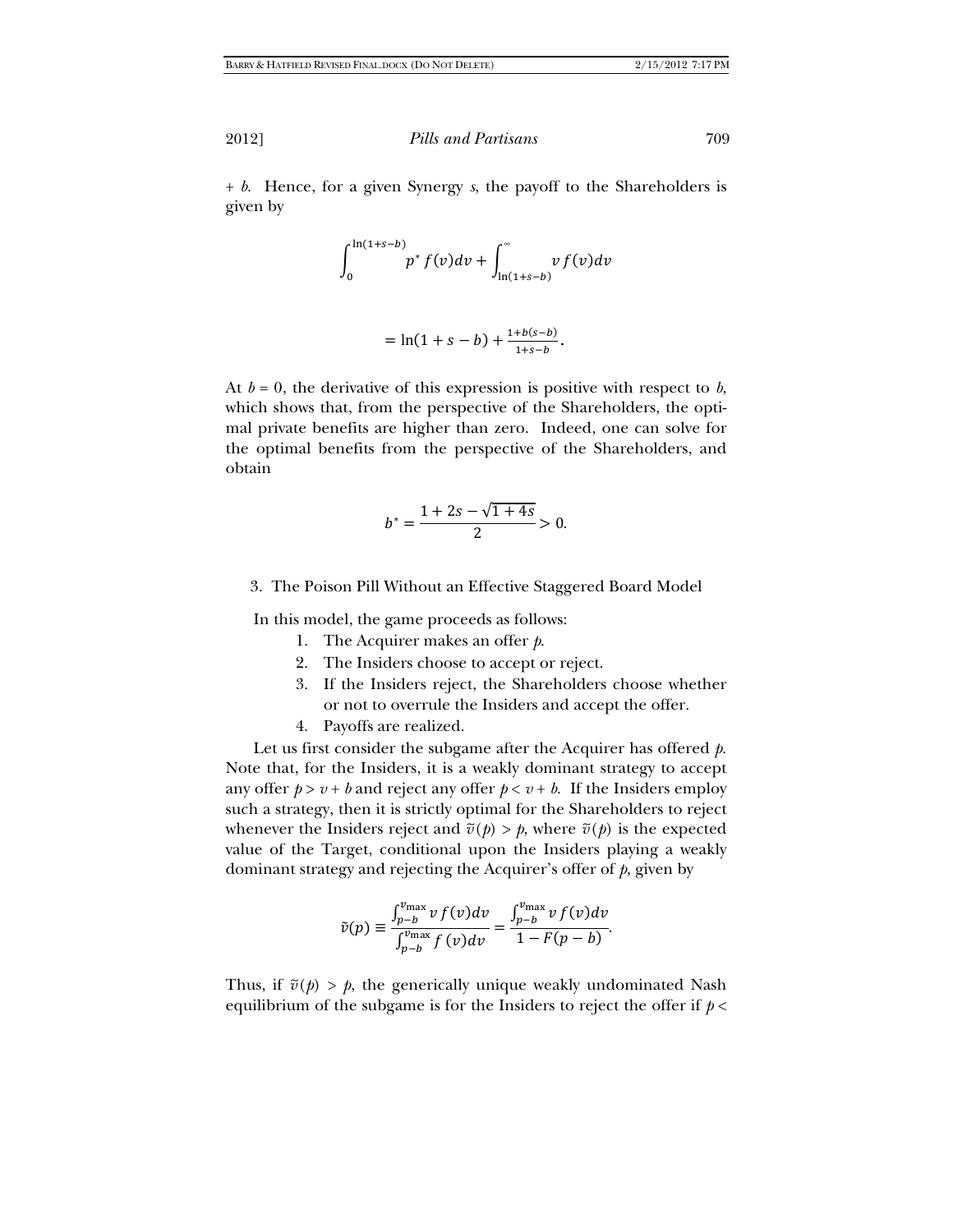+ *b*. Hence, for a given Synergy *s*, the payoff to the Shareholders is given by

$$
\int_0^{\ln(1+s-b)} p^* f(v) dv + \int_{\ln(1+s-b)}^{\infty} v f(v) dv
$$

$$
= \ln(1+s-b) + \frac{1+b(s-b)}{1+s-b}.
$$

At  $b = 0$ , the derivative of this expression is positive with respect to  $b$ , which shows that, from the perspective of the Shareholders, the optimal private benefits are higher than zero. Indeed, one can solve for the optimal benefits from the perspective of the Shareholders, and obtain

$$
b^* = \frac{1 + 2s - \sqrt{1 + 4s}}{2} > 0.
$$

## 3. The Poison Pill Without an Effective Staggered Board Model

In this model, the game proceeds as follows:

- 1. The Acquirer makes an offer *p*.
- 2. The Insiders choose to accept or reject.
- 3. If the Insiders reject, the Shareholders choose whether or not to overrule the Insiders and accept the offer.
- 4. Payoffs are realized.

Let us first consider the subgame after the Acquirer has offered *p*. Note that, for the Insiders, it is a weakly dominant strategy to accept any offer  $p > v + b$  and reject any offer  $p < v + b$ . If the Insiders employ such a strategy, then it is strictly optimal for the Shareholders to reject whenever the Insiders reject and  $\tilde{v}(p) > p$ , where  $\tilde{v}(p)$  is the expected value of the Target, conditional upon the Insiders playing a weakly dominant strategy and rejecting the Acquirer's offer of *p*, given by

$$
\tilde{v}(p) \equiv \frac{\int_{p-b}^{v_{\text{max}}} v f(v) dv}{\int_{p-b}^{v_{\text{max}}} f(v) dv} = \frac{\int_{p-b}^{v_{\text{max}}} v f(v) dv}{1 - F(p-b)}.
$$

Thus, if  $\tilde{v}(p) > p$ , the generically unique weakly undominated Nash equilibrium of the subgame is for the Insiders to reject the offer if *p* <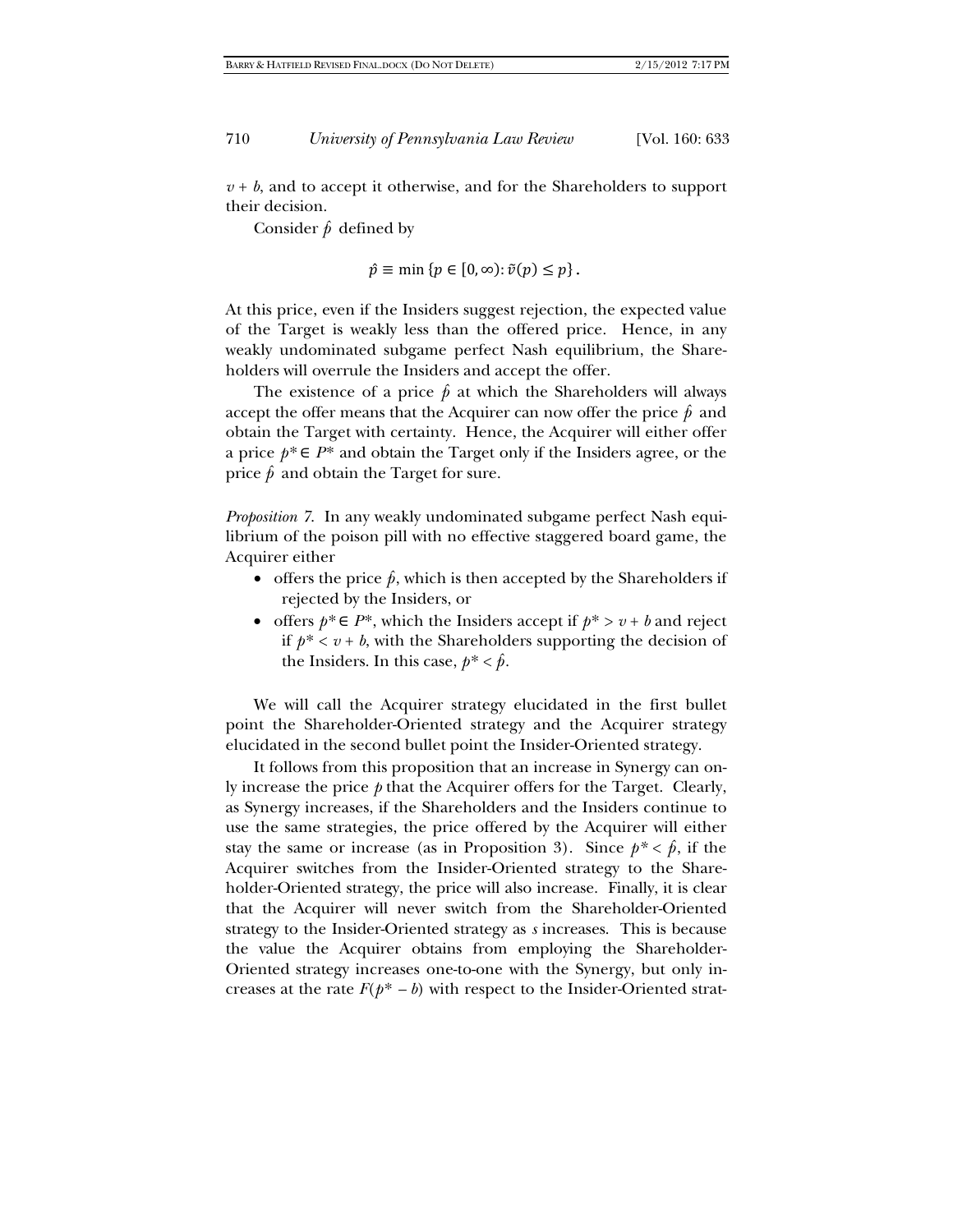$v + b$ , and to accept it otherwise, and for the Shareholders to support their decision.

Consider  $\hat{p}$  defined by

$$
\hat{p} \equiv \min \{ p \in [0, \infty) : \tilde{v}(p) \le p \}.
$$

At this price, even if the Insiders suggest rejection, the expected value of the Target is weakly less than the offered price. Hence, in any weakly undominated subgame perfect Nash equilibrium, the Shareholders will overrule the Insiders and accept the offer.

The existence of a price  $\hat{p}$  at which the Shareholders will always accept the offer means that the Acquirer can now offer the price  $\hat{p}$  and obtain the Target with certainty. Hence, the Acquirer will either offer a price  $p^* \in P^*$  and obtain the Target only if the Insiders agree, or the price  $\hat{p}$  and obtain the Target for sure.

*Proposition 7*. In any weakly undominated subgame perfect Nash equilibrium of the poison pill with no effective staggered board game, the Acquirer either

- offers the price  $\hat{p}$ , which is then accepted by the Shareholders if rejected by the Insiders, or
- offers  $p^* \in P^*$ , which the Insiders accept if  $p^* > v + b$  and reject if  $p^* < v + b$ , with the Shareholders supporting the decision of the Insiders. In this case,  $p^* < \hat{p}$ .

We will call the Acquirer strategy elucidated in the first bullet point the Shareholder-Oriented strategy and the Acquirer strategy elucidated in the second bullet point the Insider-Oriented strategy.

It follows from this proposition that an increase in Synergy can only increase the price *p* that the Acquirer offers for the Target. Clearly, as Synergy increases, if the Shareholders and the Insiders continue to use the same strategies, the price offered by the Acquirer will either stay the same or increase (as in Proposition 3). Since  $p^* < \hat{p}$ , if the Acquirer switches from the Insider-Oriented strategy to the Shareholder-Oriented strategy, the price will also increase. Finally, it is clear that the Acquirer will never switch from the Shareholder-Oriented strategy to the Insider-Oriented strategy as *s* increases. This is because the value the Acquirer obtains from employing the Shareholder-Oriented strategy increases one-to-one with the Synergy, but only increases at the rate  $F(p^* - b)$  with respect to the Insider-Oriented strat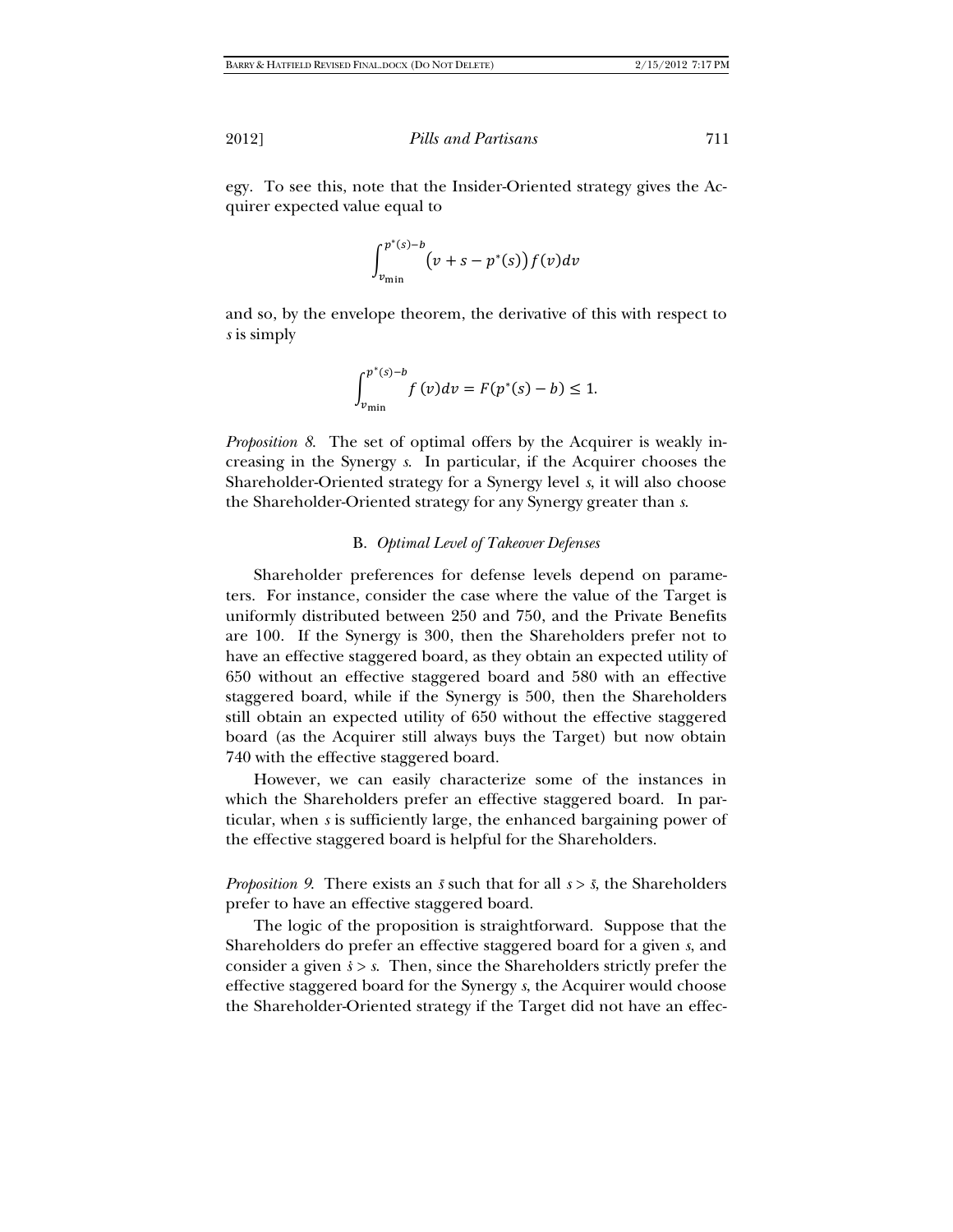egy. To see this, note that the Insider-Oriented strategy gives the Acquirer expected value equal to

$$
\int_{v_{\min}}^{p^*(s)-b} \bigl(v+s-p^*(s)\bigr) f(v) dv
$$

and so, by the envelope theorem, the derivative of this with respect to *s* is simply

$$
\int_{v_{\min}}^{p^*(s)-b} f(v)dv = F(p^*(s)-b) \le 1.
$$

*Proposition 8*. The set of optimal offers by the Acquirer is weakly increasing in the Synergy *s*. In particular, if the Acquirer chooses the Shareholder-Oriented strategy for a Synergy level *s*, it will also choose the Shareholder-Oriented strategy for any Synergy greater than *s*.

## B. *Optimal Level of Takeover Defenses*

Shareholder preferences for defense levels depend on parameters. For instance, consider the case where the value of the Target is uniformly distributed between 250 and 750, and the Private Benefits are 100. If the Synergy is 300, then the Shareholders prefer not to have an effective staggered board, as they obtain an expected utility of 650 without an effective staggered board and 580 with an effective staggered board, while if the Synergy is 500, then the Shareholders still obtain an expected utility of 650 without the effective staggered board (as the Acquirer still always buys the Target) but now obtain 740 with the effective staggered board.

However, we can easily characterize some of the instances in which the Shareholders prefer an effective staggered board. In particular, when *s* is sufficiently large, the enhanced bargaining power of the effective staggered board is helpful for the Shareholders.

*Proposition 9*. There exists an  $\bar{s}$  such that for all  $s > \bar{s}$ , the Shareholders prefer to have an effective staggered board.

The logic of the proposition is straightforward. Suppose that the Shareholders do prefer an effective staggered board for a given *s*, and consider a given  $s > s$ . Then, since the Shareholders strictly prefer the effective staggered board for the Synergy *s*, the Acquirer would choose the Shareholder-Oriented strategy if the Target did not have an effec-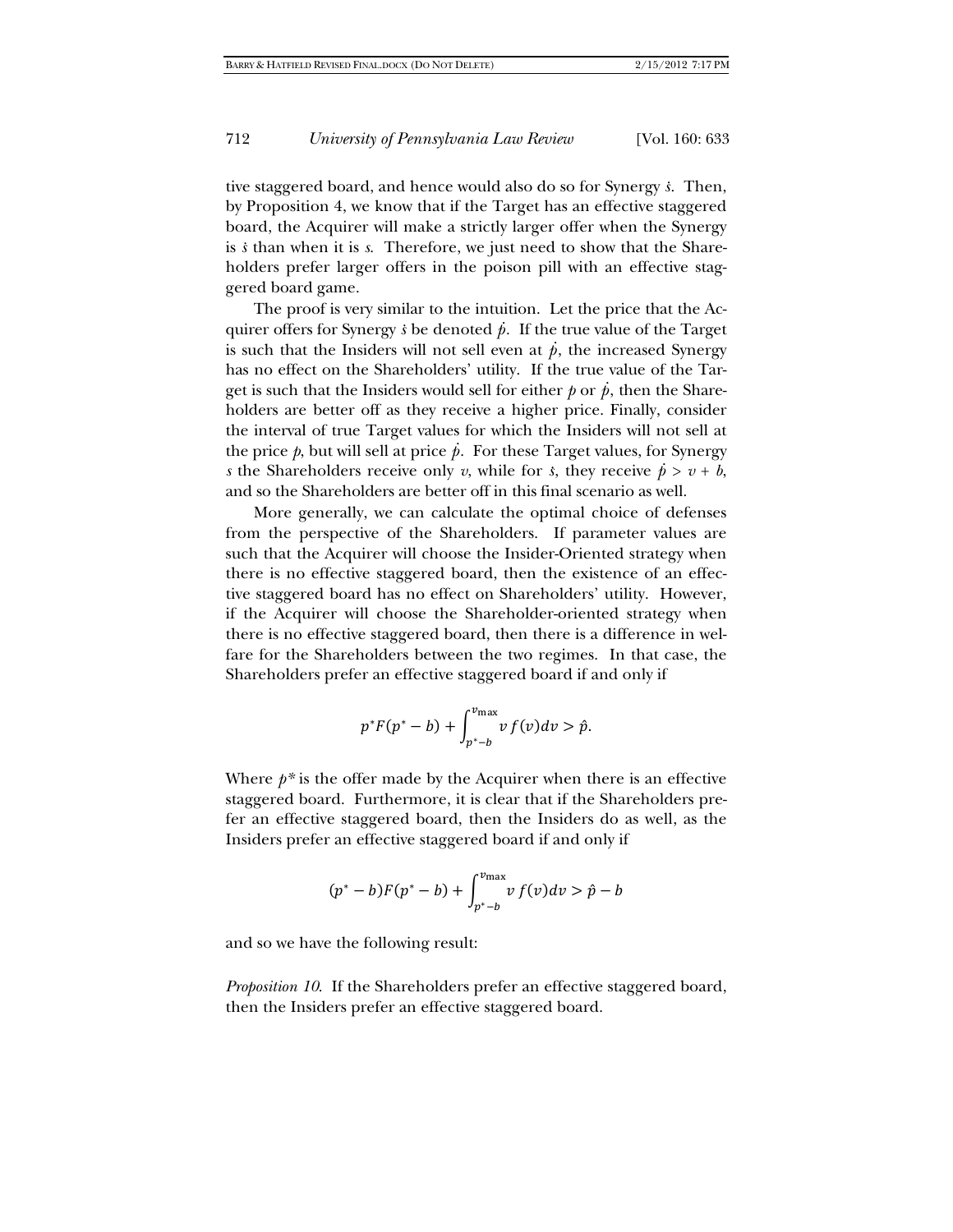tive staggered board, and hence would also do so for Synergy *s .* . Then, by Proposition 4, we know that if the Target has an effective staggered board, the Acquirer will make a strictly larger offer when the Synergy is *s* than when it is *s*. Therefore, we just need to show that the Shareholders prefer larger offers in the poison pill with an effective staggered board game.

The proof is very similar to the intuition. Let the price that the Ac-The proof is very similar to the intuition. Let the price that the requirer offers for Synergy  $\dot{s}$  be denoted  $\dot{p}$ . If the true value of the Target is such that the Insiders will not sell even at  $\dot{p}$ , the increased Synergy has no effect on the Shareholders' utility. If the true value of the Tarhas no enced on the Shareholders durity. It the true value of the Tar-<br>get is such that the Insiders would sell for either  $p$  or  $\dot{p}$ , then the Shareholders are better off as they receive a higher price. Finally, consider the interval of true Target values for which the Insiders will not sell at the merval of the Target values for which the misleets will not sell at the price  $\hat{p}$ , but will sell at price  $\hat{p}$ . For these Target values, for Synergy *s* the Shareholders receive only *v*, while for *s*, they receive  $\dot{p} > v + b$ , and so the Shareholders are better off in this final scenario as well.

More generally, we can calculate the optimal choice of defenses from the perspective of the Shareholders. If parameter values are such that the Acquirer will choose the Insider-Oriented strategy when there is no effective staggered board, then the existence of an effective staggered board has no effect on Shareholders' utility. However, if the Acquirer will choose the Shareholder-oriented strategy when there is no effective staggered board, then there is a difference in welfare for the Shareholders between the two regimes. In that case, the Shareholders prefer an effective staggered board if and only if

$$
p^*F(p^*-b)+\int_{p^*-b}^{v_{\max}} v f(v)dv > \hat{p}.
$$

Where  $p^*$  is the offer made by the Acquirer when there is an effective staggered board. Furthermore, it is clear that if the Shareholders prefer an effective staggered board, then the Insiders do as well, as the Insiders prefer an effective staggered board if and only if

$$
(p^* - b)F(p^* - b) + \int_{p^* - b}^{v_{\text{max}}} v f(v) dv > \hat{p} - b
$$

and so we have the following result:

*Proposition 10*. If the Shareholders prefer an effective staggered board, then the Insiders prefer an effective staggered board.